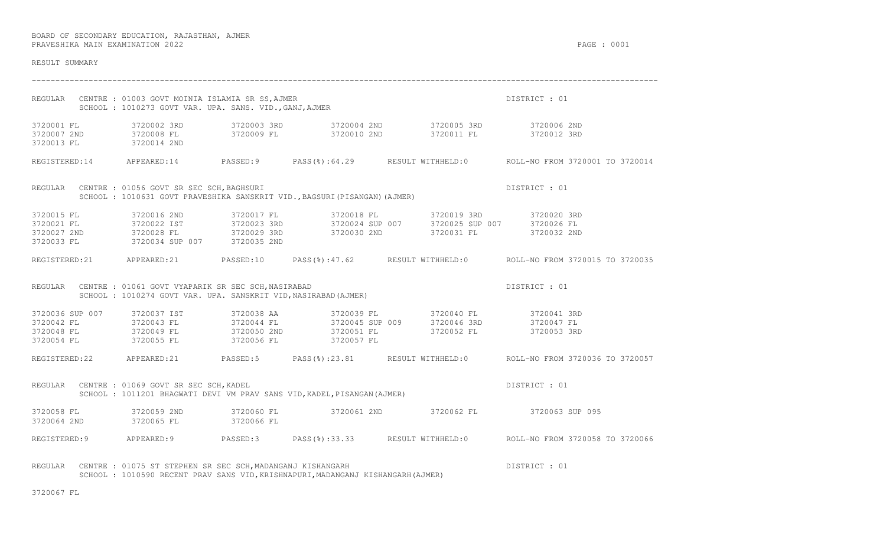| RESULT SUMMARY |                                                                                                                    |                                                                                                                     |                                                                                                                                                                                                                                                                                                                                                 |                                                                                                      |
|----------------|--------------------------------------------------------------------------------------------------------------------|---------------------------------------------------------------------------------------------------------------------|-------------------------------------------------------------------------------------------------------------------------------------------------------------------------------------------------------------------------------------------------------------------------------------------------------------------------------------------------|------------------------------------------------------------------------------------------------------|
|                | REGULAR CENTRE : 01003 GOVT MOINIA ISLAMIA SR SS, AJMER<br>SCHOOL : 1010273 GOVT VAR. UPA. SANS. VID., GANJ, AJMER |                                                                                                                     | AJMER<br>AJMER                                                                                                                                                                                                                                                                                                                                  | DISTRICT : 01                                                                                        |
|                |                                                                                                                    |                                                                                                                     | $\begin{array}{cccccccc} 3720001 & \text{FL} & 3720002 & 3 \text{RD} & 3720003 & 3 \text{RD} & 3720004 & 2 \text{ND} & 3720005 & 3 \text{RD} & 3720006 & 2 \text{ND} \\ 3720007 & 2 \text{ND} & 3720008 & \text{FL} & 3720009 & \text{FL} & 3720010 & 2 \text{ND} & 3720011 & \text{FL} & 3720012 & 3 \text{RD} \\ 3720013 & \text{FL} & $      |                                                                                                      |
|                |                                                                                                                    |                                                                                                                     |                                                                                                                                                                                                                                                                                                                                                 | REGISTERED:14 APPEARED:14 PASSED:9 PASS(%):64.29 RESULT WITHHELD:0 ROLL-NO FROM 3720001 TO 3720014   |
|                | REGULAR CENTRE : 01056 GOVT SR SEC SCH, BAGHSURI                                                                   | SCHOOL : 1010631 GOVT PRAVESHIKA SANSKRIT VID., BAGSURI (PISANGAN) (AJMER)                                          |                                                                                                                                                                                                                                                                                                                                                 | DISTRICT : 01                                                                                        |
|                |                                                                                                                    |                                                                                                                     |                                                                                                                                                                                                                                                                                                                                                 |                                                                                                      |
|                |                                                                                                                    |                                                                                                                     |                                                                                                                                                                                                                                                                                                                                                 | REGISTERED:21 APPEARED:21 PASSED:10 PASS(%):47.62 RESULT WITHHELD:0 ROLL-NO FROM 3720015 TO 3720035  |
|                | REGULAR CENTRE : 01061 GOVT VYAPARIK SR SEC SCH, NASIRABAD                                                         | SCHOOL: UIU01 GOVT VYAPARIK SR SEC SCH, NASIRABAD<br>SCHOOL: 1010274 GOVT VAR. UPA. SANSKRIT VID, NASIRABAD (AJMER) |                                                                                                                                                                                                                                                                                                                                                 | DISTRICT : 01                                                                                        |
|                |                                                                                                                    | 3720054 FL 3720055 FL 3720056 FL 3720054 FL                                                                         | $\begin{array}{cccccccc} 3720036 & \text{SUP} & 007 & 3720037 & \text{IST} & 3720038 & \text{AA} & 3720039 & \text{FL} & 3720040 & \text{FL} & 3720041 & \text{SRD} \\ 3720042 & \text{FL} & 3720043 & \text{FL} & 3720044 & \text{FL} & 3720045 & \text{SUP} & 009 & 3720046 & \text{SRD} & 3720047 & \text{FL} \\ 3720048 & \text{FL} & 3720$ |                                                                                                      |
|                |                                                                                                                    |                                                                                                                     |                                                                                                                                                                                                                                                                                                                                                 | REGISTERED:22 APPEARED:21 PASSED:5 PASS(%):23.81 RESULT WITHHELD:0 ROLL-NO FROM 3720036 TO 3720057   |
|                | REGULAR CENTRE : 01069 GOVT SR SEC SCH, KADEL                                                                      | SCHOOL : 1011201 BHAGWATI DEVI VM PRAV SANS VID, KADEL, PISANGAN (AJMER)                                            |                                                                                                                                                                                                                                                                                                                                                 | DISTRICT : 01                                                                                        |
|                | 3720064 2ND 3720065 FL 3720066 FL                                                                                  |                                                                                                                     | 3720058 FL 3720059 2ND 3720060 FL 3720061 2ND 3720062 FL 3720062 FL 3720063 SUP 095                                                                                                                                                                                                                                                             |                                                                                                      |
|                |                                                                                                                    |                                                                                                                     |                                                                                                                                                                                                                                                                                                                                                 | REGISTERED: 9 APPEARED: 9 PASSED: 3 PASS(%):33.33 RESULT WITHHELD: 0 ROLL-NO FROM 3720058 TO 3720066 |
| REGULAR        | CENTRE : 01075 ST STEPHEN SR SEC SCH, MADANGANJ KISHANGARH                                                         | SCHOOL: 1010590 RECENT PRAV SANS VID, KRISHNAPURI, MADANGANJ KISHANGARH (AJMER)                                     |                                                                                                                                                                                                                                                                                                                                                 | DISTRICT : 01                                                                                        |

3720067 FL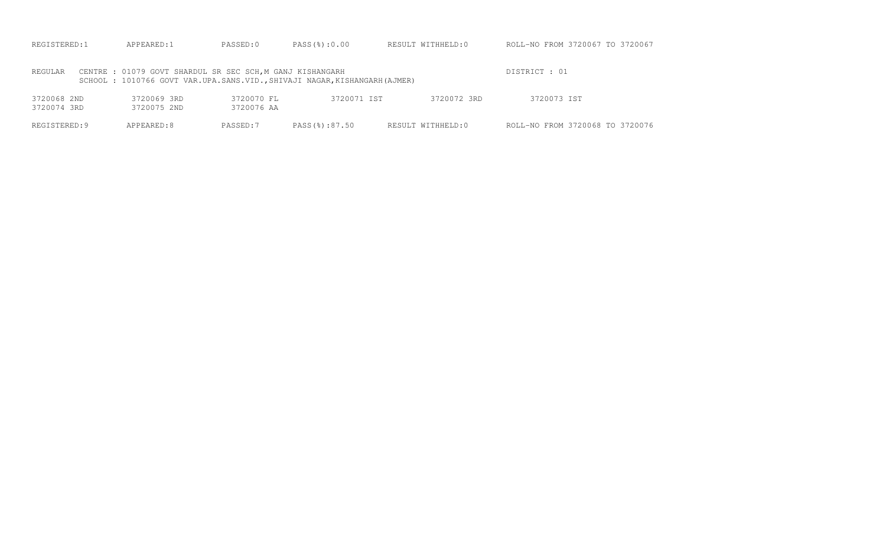| REGISTERED:1               | APPEARED:1                                                | PASSED:0                 | PASS(%):0.00                                                              | RESULT WITHHELD:0 | ROLL-NO FROM 3720067 TO 3720067 |
|----------------------------|-----------------------------------------------------------|--------------------------|---------------------------------------------------------------------------|-------------------|---------------------------------|
| REGULAR                    | CENTRE : 01079 GOVT SHARDUL SR SEC SCH, M GANJ KISHANGARH |                          | SCHOOL: 1010766 GOVT VAR.UPA.SANS.VID., SHIVAJI NAGAR, KISHANGARH (AJMER) |                   | DISTRICT : 01                   |
| 3720068 2ND<br>3720074 3RD | 3720069 3RD<br>3720075 2ND                                | 3720070 FL<br>3720076 AA | 3720071 TST                                                               | 3720072 3RD       | 3720073 IST                     |
| REGISTERED: 9              | APPEARED:8                                                | PASSED:7                 | PASS(%):87.50                                                             | RESULT WITHHELD:0 | ROLL-NO FROM 3720068 TO 3720076 |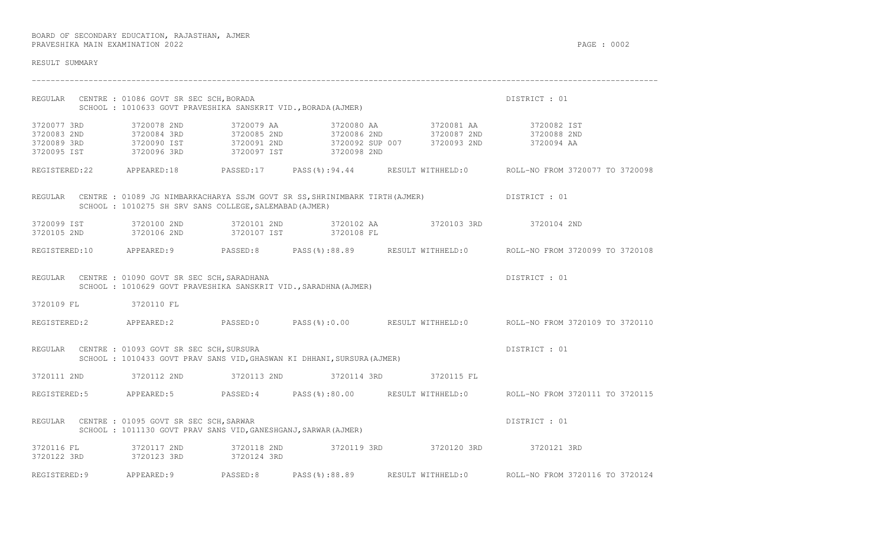| RESULT SUMMARY             |                                                                                                                   |             |                                                                                                                                                                                                                                                                                                                                     |                   |            |                                                                                                     |
|----------------------------|-------------------------------------------------------------------------------------------------------------------|-------------|-------------------------------------------------------------------------------------------------------------------------------------------------------------------------------------------------------------------------------------------------------------------------------------------------------------------------------------|-------------------|------------|-----------------------------------------------------------------------------------------------------|
|                            | REGULAR CENTRE : 01086 GOVT SR SEC SCH, BORADA<br>SCHOOL : 1010633 GOVT PRAVESHIKA SANSKRIT VID., BORADA (AJMER)  |             |                                                                                                                                                                                                                                                                                                                                     |                   |            | DISTRICT : 01                                                                                       |
|                            |                                                                                                                   |             | $\begin{array}{cccccccc} 3720077 & 3\text{RD} & 3720078 & 2\text{ND} & 3720080 & \text{AA} & 3720081 & \text{AA} & 3720082 & \text{IST} \\ 3720083 & 2\text{ND} & 3720084 & 3\text{RD} & 3720085 & 2\text{ND} & 3720086 & 2\text{ND} & 3720087 & 2\text{ND} & 3720089 & \text{3RD} & 3720090 & \text{1ST} & 3720099 & \text{1ST} &$ |                   |            |                                                                                                     |
|                            |                                                                                                                   |             |                                                                                                                                                                                                                                                                                                                                     |                   |            | REGISTERED:22 APPEARED:18 PASSED:17 PASS(%):94.44 RESULT WITHHELD:0 ROLL-NO FROM 3720077 TO 3720098 |
|                            | SCHOOL : 1010275 SH SRV SANS COLLEGE, SALEMABAD (AJMER)                                                           |             | REGULAR CENTRE : 01089 JG NIMBARKACHARYA SSJM GOVT SR SS, SHRINIMBARK TIRTH(AJMER)                                                                                                                                                                                                                                                  |                   |            | DISTRICT : 01                                                                                       |
| 3720099 IST<br>3720105 2ND |                                                                                                                   |             | 3720100 2ND                  3720101 2ND                  3720102 AA                    3720103 3RD                3720104 2ND                      3720106                          3720107                                                                                                                                        |                   |            |                                                                                                     |
|                            |                                                                                                                   |             |                                                                                                                                                                                                                                                                                                                                     |                   |            | REGISTERED:10 APPEARED:9 PASSED:8 PASS(%):88.89 RESULT WITHHELD:0 ROLL-NO FROM 3720099 TO 3720108   |
|                            | REGULAR CENTRE : 01090 GOVT SR SEC SCH, SARADHANA                                                                 |             | SCHOOL: 1010629 GOVT PRAVESHIKA SANSKRIT VID., SARADHNA (AJMER)                                                                                                                                                                                                                                                                     |                   |            | DISTRICT : 01                                                                                       |
| 3720109 FL 3720110 FL      |                                                                                                                   |             |                                                                                                                                                                                                                                                                                                                                     |                   |            |                                                                                                     |
|                            |                                                                                                                   |             |                                                                                                                                                                                                                                                                                                                                     |                   |            | REGISTERED:2 APPEARED:2 PASSED:0 PASS(%):0.00 RESULT WITHHELD:0 ROLL-NO FROM 3720109 TO 3720110     |
|                            | REGULAR CENTRE : 01093 GOVT SR SEC SCH, SURSURA                                                                   |             | SCHOOL : 1010433 GOVT PRAV SANS VID, GHASWAN KI DHHANI, SURSURA (AJMER)                                                                                                                                                                                                                                                             |                   |            | DISTRICT : 01                                                                                       |
|                            |                                                                                                                   |             | 3720111 2ND 3720112 2ND 3720113 2ND 3720114 3RD                                                                                                                                                                                                                                                                                     |                   | 3720115 FL |                                                                                                     |
|                            |                                                                                                                   |             |                                                                                                                                                                                                                                                                                                                                     |                   |            | REGISTERED:5 APPEARED:5 PASSED:4 PASS(%):80.00 RESULT WITHHELD:0 ROLL-NO FROM 3720111 TO 3720115    |
|                            | REGULAR CENTRE : 01095 GOVT SR SEC SCH, SARWAR<br>SCHOOL : 1011130 GOVT PRAV SANS VID, GANESHGANJ, SARWAR (AJMER) |             |                                                                                                                                                                                                                                                                                                                                     |                   |            | DISTRICT : 01                                                                                       |
| 3720116 FL<br>3720122 3RD  | 3720117 2ND<br>3720123 3RD                                                                                        | 3720124 3RD | 3720118 2ND 3720119 3RD 3720120 3RD 3720121 3RD                                                                                                                                                                                                                                                                                     |                   |            |                                                                                                     |
| REGISTERED: 9              | APPEARED:9                                                                                                        | PASSED:8    | PASS(%):88.89                                                                                                                                                                                                                                                                                                                       | RESULT WITHHELD:0 |            | ROLL-NO FROM 3720116 TO 3720124                                                                     |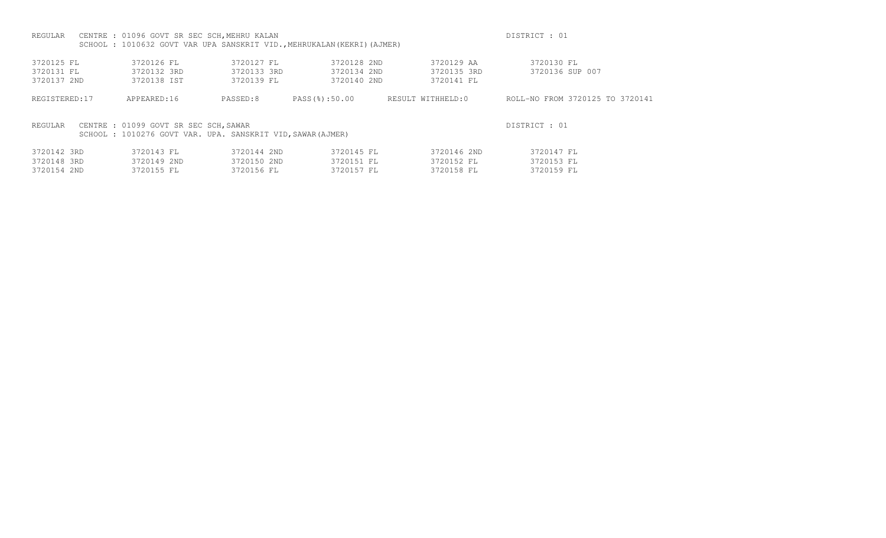| REGULAR       | CENTRE : 01096 GOVT SR SEC SCH, MEHRU KALAN                |             |                                                                        |                   | DISTRICT : 01                   |  |
|---------------|------------------------------------------------------------|-------------|------------------------------------------------------------------------|-------------------|---------------------------------|--|
|               |                                                            |             | SCHOOL: 1010632 GOVT VAR UPA SANSKRIT VID., MEHRUKALAN (KEKRI) (AJMER) |                   |                                 |  |
|               |                                                            |             |                                                                        |                   |                                 |  |
| 3720125 FL    | 3720126 FL                                                 | 3720127 FL  | 3720128 2ND                                                            | 3720129 AA        | 3720130 FL                      |  |
| 3720131 FL    | 3720132 3RD                                                | 3720133 3RD | 3720134 2ND                                                            | 3720135 3RD       | 3720136 SUP 007                 |  |
| 3720137 2ND   | 3720138 IST                                                | 3720139 FL  | 3720140 2ND                                                            | 3720141 FL        |                                 |  |
|               |                                                            |             |                                                                        |                   |                                 |  |
| REGISTERED:17 | APPEARED:16                                                | PASSED:8    | PASS(%):50.00                                                          | RESULT WITHHELD:0 | ROLL-NO FROM 3720125 TO 3720141 |  |
|               |                                                            |             |                                                                        |                   |                                 |  |
|               |                                                            |             |                                                                        |                   |                                 |  |
| REGULAR       | CENTRE : 01099 GOVT SR SEC SCH, SAWAR                      |             |                                                                        |                   | DISTRICT : 01                   |  |
|               | SCHOOL: 1010276 GOVT VAR. UPA. SANSKRIT VID, SAWAR (AJMER) |             |                                                                        |                   |                                 |  |
|               |                                                            |             |                                                                        |                   |                                 |  |
| 3720142 3RD   | 3720143 FL                                                 | 3720144 2ND | 3720145 FL                                                             | 3720146 2ND       | 3720147 FL                      |  |
| 3720148 3RD   | 3720149 2ND                                                | 3720150 2ND | 3720151 FL                                                             | 3720152 FL        | 3720153 FL                      |  |
| 3720154 2ND   | 3720155 FL                                                 | 3720156 FL  | 3720157 FL                                                             | 3720158 FL        | 3720159 FL                      |  |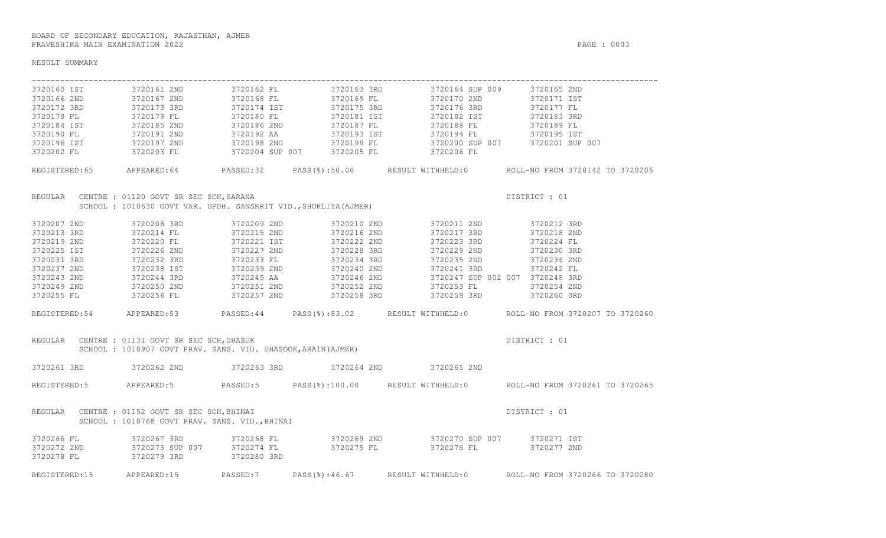| RESULT SUMMARY |                                                                                                                                                          |           |               |                                                                                                                                                                                                                                                                                                                         |                                                                                                                                                                                                                                                                                             |
|----------------|----------------------------------------------------------------------------------------------------------------------------------------------------------|-----------|---------------|-------------------------------------------------------------------------------------------------------------------------------------------------------------------------------------------------------------------------------------------------------------------------------------------------------------------------|---------------------------------------------------------------------------------------------------------------------------------------------------------------------------------------------------------------------------------------------------------------------------------------------|
|                |                                                                                                                                                          |           |               |                                                                                                                                                                                                                                                                                                                         | $\begin{tabular}{lcccccc} \texttt{5720150} & 3720160 & 18T & 3720161 & 2ND & 3720162 & FL & 3720163 & 3RD & 3720164 & 5UP & 009 & 3720165 & 2ND & 3720161 & 2ND & 3720162 & FL & 3720163 & 3RD & 3720164 & 5UP & 009 & 3720165 & 2ND & 3720168 & 5UP & 372017 & 18T & 372017 & 18T & 37201$ |
|                |                                                                                                                                                          |           |               |                                                                                                                                                                                                                                                                                                                         |                                                                                                                                                                                                                                                                                             |
|                |                                                                                                                                                          |           |               |                                                                                                                                                                                                                                                                                                                         |                                                                                                                                                                                                                                                                                             |
|                |                                                                                                                                                          |           |               |                                                                                                                                                                                                                                                                                                                         |                                                                                                                                                                                                                                                                                             |
|                |                                                                                                                                                          |           |               |                                                                                                                                                                                                                                                                                                                         |                                                                                                                                                                                                                                                                                             |
|                |                                                                                                                                                          |           |               |                                                                                                                                                                                                                                                                                                                         |                                                                                                                                                                                                                                                                                             |
|                |                                                                                                                                                          |           |               |                                                                                                                                                                                                                                                                                                                         |                                                                                                                                                                                                                                                                                             |
|                |                                                                                                                                                          |           |               |                                                                                                                                                                                                                                                                                                                         |                                                                                                                                                                                                                                                                                             |
|                |                                                                                                                                                          |           |               |                                                                                                                                                                                                                                                                                                                         | REGISTERED:65 APPEARED:64 PASSED:32 PASS(%):50.00 RESULT WITHHELD:0 ROLL-NO FROM 3720142 TO 3720206                                                                                                                                                                                         |
|                | REGULAR CENTRE : 01120 GOVT SR SEC SCH, SARANA                                                                                                           |           |               |                                                                                                                                                                                                                                                                                                                         | DISTRICT : 01                                                                                                                                                                                                                                                                               |
|                | CENIRE : UIIZU GOVT SR SEC SCH, SARANA<br>SCHOOL : 1010630 GOVT VAR. UPDH. SANSKRIT VID., SHOKLIYA(AJMER)                                                |           |               |                                                                                                                                                                                                                                                                                                                         |                                                                                                                                                                                                                                                                                             |
|                |                                                                                                                                                          |           |               | $\begin{array}{cccccccc} 3720207 & 2\text{ND} & 3720208 & 3\text{RD} & 3720209 & 2\text{ND} & 3720210 & 2\text{ND} & 3720211 & 2\text{ND} & 3720212 & 3\text{RD} & 3720214 & \text{FL} & 3720215 & 2\text{ND} & 3720216 & 2\text{ND} & 3720217 & 3\text{RD} & 3720218 & 2\text{ND} & 3720218 & 2\text{ND} & 3720219 & $ |                                                                                                                                                                                                                                                                                             |
|                |                                                                                                                                                          |           |               |                                                                                                                                                                                                                                                                                                                         |                                                                                                                                                                                                                                                                                             |
|                |                                                                                                                                                          |           |               |                                                                                                                                                                                                                                                                                                                         |                                                                                                                                                                                                                                                                                             |
|                |                                                                                                                                                          |           |               |                                                                                                                                                                                                                                                                                                                         |                                                                                                                                                                                                                                                                                             |
|                |                                                                                                                                                          |           |               |                                                                                                                                                                                                                                                                                                                         |                                                                                                                                                                                                                                                                                             |
|                |                                                                                                                                                          |           |               |                                                                                                                                                                                                                                                                                                                         |                                                                                                                                                                                                                                                                                             |
|                |                                                                                                                                                          |           |               |                                                                                                                                                                                                                                                                                                                         |                                                                                                                                                                                                                                                                                             |
|                |                                                                                                                                                          |           |               |                                                                                                                                                                                                                                                                                                                         |                                                                                                                                                                                                                                                                                             |
|                |                                                                                                                                                          |           |               | 3720255 FL 3720256 FL 3720257 2ND 3720258 3RD 3720259 3RD 3770259 13D 3720260 3RD                                                                                                                                                                                                                                       |                                                                                                                                                                                                                                                                                             |
|                |                                                                                                                                                          |           |               |                                                                                                                                                                                                                                                                                                                         | REGISTERED:54 APPEARED:53 PASSED:44 PASS(%):83.02 RESULT WITHHELD:0 ROLL-NO FROM 3720207 TO 3720260                                                                                                                                                                                         |
|                | CENTRE : 01131 GOVT SR SEC SCH, DHASUK<br>SCHOOL : 1010907 GOVT PRAV. SANS. VID. DHASOOK, ARAIN(AJMER)<br>REGULAR CENTRE : 01131 GOVT SR SEC SCH, DHASUK |           |               |                                                                                                                                                                                                                                                                                                                         | DISTRICT : 01                                                                                                                                                                                                                                                                               |
|                |                                                                                                                                                          |           |               | 3720261 3RD 3720262 2ND 3720263 3RD 3720264 2ND 3720265 2ND                                                                                                                                                                                                                                                             |                                                                                                                                                                                                                                                                                             |
|                |                                                                                                                                                          |           |               |                                                                                                                                                                                                                                                                                                                         | REGISTERED:5 APPEARED:5 PASSED:5 PASS(%):100.00 RESULT WITHHELD:0 ROLL-NO FROM 3720261 TO 3720265                                                                                                                                                                                           |
|                | CENTRE : 01152 GOVT SR SEC SCH, BHINAI<br>SCHOOL : 1010768 GOVT PRAV. SANS. VID., BHINAI<br>REGULAR CENTRE : 01152 GOVT SR SEC SCH, BHINAI               |           |               |                                                                                                                                                                                                                                                                                                                         | DISTRICT : 01                                                                                                                                                                                                                                                                               |
|                |                                                                                                                                                          |           |               |                                                                                                                                                                                                                                                                                                                         |                                                                                                                                                                                                                                                                                             |
| 3720278 FL     | 3720279 3RD 3720280 3RD                                                                                                                                  |           |               |                                                                                                                                                                                                                                                                                                                         |                                                                                                                                                                                                                                                                                             |
| REGISTERED:15  | APPEARED:15                                                                                                                                              | PASSED: 7 | PASS(%):46.67 |                                                                                                                                                                                                                                                                                                                         | RESULT WITHHELD:0 ROLL-NO FROM 3720266 TO 3720280                                                                                                                                                                                                                                           |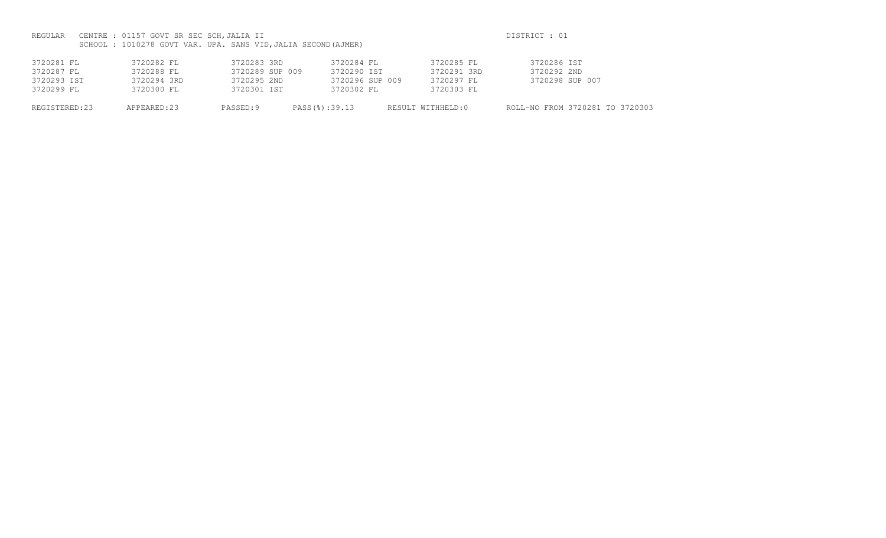| REGULAR                                               | CENTRE : 01157 GOVT SR SEC SCH, JALIA II<br>SCHOOL : 1010278 GOVT VAR. UPA. SANS VID, JALIA SECOND (AJMER) |                                                              |                                                            |                   |                                                       | DISTRICT : 01                                 |
|-------------------------------------------------------|------------------------------------------------------------------------------------------------------------|--------------------------------------------------------------|------------------------------------------------------------|-------------------|-------------------------------------------------------|-----------------------------------------------|
| 3720281 FL<br>3720287 FL<br>3720293 IST<br>3720299 FL | 3720282 FL<br>3720288 FL<br>3720294 3RD<br>3720300 FL                                                      | 3720283 3RD<br>3720289 SUP 009<br>3720295 2ND<br>3720301 IST | 3720284 FL<br>3720290 TST<br>3720296 SUP 009<br>3720302 FL |                   | 3720285 FL<br>3720291 3RD<br>3720297 FL<br>3720303 FL | 3720286 IST<br>3720292 2ND<br>3720298 SUP 007 |
| REGISTERED:23                                         | APPEARED: 23                                                                                               | PASSED:9                                                     | PASS(%):39.13                                              | RESULT WITHHELD:0 |                                                       | ROLL-NO FROM 3720281 TO 3720303               |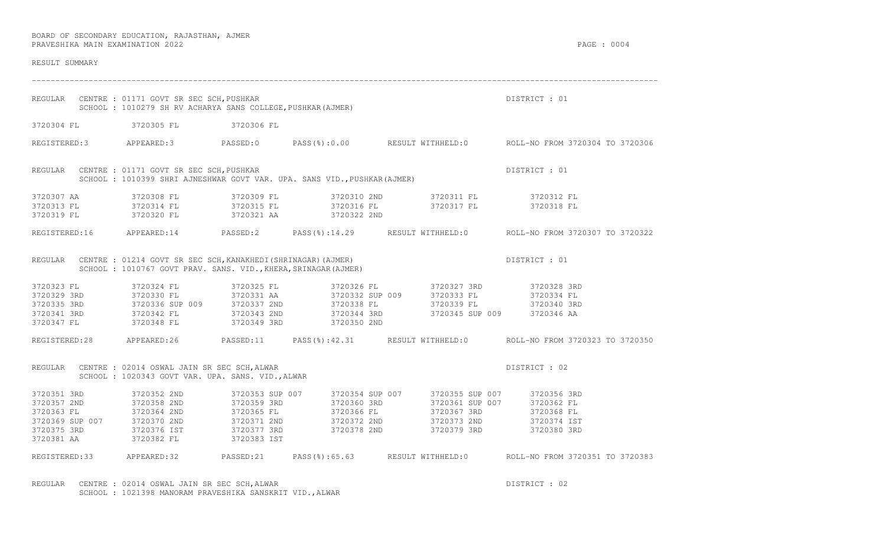| RESULT SUMMARY |                                                                                                         |                                                                           |                                                                                                                                                                                                                                                                                                                                 |                                                                                                     |
|----------------|---------------------------------------------------------------------------------------------------------|---------------------------------------------------------------------------|---------------------------------------------------------------------------------------------------------------------------------------------------------------------------------------------------------------------------------------------------------------------------------------------------------------------------------|-----------------------------------------------------------------------------------------------------|
|                | REGULAR CENTRE : 01171 GOVT SR SEC SCH, PUSHKAR                                                         |                                                                           | SCHOOL : 01171 GOVT SR SEC SCH, PUSHKAR<br>SCHOOL : 1010279 SH RV ACHARYA SANS COLLEGE, PUSHKAR (AJMER)                                                                                                                                                                                                                         | DISTRICT : 01                                                                                       |
|                | 3720304 FL 3720305 FL 3720306 FL                                                                        |                                                                           |                                                                                                                                                                                                                                                                                                                                 |                                                                                                     |
|                |                                                                                                         |                                                                           |                                                                                                                                                                                                                                                                                                                                 | REGISTERED:3 APPEARED:3 PASSED:0 PASS(%):0.00 RESULT WITHHELD:0 ROLL-NO FROM 3720304 TO 3720306     |
|                | REGULAR CENTRE : 01171 GOVT SR SEC SCH, PUSHKAR                                                         | SCHOOL : 1010399 SHRI AJNESHWAR GOVT VAR. UPA. SANS VID., PUSHKAR (AJMER) |                                                                                                                                                                                                                                                                                                                                 | DISTRICT : 01                                                                                       |
|                | 3720307 AA 3720308 FL                                                                                   | 3720319 FL 3720320 FL 3720321 AA 3720322 2ND                              | 3720309 FL 3720310 2ND 3720311 FL 3720312 FL<br>3720313 FL 3720314 FL 3720315 FL 3720316 FL 3720316 FL 3720317 FL 3720318 FL                                                                                                                                                                                                    |                                                                                                     |
|                |                                                                                                         |                                                                           |                                                                                                                                                                                                                                                                                                                                 | REGISTERED:16 APPEARED:14 PASSED:2 PASS(%):14.29 RESULT WITHHELD:0 ROLL-NO FROM 3720307 TO 3720322  |
|                | SCHOOL : 1010767 GOVT PRAV. SANS. VID., KHERA, SRINAGAR (AJMER)                                         |                                                                           | REGULAR CENTRE : 01214 GOVT SR SEC SCH, KANAKHEDI (SHRINAGAR) (AJMER)                                                                                                                                                                                                                                                           | DISTRICT : 01                                                                                       |
|                |                                                                                                         |                                                                           | $\begin{array}{cccccccc} 3720323 & F L & 3720324 & F L & 3720325 & F L & 3720326 & F L & 3720327 & 3RD & 3720328 & 3RD \\ 3720329 & 3RD & 3720330 & F L & 3720331 & AA & 3720332 & SUP & 009 & 3720333 & F L & 3720334 & F L \\ 3720335 & 3RD & 3720336 & SUP & 009 & 3720337 & 2ND & 3720338 & F L & 3720339$                  |                                                                                                     |
|                |                                                                                                         |                                                                           |                                                                                                                                                                                                                                                                                                                                 | REGISTERED:28 APPEARED:26 PASSED:11 PASS(%):42.31 RESULT WITHHELD:0 ROLL-NO FROM 3720323 TO 3720350 |
|                | REGULAR CENTRE : 02014 OSWAL JAIN SR SEC SCH, ALWAR<br>SCHOOL: 1020343 GOVT VAR. UPA. SANS. VID., ALWAR |                                                                           |                                                                                                                                                                                                                                                                                                                                 | DISTRICT : 02                                                                                       |
|                | 3720381 AA 3720382 FL 3720383 IST                                                                       |                                                                           | $\begin{array}{cccccccc} 3720351 & 3 \text{RD} & 3720352 & 2 \text{ND} & 3720353 & 5 \text{UP} & 007 & 3720354 & 5 \text{UP} & 007 & 3720355 & 5 \text{UP} & 007 & 3720356 & 3 \text{RD} \\ 3720357 & 2 \text{ND} & 3720358 & 2 \text{ND} & 3720359 & 3 \text{RD} & 3720360 & 3 \text{RD} & 3720361 & 5 \text{UP} & 007 & 3720$ |                                                                                                     |
|                | REGISTERED:33 APPEARED:32 PASSED:21                                                                     |                                                                           |                                                                                                                                                                                                                                                                                                                                 | PASS(%):65.63 RESULT WITHHELD:0 ROLL-NO FROM 3720351 TO 3720383                                     |

REGULAR CENTRE : 02014 OSWAL JAIN SR SEC SCH, ALWAR DESTRICT OF STRICT THE SECTION OF STRICT OF STRICT OF STRICT OF STRICT OF STRICT OF STRICT OF STRICT OF STRICT OF STRICT OF STRICT OF STRICT OF STRICT OF STRICT OF STRICT SCHOOL : 1021398 MANORAM PRAVESHIKA SANSKRIT VID.,ALWAR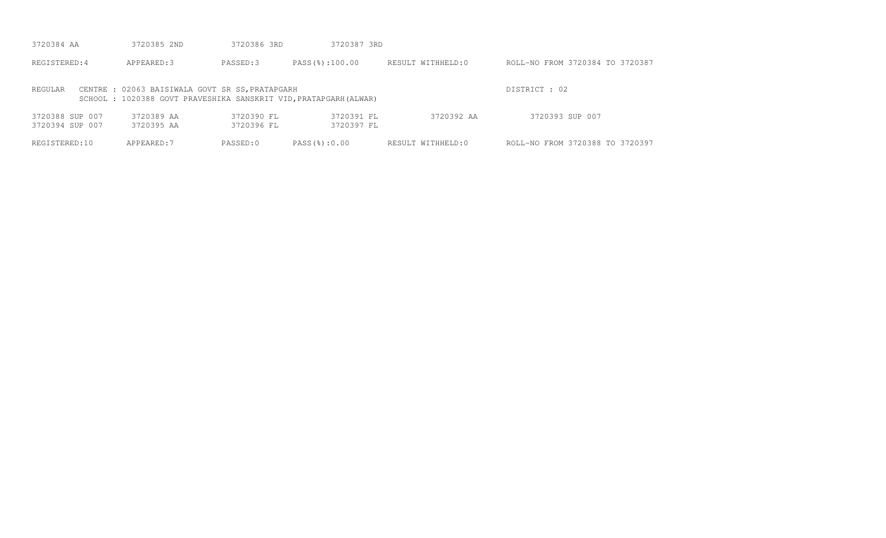| 3720384 AA                         | 3720385 2ND                                                                                                          | 3720386 3RD              | 3720387 3RD              |                    |                                 |
|------------------------------------|----------------------------------------------------------------------------------------------------------------------|--------------------------|--------------------------|--------------------|---------------------------------|
| REGISTERED: 4                      | APPEARED: 3                                                                                                          | PASSED:3                 | PASS(%):100.00           | RESULT WITHHELD:0  | ROLL-NO FROM 3720384 TO 3720387 |
| REGULAR                            | CENTRE : 02063 BAISIWALA GOVT SR SS, PRATAPGARH<br>SCHOOL : 1020388 GOVT PRAVESHIKA SANSKRIT VID, PRATAPGARH (ALWAR) |                          |                          |                    | DISTRICT: 02                    |
| 3720388 SUP 007<br>3720394 SUP 007 | 3720389 AA<br>3720395 AA                                                                                             | 3720390 FL<br>3720396 FL | 3720391 FL<br>3720397 FL | 3720392 AA         | 3720393 SUP 007                 |
| REGISTERED: 10                     | APPEARED: 7                                                                                                          | PASSED:0                 | PASS(8):0.00             | RESULT WITHHELD: 0 | ROLL-NO FROM 3720388 TO 3720397 |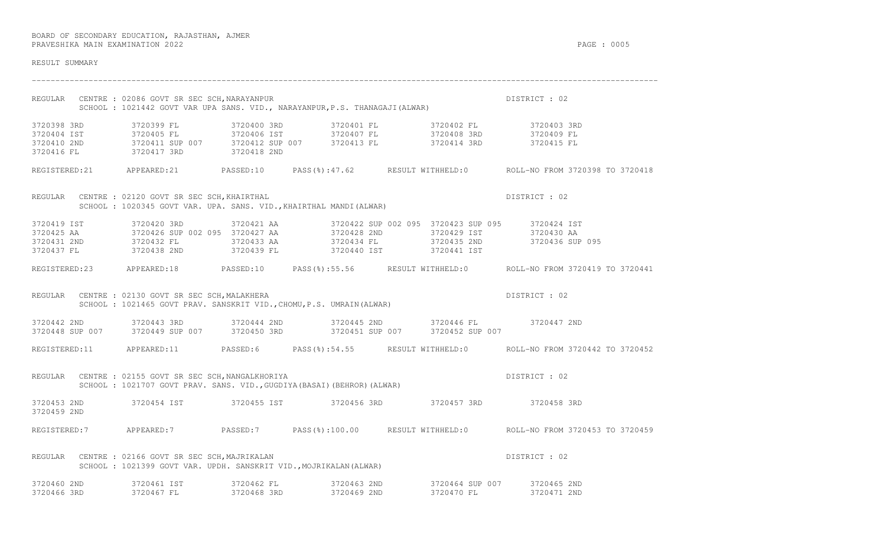|                         | CENTRE : 02086 GOVT SR SEC SCH,NARAYANPUR<br>SCHOOL : 1021442 GOVT VAR UPA SANS. VID., NARAYANPUR,P.S. THANAGAJI(ALWAR)<br>REGULAR CENTRE : 02086 GOVT SR SEC SCH, NARAYANPUR                                                                                                                                                            |  |  | DISTRICT : 02                                                                                                                                                                                                                                                                                                                               |
|-------------------------|------------------------------------------------------------------------------------------------------------------------------------------------------------------------------------------------------------------------------------------------------------------------------------------------------------------------------------------|--|--|---------------------------------------------------------------------------------------------------------------------------------------------------------------------------------------------------------------------------------------------------------------------------------------------------------------------------------------------|
|                         |                                                                                                                                                                                                                                                                                                                                          |  |  |                                                                                                                                                                                                                                                                                                                                             |
|                         |                                                                                                                                                                                                                                                                                                                                          |  |  |                                                                                                                                                                                                                                                                                                                                             |
|                         | $\begin{array}{cccccccc} 3720398 & 3\text{RD} & 3720399 & \text{FL} & 3720400 & 3\text{RD} & 3720401 & \text{FL} & 3720402 & \text{FL} & 3720403 & 3\text{RD} \\ 3720404 & 1ST & 3720405 & \text{FL} & 3720406 & 1ST & 3720407 & \text{FL} & 3720408 & 3\text{RD} & 3720409 & \text{FL} \\ 3720410 & 2\text{ND} & 3720411 & 5$           |  |  |                                                                                                                                                                                                                                                                                                                                             |
|                         |                                                                                                                                                                                                                                                                                                                                          |  |  |                                                                                                                                                                                                                                                                                                                                             |
|                         |                                                                                                                                                                                                                                                                                                                                          |  |  |                                                                                                                                                                                                                                                                                                                                             |
|                         |                                                                                                                                                                                                                                                                                                                                          |  |  | REGISTERED:21 APPEARED:21 PASSED:10 PASS(%):47.62 RESULT WITHHELD:0 ROLL-NO FROM 3720398 TO 3720418                                                                                                                                                                                                                                         |
|                         | CENTRE : 02120 GOVT SR SEC SCH, KHAIRTHAL<br>SCHOOL : 1020345 GOVT VAR. UPA. SANS. VID., KHAIRTHAL MANDI(ALWAR)<br>REGULAR CENTRE : 02120 GOVT SR SEC SCH, KHAIRTHAL                                                                                                                                                                     |  |  | DISTRICT : 02                                                                                                                                                                                                                                                                                                                               |
|                         |                                                                                                                                                                                                                                                                                                                                          |  |  |                                                                                                                                                                                                                                                                                                                                             |
|                         |                                                                                                                                                                                                                                                                                                                                          |  |  | $\begin{array}{cccccccc} 3720419 & \text{IST} & 3720420 & 3\text{RD} & 3720421 & \text{AA} & 3720422 & \text{SUP} & 002 & 095 & 3720423 & \text{SUP} & 095 & 3720424 & \text{IST} \\ 3720425 & \text{AA} & 3720426 & \text{SUP} & 002 & 095 & 3720430 & \text{AA} & 3720428 & \text{ZND} & 3720430 & \text{AA} \\ 3720431 & 2\text{ND} & 3$ |
|                         |                                                                                                                                                                                                                                                                                                                                          |  |  |                                                                                                                                                                                                                                                                                                                                             |
|                         |                                                                                                                                                                                                                                                                                                                                          |  |  |                                                                                                                                                                                                                                                                                                                                             |
|                         |                                                                                                                                                                                                                                                                                                                                          |  |  |                                                                                                                                                                                                                                                                                                                                             |
|                         |                                                                                                                                                                                                                                                                                                                                          |  |  |                                                                                                                                                                                                                                                                                                                                             |
|                         |                                                                                                                                                                                                                                                                                                                                          |  |  | REGISTERED:23 APPEARED:18 PASSED:10 PASS(%):55.56 RESULT WITHHELD:0 ROLL-NO FROM 3720419 TO 3720441                                                                                                                                                                                                                                         |
|                         |                                                                                                                                                                                                                                                                                                                                          |  |  |                                                                                                                                                                                                                                                                                                                                             |
|                         | REGULAR CENTRE : 02130 GOVT SR SEC SCH, MALAKHERA<br>SCHOOL : 1021465 GOVT PRAV. SANSKRIT VID., CHOMU, P.S. UMRAIN (ALWAR)                                                                                                                                                                                                               |  |  | DISTRICT : 02                                                                                                                                                                                                                                                                                                                               |
|                         |                                                                                                                                                                                                                                                                                                                                          |  |  |                                                                                                                                                                                                                                                                                                                                             |
|                         | $\begin{array}{cccccccc} 3720442 & 2\texttt{ND} & 3720443 & 3\texttt{RD} & 3720444 & 2\texttt{ND} & 3720445 & 2\texttt{ND} & 3720446 & \texttt{FL} & 3720447 & 2\texttt{ND} \\ 3720448 & \texttt{SUP} & 007 & 3720449 & \texttt{SUP} & 3720450 & 3\texttt{RD} & 3720451 & \texttt{SUP} & 007 & 3720452 & \texttt{SUP} & 007 \end{array}$ |  |  |                                                                                                                                                                                                                                                                                                                                             |
|                         |                                                                                                                                                                                                                                                                                                                                          |  |  |                                                                                                                                                                                                                                                                                                                                             |
|                         |                                                                                                                                                                                                                                                                                                                                          |  |  | REGISTERED:11 APPEARED:11 PASSED:6 PASS(%):54.55 RESULT WITHHELD:0 ROLL-NO FROM 3720442 TO 3720452                                                                                                                                                                                                                                          |
|                         | CENTRE : 02155 GOVT SR SEC SCH, NANGALKHORIYA<br>SCHOOL : 1021707 GOVT PRAV. SANS. VID., GUGDIYA(BASAI)(BEHROR)(ALWAR)<br>REGULAR CENTRE : 02155 GOVT SR SEC SCH, NANGALKHORIYA                                                                                                                                                          |  |  | DISTRICT : 02                                                                                                                                                                                                                                                                                                                               |
| 3720459 2ND             | 3720453 2ND 3720454 IST 3720455 IST 3720456 3RD 3720457 3RD 3720458 3RD                                                                                                                                                                                                                                                                  |  |  |                                                                                                                                                                                                                                                                                                                                             |
|                         |                                                                                                                                                                                                                                                                                                                                          |  |  |                                                                                                                                                                                                                                                                                                                                             |
|                         |                                                                                                                                                                                                                                                                                                                                          |  |  | REGISTERED:7 APPEARED:7 PASSED:7 PASS(%):100.00 RESULT WITHHELD:0 ROLL-NO FROM 3720453 TO 3720459                                                                                                                                                                                                                                           |
|                         | SCHOOL : 1021399 GOVT VAR. UPDH. SANSKRIT VID., MOJRIKALAN (ALWAR)<br>T<br>REGULAR CENTRE : 02166 GOVT SR SEC SCH, MAJRIKALAN                                                                                                                                                                                                            |  |  | DISTRICT : 02                                                                                                                                                                                                                                                                                                                               |
|                         |                                                                                                                                                                                                                                                                                                                                          |  |  |                                                                                                                                                                                                                                                                                                                                             |
| 3720460 2ND 3720461 IST |                                                                                                                                                                                                                                                                                                                                          |  |  | 3720462 FL 3720463 2ND 3720464 SUP 007 3720465 2ND                                                                                                                                                                                                                                                                                          |
|                         | 3720466 3RD       3720467 FT,       3720468 3RD       3720469 2ND       3720470 FT,       3720471 2ND                                                                                                                                                                                                                                    |  |  |                                                                                                                                                                                                                                                                                                                                             |
|                         |                                                                                                                                                                                                                                                                                                                                          |  |  |                                                                                                                                                                                                                                                                                                                                             |

RESULT SUMMARY ------------------------------------------------------------------------------------------------------------------------------------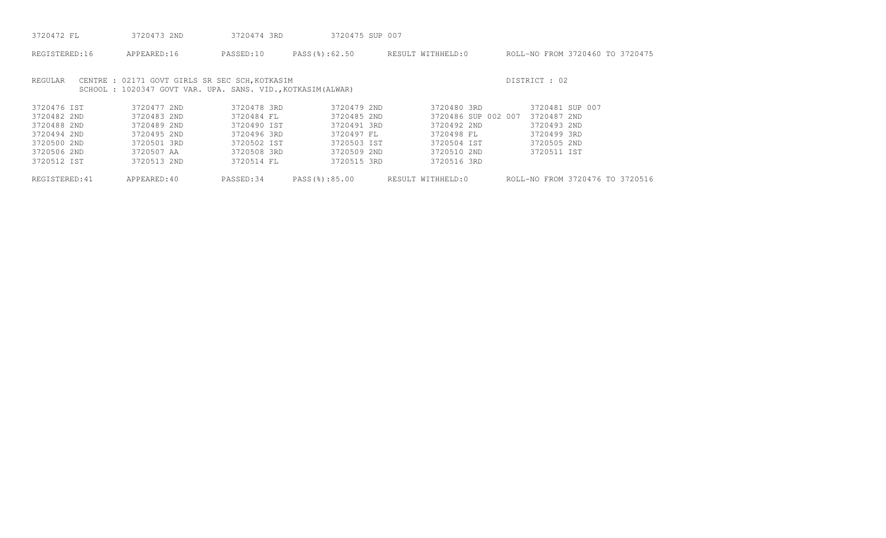| 3720472 FL                                                                                            | 3720473 2ND                                                                                                   | 3720474 3RD                                                                           | 3720475 SUP 007                                                                                      |                                                                                               |                                                                                            |
|-------------------------------------------------------------------------------------------------------|---------------------------------------------------------------------------------------------------------------|---------------------------------------------------------------------------------------|------------------------------------------------------------------------------------------------------|-----------------------------------------------------------------------------------------------|--------------------------------------------------------------------------------------------|
| REGISTERED:16                                                                                         | APPEARED:16                                                                                                   | PASSED:10                                                                             | PASS(%):62.50                                                                                        | RESULT WITHHELD:0                                                                             | ROLL-NO FROM 3720460 TO 3720475                                                            |
| REGULAR                                                                                               | CENTRE : 02171 GOVT GIRLS SR SEC SCH, KOTKASIM<br>SCHOOL: 1020347 GOVT VAR. UPA. SANS. VID., KOTKASIM (ALWAR) |                                                                                       |                                                                                                      |                                                                                               | DISTRICT : 02                                                                              |
| 3720476 IST<br>3720482 2ND<br>3720488 2ND<br>3720494 2ND<br>3720500 2ND<br>3720506 2ND<br>3720512 TST | 3720477 2ND<br>3720483 2ND<br>3720489 2ND<br>3720495 2ND<br>3720501 3RD<br>3720507 AA<br>3720513 2ND          | 3720478 3RD<br>3720484 FL<br>3720490 IST<br>3720496 3RD<br>3720502 IST<br>3720508 3RD | 3720479 2ND<br>3720485 2ND<br>3720491 3RD<br>3720497 FL<br>3720503 IST<br>3720509 2ND<br>3720515 3RD | 3720480 3RD<br>3720486 SUP 002 007<br>3720492 2ND<br>3720498 FL<br>3720504 IST<br>3720510 2ND | 3720481 SUP 007<br>3720487 2ND<br>3720493 2ND<br>3720499 3RD<br>3720505 2ND<br>3720511 IST |
| REGISTERED: 41                                                                                        | APPEARED: 40                                                                                                  | 3720514 FL<br>PASSED:34                                                               | PASS(%):85.00                                                                                        | 3720516 3RD<br>RESULT WITHHELD:0                                                              | ROLL-NO FROM 3720476 TO 3720516                                                            |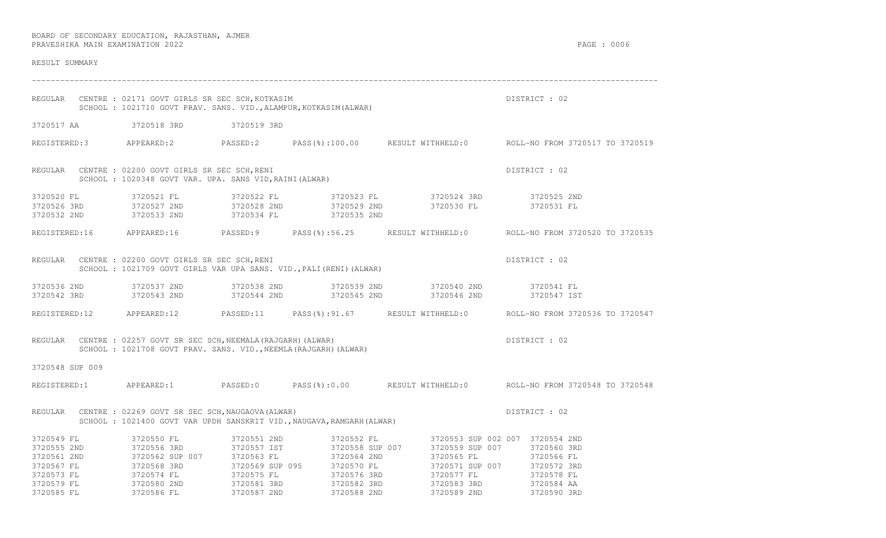| RESULT SUMMARY  |                                                                                                                                                                                                                                                                                                                                                                                             |  |                                                        |                                                                                                     |
|-----------------|---------------------------------------------------------------------------------------------------------------------------------------------------------------------------------------------------------------------------------------------------------------------------------------------------------------------------------------------------------------------------------------------|--|--------------------------------------------------------|-----------------------------------------------------------------------------------------------------|
|                 | REGULAR CENTRE : 02171 GOVT GIRLS SR SEC SCH, KOTKASIM<br>CENTRE : 02171 GOVT GIRLS SR SEC SCH, KOTKASIM<br>SCHOOL : 1021710 GOVT PRAV. SANS. VID., ALAMPUR, KOTKASIM(ALWAR)                                                                                                                                                                                                                |  |                                                        | DISTRICT : 02                                                                                       |
|                 | 3720517 AA 3720518 3RD 3720519 3RD                                                                                                                                                                                                                                                                                                                                                          |  |                                                        |                                                                                                     |
|                 |                                                                                                                                                                                                                                                                                                                                                                                             |  |                                                        | REGISTERED:3 APPEARED:2 PASSED:2 PASS(%):100.00 RESULT WITHHELD:0 ROLL-NO FROM 3720517 TO 3720519   |
|                 | REGULAR CENTRE : 02200 GOVT GIRLS SR SEC SCH, RENI<br>SCHOOL : 1020348 GOVT VAR. UPA. SANS VID, RAINI (ALWAR)                                                                                                                                                                                                                                                                               |  |                                                        | DISTRICT : 02                                                                                       |
|                 | $\begin{array}{cccccccc} 3720520 & \text{FL} & & 3720521 & \text{FL} & & 3720522 & \text{FL} & & 3720523 & \text{FL} & & 3720524 & 3\text{RD} & & 3720525 & 2\text{ND} \\ 3720526 & 3\text{RD} & & 3720527 & 2\text{ND} & & 3720528 & 2\text{ND} & & 3720529 & 2\text{ND} & & 3720530 & \text{FL} & & 3720531 & \text{FL} \\ \end{array}$<br>3720532 2ND 3720533 2ND 3720534 FL 3720535 2ND |  |                                                        |                                                                                                     |
|                 |                                                                                                                                                                                                                                                                                                                                                                                             |  |                                                        | REGISTERED:16 APPEARED:16 PASSED:9 PASS(%):56.25 RESULT WITHHELD:0 ROLL-NO FROM 3720520 TO 3720535  |
|                 | REGULAR CENTRE : 02200 GOVT GIRLS SR SEC SCH, RENI<br>CENIKE : UZZUU GOVT GIRLS SR SEC SCH, RENI<br>SCHOOL : 1021709 GOVT GIRLS VAR UPA SANS. VID., PALI (RENI) (ALWAR)                                                                                                                                                                                                                     |  |                                                        | DISTRICT : 02                                                                                       |
|                 | 3720536 2ND 3720537 2ND 3720538 2ND 3720539 2ND 3720541 FL<br>3720542 3RD 3720543 2ND 3720544 2ND 3720545 2ND 3720546 2ND                                                                                                                                                                                                                                                                   |  |                                                        | 3720547 IST                                                                                         |
|                 |                                                                                                                                                                                                                                                                                                                                                                                             |  |                                                        | REGISTERED:12 APPEARED:12 PASSED:11 PASS(%):91.67 RESULT WITHHELD:0 ROLL-NO FROM 3720536 TO 3720547 |
|                 | --- WELVI OUVI SK SEU SCH, NEEMALA (RAJGARH) (ALWAR)<br>SCHOOL : 1021708 GOVT PRAV. SANS. VID., NEEMLA (RAJGARH) (ALWAR)<br>REGULAR CENTRE : 02257 GOVT SR SEC SCH, NEEMALA (RAJGARH) (ALWAR)                                                                                                                                                                                               |  |                                                        | DISTRICT : 02                                                                                       |
| 3720548 SUP 009 |                                                                                                                                                                                                                                                                                                                                                                                             |  |                                                        |                                                                                                     |
|                 |                                                                                                                                                                                                                                                                                                                                                                                             |  |                                                        | REGISTERED:1 APPEARED:1 PASSED:0 PASS(%):0.00 RESULT WITHHELD:0 ROLL-NO FROM 3720548 TO 3720548     |
|                 | REGULAR CENTRE : 02269 GOVT SR SEC SCH, NAUGAOVA (ALWAR)<br>SCHOOL: 1021400 GOVT VAR UPDH SANSKRIT VID., NAUGAVA, RAMGARH (ALWAR)                                                                                                                                                                                                                                                           |  |                                                        | DISTRICT : 02                                                                                       |
| 3720549 FL      | 3720550 FL<br>$\begin{array}{cccccccccccc} 3720549 & \text{FL} & 3720550 & \text{FL} & 3720550 & \text{FL} & 3720556 & \text{3RD} & 3720556 & \text{3RD} & 3720556 & \text{3RD} & 3720560 & \text{3RD} & 3720560 & \text{3RD} & 3720560 & \text{3RD} & 3720560 & \text{3RD} & 3720560 & \text{3RD} & 3720560 & \text{3RD} & 3720560 & \text{3RD} & 37205$                                   |  | 3720551 2ND 3720552 FL 3720553 SUP 002 007 3720554 2ND |                                                                                                     |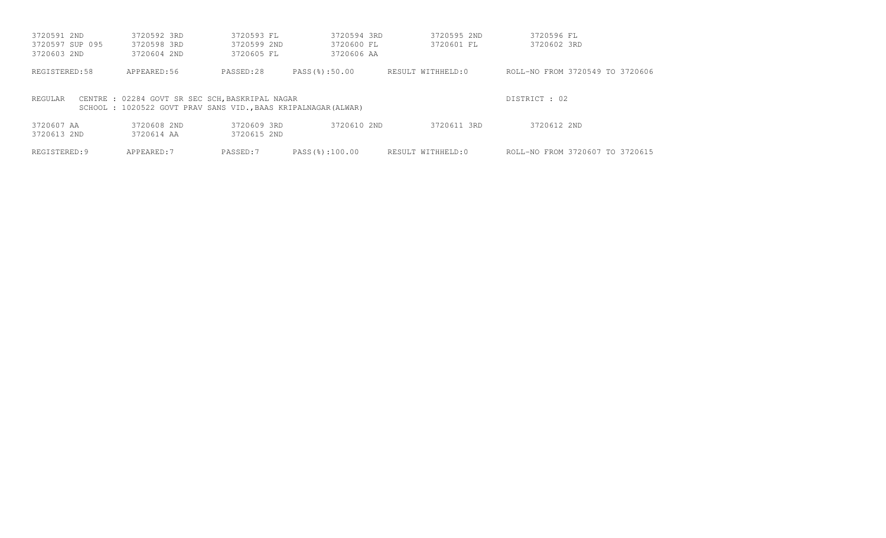| 3720591 2ND               | 3720592 3RD                                                                                                      | 3720593 FL                 | 3720594 3RD    | 3720595 2ND       | 3720596 FL                      |
|---------------------------|------------------------------------------------------------------------------------------------------------------|----------------------------|----------------|-------------------|---------------------------------|
| 3720597 SUP 095           | 3720598 3RD                                                                                                      | 3720599 2ND                | 3720600 FL     | 3720601 FL        | 3720602 3RD                     |
| 3720603 2ND               | 3720604 2ND                                                                                                      | 3720605 FL                 | 3720606 AA     |                   |                                 |
| REGISTERED: 58            | APPEARED:56                                                                                                      | PASSED:28                  | PASS(%):50.00  | RESULT WITHHELD:0 | ROLL-NO FROM 3720549 TO 3720606 |
| REGULAR                   | CENTRE : 02284 GOVT SR SEC SCH, BASKRIPAL NAGAR<br>SCHOOL: 1020522 GOVT PRAV SANS VID., BAAS KRIPALNAGAR (ALWAR) |                            |                |                   | DISTRICT : 02                   |
| 3720607 AA<br>3720613 2ND | 3720608 2ND<br>3720614 AA                                                                                        | 3720609 3RD<br>3720615 2ND | 3720610 2ND    | 3720611 3RD       | 3720612 2ND                     |
| REGISTERED: 9             | APPEARED: 7                                                                                                      | PASSED:7                   | PASS(%):100.00 | RESULT WITHHELD:0 | ROLL-NO FROM 3720607 TO 3720615 |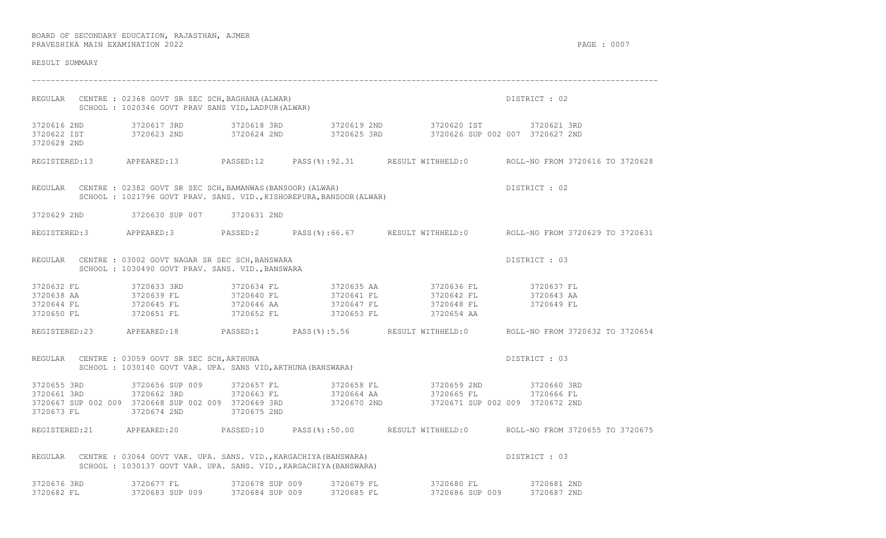| RESULT SUMMARY |                                                                                                                                                                                                       |                 |            |                                                                                                                                                                                                                                                                                                                               |                                                                                                     |
|----------------|-------------------------------------------------------------------------------------------------------------------------------------------------------------------------------------------------------|-----------------|------------|-------------------------------------------------------------------------------------------------------------------------------------------------------------------------------------------------------------------------------------------------------------------------------------------------------------------------------|-----------------------------------------------------------------------------------------------------|
|                | REGULAR CENTRE : 02368 GOVT SR SEC SCH, BAGHANA (ALWAR)<br>SCHOOL : 1020346 GOVT PRAV SANS VID, LADPUR (ALWAR)                                                                                        |                 |            |                                                                                                                                                                                                                                                                                                                               | DISTRICT : 02                                                                                       |
| 3720628 2ND    |                                                                                                                                                                                                       |                 |            | $\begin{array}{cccccccc} 3720616 & 2\texttt{ND} & 3720617 & 3\texttt{RD} & 3720618 & 3\texttt{RD} & 3720629 & 2\texttt{ND} & 3720620 & 1\texttt{ST} & 3720621 & 3\texttt{RD} \\ 3720622 & 1\texttt{ST} & 3720623 & 2\texttt{ND} & 3720624 & 2\texttt{ND} & 3720625 & 3\texttt{RD} & 3720626 & 5\texttt{UP} & 002 & 007 & 372$ |                                                                                                     |
|                |                                                                                                                                                                                                       |                 |            |                                                                                                                                                                                                                                                                                                                               | REGISTERED:13 APPEARED:13 PASSED:12 PASS(%):92.31 RESULT WITHHELD:0 ROLL-NO FROM 3720616 TO 3720628 |
|                | REGULAR CENTRE : 02382 GOVT SR SEC SCH, BAMANWAS (BANSOOR) (ALWAR)<br>CENTRE : 02382 GOVT SR SEC SCH, BAMANWAS(BANSOOR)(ALWAR)<br>SCHOOL : 1021796 GOVT PRAV. SANS. VID., KISHOREPURA, BANSOOR(ALWAR) |                 |            |                                                                                                                                                                                                                                                                                                                               | DISTRICT : 02                                                                                       |
|                | 3720629 2ND 3720630 SUP 007 3720631 2ND                                                                                                                                                               |                 |            |                                                                                                                                                                                                                                                                                                                               |                                                                                                     |
|                |                                                                                                                                                                                                       |                 |            |                                                                                                                                                                                                                                                                                                                               | REGISTERED:3 APPEARED:3 PASSED:2 PASS(%):66.67 RESULT WITHHELD:0 ROLL-NO FROM 3720629 TO 3720631    |
|                | REGULAR CENTRE : 03002 GOVT NAGAR SR SEC SCH, BANSWARA<br>SCHOOL : 1030490 GOVT PRAV. SANS. VID., BANSWARA                                                                                            |                 |            |                                                                                                                                                                                                                                                                                                                               | DISTRICT : 03                                                                                       |
|                |                                                                                                                                                                                                       |                 |            | 3720632 FL 3720633 3RD 3720634 FL 3720635 AA 3720636 FL 3720637 FL<br>3720638 AA 3720639 FL 3720640 FL 3720641 FL 3720642 FL 3720648 FL 3720649 FL 3720649 FL 3720649 FL 3720649 FL<br>3720644 FL 3720645 FL 3720646 AA 3720647 FL 3720648 FL 3720649 FL 3720649 FL                                                           |                                                                                                     |
|                |                                                                                                                                                                                                       |                 |            |                                                                                                                                                                                                                                                                                                                               | REGISTERED:23 APPEARED:18 PASSED:1 PASS(%):5.56 RESULT WITHHELD:0 ROLL-NO FROM 3720632 TO 3720654   |
|                | SCHOOL : JUSSING GOVI SR SEC SCH, ARTHUNA<br>SCHOOL : 1030140 GOVT VAR. UPA. SANS VID, ARTHUNA (BANSWARA)<br>D<br>REGULAR CENTRE : 03059 GOVT SR SEC SCH, ARTHUNA                                     |                 |            |                                                                                                                                                                                                                                                                                                                               | DISTRICT : 03                                                                                       |
| 3720673 FL     | 3720674 2ND 3720675 2ND                                                                                                                                                                               |                 |            | 3720655 3RD      3720656 SUP 009    3720657 FL       3720658 FL       3720659 2ND      3720660 3RD<br>3720661 3RD<br>3720662 3RD 3720662 3RD 3720663 FL 3720664 AA 3720665 FL 3720666 FL<br>3720667 SUP 002 009 3720668 SUP 002 009 3720669 3RD 3720670 2ND 3720671 SUP 002 009 3720672 2ND                                   |                                                                                                     |
|                |                                                                                                                                                                                                       |                 |            |                                                                                                                                                                                                                                                                                                                               | REGISTERED:21 APPEARED:20 PASSED:10 PASS(%):50.00 RESULT WITHHELD:0 ROLL-NO FROM 3720655 TO 3720675 |
|                | REGULAR CENTRE : 03064 GOVT VAR. UPA. SANS. VID., KARGACHIYA (BANSWARA)<br>SCHOOL : 1030137 GOVT VAR. UPA. SANS. VID., KARGACHIYA (BANSWARA)                                                          |                 |            |                                                                                                                                                                                                                                                                                                                               | DISTRICT : 03                                                                                       |
| 3720676 3RD    | 3720677 FL<br>3720682 FL 3720683 SUP 009 3720684 SUP 009                                                                                                                                              | 3720678 SUP 009 | 3720679 FL | 3720680 FL<br>3720685 FL 3720686 SUP 009 3720687 2ND                                                                                                                                                                                                                                                                          | 3720681 2ND                                                                                         |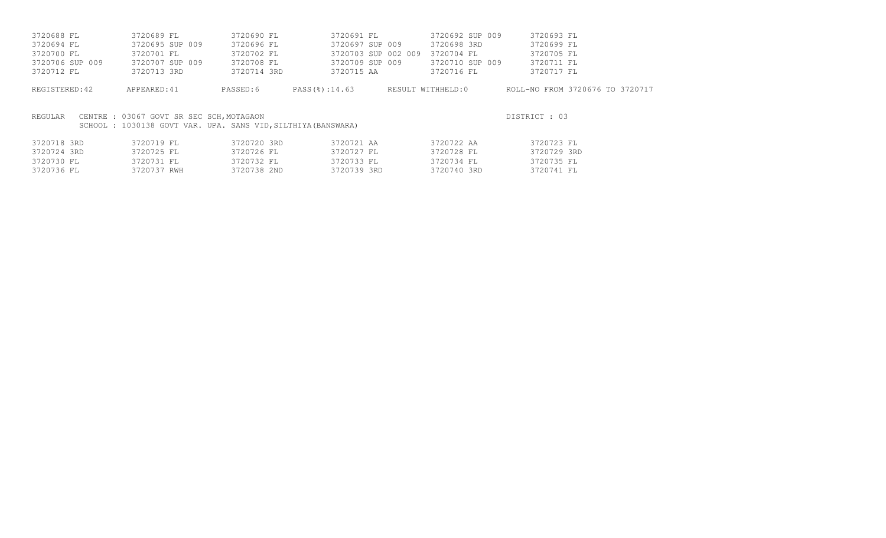| 3720688 FL      | 3720689 FL                                                                                               | 3720690 FL  | 3720691 FL          | 3720692 SUP 009   | 3720693 FL                      |
|-----------------|----------------------------------------------------------------------------------------------------------|-------------|---------------------|-------------------|---------------------------------|
| 3720694 FL      | 3720695 SUP 009                                                                                          | 3720696 FL  | 3720697 SUP 009     | 3720698 3RD       | 3720699 FL                      |
| 3720700 FL      | 3720701 FL                                                                                               | 3720702 FL  | 3720703 SUP 002 009 | 3720704 FL        | 3720705 FL                      |
| 3720706 SUP 009 | 3720707 SUP 009                                                                                          | 3720708 FL  | 3720709 SUP 009     | 3720710 SUP 009   | 3720711 FL                      |
| 3720712 FL      | 3720713 3RD                                                                                              | 3720714 3RD | 3720715 AA          | 3720716 FL        | 3720717 FL                      |
| REGISTERED:42   | APPEARED: 41                                                                                             | PASSED:6    | PASS(%):14.63       | RESULT WITHHELD:0 | ROLL-NO FROM 3720676 TO 3720717 |
| REGULAR         | CENTRE : 03067 GOVT SR SEC SCH, MOTAGAON<br>SCHOOL: 1030138 GOVT VAR. UPA. SANS VID, SILTHIYA (BANSWARA) |             |                     |                   | DISTRICT : 03                   |
| 3720718 3RD     | 3720719 FL                                                                                               | 3720720 3RD | 3720721 AA          | 3720722 AA        | 3720723 FL                      |
| 3720724 3RD     | 3720725 FL                                                                                               | 3720726 FL  | 3720727 FL          | 3720728 FL        | 3720729 3RD                     |
| 3720730 FL      | 3720731 FL                                                                                               | 3720732 FL  | 3720733 FL          | 3720734 FL        | 3720735 FL                      |
| 3720736 FL      | 3720737 RWH                                                                                              | 3720738 2ND | 3720739 3RD         | 3720740 3RD       | 3720741 FL                      |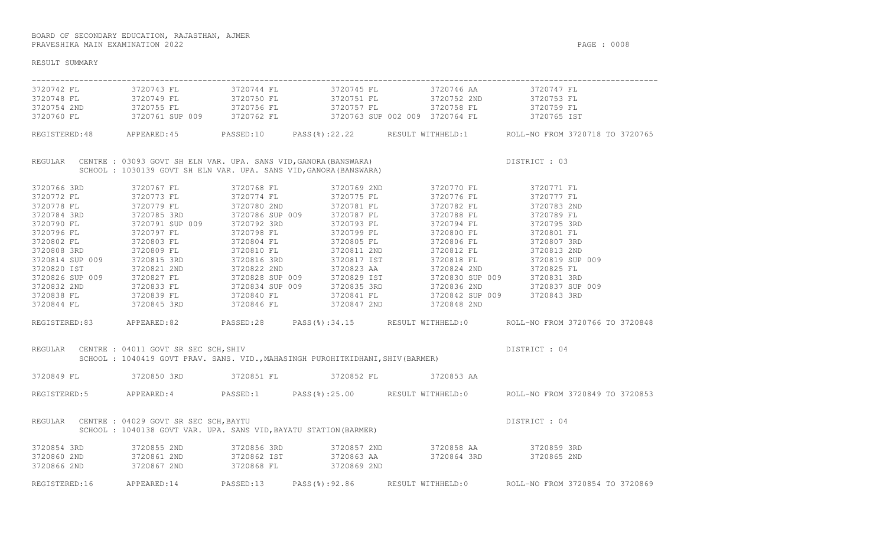| RESULT SUMMARY          |                                                                                                                                                          |           |               |                                                                                                                                                                                                                                                                                                                                                       |                                                                                                     |
|-------------------------|----------------------------------------------------------------------------------------------------------------------------------------------------------|-----------|---------------|-------------------------------------------------------------------------------------------------------------------------------------------------------------------------------------------------------------------------------------------------------------------------------------------------------------------------------------------------------|-----------------------------------------------------------------------------------------------------|
|                         |                                                                                                                                                          |           |               | $\begin{array}{cccccccc} 3720742 \text{ FL} & 3720743 \text{ FL} & 3720744 \text{ FL} & 3720745 \text{ FL} & 3720746 \text{ AA} & 3720747 \text{ FL} \\ 3720748 \text{ FL} & 3720749 \text{ FL} & 3720750 \text{ FL} & 3720751 \text{ FL} & 3720752 \text{ 2ND} & 3720753 \text{ FL} \\ 3720754 \text{ 2ND} & 3720755 \text{ FL} & 3720756 \text{ FL$ |                                                                                                     |
|                         |                                                                                                                                                          |           |               |                                                                                                                                                                                                                                                                                                                                                       |                                                                                                     |
|                         |                                                                                                                                                          |           |               |                                                                                                                                                                                                                                                                                                                                                       |                                                                                                     |
|                         |                                                                                                                                                          |           |               |                                                                                                                                                                                                                                                                                                                                                       |                                                                                                     |
|                         |                                                                                                                                                          |           |               |                                                                                                                                                                                                                                                                                                                                                       | REGISTERED:48 APPEARED:45 PASSED:10 PASS(%):22.22 RESULT WITHHELD:1 ROLL-NO FROM 3720718 TO 3720765 |
| REGULAR                 |                                                                                                                                                          |           |               | CENTRE : 03093 GOVT SH ELN VAR. UPA. SANS VID,GANORA(BANSWARA)<br>SCHOOL : 1030139 GOVT SH ELN VAR. UPA. SANS VID,GANORA(BANSWARA)                                                                                                                                                                                                                    |                                                                                                     |
|                         |                                                                                                                                                          |           |               |                                                                                                                                                                                                                                                                                                                                                       |                                                                                                     |
|                         |                                                                                                                                                          |           |               |                                                                                                                                                                                                                                                                                                                                                       |                                                                                                     |
|                         |                                                                                                                                                          |           |               |                                                                                                                                                                                                                                                                                                                                                       |                                                                                                     |
|                         |                                                                                                                                                          |           |               |                                                                                                                                                                                                                                                                                                                                                       |                                                                                                     |
|                         |                                                                                                                                                          |           |               |                                                                                                                                                                                                                                                                                                                                                       |                                                                                                     |
|                         |                                                                                                                                                          |           |               |                                                                                                                                                                                                                                                                                                                                                       |                                                                                                     |
|                         |                                                                                                                                                          |           |               |                                                                                                                                                                                                                                                                                                                                                       |                                                                                                     |
|                         |                                                                                                                                                          |           |               |                                                                                                                                                                                                                                                                                                                                                       |                                                                                                     |
|                         |                                                                                                                                                          |           |               |                                                                                                                                                                                                                                                                                                                                                       |                                                                                                     |
|                         |                                                                                                                                                          |           |               |                                                                                                                                                                                                                                                                                                                                                       |                                                                                                     |
|                         |                                                                                                                                                          |           |               |                                                                                                                                                                                                                                                                                                                                                       |                                                                                                     |
|                         |                                                                                                                                                          |           |               |                                                                                                                                                                                                                                                                                                                                                       |                                                                                                     |
|                         |                                                                                                                                                          |           |               |                                                                                                                                                                                                                                                                                                                                                       |                                                                                                     |
|                         |                                                                                                                                                          |           |               |                                                                                                                                                                                                                                                                                                                                                       |                                                                                                     |
|                         |                                                                                                                                                          |           |               | $\begin{array}{cccccc} 3720772 & \text{FL} & 3720775 & \text{FL} & 3720775 & \text{FL} & 3720776 & \text{FL} & 3720777 & \text{FL} & 3720777 & \text{FL} & 3720777 & \text{FL} & 3720777 & \text{FL} & 372078 & \text{F1} & 372078 & \text{F1} & 372078 & \text{F1} & 372078 & \text{F1} & 372078 & \text{F1} & 372078 & \text{F1} & 3$               |                                                                                                     |
|                         |                                                                                                                                                          |           |               |                                                                                                                                                                                                                                                                                                                                                       | REGISTERED:83 APPEARED:82 PASSED:28 PASS(%):34.15 RESULT WITHHELD:0 ROLL-NO FROM 3720766 TO 3720848 |
|                         | REGULAR CENTRE : 04011 GOVT SR SEC SCH, SHIV<br>SCHOOL : 1040419 GOVT PRAV. SANS. VID., MAHASINGH PUROHITKIDHANI, SHIV (BARMER)                          |           |               |                                                                                                                                                                                                                                                                                                                                                       | DISTRICT : 04                                                                                       |
|                         |                                                                                                                                                          |           |               |                                                                                                                                                                                                                                                                                                                                                       |                                                                                                     |
|                         |                                                                                                                                                          |           |               |                                                                                                                                                                                                                                                                                                                                                       | REGISTERED:5 APPEARED:4 PASSED:1 PASS(%):25.00 RESULT WITHHELD:0 ROLL-NO FROM 3720849 TO 3720853    |
|                         | CENTRE : 04029 GOVT SR SEC SCH,BAYTU<br>SCHOOL : 1040138 GOVT VAR. UPA. SANS VID,BAYATU STATION(BARMER)<br>REGULAR CENTRE : 04029 GOVT SR SEC SCH, BAYTU |           |               |                                                                                                                                                                                                                                                                                                                                                       | DISTRICT : 04                                                                                       |
|                         |                                                                                                                                                          |           |               |                                                                                                                                                                                                                                                                                                                                                       |                                                                                                     |
|                         |                                                                                                                                                          |           |               | 3720854 3RD       3720855 2ND       3720856 3RD       3720857 2ND       3720858 AA       3720859 3RD                                                                                                                                                                                                                                                  |                                                                                                     |
| 3720860 2ND 3720861 2ND |                                                                                                                                                          |           |               | 3720862 IST 3720863 AA 3720864 3RD 3720865 2ND                                                                                                                                                                                                                                                                                                        |                                                                                                     |
| 3720866 2ND             | 3720867 2ND 3720868 FL 3720869 2ND                                                                                                                       |           |               |                                                                                                                                                                                                                                                                                                                                                       |                                                                                                     |
| REGISTERED:16           | APPEARED:14                                                                                                                                              | PASSED:13 | PASS(8):92.86 |                                                                                                                                                                                                                                                                                                                                                       | RESULT WITHHELD: 0 ROLL-NO FROM 3720854 TO 3720869                                                  |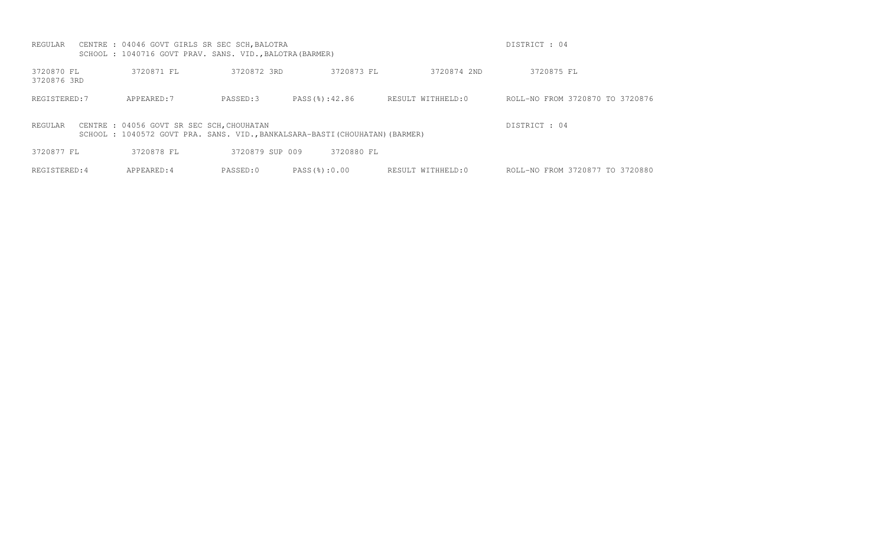| REGULAR                   | CENTRE : 04046 GOVT GIRLS SR SEC SCH, BALOTRA<br>SCHOOL: 1040716 GOVT PRAV. SANS. VID., BALOTRA (BARMER) |                 |                                                                             |                   | DISTRICT : 04                   |
|---------------------------|----------------------------------------------------------------------------------------------------------|-----------------|-----------------------------------------------------------------------------|-------------------|---------------------------------|
| 3720870 FL<br>3720876 3RD | 3720871 FL                                                                                               | 3720872 3RD     | 3720873 FL                                                                  | 3720874 2ND       | 3720875 FL                      |
| REGISTERED: 7             | APPEARED: 7                                                                                              | PASSED:3        | PASS(%):42.86                                                               | RESULT WITHHELD:0 | ROLL-NO FROM 3720870 TO 3720876 |
| REGULAR                   | CENTRE : 04056 GOVT SR SEC SCH, CHOUHATAN                                                                |                 | SCHOOL: 1040572 GOVT PRA. SANS. VID., BANKALSARA-BASTI (CHOUHATAN) (BARMER) |                   | DISTRICT : 04                   |
| 3720877 FL                | 3720878 FL                                                                                               | 3720879 SUP 009 | 3720880 FL                                                                  |                   |                                 |
| REGISTERED: 4             | APPEARED: 4                                                                                              | PASSED:0        | PASS(%):0.00                                                                | RESULT WITHHELD:0 | ROLL-NO FROM 3720877 TO 3720880 |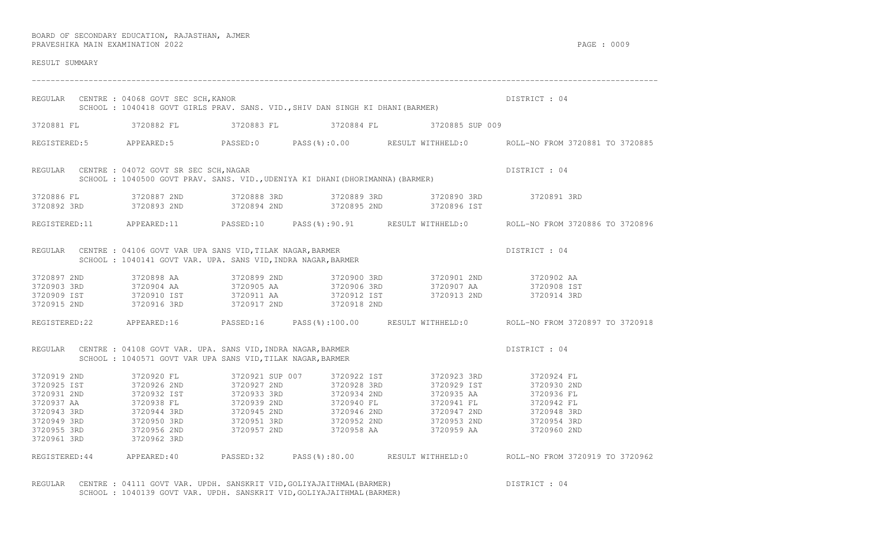| RESULT SUMMARY             |                                                             |                 |                                                                                |                                                                                                                                                                                                                                                                                                                                  |                                                                                                      |
|----------------------------|-------------------------------------------------------------|-----------------|--------------------------------------------------------------------------------|----------------------------------------------------------------------------------------------------------------------------------------------------------------------------------------------------------------------------------------------------------------------------------------------------------------------------------|------------------------------------------------------------------------------------------------------|
|                            | REGULAR CENTRE : 04068 GOVT SEC SCH, KANOR                  |                 |                                                                                | CENTRE : 04068 GOVT SEC SCH, KANOR<br>SCHOOL : 1040418 GOVT GIRLS PRAV. SANS. VID., SHIV DAN SINGH KI DHANI(BARMER)                                                                                                                                                                                                              | DISTRICT : 04                                                                                        |
|                            |                                                             |                 |                                                                                | 3720881 FL                 3720882 FL               3720883 FL             3720884 FL             3720885 SUP 009                                                                                                                                                                                                                |                                                                                                      |
|                            |                                                             |                 |                                                                                |                                                                                                                                                                                                                                                                                                                                  | REGISTERED:5 APPEARED:5 PASSED:0 PASS(%):0.00 RESULT WITHHELD:0 ROLL-NO FROM 3720881 TO 3720885      |
|                            | REGULAR CENTRE : 04072 GOVT SR SEC SCH, NAGAR               |                 | SCHOOL : 1040500 GOVT PRAV. SANS. VID., UDENIYA KI DHANI (DHORIMANNA) (BARMER) |                                                                                                                                                                                                                                                                                                                                  | DISTRICT : 04                                                                                        |
|                            |                                                             |                 |                                                                                | 3720892 3RD 3720893 2ND 3720894 2ND 3720895 2ND 3720896 IST                                                                                                                                                                                                                                                                      |                                                                                                      |
|                            |                                                             |                 |                                                                                |                                                                                                                                                                                                                                                                                                                                  | REGISTERED:11 APPEARED:11 PASSED:10 PASS(%):90.91 RESULT WITHHELD:0 ROLL-NO FROM 3720886 TO 3720896  |
|                            |                                                             |                 |                                                                                | REGULAR CENTRE : 04106 GOVT VAR UPA SANS VID, TILAK NAGAR, BARMER<br>SCHOOL : 1040141 GOVT VAR. UPA. SANS VID, INDRA NAGAR, BARMER                                                                                                                                                                                               | DISTRICT : 04                                                                                        |
| 3720897 2ND                |                                                             |                 |                                                                                |                                                                                                                                                                                                                                                                                                                                  |                                                                                                      |
|                            |                                                             |                 |                                                                                | $\begin{array}{cccccccc} 3720903 & 3\text{RD} & 3720904 & \text{AA} & 3720905 & \text{AA} & 3720906 & 3\text{RD} & 3720907 & \text{AA} & 3720908 & 1\text{ST} \\ 3720909 & 1\text{ST} & 3720910 & 1\text{ST} & 3720911 & \text{AA} & 3720912 & 1\text{ST} & 3720913 & 2\text{ND} & 3720914 & 3\text{RD} \\ 3720915 & 2\text{ND}$ |                                                                                                      |
|                            |                                                             |                 |                                                                                |                                                                                                                                                                                                                                                                                                                                  |                                                                                                      |
|                            |                                                             |                 |                                                                                |                                                                                                                                                                                                                                                                                                                                  |                                                                                                      |
|                            |                                                             |                 |                                                                                |                                                                                                                                                                                                                                                                                                                                  | REGISTERED:22 APPEARED:16 PASSED:16 PASS(%):100.00 RESULT WITHHELD:0 ROLL-NO FROM 3720897 TO 3720918 |
|                            | SCHOOL : 1040571 GOVT VAR UPA SANS VID, TILAK NAGAR, BARMER |                 |                                                                                | REGULAR CENTRE : 04108 GOVT VAR. UPA. SANS VID, INDRA NAGAR, BARMER                                                                                                                                                                                                                                                              | DISTRICT : 04                                                                                        |
| 3720919 2ND                | 3720920 FL                                                  | 3720921 SUP 007 |                                                                                | 3720922 IST 3720923 3RD 3720924 FL                                                                                                                                                                                                                                                                                               |                                                                                                      |
| 3720925 IST                | 3720926 2ND                                                 |                 |                                                                                |                                                                                                                                                                                                                                                                                                                                  |                                                                                                      |
| 3720931 2ND                | 3720932 IST                                                 |                 |                                                                                |                                                                                                                                                                                                                                                                                                                                  |                                                                                                      |
| 3720937 AA                 | 3720938 FL                                                  |                 |                                                                                |                                                                                                                                                                                                                                                                                                                                  |                                                                                                      |
| 3720943 3RD                | 3720944 3RD                                                 |                 |                                                                                | 3720927 2ND<br>3720927 2ND<br>3720933 3RD<br>3720939 2ND<br>3720939 2ND<br>3720939 2ND<br>3720946 2ND<br>3720946 2ND<br>3720946 2ND<br>3720946 2ND<br>3720947 2ND<br>3720948 3RD<br>3720948 3RD<br>3720946 2ND<br>3720947 2ND<br>3720948 3RD<br>3720951 3RD<br>3                                                                 |                                                                                                      |
| 3720949 3RD                | 3720950 3RD                                                 |                 |                                                                                |                                                                                                                                                                                                                                                                                                                                  |                                                                                                      |
| 3720955 3RD<br>3720961 3RD | 3720956 2ND<br>3720962 3RD                                  |                 |                                                                                |                                                                                                                                                                                                                                                                                                                                  |                                                                                                      |
|                            |                                                             |                 |                                                                                |                                                                                                                                                                                                                                                                                                                                  | REGISTERED:44 APPEARED:40 PASSED:32 PASS(%):80.00 RESULT WITHHELD:0 ROLL-NO FROM 3720919 TO 3720962  |

REGULAR CENTRE : 04111 GOVT VAR. UPDH. SANSKRIT VID, GOLIYAJAITHMAL (BARMER) DISTRICT TO DISTRICT : 04 SCHOOL : 1040139 GOVT VAR. UPDH. SANSKRIT VID,GOLIYAJAITHMAL(BARMER)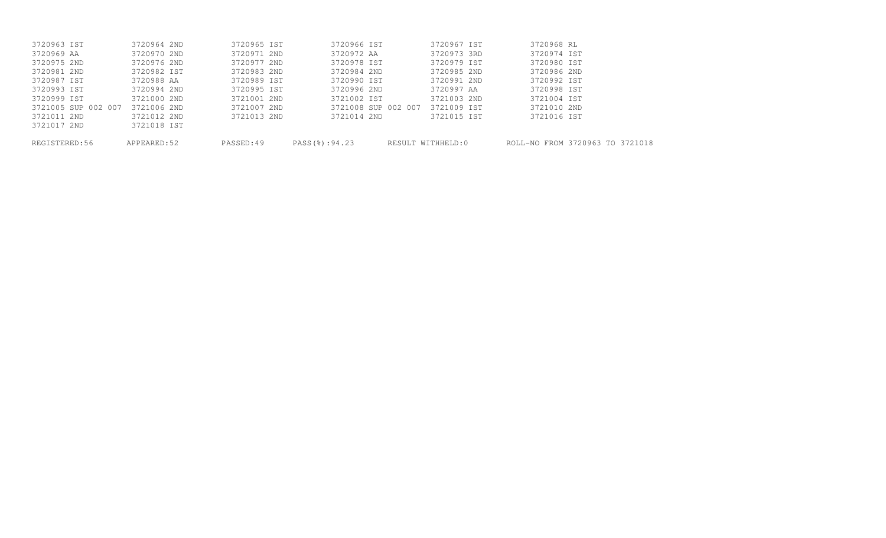| REGISTERED:56       | APPEARED:52 | PASSED:49   | PASS(%):94.23       | RESULT WITHHELD:0 | ROLL-NO FROM 3720963 TO 3721018 |
|---------------------|-------------|-------------|---------------------|-------------------|---------------------------------|
| 3721017 2ND         | 3721018 IST |             |                     |                   |                                 |
| 3721011 2ND         | 3721012 2ND | 3721013 2ND | 3721014 2ND         | 3721015 IST       | 3721016 IST                     |
| 3721005 SUP 002 007 | 3721006 2ND | 3721007 2ND | 3721008 SUP 002 007 | 3721009 IST       | 3721010 2ND                     |
| 3720999 TST         | 3721000 2ND | 3721001 2ND | 3721002 TST         | 3721003 2ND       | 3721004 IST                     |
| 3720993 IST         | 3720994 2ND | 3720995 IST | 3720996 2ND         | 3720997 AA        | 3720998 IST                     |
| 3720987 IST         | 3720988 AA  | 3720989 IST | 3720990 IST         | 3720991 2ND       | 3720992 IST                     |
| 3720981 2ND         | 3720982 IST | 3720983 2ND | 3720984 2ND         | 3720985 2ND       | 3720986 2ND                     |
| 3720975 2ND         | 3720976 2ND | 3720977 2ND | 3720978 IST         | 3720979 IST       | 3720980 IST                     |
| 3720969 AA          | 3720970 2ND | 3720971 2ND | 3720972 AA          | 3720973 3RD       | 3720974 IST                     |
| 3720963 IST         | 3720964 2ND | 3720965 IST | 3720966 IST         | 3720967 IST       | 3720968 RL                      |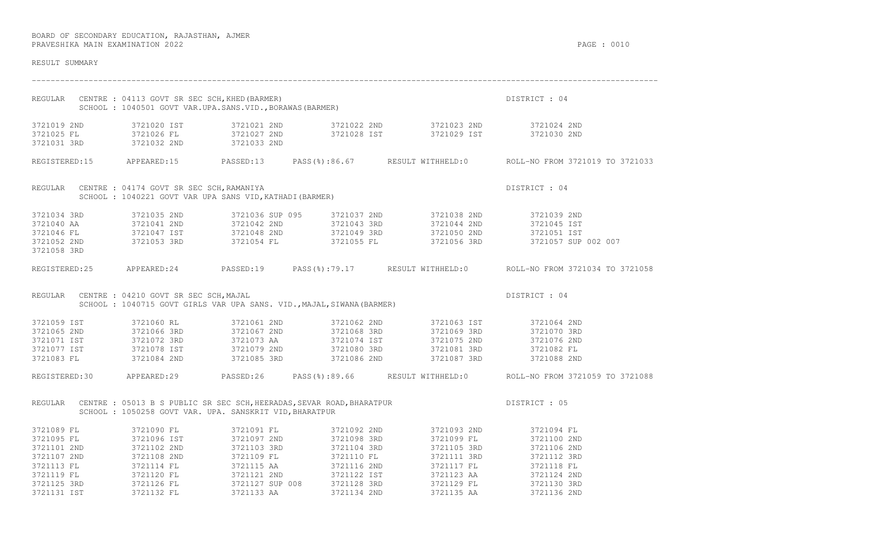| RESULT SUMMARY |                                                                       |                         |                                                                                                          |                                                                                                                                                                                                                                   |                                                                                                                                                                                                                                     |
|----------------|-----------------------------------------------------------------------|-------------------------|----------------------------------------------------------------------------------------------------------|-----------------------------------------------------------------------------------------------------------------------------------------------------------------------------------------------------------------------------------|-------------------------------------------------------------------------------------------------------------------------------------------------------------------------------------------------------------------------------------|
|                | REGULAR CENTRE : 04113 GOVT SR SEC SCH, KHED (BARMER)                 |                         |                                                                                                          |                                                                                                                                                                                                                                   | DISTRICT : 04                                                                                                                                                                                                                       |
|                | SCHOOL : 1040501 GOVT VAR.UPA.SANS.VID., BORAWAS (BARMER)             |                         |                                                                                                          |                                                                                                                                                                                                                                   |                                                                                                                                                                                                                                     |
| 3721019 2ND    |                                                                       |                         |                                                                                                          |                                                                                                                                                                                                                                   |                                                                                                                                                                                                                                     |
| 3721025 FL     |                                                                       |                         |                                                                                                          | 3721020 IST              3721021 2ND            3721022 2ND              3721023 2ND              3721024 2ND<br>3721026 FL              3721027 2ND          3721028 IST          3721029 IST            3721030 2ND             |                                                                                                                                                                                                                                     |
| 3721031 3RD    |                                                                       | 3721032 2ND 3721033 2ND |                                                                                                          |                                                                                                                                                                                                                                   |                                                                                                                                                                                                                                     |
|                |                                                                       |                         |                                                                                                          |                                                                                                                                                                                                                                   | REGISTERED:15 APPEARED:15 PASSED:13 PASS(%):86.67 RESULT WITHHELD:0 ROLL-NO FROM 3721019 TO 3721033                                                                                                                                 |
|                | REGULAR CENTRE : 04174 GOVT SR SEC SCH, RAMANIYA                      |                         |                                                                                                          |                                                                                                                                                                                                                                   | DISTRICT : 04                                                                                                                                                                                                                       |
|                | SCHOOL : 1040221 GOVT VAR UPA SANS VID, KATHADI (BARMER)              |                         |                                                                                                          |                                                                                                                                                                                                                                   |                                                                                                                                                                                                                                     |
| 3721034 3RD    | 3721035 2ND                                                           |                         |                                                                                                          | 3721036 SUP 095 3721037 2ND 3721038 2ND 3721039 2ND                                                                                                                                                                               |                                                                                                                                                                                                                                     |
| 3721040 AA     |                                                                       |                         |                                                                                                          |                                                                                                                                                                                                                                   |                                                                                                                                                                                                                                     |
| 3721046 FL     |                                                                       |                         |                                                                                                          |                                                                                                                                                                                                                                   | 3721041 2ND                3721042 2ND                  3721043 3RD            3721044 2ND              3721045 IST<br>3721047 IST            3721048 2ND          3721049 3RD          3721050 2ND          3721051 IST<br>3721053 |
| 3721052 2ND    |                                                                       |                         |                                                                                                          |                                                                                                                                                                                                                                   |                                                                                                                                                                                                                                     |
| 3721058 3RD    |                                                                       |                         |                                                                                                          |                                                                                                                                                                                                                                   |                                                                                                                                                                                                                                     |
|                |                                                                       |                         |                                                                                                          |                                                                                                                                                                                                                                   | REGISTERED:25 APPEARED:24 PASSED:19 PASS(%):79.17 RESULT WITHHELD:0 ROLL-NO FROM 3721034 TO 3721058                                                                                                                                 |
|                | REGULAR CENTRE : 04210 GOVT SR SEC SCH, MAJAL                         |                         |                                                                                                          |                                                                                                                                                                                                                                   | DISTRICT : 04                                                                                                                                                                                                                       |
|                | SCHOOL: 1040715 GOVT GIRLS VAR UPA SANS. VID., MAJAL, SIWANA (BARMER) |                         |                                                                                                          |                                                                                                                                                                                                                                   |                                                                                                                                                                                                                                     |
| 3721059 IST    | 3721060 RL                                                            |                         |                                                                                                          |                                                                                                                                                                                                                                   |                                                                                                                                                                                                                                     |
| 3721065 2ND    | 3721066 3RD                                                           |                         |                                                                                                          |                                                                                                                                                                                                                                   |                                                                                                                                                                                                                                     |
| 3721071 IST    |                                                                       |                         |                                                                                                          | 3721072 3RD                3721073 AA                   3721074 IST                     3721075 2ND                   3721076 2ND<br>3721078 IST                 3721079 2ND                  3721080 3RD                   37210 |                                                                                                                                                                                                                                     |
| 3721077 IST    |                                                                       |                         |                                                                                                          |                                                                                                                                                                                                                                   |                                                                                                                                                                                                                                     |
| 3721083 FL     | 3721084 2ND 3721085 3RD                                               |                         |                                                                                                          | 3721086 2ND<br>3721087 3RD                                                                                                                                                                                                        | 3721088 2ND                                                                                                                                                                                                                         |
|                | REGISTERED:30 APPEARED:29 PASSED:26                                   |                         |                                                                                                          |                                                                                                                                                                                                                                   | PASS(%):89.66 RESULT WITHHELD:0 ROLL-NO FROM 3721059 TO 3721088                                                                                                                                                                     |
|                | SCHOOL : 1050258 GOVT VAR. UPA. SANSKRIT VID, BHARATPUR               |                         |                                                                                                          | REGULAR CENTRE : 05013 B S PUBLIC SR SEC SCH, HEERADAS, SEVAR ROAD, BHARATPUR                                                                                                                                                     | DISTRICT : 05                                                                                                                                                                                                                       |
| 3721089 FL     | 3721090 FL                                                            | 3721091 FL              |                                                                                                          | 3721092 2ND<br>3721093 2ND                                                                                                                                                                                                        | 3721094 FL                                                                                                                                                                                                                          |
| 3721095 FL     | 3721096 IST                                                           | 3721097 2ND             |                                                                                                          | 3721098 3RD                                                                                                                                                                                                                       | 3721099 FL<br>3721105 3RD 3721106 2ND<br>3721106 2ND 3721106 2ND                                                                                                                                                                    |
| 3721101 2ND    | 3721102 2ND                                                           |                         | 3721103 3RD<br>3721109 FL 3721110 FL<br>3721115 AA 3721116 2ND<br>2721121 2ND 3721122 IST<br>3721128 3RD |                                                                                                                                                                                                                                   |                                                                                                                                                                                                                                     |
| 3721107 2ND    |                                                                       |                         |                                                                                                          |                                                                                                                                                                                                                                   |                                                                                                                                                                                                                                     |
| 3721113 FL     | 3721108 2ND<br>3721114 FL                                             |                         |                                                                                                          |                                                                                                                                                                                                                                   | 3721111 3RD 3721112 3RD<br>3721117 FL 3721118 FL                                                                                                                                                                                    |
| 3721119 FL     |                                                                       | 3721120 FL 3721121 2ND  |                                                                                                          | 3721122 IST                                                                                                                                                                                                                       | 3721123 AA 3721124 2ND                                                                                                                                                                                                              |
| 3721125 3RD    | 3721126 FL                                                            |                         |                                                                                                          | 3721129 FL                                                                                                                                                                                                                        | 3721130 3RD                                                                                                                                                                                                                         |
| 3721131 TST    |                                                                       |                         |                                                                                                          | 3721135 AA                                                                                                                                                                                                                        | 3721136 2ND                                                                                                                                                                                                                         |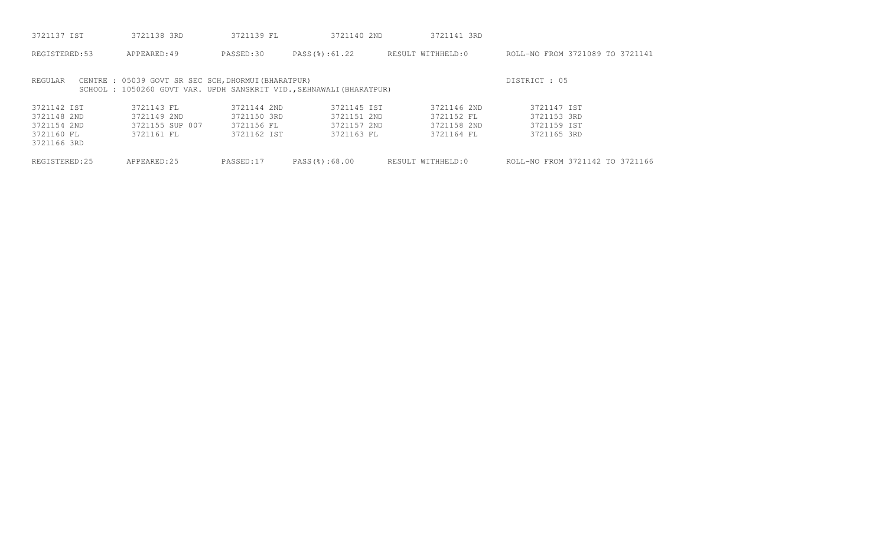| 3721137 IST                                                            | 3721138 3RD                                                                                                                | 3721139 FL                                              | 3721140 2ND                                             | 3721141 3RD                                            |                                                          |
|------------------------------------------------------------------------|----------------------------------------------------------------------------------------------------------------------------|---------------------------------------------------------|---------------------------------------------------------|--------------------------------------------------------|----------------------------------------------------------|
| REGISTERED:53                                                          | APPEARED: 49                                                                                                               | PASSED:30                                               | PASS(%):61.22                                           | RESULT WITHHELD:0                                      | ROLL-NO FROM 3721089 TO 3721141                          |
| REGULAR                                                                | CENTRE : 05039 GOVT SR SEC SCH, DHORMUI (BHARATPUR)<br>SCHOOL: 1050260 GOVT VAR. UPDH SANSKRIT VID., SEHNAWALI (BHARATPUR) |                                                         |                                                         |                                                        | DISTRICT: 05                                             |
| 3721142 TST<br>3721148 2ND<br>3721154 2ND<br>3721160 FL<br>3721166 3RD | 3721143 FL<br>3721149 2ND<br>3721155 SUP 007<br>3721161 FL                                                                 | 3721144 2ND<br>3721150 3RD<br>3721156 FL<br>3721162 IST | 3721145 TST<br>3721151 2ND<br>3721157 2ND<br>3721163 FL | 3721146 2ND<br>3721152 FL<br>3721158 2ND<br>3721164 FL | 3721147 IST<br>3721153 3RD<br>3721159 IST<br>3721165 3RD |
| REGISTERED: 25                                                         | APPEARED:25                                                                                                                | PASSED:17                                               | PASS(%):68.00                                           | RESULT WITHHELD:0                                      | ROLL-NO FROM 3721142 TO 3721166                          |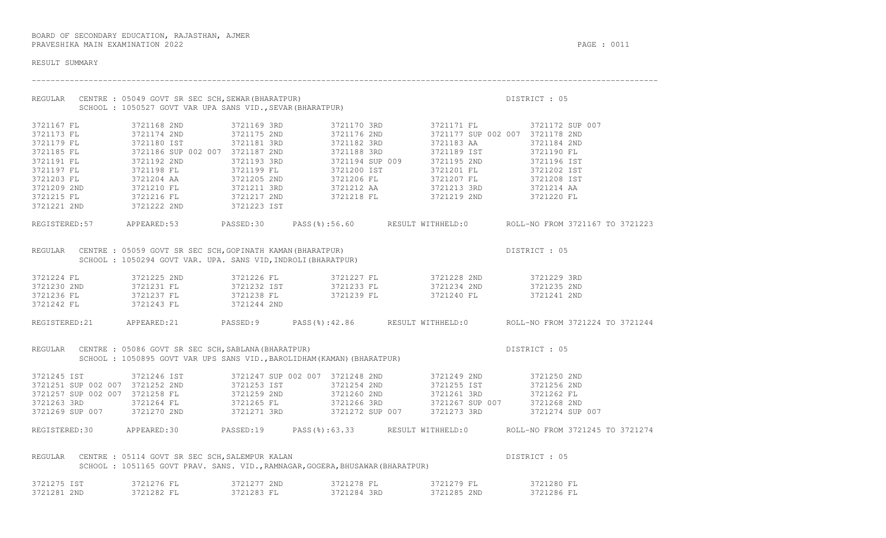BOARD OF SECONDARY EDUCATION, RAJASTHAN, AJMER PRAVESHIKA MAIN EXAMINATION 2022 2001 1 2002 2003 1 2003 2004 2004 2005 2006 2007 2008 2009 2008 2009 2009 200

| RESULT SUMMARY |                                                                                                                                                                                               |             |            |                                                                                                                                                                                                                                                                                                                                               |                                                                                                     |
|----------------|-----------------------------------------------------------------------------------------------------------------------------------------------------------------------------------------------|-------------|------------|-----------------------------------------------------------------------------------------------------------------------------------------------------------------------------------------------------------------------------------------------------------------------------------------------------------------------------------------------|-----------------------------------------------------------------------------------------------------|
|                | REGULAR CENTRE : 05049 GOVT SR SEC SCH, SEWAR (BHARATPUR)                                                                                                                                     |             |            | ARATPUR)                                                                                                                                                                                                                                                                                                                                      | DISTRICT : 05                                                                                       |
|                | SCHOOL: 1050527 GOVT VAR UPA SANS VID., SEVAR (BHARATPUR)                                                                                                                                     |             |            |                                                                                                                                                                                                                                                                                                                                               |                                                                                                     |
|                |                                                                                                                                                                                               |             |            |                                                                                                                                                                                                                                                                                                                                               |                                                                                                     |
|                |                                                                                                                                                                                               |             |            |                                                                                                                                                                                                                                                                                                                                               |                                                                                                     |
|                |                                                                                                                                                                                               |             |            |                                                                                                                                                                                                                                                                                                                                               |                                                                                                     |
|                |                                                                                                                                                                                               |             |            |                                                                                                                                                                                                                                                                                                                                               |                                                                                                     |
|                |                                                                                                                                                                                               |             |            |                                                                                                                                                                                                                                                                                                                                               |                                                                                                     |
|                |                                                                                                                                                                                               |             |            |                                                                                                                                                                                                                                                                                                                                               |                                                                                                     |
|                |                                                                                                                                                                                               |             |            |                                                                                                                                                                                                                                                                                                                                               |                                                                                                     |
|                |                                                                                                                                                                                               |             |            |                                                                                                                                                                                                                                                                                                                                               |                                                                                                     |
|                |                                                                                                                                                                                               |             |            |                                                                                                                                                                                                                                                                                                                                               |                                                                                                     |
|                |                                                                                                                                                                                               |             |            |                                                                                                                                                                                                                                                                                                                                               |                                                                                                     |
|                |                                                                                                                                                                                               |             |            |                                                                                                                                                                                                                                                                                                                                               | REGISTERED:57 APPEARED:53 PASSED:30 PASS(%):56.60 RESULT WITHHELD:0 ROLL-NO FROM 3721167 TO 3721223 |
|                | REGULAR CENTRE : 05059 GOVT SR SEC SCH, GOPINATH KAMAN (BHARATPUR)<br>SCHOOL : 1050294 GOVT VAR. UPA. SANS VID, INDROLI (BHARATPUR)                                                           |             |            |                                                                                                                                                                                                                                                                                                                                               | DISTRICT : 05                                                                                       |
|                |                                                                                                                                                                                               |             |            | $\begin{array}{cccccccc} 3721224 & \text{FL} & & 3721225 & 2 \text{ND} & & 3721226 & \text{FL} & & 3721227 & \text{FL} & & 3721228 & 2 \text{ND} & & 3721229 & 3 \text{RD} \\ 3721230 & 2 \text{ND} & & 3721231 & \text{FL} & & 3721232 & 1 \text{ST} & & 3721233 & \text{FL} & & 3721234 & 2 \text{ND} & & 3721235 & 2 \text{ND} \\ 3721236$ |                                                                                                     |
|                |                                                                                                                                                                                               |             |            |                                                                                                                                                                                                                                                                                                                                               |                                                                                                     |
|                |                                                                                                                                                                                               |             |            |                                                                                                                                                                                                                                                                                                                                               |                                                                                                     |
|                |                                                                                                                                                                                               |             |            |                                                                                                                                                                                                                                                                                                                                               |                                                                                                     |
|                |                                                                                                                                                                                               |             |            |                                                                                                                                                                                                                                                                                                                                               | REGISTERED:21 APPEARED:21 PASSED:9 PASS(%):42.86 RESULT WITHHELD:0 ROLL-NO FROM 3721224 TO 3721244  |
|                | CENTRE : 05086 GOVT SR SEC SCH, SABLANA (BHARATPUR)<br>SCHOOL : 1050895 GOVT VAR UPS SANS VID., BAROLIDHAM (KAMAN) (BHARATPUR)<br>REGULAR CENTRE : 05086 GOVT SR SEC SCH, SABLANA (BHARATPUR) |             |            |                                                                                                                                                                                                                                                                                                                                               | DISTRICT : 05                                                                                       |
|                |                                                                                                                                                                                               |             |            |                                                                                                                                                                                                                                                                                                                                               |                                                                                                     |
|                |                                                                                                                                                                                               |             |            |                                                                                                                                                                                                                                                                                                                                               |                                                                                                     |
|                |                                                                                                                                                                                               |             |            |                                                                                                                                                                                                                                                                                                                                               |                                                                                                     |
|                |                                                                                                                                                                                               |             |            |                                                                                                                                                                                                                                                                                                                                               |                                                                                                     |
|                |                                                                                                                                                                                               |             |            |                                                                                                                                                                                                                                                                                                                                               |                                                                                                     |
|                |                                                                                                                                                                                               |             |            | $\begin{array}{cccccccc} 3721245 & 1ST & 3721246 & 1ST & 3721246 & 1ST & 3721247 & 5UP & 002 & 007 & 3721248 & 2ND & 3721251 & 5UP & 002 & 007 & 3721252 & 2ND & 3721253 & 1ST & 3721254 & 2ND & 3721255 & 1ST & 3721256 & 2ND & 3721257 & 5UP & 002 & 007 & 3721258 & FL & 3721259 & 2ND & 3$                                                |                                                                                                     |
|                |                                                                                                                                                                                               |             |            |                                                                                                                                                                                                                                                                                                                                               | REGISTERED:30 APPEARED:30 PASSED:19 PASS(%):63.33 RESULT WITHHELD:0 ROLL-NO FROM 3721245 TO 3721274 |
| REGULAR        | CENTRE : 05114 GOVT SR SEC SCH, SALEMPUR KALAN<br>SCHOOL: 1051165 GOVT PRAV. SANS. VID., RAMNAGAR, GOGERA, BHUSAWAR (BHARATPUR)                                                               |             |            |                                                                                                                                                                                                                                                                                                                                               | DISTRICT : 05                                                                                       |
| 3721275 IST    | 3721276 FL                                                                                                                                                                                    | 3721277 2ND | 3721278 FL | 3721279 FL 3721280 FL                                                                                                                                                                                                                                                                                                                         |                                                                                                     |
|                |                                                                                                                                                                                               |             |            | 3721281 2ND 3721282 FT, 3721283 FT, 3721284 3RD 3721285 2ND 3721286 FT,                                                                                                                                                                                                                                                                       |                                                                                                     |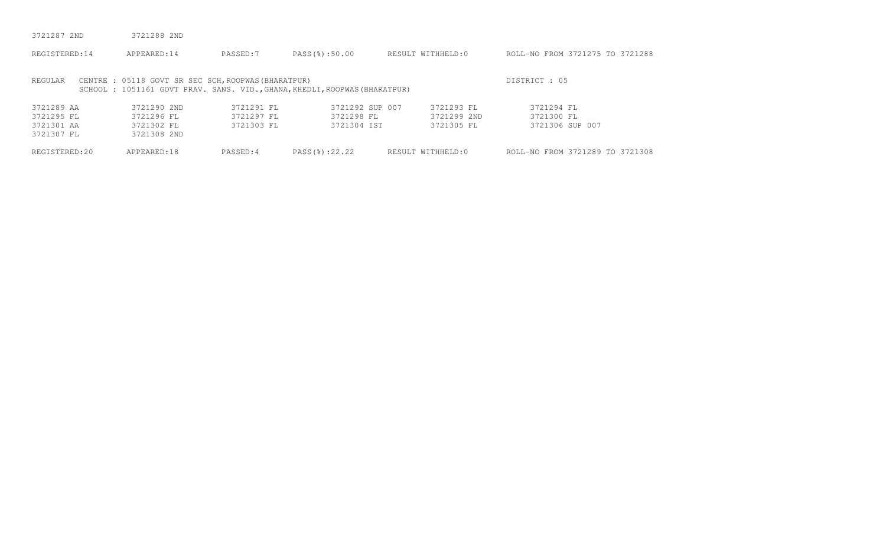3721287 2ND 3721288 2ND

| REGISTERED:14                                        | APPEARED:14                                                                                                                      | PASSED:7                               | PASS(%):50.00                                | RESULT WITHHELD:0                       | ROLL-NO FROM 3721275 TO 3721288             |
|------------------------------------------------------|----------------------------------------------------------------------------------------------------------------------------------|----------------------------------------|----------------------------------------------|-----------------------------------------|---------------------------------------------|
| REGULAR                                              | CENTRE : 05118 GOVT SR SEC SCH, ROOPWAS (BHARATPUR)<br>SCHOOL: 1051161 GOVT PRAV. SANS. VID., GHANA, KHEDLI, ROOPWAS (BHARATPUR) |                                        |                                              |                                         | DISTRICT : 05                               |
| 3721289 AA<br>3721295 FL<br>3721301 AA<br>3721307 FL | 3721290 2ND<br>3721296 FL<br>3721302 FL<br>3721308 2ND                                                                           | 3721291 FL<br>3721297 FL<br>3721303 FL | 3721292 SUP 007<br>3721298 FL<br>3721304 TST | 3721293 FL<br>3721299 2ND<br>3721305 FL | 3721294 FL<br>3721300 FL<br>3721306 SUP 007 |
| REGISTERED:20                                        | APPEARED:18                                                                                                                      | PASSED: 4                              | PASS(%):22.22                                | RESULT WITHHELD:0                       | ROLL-NO FROM 3721289 TO 3721308             |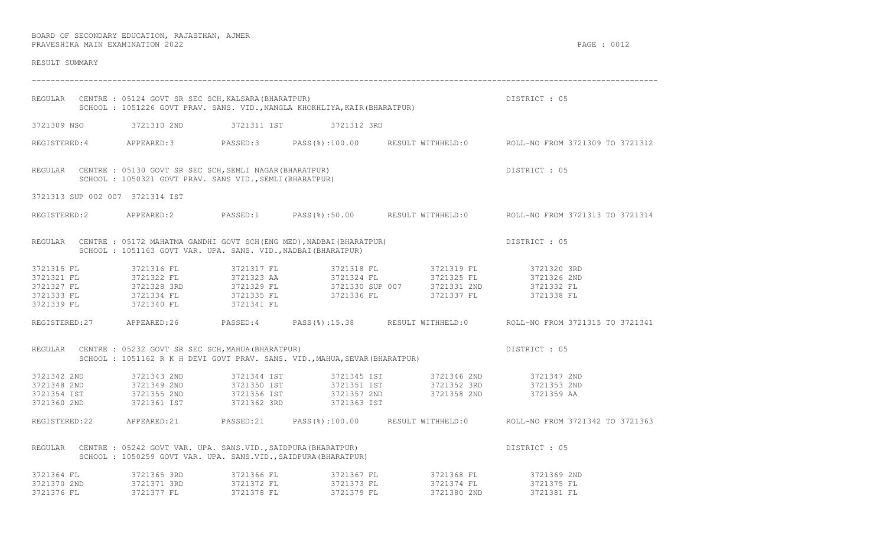| RESULT SUMMARY                            |                                                                                                                                                       |                                        |                                                                                                                                                                                                                          |                           |                                                                                                    |
|-------------------------------------------|-------------------------------------------------------------------------------------------------------------------------------------------------------|----------------------------------------|--------------------------------------------------------------------------------------------------------------------------------------------------------------------------------------------------------------------------|---------------------------|----------------------------------------------------------------------------------------------------|
|                                           | REGULAR CENTRE : 05124 GOVT SR SEC SCH, KALSARA (BHARATPUR)<br>SCHOOL : 1051226 GOVT PRAV. SANS. VID., NANGLA KHOKHLIYA, KAIR (BHARATPUR)             |                                        |                                                                                                                                                                                                                          |                           | DISTRICT : 05                                                                                      |
| 3721309 NSO                               |                                                                                                                                                       |                                        | 3721310 2ND 3721311 IST 3721312 3RD                                                                                                                                                                                      |                           |                                                                                                    |
|                                           |                                                                                                                                                       |                                        |                                                                                                                                                                                                                          |                           | REGISTERED:4 APPEARED:3 PASSED:3 PASS(%):100.00 RESULT WITHHELD:0 ROLL-NO FROM 3721309 TO 3721312  |
|                                           | REGULAR CENTRE : 05130 GOVT SR SEC SCH, SEMLI NAGAR (BHARATPUR)<br>SCHOOL : 1050321 GOVT PRAV. SANS VID., SEMLI (BHARATPUR)                           |                                        |                                                                                                                                                                                                                          |                           | DISTRICT : 05                                                                                      |
| 3721313 SUP 002 007 3721314 IST           |                                                                                                                                                       |                                        |                                                                                                                                                                                                                          |                           |                                                                                                    |
|                                           |                                                                                                                                                       |                                        |                                                                                                                                                                                                                          |                           | REGISTERED:2 APPEARED:2 PASSED:1 PASS(%):50.00 RESULT WITHHELD:0 ROLL-NO FROM 3721313 TO 3721314   |
|                                           | REGULAR CENTRE : 05172 MAHATMA GANDHI GOVT SCH (ENG MED), NADBAI (BHARATPUR)<br>SCHOOL : 1051163 GOVT VAR. UPA. SANS. VID., NADBAI (BHARATPUR)        |                                        |                                                                                                                                                                                                                          |                           | DISTRICT : 05                                                                                      |
| 3721315 FL<br>3721339 FL                  | 3721316 FL<br>3721321 FL<br>3721321 FL<br>200327 FL 3721328 3RD<br>3721322 FL<br>3721333 FL 3721334 FL 3721335 FL 3721336 FL<br>3721340 FL 3721341 FL | 3721317 FL                             | 3721323 AA 3721324 FL 3721325 FL 3721326 2ND<br>3721329 FL 3721324 FL 3721325 FL 3721326 2ND<br>3721335 FL 3721336 FL 3721336 FL 3721337 FL 3721338 FL                                                                   | 3721337 FL                | 3721318 FL 3721319 FL 3721320 3RD                                                                  |
|                                           |                                                                                                                                                       |                                        |                                                                                                                                                                                                                          |                           | REGISTERED:27 APPEARED:26 PASSED:4 PASS(%):15.38 RESULT WITHHELD:0 ROLL-NO FROM 3721315 TO 3721341 |
|                                           | REGULAR CENTRE : 05232 GOVT SR SEC SCH, MAHUA (BHARATPUR)<br>SCHOOL: 1051162 R K H DEVI GOVT PRAV. SANS. VID., MAHUA, SEVAR (BHARATPUR)               |                                        |                                                                                                                                                                                                                          |                           | DISTRICT : 05                                                                                      |
| 3721348 2ND<br>3721354 IST<br>3721360 2ND | 3721342 2ND 3721343 2ND<br>3721349 2ND<br>3721355 2ND<br>3721361 IST                                                                                  | 3721362 3RD                            | 3721344 IST                3721345 IST              3721346 2ND              3721347 2ND<br>3721350 IST              3721351 IST            3721352 3RD            3721353 2ND<br>3721356 IST 3721357 2ND<br>3721363 IST |                           | 3721358 2ND 3721359 AA                                                                             |
|                                           | REGISTERED:22 APPEARED:21 PASSED:21                                                                                                                   |                                        |                                                                                                                                                                                                                          |                           | PASS(%):100.00 RESULT WITHHELD:0 ROLL-NO FROM 3721342 TO 3721363                                   |
|                                           | REGULAR CENTRE : 05242 GOVT VAR. UPA. SANS.VID., SAIDPURA (BHARATPUR)<br>SCHOOL: 1050259 GOVT VAR. UPA. SANS.VID., SAIDPURA (BHARATPUR)               |                                        |                                                                                                                                                                                                                          |                           | DISTRICT : 05                                                                                      |
| 3721364 FL<br>3721370 2ND<br>3721376 FL   | 3721365 3RD<br>3721371 3RD<br>3721377 FL                                                                                                              | 3721366 FL<br>3721372 FL<br>3721378 FL | 3721373 FL<br>3721379 FL                                                                                                                                                                                                 | 3721374 FL<br>3721380 2ND | 3721367 FL 3721368 FL 3721369 2ND<br>3721375 FL<br>3721381 FL                                      |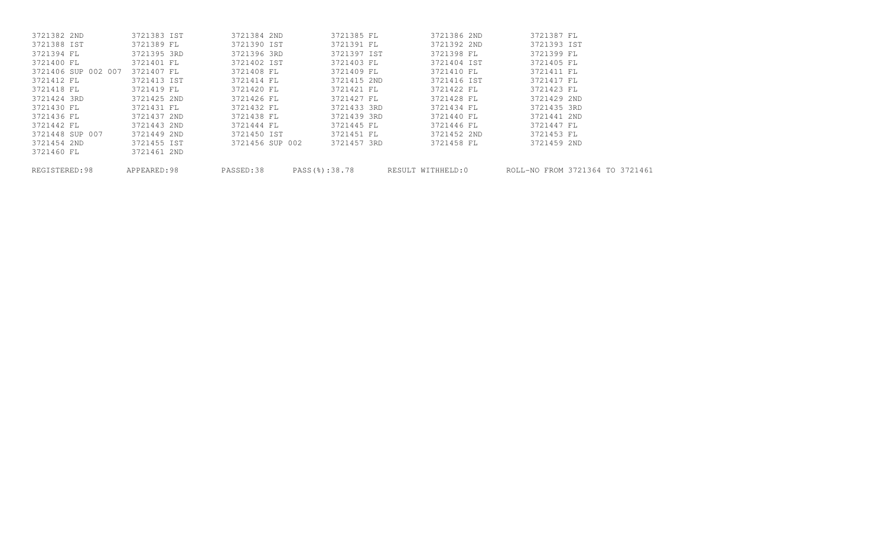| REGISTERED: 98 APPEARED: 98 |             | PASSED:38       |             | PASS(%):38.78 RESULT WITHHELD:0 | ROLL-NO FROM 3721364 TO 3721461 |  |
|-----------------------------|-------------|-----------------|-------------|---------------------------------|---------------------------------|--|
| 3721460 FL                  | 3721461 2ND |                 |             |                                 |                                 |  |
| 3721454 2ND                 | 3721455 IST | 3721456 SUP 002 | 3721457 3RD | 3721458 FL                      | 3721459 2ND                     |  |
| 3721448 SUP 007             | 3721449 2ND | 3721450 IST     | 3721451 FL  | 3721452 2ND                     | 3721453 FL                      |  |
| 3721442 FL                  | 3721443 2ND | 3721444 FL      | 3721445 FL  | 3721446 FL                      | 3721447 FL                      |  |
| 3721436 FL                  | 3721437 2ND | 3721438 FL      | 3721439 3RD | 3721440 FL                      | 3721441 2ND                     |  |
| 3721430 FL                  | 3721431 FL  | 3721432 FL      | 3721433 3RD | 3721434 FL                      | 3721435 3RD                     |  |
| 3721424 3RD                 | 3721425 2ND | 3721426 FL      | 3721427 FL  | 3721428 FL                      | 3721429 2ND                     |  |
| 3721418 FL                  | 3721419 FL  | 3721420 FL      | 3721421 FL  | 3721422 FL                      | 3721423 FL                      |  |
| 3721412 FL                  | 3721413 IST | 3721414 FL      | 3721415 2ND | 3721416 IST                     | 3721417 FL                      |  |
| 3721406 SUP 002 007         | 3721407 FL  | 3721408 FL      | 3721409 FL  | 3721410 FL                      | 3721411 FL                      |  |
| 3721400 FL                  | 3721401 FL  | 3721402 IST     | 3721403 FL  | 3721404 IST                     | 3721405 FL                      |  |
| 3721394 FL                  | 3721395 3RD | 3721396 3RD     | 3721397 IST | 3721398 FL                      | 3721399 FL                      |  |
| 3721388 IST                 | 3721389 FL  | 3721390 IST     | 3721391 FL  | 3721392 2ND                     | 3721393 IST                     |  |
| 3721382 2ND                 | 3721383 IST | 3721384 2ND     | 3721385 FL  | 3721386 2ND                     | 3721387 FL                      |  |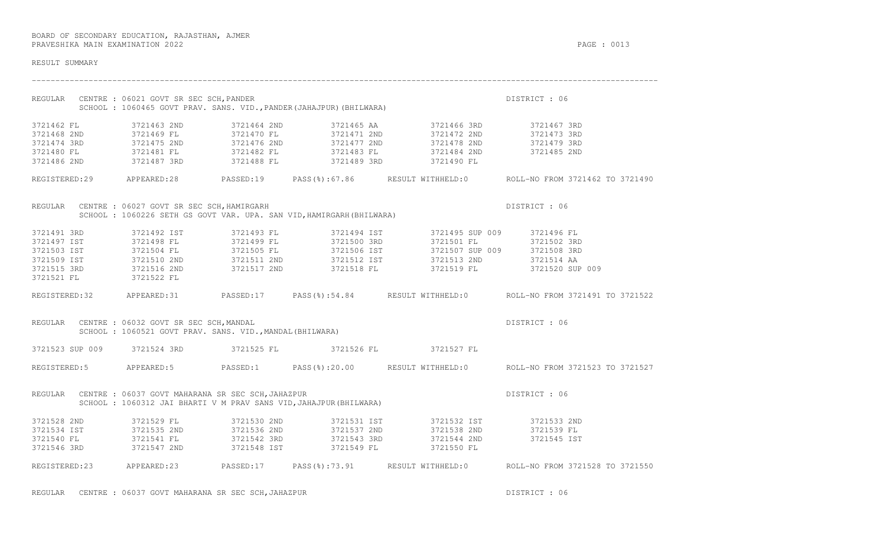| RESULT SUMMARY                                            |                                                |             |                                                                                                                   |                                                                                                                                                                                                                                                                                                                            |                                                                                                     |
|-----------------------------------------------------------|------------------------------------------------|-------------|-------------------------------------------------------------------------------------------------------------------|----------------------------------------------------------------------------------------------------------------------------------------------------------------------------------------------------------------------------------------------------------------------------------------------------------------------------|-----------------------------------------------------------------------------------------------------|
|                                                           | REGULAR CENTRE : 06021 GOVT SR SEC SCH, PANDER |             | SCHOOL : 1060465 GOVT PRAV. SANS. VID., PANDER (JAHAJPUR) (BHILWARA)                                              |                                                                                                                                                                                                                                                                                                                            | DISTRICT : 06                                                                                       |
| 3721462 FL                                                | 3721463 2ND                                    | 3721464 2ND |                                                                                                                   | 3721465 AA 3721466 3RD 3721467 3RD<br>3721468 2ND 3721469 FL 3721470 FL 3721471 2ND 3721472 2ND 3721473 3RD<br>3721474 3RD 3721475 2ND 3721476 2ND 3721477 2ND 3721478 2ND 3721479 3RD<br>3721480 FL 3721481 FL 3721482 FL 3721483 FL 3721484 2ND 3721485 2ND<br>3721486 2ND 3721487 3RD 3721488 FL 3721489 3RD 3721490 FL |                                                                                                     |
|                                                           |                                                |             |                                                                                                                   |                                                                                                                                                                                                                                                                                                                            | REGISTERED:29 APPEARED:28 PASSED:19 PASS(%):67.86 RESULT WITHHELD:0 ROLL-NO FROM 3721462 TO 3721490 |
| REGULAR CENTRE : 06027 GOVT SR SEC SCH, HAMIRGARH         |                                                |             | CENTRE : 06027 GOVT SR SEC SCH, HAMIRGARH<br>SCHOOL : 1060226 SETH GS GOVT VAR. UPA. SAN VID, HAMIRGARH(BHILWARA) |                                                                                                                                                                                                                                                                                                                            | DISTRICT : 06                                                                                       |
| 3721491 3RD<br>3721497 IST<br>3721521 FL 3721522 FL       | 3721492 IST<br>3721498 FL                      |             |                                                                                                                   | 3721503 IST 3721504 FL 3721505 FL 3721506 IST 3721507 SUP 009 3721508 3RD<br>3721509 IST 3721510 2ND 3721511 2ND 3721512 IST 3721513 2ND 3721514 AA<br>3721515 3RD 3721516 2ND 3721517 2ND 3721518 FL 3721519 FL 3721520 SUP 009                                                                                           |                                                                                                     |
|                                                           |                                                |             |                                                                                                                   |                                                                                                                                                                                                                                                                                                                            | REGISTERED:32 APPEARED:31 PASSED:17 PASS(%):54.84 RESULT WITHHELD:0 ROLL-NO FROM 3721491 TO 3721522 |
| REGULAR                                                   | CENTRE : 06032 GOVT SR SEC SCH, MANDAL         |             |                                                                                                                   |                                                                                                                                                                                                                                                                                                                            | DISTRICT : 06                                                                                       |
|                                                           |                                                |             | 3721523 SUP 009 3721524 3RD 3721525 FL 3721526 FL 3721527 FL                                                      |                                                                                                                                                                                                                                                                                                                            |                                                                                                     |
|                                                           |                                                |             |                                                                                                                   |                                                                                                                                                                                                                                                                                                                            | REGISTERED:5 APPEARED:5 PASSED:1 PASS(%):20.00 RESULT WITHHELD:0 ROLL-NO FROM 3721523 TO 3721527    |
| REGULAR CENTRE : 06037 GOVT MAHARANA SR SEC SCH, JAHAZPUR |                                                |             | SCHOOL: 1060312 JAI BHARTI V M PRAV SANS VID, JAHAJPUR (BHILWARA)                                                 |                                                                                                                                                                                                                                                                                                                            | DISTRICT : 06                                                                                       |
| 3721528 2ND<br>3721534 IST<br>3721540 FL<br>3721546 3RD   |                                                |             | 3721547 2ND 3721548 IST 3721549 FL                                                                                | 3721550 FL                                                                                                                                                                                                                                                                                                                 |                                                                                                     |
|                                                           |                                                |             |                                                                                                                   |                                                                                                                                                                                                                                                                                                                            | REGISTERED:23 APPEARED:23 PASSED:17 PASS(%):73.91 RESULT WITHHELD:0 ROLL-NO FROM 3721528 TO 3721550 |

REGULAR CENTRE : 06037 GOVT MAHARANA SR SEC SCH, JAHAZPUR DESTRICT DESTRICT THE DISTRICT OF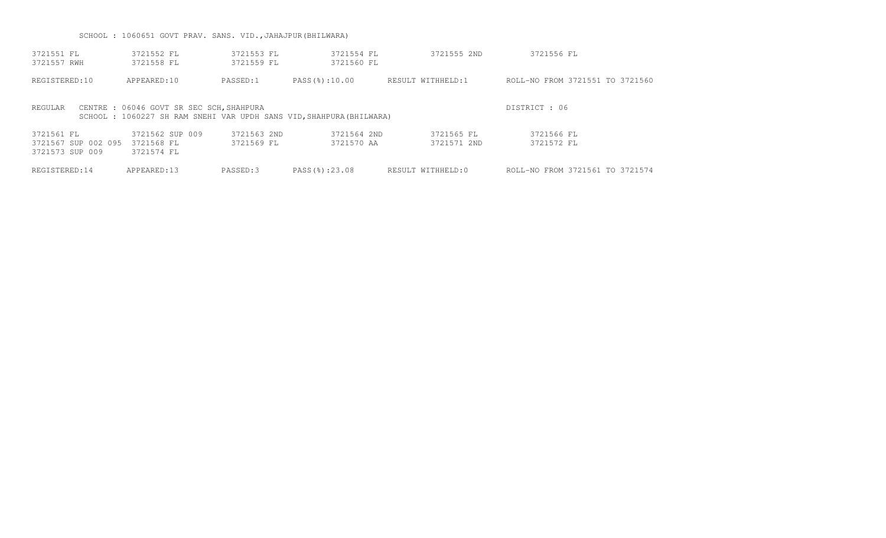## SCHOOL : 1060651 GOVT PRAV. SANS. VID.,JAHAJPUR(BHILWARA)

| 3721551 FL<br>3721557 RWH                            | 3721552 FL<br>3721558 FL                    | 3721553 FL<br>3721559 FL  | 3721554 FL<br>3721560 FL                                            | 3721555 2ND               | 3721556 FL                      |
|------------------------------------------------------|---------------------------------------------|---------------------------|---------------------------------------------------------------------|---------------------------|---------------------------------|
| REGISTERED: 10                                       | APPEARED:10                                 | PASSED:1                  | PASS(8):10.00                                                       | RESULT WITHHELD: 1        | ROLL-NO FROM 3721551 TO 3721560 |
| REGULAR                                              | CENTRE : 06046 GOVT SR SEC SCH, SHAHPURA    |                           | SCHOOL: 1060227 SH RAM SNEHI VAR UPDH SANS VID, SHAHPURA (BHILWARA) |                           | DISTRICT : 06                   |
| 3721561 FL<br>3721567 SUP 002 095<br>3721573 SUP 009 | 3721562 SUP 009<br>3721568 FL<br>3721574 FL | 3721563 2ND<br>3721569 FL | 3721564 2ND<br>3721570 AA                                           | 3721565 FL<br>3721571 2ND | 3721566 FL<br>3721572 FL        |
| REGISTERED: 14                                       | APPEARED:13                                 | PASSED:3                  | PASS(%):23.08                                                       | RESULT WITHHELD:0         | ROLL-NO FROM 3721561 TO 3721574 |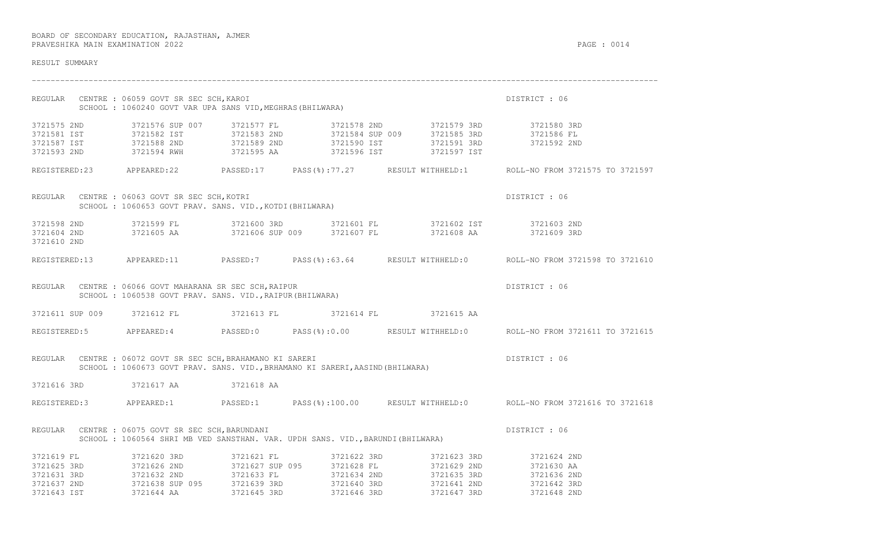| RESULT SUMMARY             |                                                                                                                                             |  |                                                                                                                                                                                                                                                                                                                                              |                                                                                                     |
|----------------------------|---------------------------------------------------------------------------------------------------------------------------------------------|--|----------------------------------------------------------------------------------------------------------------------------------------------------------------------------------------------------------------------------------------------------------------------------------------------------------------------------------------------|-----------------------------------------------------------------------------------------------------|
|                            | REGULAR CENTRE : 06059 GOVT SR SEC SCH, KAROI<br>SCHOOL : 1060240 GOVT VAR UPA SANS VID, MEGHRAS (BHILWARA)                                 |  |                                                                                                                                                                                                                                                                                                                                              | DISTRICT : 06                                                                                       |
|                            |                                                                                                                                             |  | $\begin{array}{cccccccc} 3721575 & 2\text{ND} & 3721576 & \text{SUP} & 3721577 & \text{FL} & 3721578 & 2\text{ND} & 3721581 & \text{ISP} & 3721580 & 3\text{RD} & 3721582 & \text{ISP} & 3721582 & \text{IST} & 3721583 & 2\text{ND} & 3721584 & \text{SUP} & 3721585 & 3\text{RD} & 3721586 & \text{FL} \\ 3721587 & \text{IST} & 372158$   |                                                                                                     |
|                            |                                                                                                                                             |  |                                                                                                                                                                                                                                                                                                                                              |                                                                                                     |
|                            |                                                                                                                                             |  |                                                                                                                                                                                                                                                                                                                                              |                                                                                                     |
|                            |                                                                                                                                             |  |                                                                                                                                                                                                                                                                                                                                              |                                                                                                     |
|                            |                                                                                                                                             |  |                                                                                                                                                                                                                                                                                                                                              | REGISTERED:23 APPEARED:22 PASSED:17 PASS(%):77.27 RESULT WITHHELD:1 ROLL-NO FROM 3721575 TO 3721597 |
|                            | REGULAR CENTRE : 06063 GOVT SR SEC SCH, KOTRI<br>SCHOOL : 1060653 GOVT PRAV. SANS. VID., KOTDI (BHILWARA)                                   |  |                                                                                                                                                                                                                                                                                                                                              | DISTRICT : 06                                                                                       |
| 3721598 2ND                |                                                                                                                                             |  |                                                                                                                                                                                                                                                                                                                                              |                                                                                                     |
| 3721604 2ND<br>3721610 2ND |                                                                                                                                             |  |                                                                                                                                                                                                                                                                                                                                              |                                                                                                     |
|                            |                                                                                                                                             |  |                                                                                                                                                                                                                                                                                                                                              | REGISTERED:13 APPEARED:11 PASSED:7 PASS(%):63.64 RESULT WITHHELD:0 ROLL-NO FROM 3721598 TO 3721610  |
|                            | REGULAR CENTRE : 06066 GOVT MAHARANA SR SEC SCH, RAIPUR<br>SCHOOL: 1060538 GOVT PRAV. SANS. VID., RAIPUR (BHILWARA)                         |  |                                                                                                                                                                                                                                                                                                                                              | DISTRICT : 06                                                                                       |
|                            |                                                                                                                                             |  | 3721611 SUP 009 3721612 FL 3721613 FL 3721614 FL 3721615 AA                                                                                                                                                                                                                                                                                  |                                                                                                     |
|                            |                                                                                                                                             |  |                                                                                                                                                                                                                                                                                                                                              | REGISTERED:5 APPEARED:4 PASSED:0 PASS(%):0.00 RESULT WITHHELD:0 ROLL-NO FROM 3721611 TO 3721615     |
|                            | REGULAR CENTRE : 06072 GOVT SR SEC SCH, BRAHAMANO KI SARERI<br>SCHOOL: 1060673 GOVT PRAV. SANS. VID., BRHAMANO KI SARERI, AASIND (BHILWARA) |  |                                                                                                                                                                                                                                                                                                                                              | DISTRICT : 06                                                                                       |
|                            | 3721616 3RD 3721617 AA 3721618 AA                                                                                                           |  |                                                                                                                                                                                                                                                                                                                                              |                                                                                                     |
|                            |                                                                                                                                             |  |                                                                                                                                                                                                                                                                                                                                              | REGISTERED:3 APPEARED:1 PASSED:1 PASS(%):100.00 RESULT WITHHELD:0 ROLL-NO FROM 3721616 TO 3721618   |
|                            | REGULAR CENTRE : 06075 GOVT SR SEC SCH, BARUNDANI<br>SCHOOL: 1060564 SHRI MB VED SANSTHAN. VAR. UPDH SANS. VID., BARUNDI (BHILWARA)         |  |                                                                                                                                                                                                                                                                                                                                              | DISTRICT : 06                                                                                       |
|                            |                                                                                                                                             |  |                                                                                                                                                                                                                                                                                                                                              |                                                                                                     |
|                            |                                                                                                                                             |  |                                                                                                                                                                                                                                                                                                                                              |                                                                                                     |
|                            |                                                                                                                                             |  | $\begin{array}{cccccccc} 3721619 \text{ FL} & 3721620 \text{ } 3RD & 3721620 \text{ } 3RD & 3721621 \text{ } FL & 3721622 \text{ } 3RD & 3721623 \text{ } 3RD & 3721624 \text{ } 2ND & 3721625 \text{ } 3RD & 3721626 \text{ } 2ND & 3721627 \text{ } 3UP & 095 & 3721628 \text{ } FL & 3721631 \text{ } 3RD & 3721630 \text{ } AA & 372163$ |                                                                                                     |
|                            |                                                                                                                                             |  |                                                                                                                                                                                                                                                                                                                                              |                                                                                                     |
| 3721643 TST                |                                                                                                                                             |  | 3721647 3RD                                                                                                                                                                                                                                                                                                                                  | 3721648 2ND                                                                                         |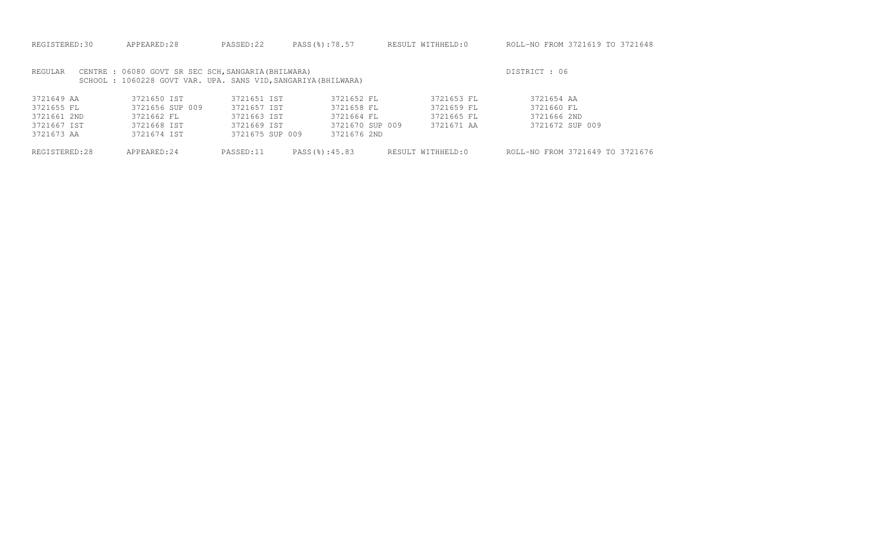REGISTERED:30 APPEARED:28 PASSED:22 PASS(%):78.57 RESULT WITHHELD:0 ROLL-NO FROM 3721619 TO 3721648

REGULAR CENTRE : 06080 GOVT SR SEC SCH, SANGARIA(BHILWARA) CHARLEY CONTRICT : 06 SCHOOL : 1060228 GOVT VAR. UPA. SANS VID,SANGARIYA(BHILWARA) 3721649 AA 3721650 IST 3721651 IST 3721652 FL 3721653 FL 3721654 AA 3721660 FL 3721655 FL 3721656 SUP 009 3721657 IST 3721658 FL 3721659 FL 3721660 FL 3721666 2ND 3721661 2ND 3721662 FL 3721663 IST 3721664 FL 3721665 FL 3721666 2ND 3721667 IST 3721668 IST 3721669 IST 3721670 SUP 009 3721671 AA 3721672 SUP 009 3721673 AA 3721674 IST 3721675 SUP 009 3721676 2ND REGISTERED:28 APPEARED:24 PASSED:11 PASS(%):45.83 RESULT WITHHELD:0 ROLL-NO FROM 3721649 TO 3721676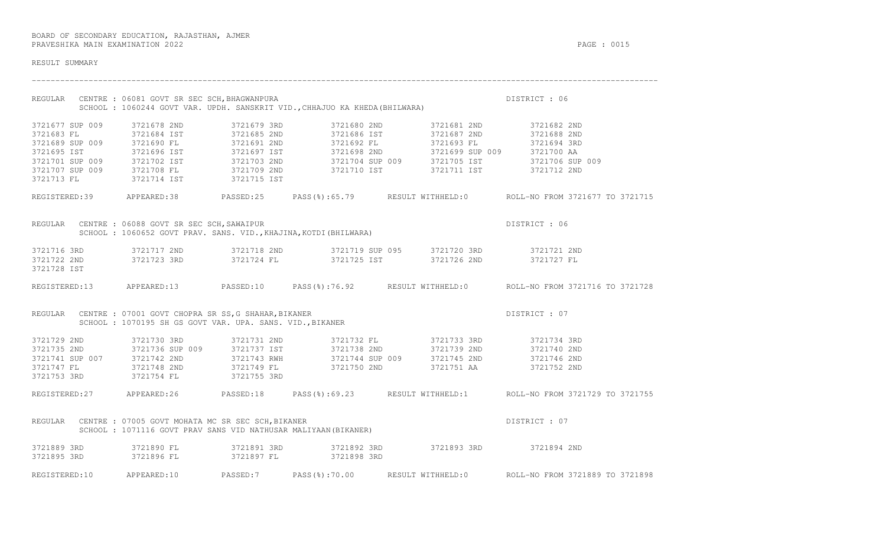|                               | REGULAR CENTRE : 06081 GOVT SR SEC SCH, BHAGWANPURA       |             | CENTRE : 06081 GOVT SR SEC SCH, BHAGWANPURA<br>SCHOOL : 1060244 GOVT VAR. UPDH. SANSKRIT VID., CHHAJUO KA KHEDA(BHILWARA) |                                                                                                                                                                                                                                                                                                                                                                                         | DISTRICT : 06                                                                                       |
|-------------------------------|-----------------------------------------------------------|-------------|---------------------------------------------------------------------------------------------------------------------------|-----------------------------------------------------------------------------------------------------------------------------------------------------------------------------------------------------------------------------------------------------------------------------------------------------------------------------------------------------------------------------------------|-----------------------------------------------------------------------------------------------------|
| 3721677 SUP 009<br>3721683 FL | 3721678 2ND<br>3721713 FL 3721714 IST 3721715 IST         | 3721679 3RD |                                                                                                                           | 3721680 2ND 3721681 2ND<br>3721684 IST 3721685 2ND 3721686 IST 3721687 2ND 3721688 2ND<br>3721689 SUP 009<br>3721690 ST21690 FL<br>3721695 IST 3721690 FL<br>3721701 SUP 009 3721702 IST 3721697 IST 3721698 2ND<br>3721701 SUP 009 3721702 IST 3721703 2ND 3721704 SUP 009 3721705 IST 3721706 SUP 009<br>3721707 SUP 009 3721708                                                      | 3721682 2ND                                                                                         |
|                               |                                                           |             |                                                                                                                           |                                                                                                                                                                                                                                                                                                                                                                                         | REGISTERED:39 APPEARED:38 PASSED:25 PASS(%):65.79 RESULT WITHHELD:0 ROLL-NO FROM 3721677 TO 3721715 |
|                               | REGULAR CENTRE : 06088 GOVT SR SEC SCH, SAWAIPUR          |             |                                                                                                                           | CENTRE : 06088 GOVT SR SEC SCH, SAWAIPUR<br>SCHOOL : 1060652 GOVT PRAV. SANS. VID., KHAJINA, KOTDI(BHILWARA)                                                                                                                                                                                                                                                                            | DISTRICT : 06                                                                                       |
| 3721722 2ND<br>3721728 IST    |                                                           |             |                                                                                                                           | 3721716 3RD 3721717 2ND 3721718 2ND 3721719 SUP 095 3721720 3RD 3721721 2ND<br>3721723 3RD 3721724 FL 3721725 IST 3721726 2ND 3721727 FL                                                                                                                                                                                                                                                |                                                                                                     |
|                               | REGISTERED:13 APPEARED:13 PASSED:10                       |             |                                                                                                                           |                                                                                                                                                                                                                                                                                                                                                                                         | PASS(%):76.92 RESULT WITHHELD:0 ROLL-NO FROM 3721716 TO 3721728                                     |
| REGULAR                       | CENTRE : 07001 GOVT CHOPRA SR SS, G SHAHAR, BIKANER       |             |                                                                                                                           | CENTRE : 07001 GOVT CHOPRA SR SS,G SHAHAR,BIKANER<br>SCHOOL : 1070195 SH GS GOVT VAR. UPA. SANS. VID.,BIKANER                                                                                                                                                                                                                                                                           | DISTRICT : 07                                                                                       |
| 3721729 2ND                   | 3721730 3RD<br>3721753 3RD 3721754 FL 3721755 3RD         |             |                                                                                                                           | 3721731 2ND 3721732 FL 3721733 3RD 3721734 3RD<br>$\begin{array}{cccccccc} 3721735 & 2\texttt{ND} & 3721736 & \texttt{SUP} & 3721737 & \texttt{IST} & 3721738 & 2\texttt{ND} & 3721739 & 2\texttt{ND} & 3721740 & 2\texttt{ND} & 3721741 & 2\texttt{ND} & 3721742 & 2\texttt{ND} & 3721743 & \texttt{RWH} & 3721744 & 2\texttt{UP} & 009 & 3721745 & 2\texttt{ND} & 3721746 & 2\texttt$ |                                                                                                     |
|                               |                                                           |             |                                                                                                                           |                                                                                                                                                                                                                                                                                                                                                                                         | REGISTERED:27 APPEARED:26 PASSED:18 PASS(%):69.23 RESULT WITHHELD:1 ROLL-NO FROM 3721729 TO 3721755 |
|                               | REGULAR CENTRE : 07005 GOVT MOHATA MC SR SEC SCH, BIKANER |             |                                                                                                                           | SCHOOL : JOURNAIR MO SR SEC SCH, BIKANER<br>SCHOOL : 1071116 GOVT PRAV SANS VID NATHUSAR MALIYAAN(BIKANER)                                                                                                                                                                                                                                                                              | DISTRICT : 07                                                                                       |
| 3721895 3RD                   |                                                           |             | 3721896 FL 3721897 FL 3721898 3RD                                                                                         | 3721889 3RD 3721890 FL 3721891 3RD 3721892 3RD 3721893 3RD 3721894 2ND                                                                                                                                                                                                                                                                                                                  |                                                                                                     |
| REGISTERED:10                 | APPEARED:10                                               | PASSED: 7   | PASS(%):70.00                                                                                                             |                                                                                                                                                                                                                                                                                                                                                                                         | RESULT WITHHELD: 0 ROLL-NO FROM 3721889 TO 3721898                                                  |

RESULT SUMMARY ------------------------------------------------------------------------------------------------------------------------------------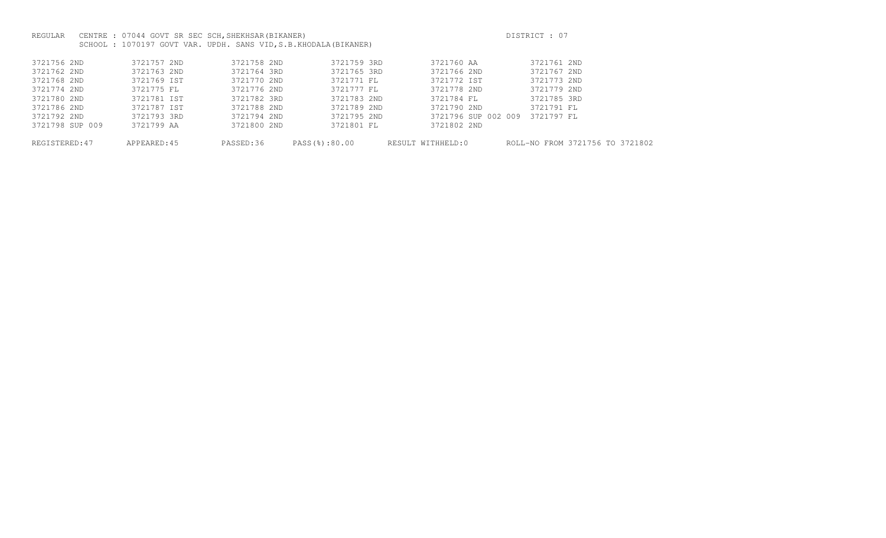## REGULAR CENTRE : 07044 GOVT SR SEC SCH, SHEKHSAR (BIKANER) CHARLEY CONTROLLER SECTION OF DISTRICT : 07 SCHOOL : 1070197 GOVT VAR. UPDH. SANS VID,S.B.KHODALA(BIKANER)

| 3721756 2ND     | 3721757 2ND | 3721758 2ND | 3721759 3RD | 3721760 AA          | 3721761 2ND |
|-----------------|-------------|-------------|-------------|---------------------|-------------|
| 3721762 2ND     | 3721763 2ND | 3721764 3RD | 3721765 3RD | 3721766 2ND         | 3721767 2ND |
| 3721768 2ND     | 3721769 IST | 3721770 2ND | 3721771 FL  | 3721772 IST         | 3721773 2ND |
| 3721774 2ND     | 3721775 FL  | 3721776 2ND | 3721777 FL  | 3721778 2ND         | 3721779 2ND |
| 3721780 2ND     | 3721781 IST | 3721782 3RD | 3721783 2ND | 3721784 FL          | 3721785 3RD |
| 3721786 2ND     | 3721787 TST | 3721788 2ND | 3721789 2ND | 3721790 2ND         | 3721791 FL  |
| 3721792 2ND     | 3721793 3RD | 3721794 2ND | 3721795 2ND | 3721796 SUP 002 009 | 3721797 FL  |
| 3721798 SUP 009 | 3721799 AA  | 3721800 2ND | 3721801 FL  | 3721802 2ND         |             |
|                 |             |             |             |                     |             |

| REGISTERED: 47 | APPEARED: 45 | PASSED:36 | PASS(%):80.00 | RESULT WITHHELD:0 | ROLL-NO FROM 3721756 TO 3721802 |
|----------------|--------------|-----------|---------------|-------------------|---------------------------------|
|                |              |           |               |                   |                                 |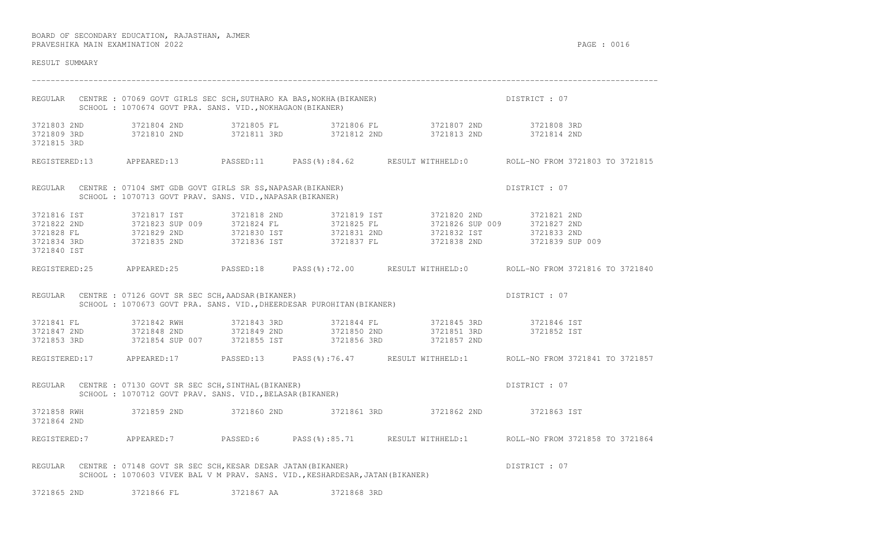| RESULT SUMMARY |                                                                                                                                |            |                                                                                                                |                                                                                                                                                                                                                                      |                                                                                                     |
|----------------|--------------------------------------------------------------------------------------------------------------------------------|------------|----------------------------------------------------------------------------------------------------------------|--------------------------------------------------------------------------------------------------------------------------------------------------------------------------------------------------------------------------------------|-----------------------------------------------------------------------------------------------------|
|                | SCHOOL : 1070674 GOVT PRA. SANS. VID., NOKHAGAON (BIKANER)                                                                     |            |                                                                                                                | REGULAR CENTRE : 07069 GOVT GIRLS SEC SCH, SUTHARO KA BAS, NOKHA (BIKANER)                                                                                                                                                           | DISTRICT : 07                                                                                       |
| 3721815 3RD    |                                                                                                                                |            |                                                                                                                |                                                                                                                                                                                                                                      |                                                                                                     |
|                |                                                                                                                                |            |                                                                                                                |                                                                                                                                                                                                                                      | REGISTERED:13 APPEARED:13 PASSED:11 PASS(%):84.62 RESULT WITHHELD:0 ROLL-NO FROM 3721803 TO 3721815 |
|                | REGULAR CENTRE : 07104 SMT GDB GOVT GIRLS SR SS, NAPASAR (BIKANER)<br>SCHOOL: 1070713 GOVT PRAV. SANS. VID., NAPASAR (BIKANER) |            |                                                                                                                |                                                                                                                                                                                                                                      | DISTRICT : 07                                                                                       |
| 3721840 IST    |                                                                                                                                |            |                                                                                                                | 3721816 IST 3721817 IST 3721818 2ND 3721819 IST 3721820 2ND 3721822 2ND 3721822 2ND 3721823 SUP 009 3721823 IST<br>3721822 2ND 3721823 SUP 009 3721824 FL 3721825 FL 3721826 SUP 009 3721827 2ND<br>3721838 FL 3721839 2ND 3721830 I |                                                                                                     |
|                |                                                                                                                                |            |                                                                                                                |                                                                                                                                                                                                                                      | REGISTERED:25 APPEARED:25 PASSED:18 PASS(%):72.00 RESULT WITHHELD:0 ROLL-NO FROM 3721816 TO 3721840 |
|                | REGULAR CENTRE : 07126 GOVT SR SEC SCH, AADSAR (BIKANER)                                                                       |            | SCHOOL : 1070673 GOVT PRA. SANS. VID., DHEERDESAR PUROHITAN (BIKANER)                                          |                                                                                                                                                                                                                                      | DISTRICT : 07                                                                                       |
|                |                                                                                                                                |            |                                                                                                                | 3721853 3RD 3721854 SUP 007 3721855 IST 3721856 3RD 3721857 2ND                                                                                                                                                                      |                                                                                                     |
|                |                                                                                                                                |            |                                                                                                                |                                                                                                                                                                                                                                      | REGISTERED:17 APPEARED:17 PASSED:13 PASS(%):76.47 RESULT WITHHELD:1 ROLL-NO FROM 3721841 TO 3721857 |
|                | REGULAR CENTRE : 07130 GOVT SR SEC SCH, SINTHAL (BIKANER)                                                                      |            | CENTRE : 07130 GOVT SR SEC SCH, SINTHAL (BIKANER)<br>SCHOOL : 1070712 GOVT PRAV. SANS. VID., BELASAR (BIKANER) |                                                                                                                                                                                                                                      | DISTRICT : 07                                                                                       |
| 3721864 2ND    |                                                                                                                                |            |                                                                                                                | 3721858 RWH 3721859 2ND 3721860 2ND 3721861 3RD 3721862 2ND 3721863 IST                                                                                                                                                              |                                                                                                     |
|                |                                                                                                                                |            |                                                                                                                |                                                                                                                                                                                                                                      | REGISTERED:7 APPEARED:7 PASSED:6 PASS(%):85.71 RESULT WITHHELD:1 ROLL-NO FROM 3721858 TO 3721864    |
|                | REGULAR CENTRE : 07148 GOVT SR SEC SCH, KESAR DESAR JATAN (BIKANER)                                                            |            | SCHOOL : 1070603 VIVEK BAL V M PRAV. SANS. VID., KESHARDESAR, JATAN (BIKANER)                                  |                                                                                                                                                                                                                                      | DISTRICT : 07                                                                                       |
| 3721865 2ND    | 3721866 FL                                                                                                                     | 3721867 AA | 3721868 3RD                                                                                                    |                                                                                                                                                                                                                                      |                                                                                                     |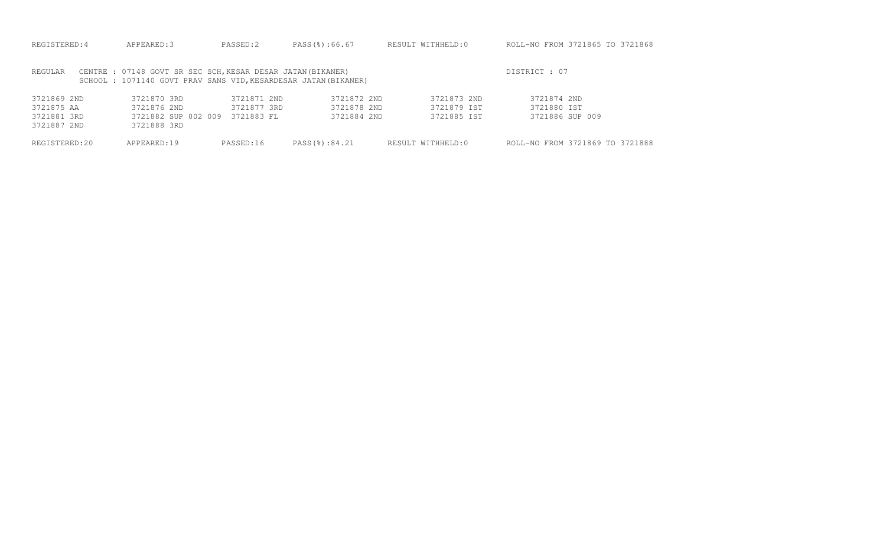| REGISTERED: 4              | APPEARED: 3                                                                                                                   | PASSED:2                   | PASS(%):66.67              | RESULT WITHHELD:0          | ROLL-NO FROM 3721865 TO 3721868 |
|----------------------------|-------------------------------------------------------------------------------------------------------------------------------|----------------------------|----------------------------|----------------------------|---------------------------------|
| REGULAR                    | CENTRE : 07148 GOVT SR SEC SCH, KESAR DESAR JATAN (BIKANER)<br>SCHOOL : 1071140 GOVT PRAV SANS VID, KESARDESAR JATAN(BIKANER) |                            |                            |                            | DISTRICT : 07                   |
| 3721869 2ND<br>3721875 AA  | 3721870 3RD<br>3721876 2ND                                                                                                    | 3721871 2ND<br>3721877 3RD | 3721872 2ND<br>3721878 2ND | 3721873 2ND<br>3721879 TST | 3721874 2ND<br>3721880 IST      |
| 3721881 3RD<br>3721887 2ND | 3721882 SUP 002 009<br>3721888 3RD                                                                                            | 3721883 FL                 | 3721884 2ND                | 3721885 IST                | 3721886 SUP 009                 |
| REGISTERED:20              | APPEARED:19                                                                                                                   | PASSED:16                  | PASS(%):84.21              | RESULT WITHHELD:0          | ROLL-NO FROM 3721869 TO 3721888 |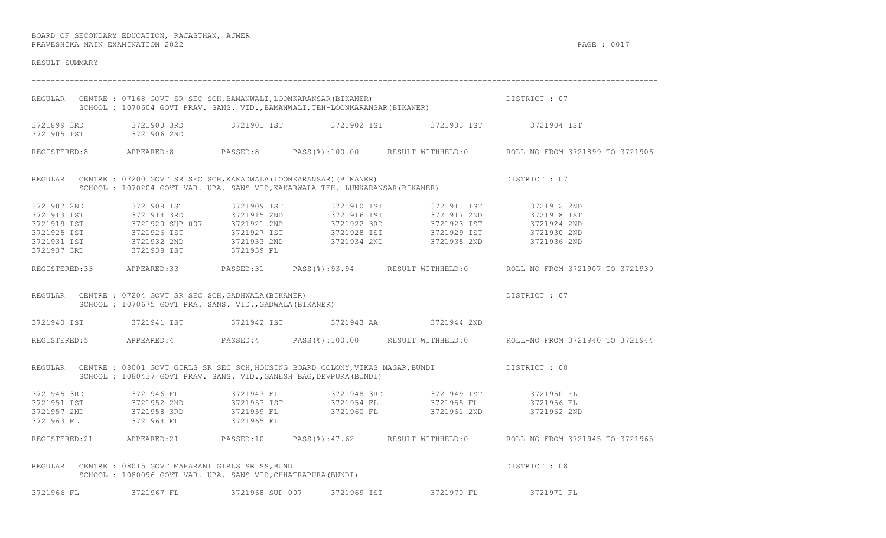| RESULT SUMMARY |                                                                                                                         |  |                                                                                                                                                                                                                                                                                                           |                                                                                                     |
|----------------|-------------------------------------------------------------------------------------------------------------------------|--|-----------------------------------------------------------------------------------------------------------------------------------------------------------------------------------------------------------------------------------------------------------------------------------------------------------|-----------------------------------------------------------------------------------------------------|
|                |                                                                                                                         |  | REGULAR CENTRE : 07168 GOVT SR SEC SCH, BAMANWALI, LOONKARANSAR(BIKANER)<br>SCHOOL : 1070604 GOVT PRAV. SANS. VID., BAMANWALI, TEH-LOONKARANSAR(BIKANER)                                                                                                                                                  |                                                                                                     |
| 3721905 IST    | 3721906 2ND                                                                                                             |  | $3721899 \text{ } 3RD \qquad \qquad 3721900 \text{ } 3RD \qquad \qquad 3721901 \text{ } 1ST \qquad \qquad 3721902 \text{ } 1ST \qquad \qquad 3721903 \text{ } 1ST \qquad \qquad 3721904 \text{ } 1ST$                                                                                                     |                                                                                                     |
|                |                                                                                                                         |  |                                                                                                                                                                                                                                                                                                           | REGISTERED:8 APPEARED:8 PASSED:8 PASS(%):100.00 RESULT WITHHELD:0 ROLL-NO FROM 3721899 TO 3721906   |
|                | SCHOOL : 1070204 GOVT VAR. UPA. SANS VID, KAKARWALA TEH. LUNKARANSAR (BIKANER)                                          |  | REGULAR CENTRE : 07200 GOVT SR SEC SCH, KAKADWALA (LOONKARANSAR) (BIKANER)                                                                                                                                                                                                                                | DISTRICT : 07                                                                                       |
|                |                                                                                                                         |  | $\begin{array}{cccccccc} 3721907 & 2ND & & 3721908 & 1ST & & 3721909 & 1ST & & 3721910 & 1ST & & 3721911 & 1ST & & 3721912 & 2ND \\ 3721913 & 1ST & & 3721914 & 3RD & & 3721915 & 2ND & & 3721916 & 1ST & & 3721917 & 2ND & 3721918 & 1ST \\ 3721919 & 1ST & & 3721920 & 5UP & 007 & & 3721921 & 2ND & &$ |                                                                                                     |
|                |                                                                                                                         |  |                                                                                                                                                                                                                                                                                                           | REGISTERED:33 APPEARED:33 PASSED:31 PASS(%):93.94 RESULT WITHHELD:0 ROLL-NO FROM 3721907 TO 3721939 |
|                | SCHOOL: 1070675 GOVT PRA. SANS. VID., GADWALA (BIKANER)                                                                 |  | REGULAR CENTRE : 07204 GOVT SR SEC SCH, GADHWALA (BIKANER)                                                                                                                                                                                                                                                | DISTRICT : 07                                                                                       |
|                |                                                                                                                         |  | 3721940 IST 3721941 IST 3721942 IST 3721943 AA 3721944 2ND                                                                                                                                                                                                                                                |                                                                                                     |
|                |                                                                                                                         |  |                                                                                                                                                                                                                                                                                                           | REGISTERED:5 APPEARED:4 PASSED:4 PASS(%):100.00 RESULT WITHHELD:0 ROLL-NO FROM 3721940 TO 3721944   |
|                | SCHOOL: 1080437 GOVT PRAV. SANS. VID., GANESH BAG, DEVPURA (BUNDI)                                                      |  | REGULAR CENTRE : 08001 GOVT GIRLS SR SEC SCH, HOUSING BOARD COLONY, VIKAS NAGAR, BUNDI DISTRICT : 08                                                                                                                                                                                                      |                                                                                                     |
|                |                                                                                                                         |  | 3721945 3RD 3721946 FL 3721947 FL 3721948 3RD 3721949 IST 3721950 FL<br>3721951 IST 3721952 2ND 3721953 IST 3721954 FL 3721955 FL 3721956 FL<br>3721957 2ND 3721958 3RD 3721959 FL 3721960 FL 3721961 2ND 3721962 2ND<br>3721963 FL 3721964 FL 3721965 FL 3721960 FL 3721961 2ND 3721962 2ND              |                                                                                                     |
|                |                                                                                                                         |  |                                                                                                                                                                                                                                                                                                           | REGISTERED:21 APPEARED:21 PASSED:10 PASS(%):47.62 RESULT WITHHELD:0 ROLL-NO FROM 3721945 TO 3721965 |
|                | REGULAR CENTRE : 08015 GOVT MAHARANI GIRLS SR SS, BUNDI<br>SCHOOL: 1080096 GOVT VAR. UPA. SANS VID, CHHATRAPURA (BUNDI) |  |                                                                                                                                                                                                                                                                                                           | DISTRICT : 08                                                                                       |
|                |                                                                                                                         |  |                                                                                                                                                                                                                                                                                                           |                                                                                                     |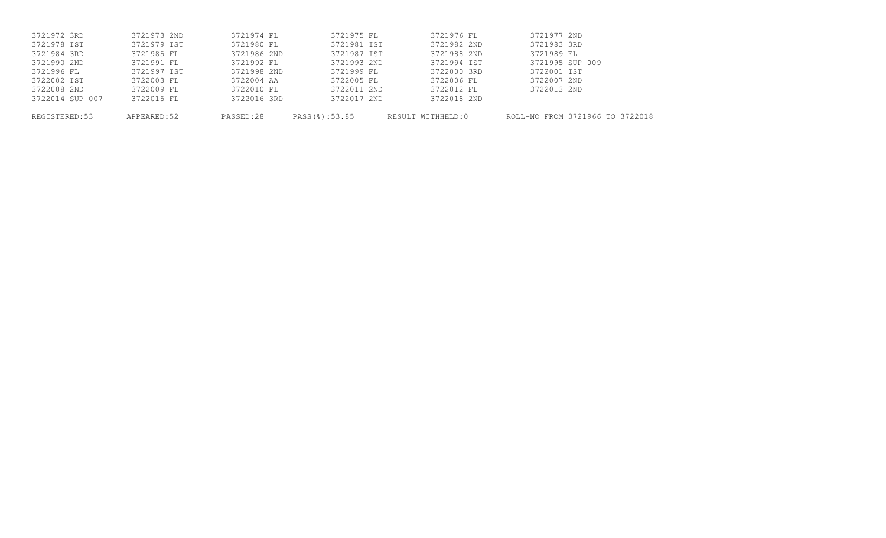| 3721972 3RD     | 3721973 2ND | 3721974 FL  | 3721975 FL    | 3721976 FL        | 3721977 2ND                     |
|-----------------|-------------|-------------|---------------|-------------------|---------------------------------|
| 3721978 IST     | 3721979 IST | 3721980 FL  | 3721981 IST   | 3721982 2ND       | 3721983 3RD                     |
| 3721984 3RD     | 3721985 FL  | 3721986 2ND | 3721987 TST   | 3721988 2ND       | 3721989 FL                      |
| 3721990 2ND     | 3721991 FL  | 3721992 FL  | 3721993 2ND   | 3721994 TST       | 3721995 SUP 009                 |
| 3721996 FL      | 3721997 TST | 3721998 2ND | 3721999 FL    | 3722000 3RD       | 3722001 TST                     |
| 3722002 IST     | 3722003 FL  | 3722004 AA  | 3722005 FL    | 3722006 FL        | 3722007 2ND                     |
| 3722008 2ND     | 3722009 FL  | 3722010 FL  | 3722011 2ND   | 3722012 FL        | 3722013 2ND                     |
| 3722014 SUP 007 | 3722015 FL  | 3722016 3RD | 3722017 2ND   | 3722018 2ND       |                                 |
| REGISTERED:53   | APPEARED:52 | PASSED:28   | PASS(%):53.85 | RESULT WITHHELD:0 | ROLL-NO FROM 3721966 TO 3722018 |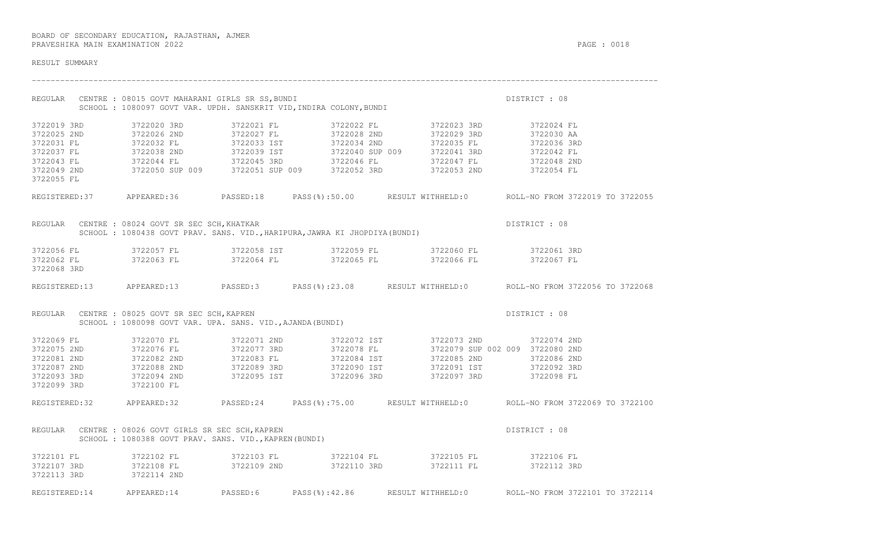| RESULT SUMMARY            |                                                                                                                                                                          |  |                                                                                                                                                                                                                                                                                                                                                           |                                                                                                     |
|---------------------------|--------------------------------------------------------------------------------------------------------------------------------------------------------------------------|--|-----------------------------------------------------------------------------------------------------------------------------------------------------------------------------------------------------------------------------------------------------------------------------------------------------------------------------------------------------------|-----------------------------------------------------------------------------------------------------|
|                           | REGULAR CENTRE : 08015 GOVT MAHARANI GIRLS SR SS, BUNDI                                                                                                                  |  | CENTRE : 08015 GOVT MAHARANI GIRLS SR SS,BUNDI<br>SCHOOL : 1080097 GOVT VAR. UPDH. SANSKRIT VID,INDIRA COLONY,BUNDI                                                                                                                                                                                                                                       | DISTRICT : 08                                                                                       |
|                           |                                                                                                                                                                          |  | $\begin{array}{cccccccc} 3722019 & 3 \text{RD} & 3722020 & 3 \text{RD} & 3722021 & \text{FL} & 3722022 & \text{FL} & 3722023 & 3 \text{RD} & 3722024 & \text{FL} \\ 3722025 & 2 \text{ND} & 3722026 & 2 \text{ND} & 3722027 & \text{FL} & 3722028 & 2 \text{ND} & 3722029 & 3 \text{RD} & 3722030 & \text{AA} \\ 3722031 & \text{FL} & 37$                |                                                                                                     |
|                           |                                                                                                                                                                          |  |                                                                                                                                                                                                                                                                                                                                                           |                                                                                                     |
|                           |                                                                                                                                                                          |  |                                                                                                                                                                                                                                                                                                                                                           |                                                                                                     |
|                           |                                                                                                                                                                          |  |                                                                                                                                                                                                                                                                                                                                                           |                                                                                                     |
|                           |                                                                                                                                                                          |  |                                                                                                                                                                                                                                                                                                                                                           |                                                                                                     |
| 3722055 FL                |                                                                                                                                                                          |  |                                                                                                                                                                                                                                                                                                                                                           |                                                                                                     |
|                           |                                                                                                                                                                          |  |                                                                                                                                                                                                                                                                                                                                                           | REGISTERED:37 APPEARED:36 PASSED:18 PASS(%):50.00 RESULT WITHHELD:0 ROLL-NO FROM 3722019 TO 3722055 |
|                           | CENTRE : 08024 GOVT SR SEC SCH, KHATKAR<br>SCHOOL : 1080438 GOVT PRAV. SANS. VID., HARIPURA, JAWRA KI JHOPDIYA(BUNDI)<br>REGULAR CENTRE : 08024 GOVT SR SEC SCH, KHATKAR |  |                                                                                                                                                                                                                                                                                                                                                           | DISTRICT : 08                                                                                       |
|                           |                                                                                                                                                                          |  |                                                                                                                                                                                                                                                                                                                                                           |                                                                                                     |
|                           |                                                                                                                                                                          |  | 3722056 FL 3722057 FL 3722058 IST 3722059 FL 3722060 FL 3722060 FL 3722061 3RD                                                                                                                                                                                                                                                                            |                                                                                                     |
|                           |                                                                                                                                                                          |  | 3722062 FL 3722063 FL 3722064 FL 3722065 FL 3722066 FL 3722066 FL 3722067 FL                                                                                                                                                                                                                                                                              |                                                                                                     |
| 3722068 3RD               |                                                                                                                                                                          |  |                                                                                                                                                                                                                                                                                                                                                           |                                                                                                     |
|                           |                                                                                                                                                                          |  |                                                                                                                                                                                                                                                                                                                                                           | REGISTERED:13 APPEARED:13 PASSED:3 PASS(%):23.08 RESULT WITHHELD:0 ROLL-NO FROM 3722056 TO 3722068  |
|                           | UENTRE : 08025 GOVT SR SEC SCH, KAPREN<br>SCHOOL : 1080098 GOVT VAR. UPA. SANS. VID., AJANDA (BUNDI)<br>REGULAR CENTRE : 08025 GOVT SR SEC SCH, KAPREN                   |  |                                                                                                                                                                                                                                                                                                                                                           | DISTRICT : 08                                                                                       |
|                           |                                                                                                                                                                          |  |                                                                                                                                                                                                                                                                                                                                                           |                                                                                                     |
|                           |                                                                                                                                                                          |  | $\begin{array}{cccccccc} 3722069 \text{ FL} & 3722070 \text{ FL} & 3722070 \text{ FL} & 3722071 \text{ ZND} & 3722072 \text{ IST} & 3722073 \text{ ZND} & 3722074 \text{ ZND} \\ 3722075 \text{ ZND} & 3722076 \text{ FL} & 3722077 \text{ SND} & 3722078 \text{ FL} & 3722079 \text{ SUP} & 002 \text{ }009 \text{ } 3722080 \text{ } 2 \text{ND} \\ 37$ |                                                                                                     |
|                           |                                                                                                                                                                          |  |                                                                                                                                                                                                                                                                                                                                                           |                                                                                                     |
|                           |                                                                                                                                                                          |  |                                                                                                                                                                                                                                                                                                                                                           |                                                                                                     |
|                           |                                                                                                                                                                          |  |                                                                                                                                                                                                                                                                                                                                                           |                                                                                                     |
|                           |                                                                                                                                                                          |  |                                                                                                                                                                                                                                                                                                                                                           |                                                                                                     |
|                           |                                                                                                                                                                          |  |                                                                                                                                                                                                                                                                                                                                                           |                                                                                                     |
|                           |                                                                                                                                                                          |  |                                                                                                                                                                                                                                                                                                                                                           | REGISTERED:32 APPEARED:32 PASSED:24 PASS(%):75.00 RESULT WITHHELD:0 ROLL-NO FROM 3722069 TO 3722100 |
|                           | REGULAR CENTRE : 08026 GOVT GIRLS SR SEC SCH, KAPREN                                                                                                                     |  |                                                                                                                                                                                                                                                                                                                                                           | DISTRICT : 08                                                                                       |
|                           |                                                                                                                                                                          |  |                                                                                                                                                                                                                                                                                                                                                           |                                                                                                     |
| 3722113 3RD               | 3722114 2ND                                                                                                                                                              |  | $\begin{array}{cccccccc} 3722101 \text{ FL} & 3722102 \text{ FL} & 3722103 \text{ FL} & 3722104 \text{ FL} & 3722105 \text{ FL} & 3722105 \text{ FL} & 3722106 \text{ FL} \\ 3722107 \text{ 3RD} & 3722108 \text{ FL} & 3722109 \text{ 2ND} & 3722110 \text{ 3RD} & 3722111 \text{ FL} & 3722112 \text{ 3RD} \end{array}$                                 |                                                                                                     |
| REGISTERED:14 APPEARED:14 |                                                                                                                                                                          |  |                                                                                                                                                                                                                                                                                                                                                           | PASSED:6 PASS(%):42.86 RESULT WITHHELD:0 ROLL-NO FROM 3722101 TO 3722114                            |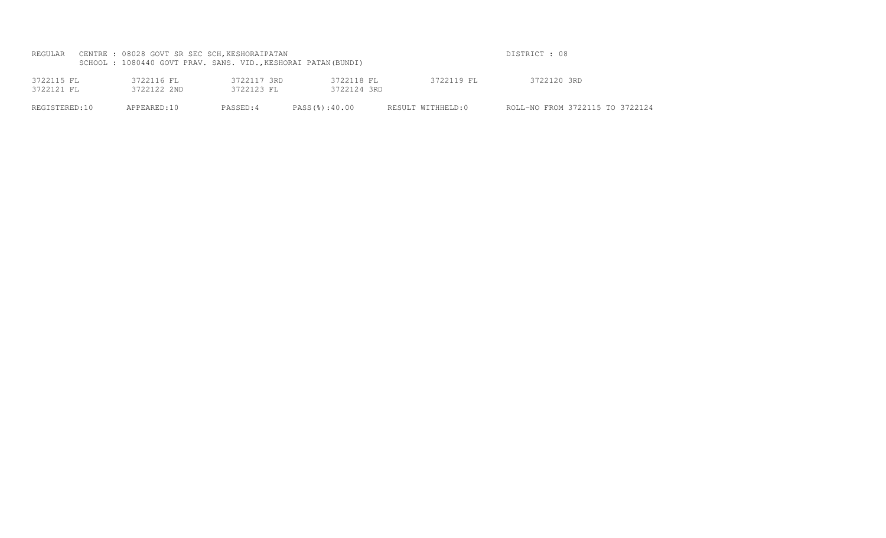| REGULAR                  | CENTRE : 08028 GOVT SR SEC SCH, KESHORAIPATAN<br>SCHOOL: 1080440 GOVT PRAV. SANS. VID., KESHORAI PATAN(BUNDI) |                           |                           | DISTRICT : 08     |                                 |  |
|--------------------------|---------------------------------------------------------------------------------------------------------------|---------------------------|---------------------------|-------------------|---------------------------------|--|
| 3722115 FL<br>3722121 FL | 3722116 FL<br>3722122 2ND                                                                                     | 3722117 3RD<br>3722123 FL | 3722118 FL<br>3722124 3RD | 3722119 FL        | 3722120 3RD                     |  |
| REGISTERED:10            | APPEARED:10                                                                                                   | PASSED:4                  | PASS(%):40.00             | RESULT WITHHELD:0 | ROLL-NO FROM 3722115 TO 3722124 |  |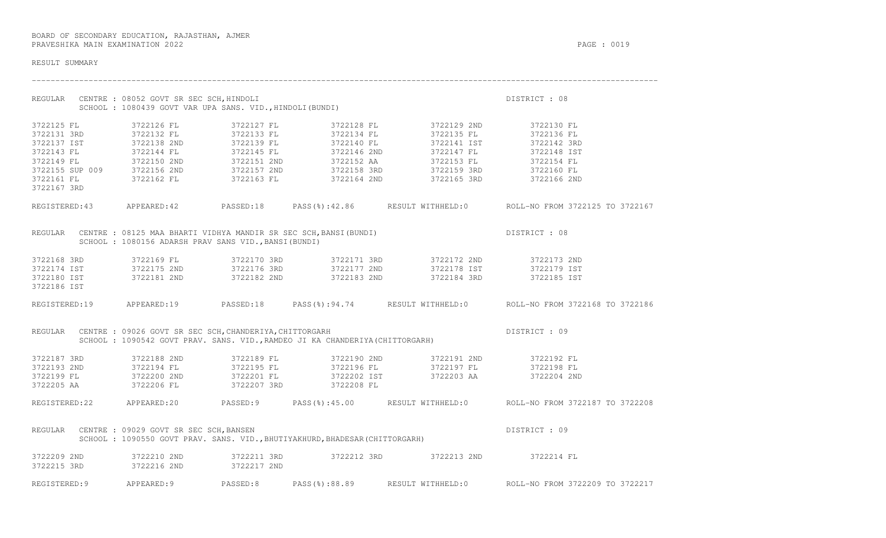| RESULT SUMMARY |                                                                                                              |          |                                                                             |                                                                                                                                                                                                                                                                                                                                                  |                                                                                                     |
|----------------|--------------------------------------------------------------------------------------------------------------|----------|-----------------------------------------------------------------------------|--------------------------------------------------------------------------------------------------------------------------------------------------------------------------------------------------------------------------------------------------------------------------------------------------------------------------------------------------|-----------------------------------------------------------------------------------------------------|
|                | REGULAR CENTRE : 08052 GOVT SR SEC SCH, HINDOLI<br>SCHOOL : 1080439 GOVT VAR UPA SANS. VID., HINDOLI (BUNDI) |          |                                                                             |                                                                                                                                                                                                                                                                                                                                                  | DISTRICT : 08                                                                                       |
|                |                                                                                                              |          |                                                                             |                                                                                                                                                                                                                                                                                                                                                  |                                                                                                     |
|                |                                                                                                              |          |                                                                             |                                                                                                                                                                                                                                                                                                                                                  |                                                                                                     |
| 3722167 3RD    |                                                                                                              |          |                                                                             | $\begin{array}{cccccc} 3722125 \text{ FL} & 3722126 \text{ FL} & 3722126 \text{ FL} & 3722127 \text{ FL} & 3722128 \text{ FL} & 3722130 \text{ FL} & 3722131 \text{ 3RD} & 3722132 \text{ FL} & 3722132 \text{ FL} & 3722139 \text{ FL} & 3722135 \text{ FL} & 3722136 \text{ FL} & 3722136 \text{ FL} & 3722137 \text{ LST} & 3722138 \text{ 2$ |                                                                                                     |
|                |                                                                                                              |          |                                                                             |                                                                                                                                                                                                                                                                                                                                                  | REGISTERED:43 APPEARED:42 PASSED:18 PASS(%):42.86 RESULT WITHHELD:0 ROLL-NO FROM 3722125 TO 3722167 |
|                | SCHOOL : 1080156 ADARSH PRAV SANS VID., BANSI (BUNDI)                                                        |          |                                                                             | REGULAR CENTRE : 08125 MAA BHARTI VIDHYA MANDIR SR SEC SCH, BANSI (BUNDI)                                                                                                                                                                                                                                                                        | DISTRICT : 08                                                                                       |
|                |                                                                                                              |          |                                                                             | $\begin{array}{cccccccc} 3722168 & 3\text{RD} & 3722169 & \text{FL} & 3722170 & 3\text{RD} & 3722171 & 3\text{RD} & 3722172 & 2\text{ND} & 3722173 & 2\text{ND} & 3722179 & 1\text{ST} & 3722175 & 2\text{ND} & 3722178 & 1\text{ST} & 3722179 & 1\text{ST} & 3722181 & 2\text{ND} & 3722181 & 2\text{ND} & 3722181 & $                          |                                                                                                     |
| 3722186 IST    |                                                                                                              |          |                                                                             |                                                                                                                                                                                                                                                                                                                                                  |                                                                                                     |
|                |                                                                                                              |          |                                                                             |                                                                                                                                                                                                                                                                                                                                                  | REGISTERED:19 APPEARED:19 PASSED:18 PASS(%):94.74 RESULT WITHHELD:0 ROLL-NO FROM 3722168 TO 3722186 |
|                | REGULAR CENTRE : 09026 GOVT SR SEC SCH, CHANDERIYA, CHITTORGARH                                              |          |                                                                             | CENTRE : 09026 GOVT SR SEC SCH, CHANDERIYA, CHITTORGARH<br>SCHOOL : 1090542 GOVT PRAV. SANS. VID., RAMDEO JI KA CHANDERIYA(CHITTORGARH)                                                                                                                                                                                                          |                                                                                                     |
|                |                                                                                                              |          |                                                                             | $\begin{array}{cccccccc} 3722187 & 3\text{RD} & 3722188 & 2\text{ND} & 3722189 & \text{FL} & 3722190 & 2\text{ND} & 3722191 & 2\text{ND} & 3722192 & \text{FL} \\ 3722193 & 2\text{ND} & 3722194 & \text{FL} & 3722195 & \text{FL} & 3722196 & \text{FL} & 3722197 & \text{FL} & 3722198 & \text{FL} \\ 3722199 & \text{FL} & 372220$            |                                                                                                     |
|                |                                                                                                              |          |                                                                             |                                                                                                                                                                                                                                                                                                                                                  | REGISTERED:22 APPEARED:20 PASSED:9 PASS(%):45.00 RESULT WITHHELD:0 ROLL-NO FROM 3722187 TO 3722208  |
|                | REGULAR CENTRE : 09029 GOVT SR SEC SCH, BANSEN                                                               |          | SCHOOL: 1090550 GOVT PRAV. SANS. VID., BHUTIYAKHURD, BHADESAR (CHITTORGARH) |                                                                                                                                                                                                                                                                                                                                                  | DISTRICT : 09                                                                                       |
| 3722215 3RD    | 3722216 2ND 3722217 2ND                                                                                      |          |                                                                             | 3722209 2ND 3722210 2ND 3722211 3RD 3722212 3RD 3722213 2ND 3722214 FL                                                                                                                                                                                                                                                                           |                                                                                                     |
| REGISTERED: 9  | APPEARED: 9                                                                                                  | PASSED:8 | PASS(%):88.89                                                               |                                                                                                                                                                                                                                                                                                                                                  | RESULT WITHHELD:0 ROLL-NO FROM 3722209 TO 3722217                                                   |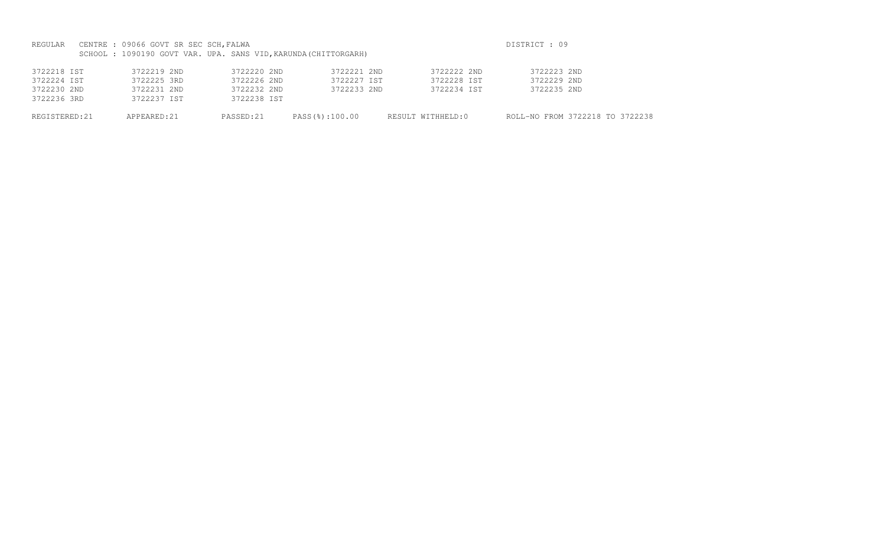| REGULAR       | CENTRE : 09066 GOVT SR SEC SCH, FALWA                          |             |                |                   | DISTRICT: 09                    |
|---------------|----------------------------------------------------------------|-------------|----------------|-------------------|---------------------------------|
|               | SCHOOL: 1090190 GOVT VAR. UPA. SANS VID, KARUNDA (CHITTORGARH) |             |                |                   |                                 |
| 3722218 IST   | 3722219 2ND                                                    | 3722220 2ND | 3722221 2ND    | 3722222 2ND       | 3722223 2ND                     |
| 3722224 IST   | 3722225 3RD                                                    | 3722226 2ND | 3722227 IST    | 3722228 TST       | 3722229 2ND                     |
| 3722230 2ND   | 3722231 2ND                                                    | 3722232 2ND | 3722233 2ND    | 3722234 IST       | 3722235 2ND                     |
| 3722236 3RD   | 3722237 TST                                                    | 3722238 IST |                |                   |                                 |
| REGISTERED:21 | APPEARED: 21                                                   | PASSED:21   | PASS(%):100.00 | RESULT WITHHELD:0 | ROLL-NO FROM 3722218 TO 3722238 |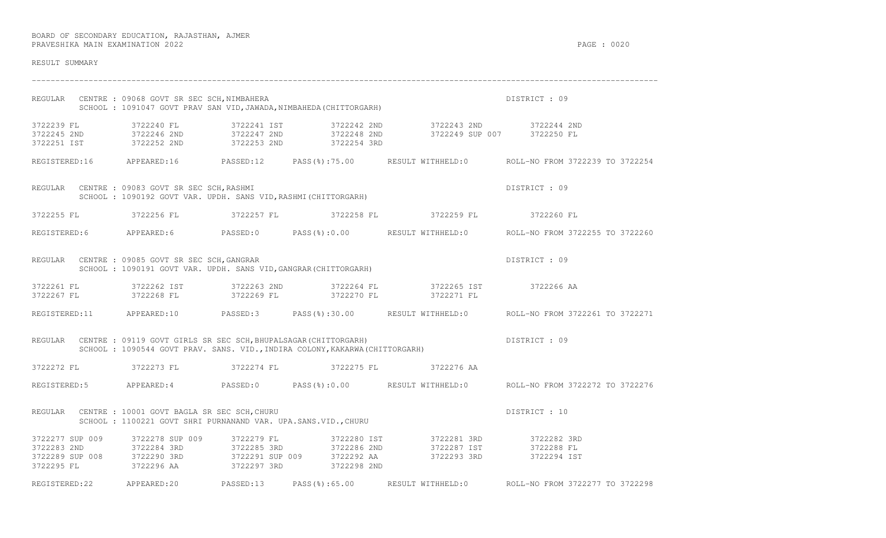BOARD OF SECONDARY EDUCATION, RAJASTHAN, AJMER PRAVESHIKA MAIN EXAMINATION 2022 and the set of the set of the set of the set of the set of the set of the set of the set of the set of the set of the set of the set of the set of the set of the set of the set of the set o

| RESULT SUMMARY |                                                                                                                                                         |           |               |                                                                                                                                                                                                                                |                                                                                                     |
|----------------|---------------------------------------------------------------------------------------------------------------------------------------------------------|-----------|---------------|--------------------------------------------------------------------------------------------------------------------------------------------------------------------------------------------------------------------------------|-----------------------------------------------------------------------------------------------------|
|                | REGULAR CENTRE : 09068 GOVT SR SEC SCH, NIMBAHERA                                                                                                       |           |               | SCHOOL : 1091047 GOVI PRAV SAN VID, JAWADA, NIMBAHEDA (CHITTORGARH)                                                                                                                                                            | DISTRICT : 09                                                                                       |
|                | 3722251 IST 3722252 2ND 3722253 2ND 3722254 3RD                                                                                                         |           |               | 3722239 FL 3722240 FL 3722241 IST 3722242 2ND 3722243 2ND 3722244 2ND<br>3722245 2ND 3722246 2ND 3722247 2ND 3722248 2ND 3722249 SUP 007 3722250 FL                                                                            |                                                                                                     |
|                |                                                                                                                                                         |           |               |                                                                                                                                                                                                                                | REGISTERED:16 APPEARED:16 PASSED:12 PASS(%):75.00 RESULT WITHHELD:0 ROLL-NO FROM 3722239 TO 3722254 |
|                | REGULAR CENTRE : 09083 GOVT SR SEC SCH, RASHMI<br>SCHOOL : 1090192 GOVT VAR. UPDH. SANS VID, RASHMI (CHITTORGARH)                                       |           |               |                                                                                                                                                                                                                                | DISTRICT : 09                                                                                       |
|                |                                                                                                                                                         |           |               | 3722255 FL 3722256 FL 3722257 FL 3722258 FL 3722259 FL 3722259 FL 3722260 FL                                                                                                                                                   |                                                                                                     |
|                |                                                                                                                                                         |           |               |                                                                                                                                                                                                                                | REGISTERED:6 APPEARED:6 PASSED:0 PASS(%):0.00 RESULT WITHHELD:0 ROLL-NO FROM 3722255 TO 3722260     |
|                | REGULAR CENTRE : 09085 GOVT SR SEC SCH, GANGRAR<br>SCHOOL : 1090191 GOVT VAR. UPDH. SANS VID, GANGRAR (CHITTORGARH)                                     |           |               |                                                                                                                                                                                                                                | DISTRICT : 09                                                                                       |
|                |                                                                                                                                                         |           |               | 3722261 FL 3722262 IST 3722263 2ND 3722264 FL 3722265 IST 3722266 AA<br>3722267 FL 3722268 FL 3722269 FL 3722269 FL 3722270 FL 3722271 FL                                                                                      |                                                                                                     |
|                |                                                                                                                                                         |           |               |                                                                                                                                                                                                                                | REGISTERED:11 APPEARED:10 PASSED:3 PASS(%):30.00 RESULT WITHHELD:0 ROLL-NO FROM 3722261 TO 3722271  |
|                | REGULAR CENTRE : 09119 GOVT GIRLS SR SEC SCH, BHUPALSAGAR (CHITTORGARH)<br>SCHOOL : 1090544 GOVT PRAV. SANS. VID., INDIRA COLONY, KAKARWA (CHITTORGARH) |           |               |                                                                                                                                                                                                                                | DISTRICT : 09                                                                                       |
|                |                                                                                                                                                         |           |               | 3722272 FL 3722273 FL 3722274 FL 3722275 FL 3722275 FL 3722276 AA                                                                                                                                                              |                                                                                                     |
|                |                                                                                                                                                         |           |               |                                                                                                                                                                                                                                | REGISTERED:5 APPEARED:4 PASSED:0 PASS(%):0.00 RESULT WITHHELD:0 ROLL-NO FROM 3722272 TO 3722276     |
|                | SCHOOL : 1100221 GOVI BAGLA SR SEC SCH, CHURU<br>JP 009 3733355<br>REGULAR CENTRE : 10001 GOVT BAGLA SR SEC SCH, CHURU                                  |           |               |                                                                                                                                                                                                                                | DISTRICT : 10                                                                                       |
| 3722295 FL     | 3722296 AA 3722297 3RD 3722298 2ND                                                                                                                      |           |               | 3722277 SUP 009 3722278 SUP 009 3722279 FL 3722280 IST 3722281 3RD 3722282 3RD 3722282 3RD 3722284 3RD 3722285 3RD 3722286 2ND 3722282 3RD 3722284 3RD 3722284 3RD 3722285 3RD 3722286 2ND 3722288 FL 3722288 FL 3722288 FL 37 |                                                                                                     |
| REGISTERED:22  | APPEARED:20                                                                                                                                             | PASSED:13 | PASS(%):65.00 | RESULT WITHHELD:0                                                                                                                                                                                                              | ROLL-NO FROM 3722277 TO 3722298                                                                     |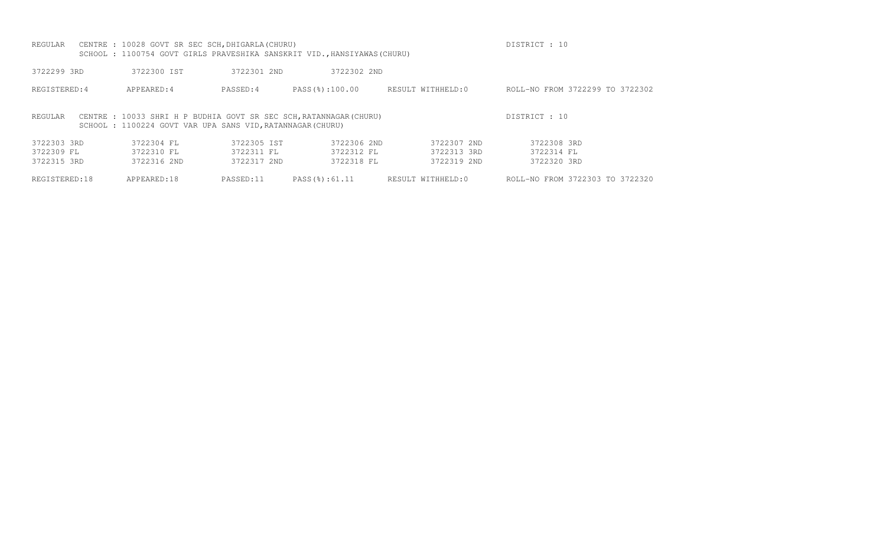| REGULAR                   | CENTRE : 10028 GOVT SR SEC SCH, DHIGARLA (CHURU)<br>SCHOOL: 1100754 GOVT GIRLS PRAVESHIKA SANSKRIT VID., HANSIYAWAS (CHURU) |                                                                                                                                 |                           |                          |                            | DISTRICT : 10                   |
|---------------------------|-----------------------------------------------------------------------------------------------------------------------------|---------------------------------------------------------------------------------------------------------------------------------|---------------------------|--------------------------|----------------------------|---------------------------------|
| 3722299 3RD               |                                                                                                                             | 3722300 IST                                                                                                                     | 3722301 2ND               | 3722302 2ND              |                            |                                 |
| REGISTERED: 4             |                                                                                                                             | APPEARED: 4                                                                                                                     | PASSED: 4                 | PASS(%):100.00           | RESULT WITHHELD:0          | ROLL-NO FROM 3722299 TO 3722302 |
| REGULAR                   |                                                                                                                             | CENTRE : 10033 SHRI H P BUDHIA GOVT SR SEC SCH, RATANNAGAR (CHURU)<br>SCHOOL: 1100224 GOVT VAR UPA SANS VID, RATANNAGAR (CHURU) |                           |                          |                            | DISTRICT : 10                   |
| 3722303 3RD               |                                                                                                                             | 3722304 FL                                                                                                                      | 3722305 TST               | 3722306 2ND              | 3722307 2ND                | 3722308 3RD                     |
| 3722309 FL<br>3722315 3RD |                                                                                                                             | 3722310 FL<br>3722316 2ND                                                                                                       | 3722311 FL<br>3722317 2ND | 3722312 FL<br>3722318 FL | 3722313 3RD<br>3722319 2ND | 3722314 FL<br>3722320 3RD       |
| REGISTERED:18             |                                                                                                                             | APPEARED:18                                                                                                                     | PASSED:11                 | PASS(%):61.11            | RESULT WITHHELD:0          | ROLL-NO FROM 3722303 TO 3722320 |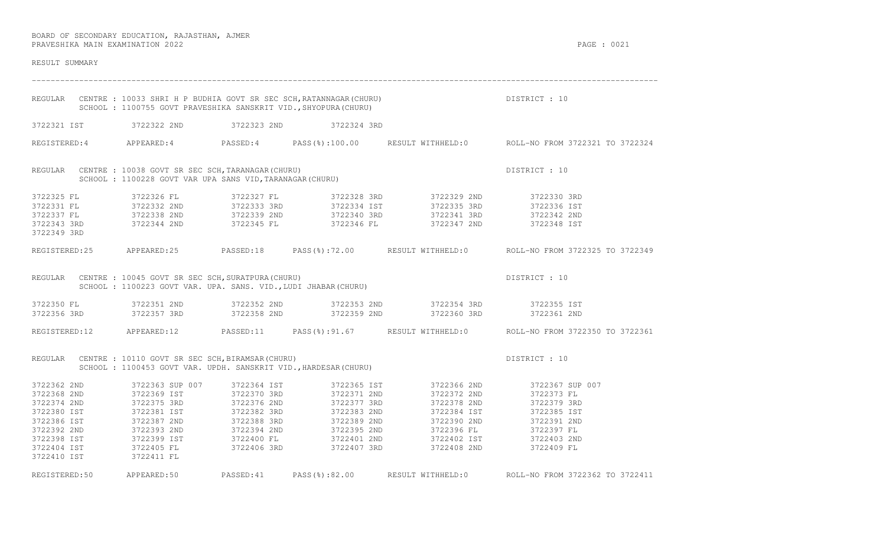| RESULT SUMMARY |                                                           |           |               |                                                                                                                                                                                                                                                                                                                                          |                                                                                                                                                                                                                                                                                                                                             |
|----------------|-----------------------------------------------------------|-----------|---------------|------------------------------------------------------------------------------------------------------------------------------------------------------------------------------------------------------------------------------------------------------------------------------------------------------------------------------------------|---------------------------------------------------------------------------------------------------------------------------------------------------------------------------------------------------------------------------------------------------------------------------------------------------------------------------------------------|
|                |                                                           |           |               | REGULAR CENTRE : 10033 SHRI H P BUDHIA GOVT SR SEC SCH, RATANNAGAR(CHURU)<br>SCHOOL : 1100755 GOVT PRAVESHIKA SANSKRIT VID., SHYOPURA(CHURU)                                                                                                                                                                                             |                                                                                                                                                                                                                                                                                                                                             |
|                | 3722321 IST 3722322 2ND 3722323 2ND 3722324 3RD           |           |               |                                                                                                                                                                                                                                                                                                                                          |                                                                                                                                                                                                                                                                                                                                             |
|                |                                                           |           |               |                                                                                                                                                                                                                                                                                                                                          | REGISTERED:4 APPEARED:4 PASSED:4 PASS(%):100.00 RESULT WITHHELD:0 ROLL-NO FROM 3722321 TO 3722324                                                                                                                                                                                                                                           |
|                | REGULAR CENTRE : 10038 GOVT SR SEC SCH, TARANAGAR (CHURU) |           |               |                                                                                                                                                                                                                                                                                                                                          | DISTRICT : 10                                                                                                                                                                                                                                                                                                                               |
| 3722349 3RD    |                                                           |           |               | $\begin{array}{cccccccc} 3722325 & \text{FL} & 3722326 & \text{FL} & 3722332 & \text{FL} & 3722332 & \text{3RD} & 3722332 & \text{2ND} & 3722330 & \text{3RD} & 3722331 & \text{FL} & 3722332 & \text{2ND} & 3722333 & \text{3RD} & 3722334 & \text{1ST} & 3722335 & \text{3RD} & 3722336 & \text{1ST} & 3722342 & \text{2ND} & 3722344$ |                                                                                                                                                                                                                                                                                                                                             |
|                |                                                           |           |               |                                                                                                                                                                                                                                                                                                                                          | REGISTERED:25 APPEARED:25 PASSED:18 PASS(%):72.00 RESULT WITHHELD:0 ROLL-NO FROM 3722325 TO 3722349                                                                                                                                                                                                                                         |
|                | REGULAR CENTRE : 10045 GOVT SR SEC SCH, SURATPURA (CHURU) |           |               | CENTRE : 10045 GOVT SR SEC SCH, SURATPURA (CHURU)<br>SCHOOL : 1100223 GOVT VAR. UPA. SANS. VID., LUDI JHABAR (CHURU)                                                                                                                                                                                                                     | DISTRICT : 10                                                                                                                                                                                                                                                                                                                               |
|                |                                                           |           |               | $\begin{array}{cccccccc} 3722350 & \text{FL} & & 3722351 & 2\text{ND} & & 3722352 & 2\text{ND} & & 3722353 & 2\text{ND} & & 3722354 & 3\text{RD} & & 3722355 & \text{IST} \\ 3722356 & 3\text{RD} & & 3722357 & 3\text{RD} & & 3722358 & 2\text{ND} & & 3722359 & 2\text{ND} & & 3722360 & 3\text{RD} & & 3722361 & 2\text{ND} & & &$    |                                                                                                                                                                                                                                                                                                                                             |
|                |                                                           |           |               |                                                                                                                                                                                                                                                                                                                                          | REGISTERED:12 APPEARED:12 PASSED:11 PASS(%):91.67 RESULT WITHHELD:0 ROLL-NO FROM 3722350 TO 3722361                                                                                                                                                                                                                                         |
|                | REGULAR CENTRE : 10110 GOVT SR SEC SCH, BIRAMSAR (CHURU)  |           |               | CENTRE : 10110 GOVT SR SEC SCH, BIRAMSAR(CHURU)<br>SCHOOL : 1100453 GOVT VAR. UPDH. SANSKRIT VID., HARDESAR(CHURU)                                                                                                                                                                                                                       | DISTRICT : 10                                                                                                                                                                                                                                                                                                                               |
| 3722410 IST    | 3722411 FL                                                |           |               |                                                                                                                                                                                                                                                                                                                                          | $\begin{array}{cccccc} 3722362 & 2\text{ND} & 3722363 & \text{SUP} & 3722364 & \text{IST} & 3722365 & \text{IST} & 3722366 & \text{2ND} & 3722367 & \text{SUP} & 007 \\ 3722368 & 2\text{ND} & 3722369 & \text{IST} & 3722370 & \text{3RD} & 3722371 & \text{2ND} & 3722372 & \text{2ND} & 3722373 & \text{FL} \\ 3722374 & 2\text{ND} & 3$ |
| REGISTERED:50  | APPEARED:50                                               | PASSED:41 | PASS(%):82.00 | RESULT WITHHELD:0                                                                                                                                                                                                                                                                                                                        | ROLL-NO FROM 3722362 TO 3722411                                                                                                                                                                                                                                                                                                             |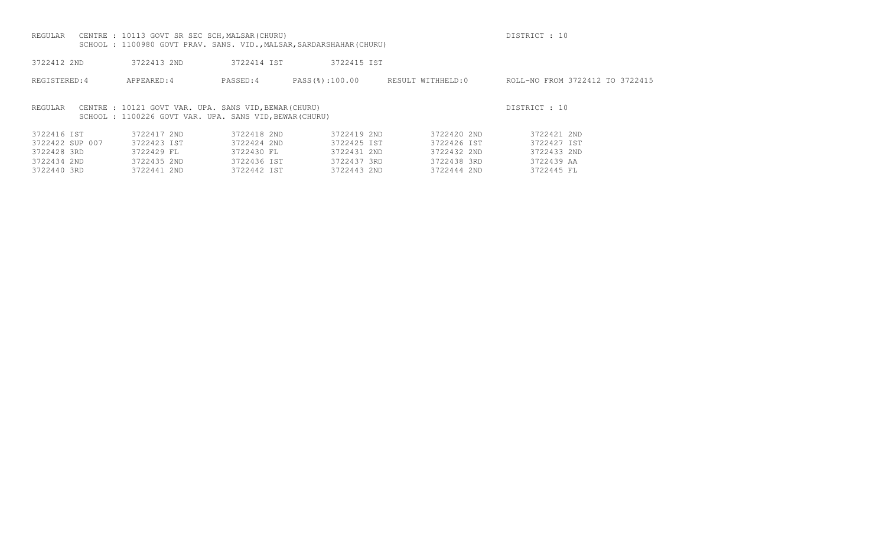| REGULAR         | CENTRE : 10113 GOVT SR SEC SCH, MALSAR (CHURU)<br>SCHOOL: 1100980 GOVT PRAV. SANS. VID., MALSAR, SARDARSHAHAR (CHURU) |             |                |                   | DISTRICT : 10                   |
|-----------------|-----------------------------------------------------------------------------------------------------------------------|-------------|----------------|-------------------|---------------------------------|
| 3722412 2ND     | 3722413 2ND                                                                                                           | 3722414 IST | 3722415 IST    |                   |                                 |
| REGISTERED: 4   | APPEARED: 4                                                                                                           | PASSED:4    | PASS(%):100.00 | RESULT WITHHELD:0 | ROLL-NO FROM 3722412 TO 3722415 |
| REGULAR         | CENTRE : 10121 GOVT VAR. UPA. SANS VID, BEWAR (CHURU)<br>SCHOOL: 1100226 GOVT VAR. UPA. SANS VID, BEWAR (CHURU)       |             |                |                   | DISTRICT : 10                   |
| 3722416 TST     | 3722417 2ND                                                                                                           | 3722418 2ND | 3722419 2ND    | 3722420 2ND       | 3722421 2ND                     |
| 3722422 SUP 007 | 3722423 TST                                                                                                           | 3722424 2ND | 3722425 TST    | 3722426 TST       | 3722427 TST                     |
| 3722428 3RD     | 3722429 FL                                                                                                            | 3722430 FL  | 3722431 2ND    | 3722432 2ND       | 3722433 2ND                     |
| 3722434 2ND     | 3722435 2ND                                                                                                           | 3722436 IST | 3722437 3RD    | 3722438 3RD       | 3722439 AA                      |
| 3722440 3RD     | 3722441 2ND                                                                                                           | 3722442 TST | 3722443 2ND    | 3722444 2ND       | 3722445 FL                      |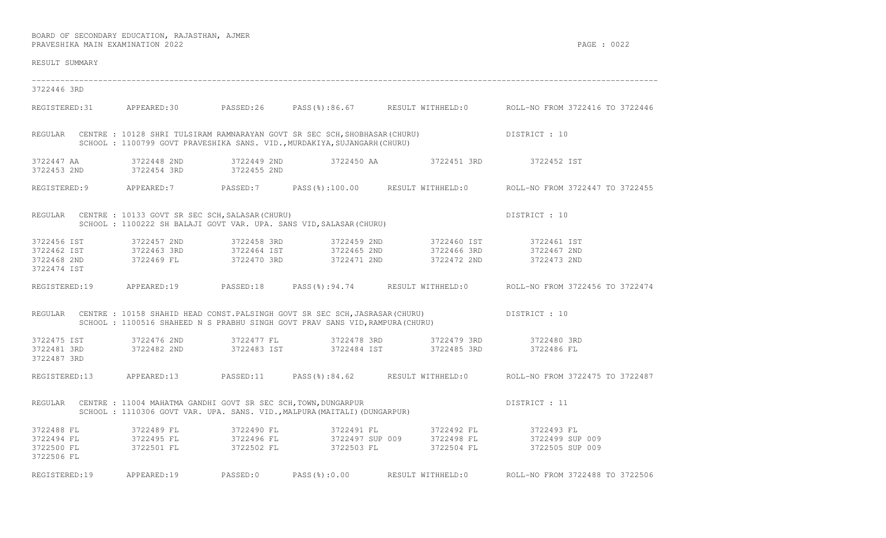| RESULT SUMMARY |                                                                                                                                                     |          |              |                                                                                                                                                                                                                                                                                                                                                                                                                                 |                                                                                                                                                                                                                                                                                                                                                        |
|----------------|-----------------------------------------------------------------------------------------------------------------------------------------------------|----------|--------------|---------------------------------------------------------------------------------------------------------------------------------------------------------------------------------------------------------------------------------------------------------------------------------------------------------------------------------------------------------------------------------------------------------------------------------|--------------------------------------------------------------------------------------------------------------------------------------------------------------------------------------------------------------------------------------------------------------------------------------------------------------------------------------------------------|
| 3722446 3RD    |                                                                                                                                                     |          |              |                                                                                                                                                                                                                                                                                                                                                                                                                                 |                                                                                                                                                                                                                                                                                                                                                        |
|                |                                                                                                                                                     |          |              |                                                                                                                                                                                                                                                                                                                                                                                                                                 | REGISTERED:31 APPEARED:30 PASSED:26 PASS(%):86.67 RESULT WITHHELD:0 ROLL-NO FROM 3722416 TO 3722446                                                                                                                                                                                                                                                    |
|                | SCHOOL: 1100799 GOVT PRAVESHIKA SANS. VID., MURDAKIYA, SUJANGARH (CHURU)                                                                            |          |              | REGULAR CENTRE : 10128 SHRI TULSIRAM RAMNARAYAN GOVT SR SEC SCH, SHOBHASAR (CHURU) DISTRICT : 10                                                                                                                                                                                                                                                                                                                                |                                                                                                                                                                                                                                                                                                                                                        |
|                | 3722453 2ND 3722454 3RD 3722455 2ND                                                                                                                 |          |              | 3722447 AA 3722448 2ND 3722449 2ND 3722450 AA 3722451 3RD 3722452 IST                                                                                                                                                                                                                                                                                                                                                           |                                                                                                                                                                                                                                                                                                                                                        |
|                |                                                                                                                                                     |          |              |                                                                                                                                                                                                                                                                                                                                                                                                                                 | REGISTERED: 9 APPEARED: 7 PASSED: 7 PASS(%):100.00 RESULT WITHHELD: 0 ROLL-NO FROM 3722447 TO 3722455                                                                                                                                                                                                                                                  |
|                | REGULAR CENTRE : 10133 GOVT SR SEC SCH, SALASAR (CHURU)                                                                                             |          |              | UENIKE : 10133 GOVT SR SEC SCH, SALASAR(CHURU)<br>SCHOOL : 1100222 SH BALAJI GOVT VAR. UPA. SANS VID, SALASAR(CHURU)<br>--                                                                                                                                                                                                                                                                                                      | DISTRICT : 10                                                                                                                                                                                                                                                                                                                                          |
| 3722474 IST    |                                                                                                                                                     |          |              | 3722456 IST       3722457 2ND       3722458 3RD       3722459 2ND      3722460 IST       3722461 IST<br>$\begin{array}{cccccccc} 3722462 & \text{IST} & 3722463 & \text{3RD} & 3722464 & \text{IST} & 3722465 & \text{2ND} & 3722466 & \text{3RD} & 3722467 & \text{2ND} \\ 3722468 & \text{2ND} & 3722469 & \text{FL} & 3722470 & \text{3RD} & 3722471 & \text{2ND} & 3722472 & \text{2ND} & 3722473 & \text{2ND} \end{array}$ |                                                                                                                                                                                                                                                                                                                                                        |
|                |                                                                                                                                                     |          |              |                                                                                                                                                                                                                                                                                                                                                                                                                                 | REGISTERED:19 APPEARED:19 PASSED:18 PASS(%):94.74 RESULT WITHHELD:0 ROLL-NO FROM 3722456 TO 3722474                                                                                                                                                                                                                                                    |
|                | SCHOOL : 1100516 SHAHEED N S PRABHU SINGH GOVT PRAV SANS VID, RAMPURA (CHURU)                                                                       |          |              | REGULAR CENTRE : 10158 SHAHID HEAD CONST. PALSINGH GOVT SR SEC SCH, JASRASAR (CHURU) DISTRICT : 10                                                                                                                                                                                                                                                                                                                              |                                                                                                                                                                                                                                                                                                                                                        |
| 3722487 3RD    |                                                                                                                                                     |          |              | $\begin{array}{cccccccc} 3722475 & \text{IST} & 3722476 & \text{2ND} & 3722477 & \text{FL} & 3722478 & \text{3RD} & 3722479 & \text{3RD} & 3722480 & \text{3RD} \\ 3722481 & 3RD & 3722482 & 2ND & 3722483 & \text{IST} & 3722484 & \text{IST} & 3722485 & \text{3RD} & 3722486 & \text{FL} \\ \end{array}$                                                                                                                     |                                                                                                                                                                                                                                                                                                                                                        |
|                |                                                                                                                                                     |          |              |                                                                                                                                                                                                                                                                                                                                                                                                                                 | REGISTERED:13 APPEARED:13 PASSED:11 PASS(%):84.62 RESULT WITHHELD:0 ROLL-NO FROM 3722475 TO 3722487                                                                                                                                                                                                                                                    |
|                | REGULAR CENTRE : 11004 MAHATMA GANDHI GOVT SR SEC SCH, TOWN, DUNGARPUR<br>SCHOOL : 1110306 GOVT VAR. UPA. SANS. VID., MALPURA (MAITALI) (DUNGARPUR) |          |              |                                                                                                                                                                                                                                                                                                                                                                                                                                 | DISTRICT : 11                                                                                                                                                                                                                                                                                                                                          |
| 3722506 FL     |                                                                                                                                                     |          |              |                                                                                                                                                                                                                                                                                                                                                                                                                                 | $\begin{array}{cccccccc} 3722488 \text{ FL} & 3722489 \text{ FL} & 3722490 \text{ FL} & 3722491 \text{ FL} & 3722492 \text{ FL} & 3722493 \text{ FL} & 3722493 \text{ FL} & 3722499 \text{ SC} & 3722499 \text{ SC} & 3722499 \text{ SC} & 3722499 \text{ SC} & 3722499 \text{ SC} & 3722499 \text{ SC} & 3722499 \text{ SC} & 3722500 \text{ FL} & 3$ |
| REGISTERED:19  | APPEARED:19                                                                                                                                         | PASSED:0 | PASS(%):0.00 | RESULT WITHHELD: 0                                                                                                                                                                                                                                                                                                                                                                                                              | ROLL-NO FROM 3722488 TO 3722506                                                                                                                                                                                                                                                                                                                        |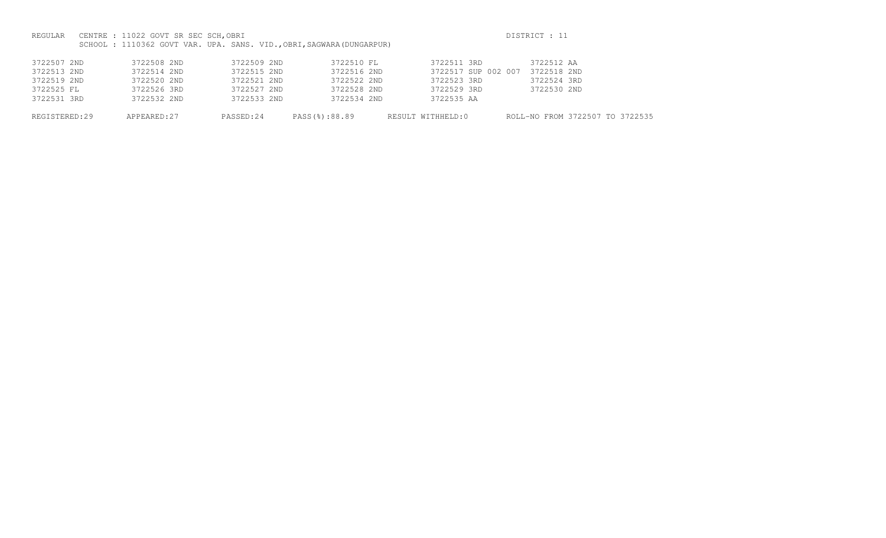| REGULAR        | CENTRE : 11022 GOVT SR SEC SCH, OBRI |                                                                      |               |                     | DISTRICT : 11 |                                 |
|----------------|--------------------------------------|----------------------------------------------------------------------|---------------|---------------------|---------------|---------------------------------|
|                |                                      | SCHOOL: 1110362 GOVT VAR. UPA. SANS. VID., OBRI, SAGWARA (DUNGARPUR) |               |                     |               |                                 |
| 3722507 2ND    | 3722508 2ND                          | 3722509 2ND                                                          | 3722510 FL    | 3722511 3RD         | 3722512 AA    |                                 |
| 3722513 2ND    | 3722514 2ND                          | 3722515 2ND                                                          | 3722516 2ND   | 3722517 SUP 002 007 | 3722518 2ND   |                                 |
| 3722519 2ND    | 3722520 2ND                          | 3722521 2ND                                                          | 3722522 2ND   | 3722523 3RD         | 3722524 3RD   |                                 |
| 3722525 FL     | 3722526 3RD                          | 3722527 2ND                                                          | 3722528 2ND   | 3722529 3RD         | 3722530 2ND   |                                 |
| 3722531 3RD    | 3722532 2ND                          | 3722533 2ND                                                          | 3722534 2ND   | 3722535 AA          |               |                                 |
| REGISTERED: 29 | APPEARED: 27                         | PASSED:24                                                            | PASS(%):88.89 | RESULT WITHHELD:0   |               | ROLL-NO FROM 3722507 TO 3722535 |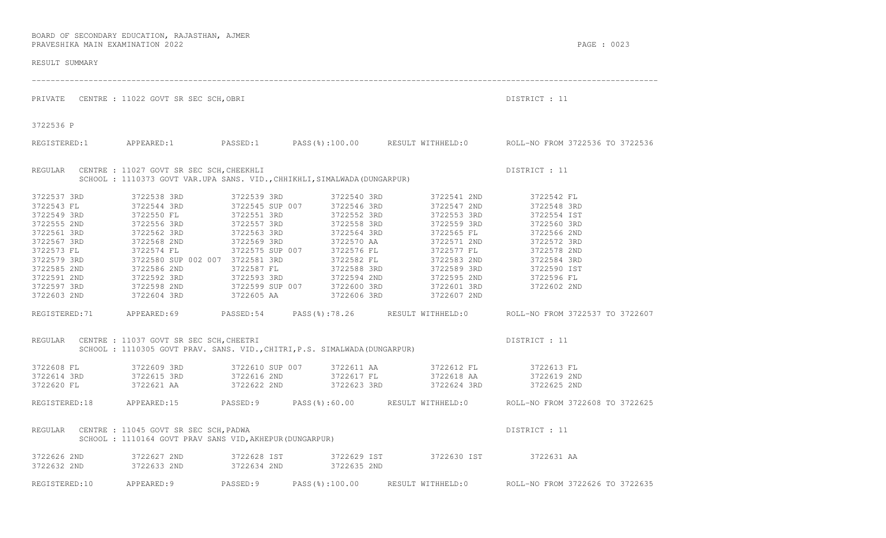| RESULT SUMMARY             |                                                                                                                                                                                                                                         |                            |                         |                                                |                                                                                                     |
|----------------------------|-----------------------------------------------------------------------------------------------------------------------------------------------------------------------------------------------------------------------------------------|----------------------------|-------------------------|------------------------------------------------|-----------------------------------------------------------------------------------------------------|
|                            | PRIVATE CENTRE : 11022 GOVT SR SEC SCH, OBRI                                                                                                                                                                                            |                            |                         |                                                | DISTRICT : 11                                                                                       |
| 3722536 P                  |                                                                                                                                                                                                                                         |                            |                         |                                                |                                                                                                     |
|                            |                                                                                                                                                                                                                                         |                            |                         |                                                | REGISTERED:1 APPEARED:1 PASSED:1 PASS(%):100.00 RESULT WITHHELD:0 ROLL-NO FROM 3722536 TO 3722536   |
|                            | REGULAR CENTRE : 11027 GOVT SR SEC SCH, CHEEKHLI<br>SCHOOL : 1110373 GOVT VAR.UPA SANS. VID., CHHIKHLI, SIMALWADA (DUNGARPUR)                                                                                                           |                            |                         |                                                | DISTRICT : 11                                                                                       |
| 3722537 3RD                | 3722538 3RD                                                                                                                                                                                                                             | 3722539 3RD                | 3722540 3RD             | 3722541 2ND                                    | 3722542 FL                                                                                          |
| 3722543 FL                 | 3722544 3RD                                                                                                                                                                                                                             | 3722545 SUP 007            | 3722546 3RD             | 3722547 2ND                                    | 3722548 3RD                                                                                         |
| 3722549 3RD                | 3722550 FL                                                                                                                                                                                                                              |                            | 3722552 3RD             | 3722553 3RD                                    | 3722554 IST                                                                                         |
| 3722555 2ND                | 3722556 3RD                                                                                                                                                                                                                             | 3722551 3RD<br>3722557 3RD | 3722558 3RD             | 3722559 3RD                                    | 3722560 3RD                                                                                         |
| 3722561 3RD                | 3722563<br>3722563<br>3722568 3RD 3722563 3RD 3722564 3RD 3722565 FL 3722566 2ND<br>3722574 FL 3722575 SUP 007 3722576 FL 3722577 FL 3722578 2ND<br>3722574 FL 3722575 SUP 007 3722576 FL 3722577 FL 3722578 2ND<br>3722588 SUP 002 007 |                            |                         |                                                |                                                                                                     |
| 3722567 3RD                |                                                                                                                                                                                                                                         |                            |                         |                                                |                                                                                                     |
| 3722573 FL                 |                                                                                                                                                                                                                                         |                            |                         |                                                |                                                                                                     |
| 3722579 3RD                |                                                                                                                                                                                                                                         |                            |                         |                                                |                                                                                                     |
| 3722585 2ND                |                                                                                                                                                                                                                                         |                            |                         |                                                |                                                                                                     |
| 3722591 2ND                |                                                                                                                                                                                                                                         |                            |                         |                                                |                                                                                                     |
| 3722597 3RD                |                                                                                                                                                                                                                                         |                            |                         |                                                |                                                                                                     |
| 3722603 2ND                | 3722604 3RD 3722605 AA                                                                                                                                                                                                                  |                            | 3722606 3RD             | 3722607 2ND                                    |                                                                                                     |
|                            |                                                                                                                                                                                                                                         |                            |                         |                                                | REGISTERED:71 APPEARED:69 PASSED:54 PASS(%):78.26 RESULT WITHHELD:0 ROLL-NO FROM 3722537 TO 3722607 |
|                            | REGULAR CENTRE : 11037 GOVT SR SEC SCH, CHEETRI<br>SCHOOL: 1110305 GOVT PRAV. SANS. VID., CHITRI, P.S. SIMALWADA (DUNGARPUR)                                                                                                            |                            |                         |                                                | DISTRICT : 11                                                                                       |
| 3722608 FL                 | 3722609 3RD   3722610 SUP 007   3722611 AA   3722612 FL   3722613 FL                                                                                                                                                                    |                            |                         |                                                |                                                                                                     |
| 3722614 3RD                | 3722615 3RD 3722616 2ND 3722617 FL 3722618 AA 3722619 2ND                                                                                                                                                                               |                            |                         |                                                |                                                                                                     |
| 3722620 FL                 | 3722621 AA                                                                                                                                                                                                                              |                            |                         | 3722622 2ND 3722623 3RD 3722624 3RD            | 3722625 2ND                                                                                         |
|                            |                                                                                                                                                                                                                                         |                            |                         |                                                | REGISTERED:18 APPEARED:15 PASSED:9 PASS(%):60.00 RESULT WITHHELD:0 ROLL-NO FROM 3722608 TO 3722625  |
|                            | REGULAR CENTRE : 11045 GOVT SR SEC SCH, PADWA<br>SCHOOL : 1110164 GOVT PRAV SANS VID, AKHEPUR (DUNGARPUR)                                                                                                                               |                            |                         |                                                | DISTRICT : 11                                                                                       |
| 3722626 2ND<br>3722632 2ND | 3722627 2ND<br>3722633 2ND                                                                                                                                                                                                              |                            | 3722634 2ND 3722635 2ND | 3722628 IST 3722629 IST 3722630 IST 3722631 AA |                                                                                                     |
| REGISTERED:10              | APPEARED: 9                                                                                                                                                                                                                             | PASSED:9                   | PASS(%):100.00          | RESULT WITHHELD:0                              | ROLL-NO FROM 3722626 TO 3722635                                                                     |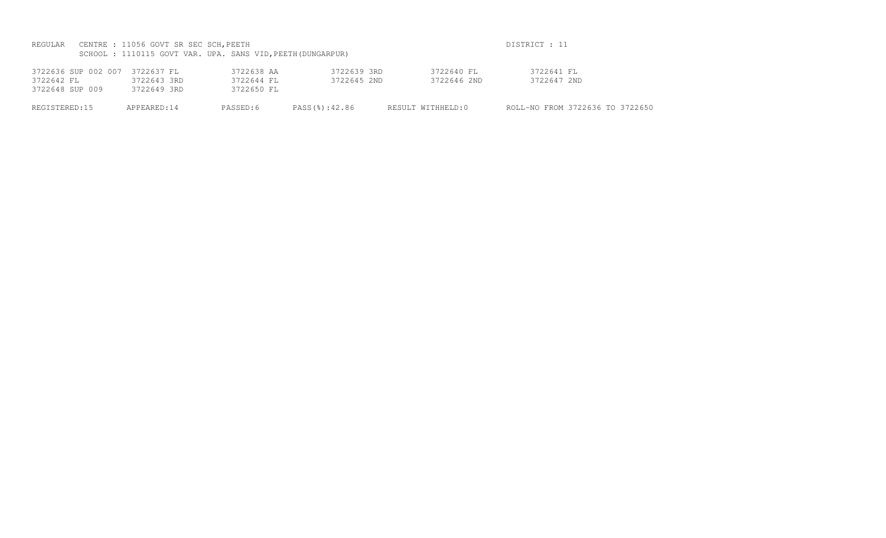| REGULAR             | CENTRE : 11056 GOVT SR SEC SCH, PEETH                      | DISTRICT : 11 |               |                   |                                 |  |
|---------------------|------------------------------------------------------------|---------------|---------------|-------------------|---------------------------------|--|
|                     | SCHOOL: 1110115 GOVT VAR. UPA. SANS VID, PEETH (DUNGARPUR) |               |               |                   |                                 |  |
| 3722636 SUP 002 007 | 3722637 FL                                                 | 3722638 AA    | 3722639 3RD   | 3722640 FL        | 3722641 FL                      |  |
| 3722642 FL          | 3722643 3RD                                                | 3722644 FL    | 3722645 2ND   | 3722646 2ND       | 3722647 2ND                     |  |
| 3722648 SUP 009     | 3722649 3RD                                                | 3722650 FL    |               |                   |                                 |  |
| REGISTERED:15       | APPEARED:14                                                | PASSED:6      | PASS(%):42.86 | RESULT WITHHELD:0 | ROLL-NO FROM 3722636 TO 3722650 |  |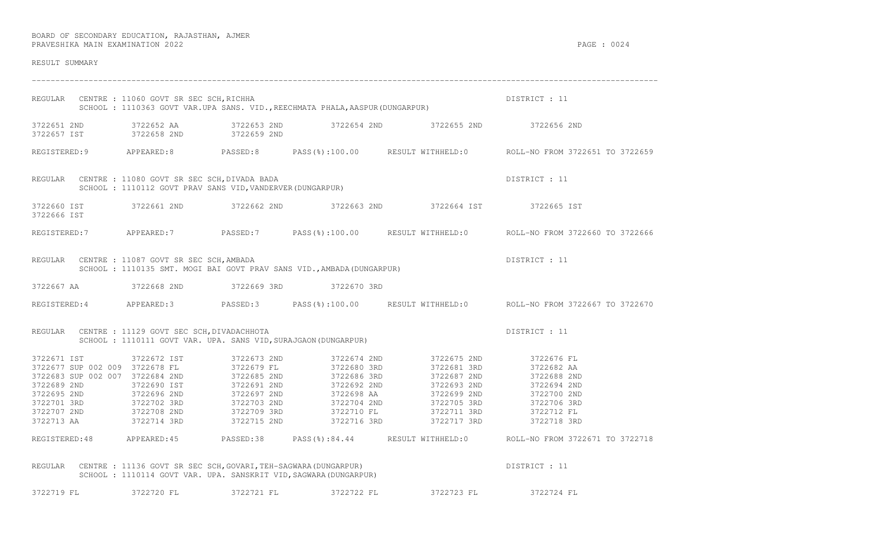| RESULT SUMMARY |                                                     |                                                                                                                 |                                                                                                                                                                                                                                                                                                                                             |                                                                                                     |
|----------------|-----------------------------------------------------|-----------------------------------------------------------------------------------------------------------------|---------------------------------------------------------------------------------------------------------------------------------------------------------------------------------------------------------------------------------------------------------------------------------------------------------------------------------------------|-----------------------------------------------------------------------------------------------------|
|                | REGULAR CENTRE : 11060 GOVT SR SEC SCH, RICHHA      | SCHOOL: 1110363 GOVT VAR.UPA SANS. VID., REECHMATA PHALA, AASPUR (DUNGARPUR)                                    |                                                                                                                                                                                                                                                                                                                                             | DISTRICT : 11                                                                                       |
|                | 3722657 IST 3722658 2ND 3722659 2ND                 |                                                                                                                 | 3722651 2ND 3722652 AA 3722653 2ND 3722654 2ND 3722655 2ND 3722656 2ND                                                                                                                                                                                                                                                                      |                                                                                                     |
|                |                                                     |                                                                                                                 |                                                                                                                                                                                                                                                                                                                                             | REGISTERED:9 APPEARED:8 PASSED:8 PASS(%):100.00 RESULT WITHHELD:0 ROLL-NO FROM 3722651 TO 3722659   |
|                | REGULAR CENTRE : 11080 GOVT SR SEC SCH, DIVADA BADA | SCHOOL : 1110112 GOVT PRAV SANS VID, VANDERVER (DUNGARPUR)                                                      |                                                                                                                                                                                                                                                                                                                                             | DISTRICT : 11                                                                                       |
| 3722666 IST    |                                                     |                                                                                                                 | 3722660 IST 3722661 2ND 3722662 2ND 3722663 2ND 3722664 IST 3722665 IST                                                                                                                                                                                                                                                                     |                                                                                                     |
|                |                                                     |                                                                                                                 |                                                                                                                                                                                                                                                                                                                                             | REGISTERED:7 APPEARED:7 PASSED:7 PASS(%):100.00 RESULT WITHHELD:0 ROLL-NO FROM 3722660 TO 3722666   |
|                | REGULAR CENTRE : 11087 GOVT SR SEC SCH, AMBADA      | CENTRE : 11087 GOVT SR SEC SCH, AMBADA<br>SCHOOL : 1110135 SMT. MOGI BAI GOVT PRAV SANS VID., AMBADA(DUNGARPUR) |                                                                                                                                                                                                                                                                                                                                             | DISTRICT : 11                                                                                       |
|                |                                                     |                                                                                                                 |                                                                                                                                                                                                                                                                                                                                             |                                                                                                     |
|                |                                                     |                                                                                                                 |                                                                                                                                                                                                                                                                                                                                             | REGISTERED:4 APPEARED:3 PASSED:3 PASS(%):100.00 RESULT WITHHELD:0 ROLL-NO FROM 3722667 TO 3722670   |
|                | REGULAR CENTRE : 11129 GOVT SEC SCH, DIVADACHHOTA   | SCHOOL : 1110111 GOVT VAR. UPA. SANS VID, SURAJGAON (DUNGARPUR)                                                 |                                                                                                                                                                                                                                                                                                                                             | DISTRICT : 11                                                                                       |
|                |                                                     |                                                                                                                 | $\begin{array}{cccccccc} 3722671 & \text{IST} & 3722672 & \text{IST} & 3722673 & \text{2ND} & 3722674 & \text{2ND} & 3722675 & \text{2ND} & 3722676 & \text{FL} \\ 3722677 & \text{SUP} & 002 & 009 & 3722678 & \text{FL} & 3722680 & \text{3RD} & 3722681 & \text{3RD} & 3722682 & \text{AA} \\ 3722683 & \text{SUP} & 002 & 007 & 372268$ |                                                                                                     |
|                |                                                     |                                                                                                                 |                                                                                                                                                                                                                                                                                                                                             | REGISTERED:48 APPEARED:45 PASSED:38 PASS(%):84.44 RESULT WITHHELD:0 ROLL-NO FROM 3722671 TO 3722718 |
|                |                                                     | SCHOOL : 1110114 GOVT VAR. UPA. SANSKRIT VID, SAGWARA (DUNGARPUR)                                               | REGULAR CENTRE : 11136 GOVT SR SEC SCH, GOVARI, TEH-SAGWARA (DUNGARPUR)                                                                                                                                                                                                                                                                     | DISTRICT : 11                                                                                       |
| 3722719 FL     | 3722720 FL 3722721 FL                               |                                                                                                                 | 3722722 FL 3722723 FL 3722724 FL                                                                                                                                                                                                                                                                                                            |                                                                                                     |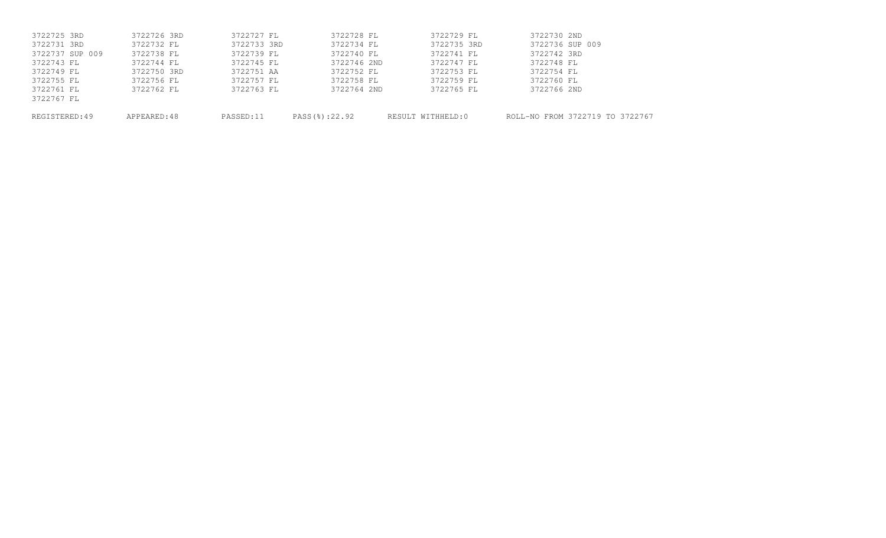| 3722725 3RD     | 3722726 3RD  | 3722727 FL  | 3722728 FL    | 3722729 FL        | 3722730 2ND                     |
|-----------------|--------------|-------------|---------------|-------------------|---------------------------------|
| 3722731 3RD     | 3722732 FL   | 3722733 3RD | 3722734 FL    | 3722735 3RD       | 3722736 SUP 009                 |
| 3722737 SUP 009 | 3722738 FL   | 3722739 FL  | 3722740 FL    | 3722741 FL        | 3722742 3RD                     |
| 3722743 FL      | 3722744 FL   | 3722745 FL  | 3722746 2ND   | 3722747 FL        | 3722748 FL                      |
| 3722749 FL      | 3722750 3RD  | 3722751 AA  | 3722752 FL    | 3722753 FL        | 3722754 FL                      |
| 3722755 FL      | 3722756 FL   | 3722757 FL  | 3722758 FL    | 3722759 FL        | 3722760 FL                      |
| 3722761 FL      | 3722762 FL   | 3722763 FL  | 3722764 2ND   | 3722765 FL        | 3722766 2ND                     |
| 3722767 FL      |              |             |               |                   |                                 |
| REGISTERED:49   | APPEARED: 48 | PASSED:11   | PASS(%):22.92 | RESULT WITHHELD:0 | ROLL-NO FROM 3722719 TO 3722767 |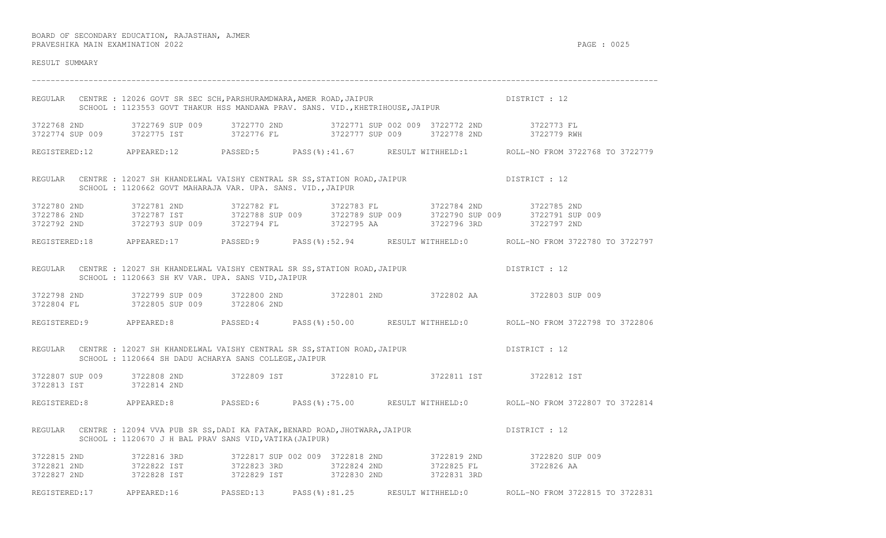| RESULT SUMMARY |                                                             |  |                                                                                                                                                                                                                                                                                                                                            |                                                                                                       |
|----------------|-------------------------------------------------------------|--|--------------------------------------------------------------------------------------------------------------------------------------------------------------------------------------------------------------------------------------------------------------------------------------------------------------------------------------------|-------------------------------------------------------------------------------------------------------|
|                |                                                             |  | REGULAR CENTRE : 12026 GOVT SR SEC SCH, PARSHURAMDWARA, AMER ROAD, JAIPUR<br>SCHOOL : 1123553 GOVT THAKUR HSS MANDAWA PRAV. SANS. VID., KHETRIHOUSE, JAIPUR                                                                                                                                                                                |                                                                                                       |
|                |                                                             |  | $\begin{array}{cccccccc} 3722768 & 2\texttt{ND} & 3722769 & \texttt{SUP} & 3722770 & 2\texttt{ND} & 3722771 & \texttt{SUP} & 002 & 009 & 3722772 & 2\texttt{ND} & 3722773 & \texttt{FL} \\ 3722774 & \texttt{SUP} & 009 & 3722775 & 1ST & 3722776 & \texttt{FL} & 3722777 & \texttt{SUP} & 009 & 3722778 & 2\texttt{ND} & 3722779 & \text$ |                                                                                                       |
|                |                                                             |  |                                                                                                                                                                                                                                                                                                                                            | REGISTERED:12 APPEARED:12 PASSED:5 PASS(%):41.67 RESULT WITHHELD:1 ROLL-NO FROM 3722768 TO 3722779    |
|                | SCHOOL : 1120662 GOVT MAHARAJA VAR. UPA. SANS. VID., JAIPUR |  | REGULAR CENTRE : 12027 SH KHANDELWAL VAISHY CENTRAL SR SS, STATION ROAD, JAIPUR THE STATE OF STATE TO LET THE                                                                                                                                                                                                                              |                                                                                                       |
|                |                                                             |  |                                                                                                                                                                                                                                                                                                                                            |                                                                                                       |
|                |                                                             |  |                                                                                                                                                                                                                                                                                                                                            | REGISTERED:18 APPEARED:17 PASSED:9 PASS(%):52.94 RESULT WITHHELD:0 ROLL-NO FROM 3722780 TO 3722797    |
|                | SCHOOL : 1120663 SH KV VAR. UPA. SANS VID, JAIPUR           |  | REGULAR CENTRE : 12027 SH KHANDELWAL VAISHY CENTRAL SR SS, STATION ROAD, JAIPUR THE STATION DISTRICT : 12                                                                                                                                                                                                                                  |                                                                                                       |
|                |                                                             |  | 3722798 2ND                3722799 SUP 009        3722800 2ND            3722801 2ND                3722802 AA                3722803 SUP 009        3722803 SUP 009        3722803 SUP 009        3722803 SUP 009        372                                                                                                              |                                                                                                       |
|                |                                                             |  |                                                                                                                                                                                                                                                                                                                                            | REGISTERED: 9 APPEARED: 8 PASSED: 4 PASS(%): 50.00 RESULT WITHHELD: 0 ROLL-NO FROM 3722798 TO 3722806 |
|                | SCHOOL : 1120664 SH DADU ACHARYA SANS COLLEGE, JAIPUR       |  | REGULAR CENTRE : 12027 SH KHANDELWAL VAISHY CENTRAL SR SS, STATION ROAD, JAIPUR THE STATION DISTRICT : 12                                                                                                                                                                                                                                  |                                                                                                       |
|                |                                                             |  | 3722807 SUP 009 3722808 2ND 3722809 IST 3722810 FL 3722811 IST 3722812 IST 3722812 IST                                                                                                                                                                                                                                                     |                                                                                                       |
|                |                                                             |  |                                                                                                                                                                                                                                                                                                                                            | REGISTERED:8 APPEARED:8 PASSED:6 PASS(%):75.00 RESULT WITHHELD:0 ROLL-NO FROM 3722807 TO 3722814      |
|                | SCHOOL : 1120670 J H BAL PRAV SANS VID, VATIKA (JAIPUR)     |  | REGULAR CENTRE : 12094 VVA PUB SR SS, DADI KA FATAK, BENARD ROAD, JHOTWARA, JAIPUR THE STRIT STATE READING THE                                                                                                                                                                                                                             |                                                                                                       |
|                |                                                             |  |                                                                                                                                                                                                                                                                                                                                            |                                                                                                       |
| REGISTERED:17  | APPEARED:16                                                 |  | PASSED:13 PASS(%):81.25 RESULT WITHHELD:0                                                                                                                                                                                                                                                                                                  | ROLL-NO FROM 3722815 TO 3722831                                                                       |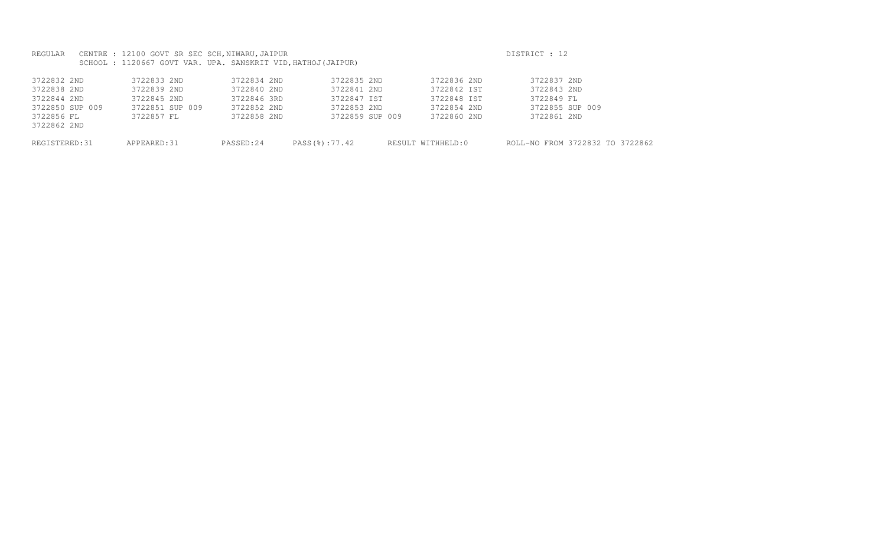REGULAR CENTRE : 12100 GOVT SR SEC SCH, NIWARU, JAIPUR DESTRICT DESTRICT I 2 SCHOOL : 1120667 GOVT VAR. UPA. SANSKRIT VID,HATHOJ(JAIPUR)

| REGISTERED: 31  | APPEARED: 31    | PASSED:24   | PASS(%):77.42   | RESULT WITHHELD:0 | ROLL-NO FROM 3722832 TO 3722862 |
|-----------------|-----------------|-------------|-----------------|-------------------|---------------------------------|
| 3722862 2ND     |                 |             |                 |                   |                                 |
| 3722856 FL      | 3722857 FL      | 3722858 2ND | 3722859 SUP 009 | 3722860 2ND       | 3722861 2ND                     |
| 3722850 SUP 009 | 3722851 SUP 009 | 3722852 2ND | 3722853 2ND     | 3722854 2ND       | 3722855 SUP 009                 |
| 3722844 2ND     | 3722845 2ND     | 3722846 3RD | 3722847 IST     | 3722848 IST       | 3722849 FL                      |
| 3722838 2ND     | 3722839 2ND     | 3722840 2ND | 3722841 2ND     | 3722842 IST       | 3722843 2ND                     |
| 3722832 2ND     | 3722833 2ND     | 3722834 2ND | 3722835 2ND     | 3722836 2ND       | 3722837 2ND                     |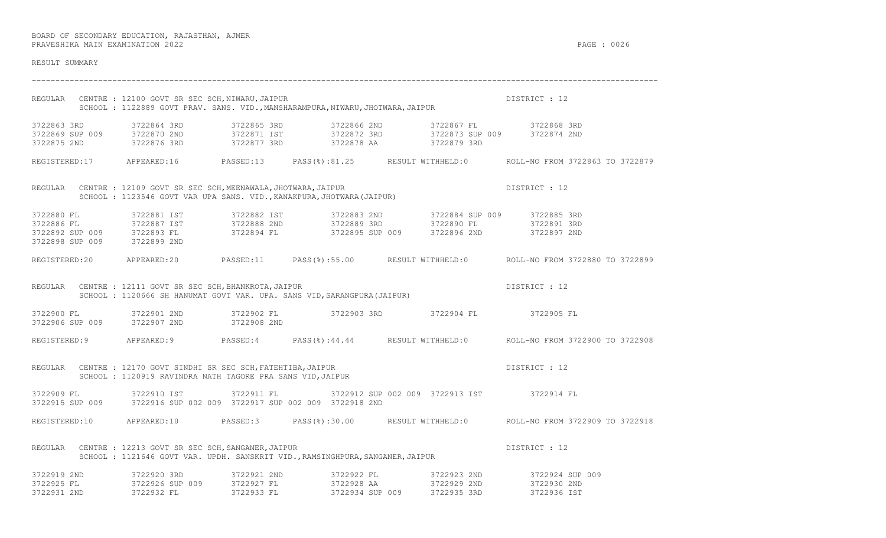| RESULT SUMMARY              |                                                                                                                                               |            |            |                                                                                                                                                                                                                                                                                                                                                   |
|-----------------------------|-----------------------------------------------------------------------------------------------------------------------------------------------|------------|------------|---------------------------------------------------------------------------------------------------------------------------------------------------------------------------------------------------------------------------------------------------------------------------------------------------------------------------------------------------|
|                             | REGULAR CENTRE : 12100 GOVT SR SEC SCH, NIWARU, JAIPUR<br>SCHOOL: 1122889 GOVT PRAV. SANS. VID., MANSHARAMPURA, NIWARU, JHOTWARA, JAIPUR      |            |            | DISTRICT : 12                                                                                                                                                                                                                                                                                                                                     |
|                             | 3722875 2ND 3722876 3RD 3722877 3RD 3722878 AA 3722879 3RD                                                                                    |            |            | $\begin{array}{cccccccc} 3722863 & 3\text{RD} & 3722864 & 3\text{RD} & 3722865 & 3\text{RD} & 3722866 & 2\text{ND} & 3722867 & \text{FL} & 3722868 & 3\text{RD} & 3722869 & 3\text{RD} & 372287 & 3\text{RD} & 372287 & 3\text{RD} & 372287 & 3\text{RD} & 372287 & 3\text{RD} & 372287 & 3\text{RD} & 372287 & 3\text{RD}$                       |
|                             |                                                                                                                                               |            |            | REGISTERED:17 APPEARED:16 PASSED:13 PASS(%):81.25 RESULT WITHHELD:0 ROLL-NO FROM 3722863 TO 3722879                                                                                                                                                                                                                                               |
|                             | REGULAR CENTRE : 12109 GOVT SR SEC SCH, MEENAWALA, JHOTWARA, JAIPUR<br>SCHOOL : 1123546 GOVT VAR UPA SANS. VID., KANAKPURA, JHOTWARA (JAIPUR) |            |            | DISTRICT : 12                                                                                                                                                                                                                                                                                                                                     |
| 3722898 SUP 009 3722899 2ND |                                                                                                                                               |            |            | $\begin{array}{cccccccc} 3722880 & \text{FL} & 3722881 & \text{IST} & 3722882 & \text{IST} & 3722883 & \text{2ND} & 3722884 & \text{SUP} & 009 & 3722885 & \text{3RD} \\ 3722886 & \text{FL} & 3722887 & \text{IST} & 3722888 & \text{2ND} & 3722889 & \text{3RD} & 3722890 & \text{FL} & 3722891 & \text{3RD} \\ 3722892 & \text{SUP} & 009 & 3$ |
|                             |                                                                                                                                               |            |            | REGISTERED:20 APPEARED:20 PASSED:11 PASS(%):55.00 RESULT WITHHELD:0 ROLL-NO FROM 3722880 TO 3722899                                                                                                                                                                                                                                               |
|                             | REGULAR CENTRE : 12111 GOVT SR SEC SCH, BHANKROTA, JAIPUR<br>SCHOOL : 1120666 SH HANUMAT GOVT VAR. UPA. SANS VID, SARANGPURA (JAIPUR)         |            |            | DISTRICT : 12                                                                                                                                                                                                                                                                                                                                     |
| 3722900 FL                  | 3722906 SUP 009 3722907 2ND 3722908 2ND                                                                                                       |            |            | 3722901 2ND 3722902 FL 3722903 3RD 3722904 FL 3722905 FL                                                                                                                                                                                                                                                                                          |
|                             |                                                                                                                                               |            |            | REGISTERED:9 APPEARED:9 PASSED:4 PASS(%):44.44 RESULT WITHHELD:0 ROLL-NO FROM 3722900 TO 3722908                                                                                                                                                                                                                                                  |
|                             | REGULAR CENTRE : 12170 GOVT SINDHI SR SEC SCH, FATEHTIBA, JAIPUR<br>SCHOOL : 1120919 RAVINDRA NATH TAGORE PRA SANS VID, JAIPUR                |            |            | DISTRICT : 12                                                                                                                                                                                                                                                                                                                                     |
| 3722909 FL                  | 3722910 IST<br>3722915 SUP 009 3722916 SUP 002 009 3722917 SUP 002 009 3722918 2ND                                                            |            |            | 3722911 FL 3722912 SUP 002 009 3722913 IST 3722914 FL                                                                                                                                                                                                                                                                                             |
|                             |                                                                                                                                               |            |            | REGISTERED:10 APPEARED:10 PASSED:3 PASS(%):30.00 RESULT WITHHELD:0 ROLL-NO FROM 3722909 TO 3722918                                                                                                                                                                                                                                                |
|                             | REGULAR CENTRE : 12213 GOVT SR SEC SCH, SANGANER, JAIPUR<br>SCHOOL : 1121646 GOVT VAR. UPDH. SANSKRIT VID., RAMSINGHPURA, SANGANER, JAIPUR    |            |            | DISTRICT : 12                                                                                                                                                                                                                                                                                                                                     |
| 3722919 2ND<br>3722925 FL   | 3722920 3RD<br>3722926 SUP 009                                                                                                                | 3722927 FL | 3722928 AA | 3722921 2ND 3722922 FL 3722923 2ND 3722924 SUP 009<br>3722929 2ND<br>3722930 2ND<br>3722931 2ND 3722932 FL 3722933 FL 3722934 SUP 009 3722935 3RD 3722936 TST                                                                                                                                                                                     |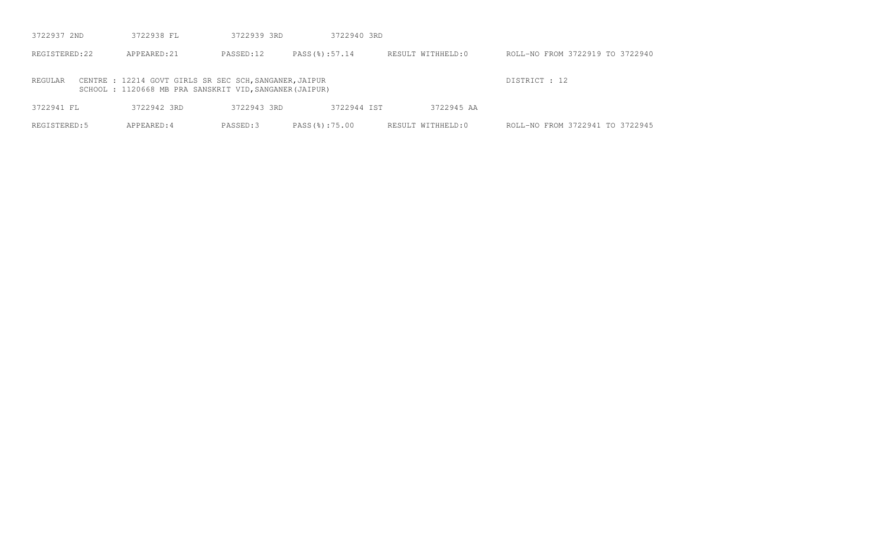| 3722937 2ND   | 3722938 FL                                                                                                        | 3722939 3RD | 3722940 3RD   |                   |                                 |
|---------------|-------------------------------------------------------------------------------------------------------------------|-------------|---------------|-------------------|---------------------------------|
| REGISTERED:22 | APPEARED: 21                                                                                                      | PASSED:12   | PASS(%):57.14 | RESULT WITHHELD:0 | ROLL-NO FROM 3722919 TO 3722940 |
| REGULAR       | CENTRE : 12214 GOVT GIRLS SR SEC SCH, SANGANER, JAIPUR<br>SCHOOL : 1120668 MB PRA SANSKRIT VID, SANGANER (JAIPUR) |             |               |                   | DISTRICT : 12                   |
| 3722941 FL    | 3722942 3RD                                                                                                       | 3722943 3RD | 3722944 IST   | 3722945 AA        |                                 |
| REGISTERED: 5 | APPEARED: 4                                                                                                       | PASSED:3    | PASS(%):75.00 | RESULT WITHHELD:0 | ROLL-NO FROM 3722941 TO 3722945 |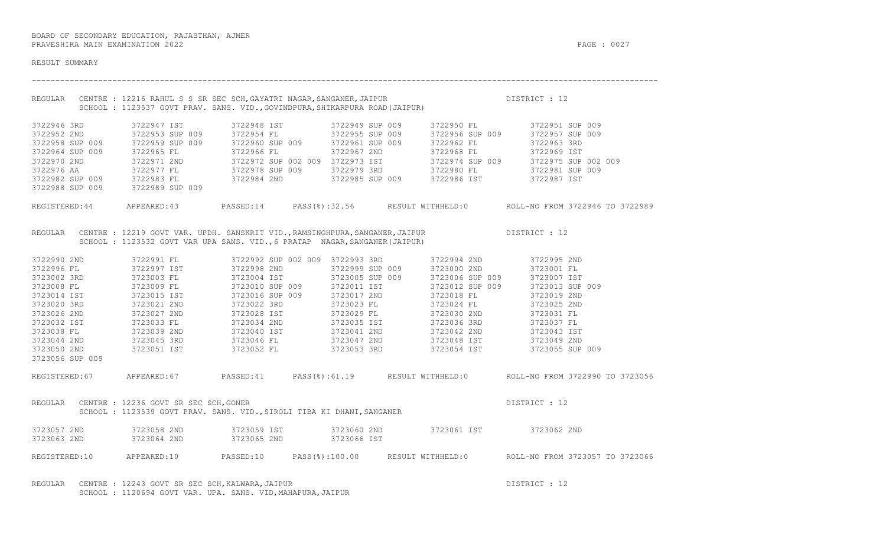| REGULAR CENTRE : 12216 RAHUL S S SR SEC SCH, GAYATRI NAGAR, SANGANER, JAIPUR<br>SCHOOL : 1123537 GOVT PRAV. SANS. VID., GOVINDPURA, SHIKARPURA ROAD (JAIPUR)                                                                   |
|--------------------------------------------------------------------------------------------------------------------------------------------------------------------------------------------------------------------------------|
|                                                                                                                                                                                                                                |
|                                                                                                                                                                                                                                |
|                                                                                                                                                                                                                                |
|                                                                                                                                                                                                                                |
|                                                                                                                                                                                                                                |
|                                                                                                                                                                                                                                |
|                                                                                                                                                                                                                                |
|                                                                                                                                                                                                                                |
| REGISTERED:44 APPEARED:43 PASSED:14 PASS(%):32.56 RESULT WITHHELD:0 ROLL-NO FROM 3722946 TO 3722989                                                                                                                            |
| REGULAR CENTRE : 12219 GOVT VAR. UPDH. SANSKRIT VID., RAMSINGHPURA, SANGANER, JAIPUR DISTRICT : 12<br>SCHOOL : 1123532 GOVT VAR UPA SANS. VID., 6 PRATAP NAGAR, SANGANER (JAIPUR)                                              |
|                                                                                                                                                                                                                                |
| 3722992 SUP 002 009 3722993 3RD 3722994 2ND 3722995 2ND                                                                                                                                                                        |
| 3722991 FL 3722998 SUP 002 009 3722993 SUP 009 3722994 ZAD 3722994 ZAD 3723003 FL 3723004 IST 3723005 SUP 009 3723006 SUP 009 3723006 SUP 009 3723007 IST 3723009 FL 3723004 IST 3723005 SUP 009 3723006 SUP 009 3723007 IST 3 |
|                                                                                                                                                                                                                                |
|                                                                                                                                                                                                                                |
|                                                                                                                                                                                                                                |
|                                                                                                                                                                                                                                |
|                                                                                                                                                                                                                                |
|                                                                                                                                                                                                                                |
|                                                                                                                                                                                                                                |
|                                                                                                                                                                                                                                |
|                                                                                                                                                                                                                                |
|                                                                                                                                                                                                                                |
| REGISTERED:67 APPEARED:67 PASSED:41 PASS(%):61.19 RESULT WITHHELD:0 ROLL-NO FROM 3722990 TO 3723056                                                                                                                            |
| CENTRE : 12236 GOVT SR SEC SCH, GONER<br>SCHOOL : 1123539 GOVT PRAV. SANS. VID., SIROLI TIBA KI DHANI, SANGANER<br>DISTRICT : 12                                                                                               |
|                                                                                                                                                                                                                                |
|                                                                                                                                                                                                                                |
| REGISTERED:10 APPEARED:10 PASSED:10 PASS(%):100.00 RESULT WITHHELD:0 ROLL-NO FROM 3723057 TO 3723066                                                                                                                           |
|                                                                                                                                                                                                                                |

REGULAR CENTRE : 12243 GOVT SR SEC SCH, KALWARA, JAIPUR DESTRICT DESTRICT THE DISTRICT : 12 SCHOOL : 1120694 GOVT VAR. UPA. SANS. VID,MAHAPURA,JAIPUR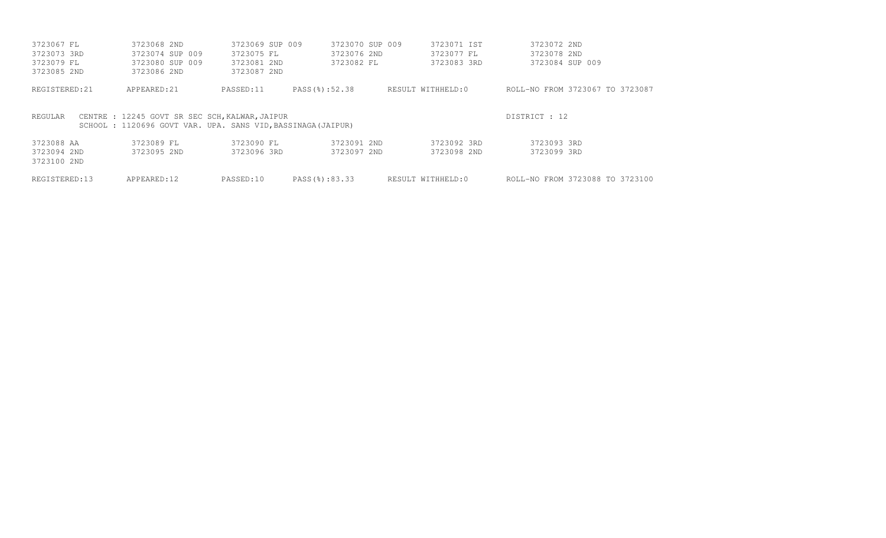| REGISTERED: 13 | APPEARED:12                                                                                                    | PASSED:10       | PASS(%):83.33   | RESULT WITHHELD:0 | ROLL-NO FROM 3723088 TO 3723100 |
|----------------|----------------------------------------------------------------------------------------------------------------|-----------------|-----------------|-------------------|---------------------------------|
| 3723100 2ND    |                                                                                                                |                 |                 |                   |                                 |
| 3723094 2ND    | 3723095 2ND                                                                                                    | 3723096 3RD     | 3723097 2ND     | 3723098 2ND       | 3723099 3RD                     |
| 3723088 AA     | 3723089 FL                                                                                                     | 3723090 FL      | 3723091 2ND     | 3723092 3RD       | 3723093 3RD                     |
| REGULAR        | CENTRE : 12245 GOVT SR SEC SCH, KALWAR, JAIPUR<br>SCHOOL : 1120696 GOVT VAR. UPA. SANS VID, BASSINAGA (JAIPUR) |                 |                 |                   | DISTRICT : 12                   |
| REGISTERED: 21 | APPEARED:21                                                                                                    | PASSED:11       | PASS(%):52.38   | RESULT WITHHELD:0 | ROLL-NO FROM 3723067 TO 3723087 |
| 3723085 2ND    | 3723086 2ND                                                                                                    | 3723087 2ND     |                 |                   |                                 |
| 3723079 FL     | 3723080 SUP 009                                                                                                | 3723081 2ND     | 3723082 FL      | 3723083 3RD       | 3723084 SUP 009                 |
| 3723073 3RD    | 3723074 SUP 009                                                                                                | 3723075 FL      | 3723076 2ND     | 3723077 FL        | 3723078 2ND                     |
| 3723067 FL     | 3723068 2ND                                                                                                    | 3723069 SUP 009 | 3723070 SUP 009 | 3723071 IST       | 3723072 2ND                     |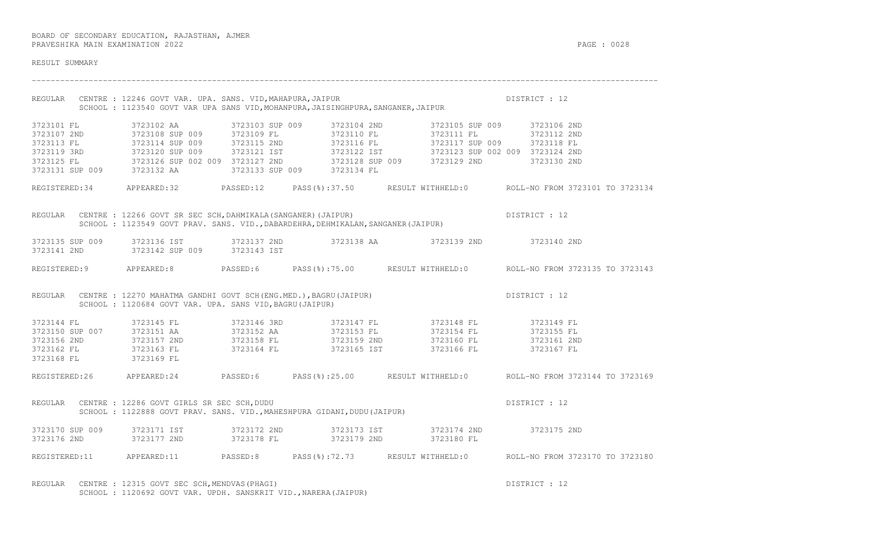| RESULT SUMMARY |                                                                                                                                                                             |  |                                                                                                                                                                                                                                                                                                                                                 |                                                                                                      |
|----------------|-----------------------------------------------------------------------------------------------------------------------------------------------------------------------------|--|-------------------------------------------------------------------------------------------------------------------------------------------------------------------------------------------------------------------------------------------------------------------------------------------------------------------------------------------------|------------------------------------------------------------------------------------------------------|
|                |                                                                                                                                                                             |  | REGULAR CENTRE : 12246 GOVT VAR. UPA. SANS. VID, MAHAPURA, JAIPUR<br>SCHOOL : 1123540 GOVT VAR UPA SANS VID, MOHANPURA, JAISINGHPURA, SANGANER, JAIPUR                                                                                                                                                                                          |                                                                                                      |
|                |                                                                                                                                                                             |  | $\begin{array}{cccccccc} 3723101 & \text{FL} & 3723102 & \text{AA} & 3723103 & \text{SUP} & 009 & 3723104 & \text{ZND} & 3723105 & \text{SUP} & 009 & 3723106 & \text{ZND} \\ 3723107 & \text{ZND} & 3723108 & \text{SUP} & 009 & 3723109 & \text{FL} & 3723110 & \text{FL} & 3723111 & \text{FL} & 3723112 & \text{ZND} \\ 3723113 & \text{FL$ | REGISTERED:34 APPEARED:32 PASSED:12 PASS(%):37.50 RESULT WITHHELD:0 ROLL-NO FROM 3723101 TO 3723134  |
|                | REGULAR CENTRE : 12266 GOVT SR SEC SCH, DAHMIKALA (SANGANER) (JAIPUR)                                                                                                       |  | CENTRE : 12266 GOVT SR SEC SCH, DAHMIKALA(SANGANER)(JAIPUR) (DANGANER(JAIPUR) DISTRICT : 12<br>SCHOOL : 1123549 GOVT PRAV. SANS. VID., DABARDEHRA, DEHMIKALAN, SANGANER(JAIPUR)                                                                                                                                                                 |                                                                                                      |
|                |                                                                                                                                                                             |  | 3723135 SUP 009        3723136 IST              3723137 2ND                3723138 AA                  3723139 2ND               3723140 2ND                   3723140 2ND                           3723142 SUP 009                                                                                                                            |                                                                                                      |
|                |                                                                                                                                                                             |  |                                                                                                                                                                                                                                                                                                                                                 | REGISTERED: 9 APPEARED: 8 PASSED: 6 PASS(%):75.00 RESULT WITHHELD: 0 ROLL-NO FROM 3723135 TO 3723143 |
|                |                                                                                                                                                                             |  | REGULAR CENTRE : 12270 MAHATMA GANDHI GOVT SCH(ENG.MED.), BAGRU(JAIPUR)<br>SCHOOL : 1120684 GOVT VAR. UPA. SANS VID, BAGRU(JAIPUR)                                                                                                                                                                                                              |                                                                                                      |
|                |                                                                                                                                                                             |  | $\begin{array}{cccccccc} 3723144 & F L & 3723145 & F L & 3723145 & F L & 3723146 & 3RD & 3723147 & F L & 3723148 & F L & 3723149 & F L \\ 3723150 & SUP & 007 & 3723151 & A A & 3723152 & A A & 3723153 & F L & 3723154 & F L & 3723155 & F L \\ 3723162 & F L & 3723163 & F L & 3723163 & F L & 3723164 & F L & 3$                             |                                                                                                      |
|                |                                                                                                                                                                             |  |                                                                                                                                                                                                                                                                                                                                                 | REGISTERED:26 APPEARED:24 PASSED:6 PASS(%):25.00 RESULT WITHHELD:0 ROLL-NO FROM 3723144 TO 3723169   |
|                | CENTRE : 12286 GOVT GIRLS SR SEC SCH, DUDU<br>SCHOOL : 1122888 GOVT PRAV. SANS. VID., MAHESHPURA GIDANI, DUDU(JAIPUR)<br>REGULAR CENTRE : 12286 GOVT GIRLS SR SEC SCH, DUDU |  |                                                                                                                                                                                                                                                                                                                                                 | DISTRICT : 12                                                                                        |
|                |                                                                                                                                                                             |  | 3723170 SUP 009 3723171 IST 3723172 2ND 3723173 IST 3723174 2ND 3723175 2ND<br>3723176 2ND 3723177 2ND 3723178 FL 3723179 2ND 3723180 FL                                                                                                                                                                                                        |                                                                                                      |
|                |                                                                                                                                                                             |  |                                                                                                                                                                                                                                                                                                                                                 | REGISTERED:11 APPEARED:11 PASSED:8 PASS(%):72.73 RESULT WITHHELD:0 ROLL-NO FROM 3723170 TO 3723180   |
|                | REGULAR CENTRE : 12315 GOVT SEC SCH, MENDVAS (PHAGI)                                                                                                                        |  |                                                                                                                                                                                                                                                                                                                                                 | DISTRICT : 12                                                                                        |

SCHOOL : 1120692 GOVT VAR. UPDH. SANSKRIT VID., NARERA(JAIPUR)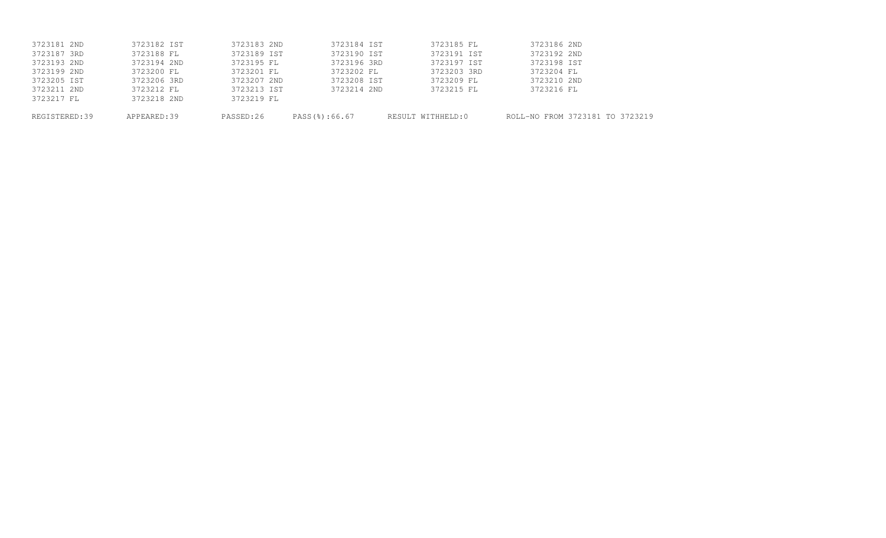| REGISTERED:39 | APPEARED:39 | PASSED:26   | PASS(%):66.67 | RESULT WITHHELD:0 | ROLL-NO FROM 3723181 TO 3723219 |  |
|---------------|-------------|-------------|---------------|-------------------|---------------------------------|--|
| 3723217 FL    | 3723218 2ND | 3723219 FL  |               |                   |                                 |  |
| 3723211 2ND   | 3723212 FL  | 3723213 TST | 3723214 2ND   | 3723215 FL        | 3723216 FL                      |  |
| 3723205 IST   | 3723206 3RD | 3723207 2ND | 3723208 IST   | 3723209 FL        | 3723210 2ND                     |  |
| 3723199 2ND   | 3723200 FL  | 3723201 FL  | 3723202 FL    | 3723203 3RD       | 3723204 FL                      |  |
| 3723193 2ND   | 3723194 2ND | 3723195 FL  | 3723196 3RD   | 3723197 IST       | 3723198 IST                     |  |
| 3723187 3RD   | 3723188 FL  | 3723189 IST | 3723190 IST   | 3723191 IST       | 3723192 2ND                     |  |
| 3723181 2ND   | 3723182 IST | 3723183 2ND | 3723184 IST   | 3723185 FL        | 3723186 2ND                     |  |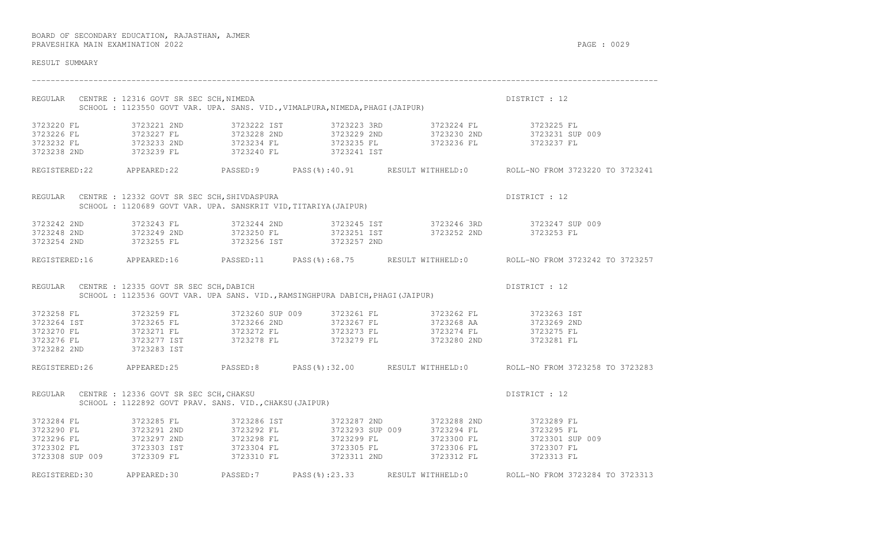| RESULT SUMMARY |                                                     |                                                                                |                                                                                                                                                                                                                                                                                                                                                           |                                                                                                                                                                                                                                                                                                                                                   |
|----------------|-----------------------------------------------------|--------------------------------------------------------------------------------|-----------------------------------------------------------------------------------------------------------------------------------------------------------------------------------------------------------------------------------------------------------------------------------------------------------------------------------------------------------|---------------------------------------------------------------------------------------------------------------------------------------------------------------------------------------------------------------------------------------------------------------------------------------------------------------------------------------------------|
|                | REGULAR CENTRE : 12316 GOVT SR SEC SCH, NIMEDA      |                                                                                | CENTRE : 12316 GOVT SR SEC SCH,NIMEDA<br>SCHOOL : 1123550 GOVT VAR. UPA. SANS. VID.,VIMALPURA,NIMEDA,PHAGI(JAIPUR)                                                                                                                                                                                                                                        | DISTRICT : 12                                                                                                                                                                                                                                                                                                                                     |
|                |                                                     |                                                                                |                                                                                                                                                                                                                                                                                                                                                           | $\begin{array}{cccccccc} 3723220 \text{ FL} & 3723221 \text{ 2ND} & 3723222 \text{ IST} & 3723223 \text{ 3RD} & 3723224 \text{ FL} & 3723225 \text{ FL} \\ 3723226 \text{ FL} & 3723227 \text{ FL} & 3723228 \text{ 2ND} & 3723229 \text{ 2ND} & 3723230 \text{ 2ND} & 3723231 \text{ SUP} & 009 \\ 3723232 \text{ FL} & 3723233 \text{ 2ND$      |
|                |                                                     |                                                                                |                                                                                                                                                                                                                                                                                                                                                           |                                                                                                                                                                                                                                                                                                                                                   |
|                |                                                     |                                                                                |                                                                                                                                                                                                                                                                                                                                                           |                                                                                                                                                                                                                                                                                                                                                   |
|                |                                                     |                                                                                |                                                                                                                                                                                                                                                                                                                                                           |                                                                                                                                                                                                                                                                                                                                                   |
|                |                                                     |                                                                                |                                                                                                                                                                                                                                                                                                                                                           | REGISTERED:22 APPEARED:22 PASSED:9 PASS(%):40.91 RESULT WITHHELD:0 ROLL-NO FROM 3723220 TO 3723241                                                                                                                                                                                                                                                |
|                | REGULAR CENTRE : 12332 GOVT SR SEC SCH, SHIVDASPURA |                                                                                | CENTRE : 12332 GOVT SR SEC SCH, SHIVDASPURA<br>SCHOOL : 1120689 GOVT VAR. UPA. SANSKRIT VID, TITARIYA(JAIPUR)                                                                                                                                                                                                                                             | DISTRICT : 12                                                                                                                                                                                                                                                                                                                                     |
|                |                                                     |                                                                                |                                                                                                                                                                                                                                                                                                                                                           |                                                                                                                                                                                                                                                                                                                                                   |
|                |                                                     |                                                                                |                                                                                                                                                                                                                                                                                                                                                           |                                                                                                                                                                                                                                                                                                                                                   |
|                |                                                     |                                                                                |                                                                                                                                                                                                                                                                                                                                                           |                                                                                                                                                                                                                                                                                                                                                   |
|                |                                                     |                                                                                |                                                                                                                                                                                                                                                                                                                                                           | 3723242 2ND                   3723243 FL                  3723244 2ND                 3723245 IST                 3723246 3RD                 3723247 SUP 009<br>3723248 2ND                3723249 2ND                3723250 FL                                                                                                                 |
|                |                                                     |                                                                                |                                                                                                                                                                                                                                                                                                                                                           | REGISTERED:16 APPEARED:16 PASSED:11 PASS(%):68.75 RESULT WITHHELD:0 ROLL-NO FROM 3723242 TO 3723257                                                                                                                                                                                                                                               |
|                | REGULAR CENTRE : 12335 GOVT SR SEC SCH, DABICH      |                                                                                |                                                                                                                                                                                                                                                                                                                                                           | DISTRICT : 12                                                                                                                                                                                                                                                                                                                                     |
|                |                                                     | SCHOOL : 1123536 GOVT VAR. UPA SANS. VID., RAMSINGHPURA DABICH, PHAGI (JAIPUR) |                                                                                                                                                                                                                                                                                                                                                           |                                                                                                                                                                                                                                                                                                                                                   |
|                |                                                     |                                                                                |                                                                                                                                                                                                                                                                                                                                                           |                                                                                                                                                                                                                                                                                                                                                   |
|                |                                                     |                                                                                |                                                                                                                                                                                                                                                                                                                                                           |                                                                                                                                                                                                                                                                                                                                                   |
|                |                                                     |                                                                                |                                                                                                                                                                                                                                                                                                                                                           |                                                                                                                                                                                                                                                                                                                                                   |
|                |                                                     |                                                                                |                                                                                                                                                                                                                                                                                                                                                           |                                                                                                                                                                                                                                                                                                                                                   |
|                |                                                     |                                                                                | $\begin{array}{cccccccc} 3723258 \text{ FL} & 3723259 \text{ FL} & 3723260 \text{ SUP } 009 & 3723261 \text{ FL} & 3723262 \text{ FL} & 3723263 \text{ IST} \\ 3723264 \text{ IST} & 3723265 \text{ FL} & 3723266 \text{ ZND} & 3723267 \text{ FL} & 3723268 \text{ AA} & 3723269 \text{ ZND} \\ 3723270 \text{ FL} & 3723271 \text{ FL} & 3723272 \text$ |                                                                                                                                                                                                                                                                                                                                                   |
|                |                                                     |                                                                                |                                                                                                                                                                                                                                                                                                                                                           | REGISTERED:26 APPEARED:25 PASSED:8 PASS(%):32.00 RESULT WITHHELD:0 ROLL-NO FROM 3723258 TO 3723283                                                                                                                                                                                                                                                |
|                | REGULAR CENTRE : 12336 GOVT SR SEC SCH, CHAKSU      |                                                                                | CENIRE : 12336 GOVT SR SEC SCH, CHAKSU<br>SCHOOL : 1122892 GOVT PRAV. SANS. VID., CHAKSU (JAIPUR)                                                                                                                                                                                                                                                         | DISTRICT : 12                                                                                                                                                                                                                                                                                                                                     |
|                |                                                     |                                                                                |                                                                                                                                                                                                                                                                                                                                                           |                                                                                                                                                                                                                                                                                                                                                   |
|                |                                                     |                                                                                |                                                                                                                                                                                                                                                                                                                                                           |                                                                                                                                                                                                                                                                                                                                                   |
|                |                                                     |                                                                                |                                                                                                                                                                                                                                                                                                                                                           |                                                                                                                                                                                                                                                                                                                                                   |
|                |                                                     |                                                                                |                                                                                                                                                                                                                                                                                                                                                           |                                                                                                                                                                                                                                                                                                                                                   |
|                |                                                     |                                                                                |                                                                                                                                                                                                                                                                                                                                                           | $\begin{array}{cccccccc} 3723284 \text{ FL} & 3723285 \text{ FL} & 3723286 \text{ IST} & 3723287 \text{ 2ND} & 3723288 \text{ 2ND} & 3723289 \text{ FL} \\ 3723290 \text{ FL} & 3723291 \text{ 2ND} & 3723292 \text{ FL} & 3723293 \text{ SUP} & 009 & 3723294 \text{ FL} & 3723301 \text{ SUP} & 009 \\ 3723296 \text{ FL} & 3723297 \text{ 2ND$ |
| REGISTERED: 30 |                                                     |                                                                                |                                                                                                                                                                                                                                                                                                                                                           | APPEARED:30 PASSED:7 PASS(%):23.33 RESULT WITHHELD:0 ROLL-NO FROM 3723284 TO 3723313                                                                                                                                                                                                                                                              |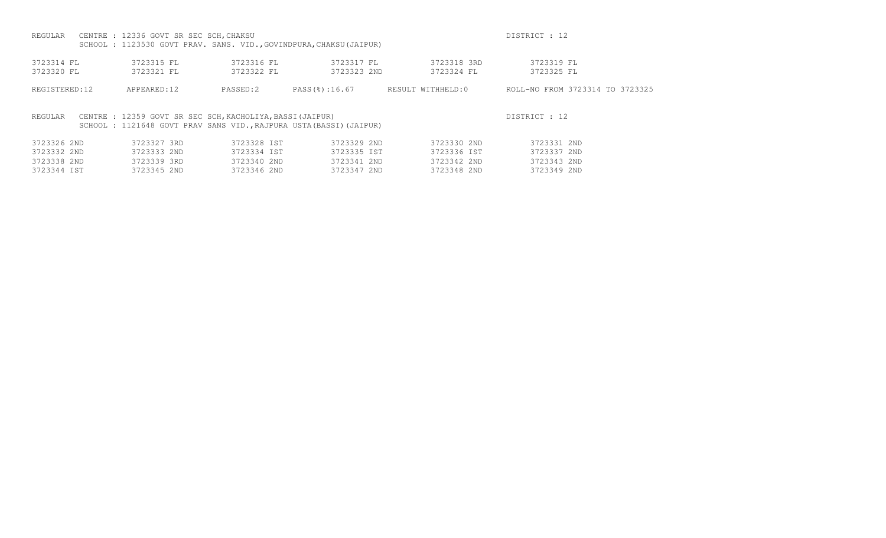|                          |                          |                                        |                                                                                                                                                                                                       | DISTRICT : 12                                            |  |
|--------------------------|--------------------------|----------------------------------------|-------------------------------------------------------------------------------------------------------------------------------------------------------------------------------------------------------|----------------------------------------------------------|--|
| 3723315 FL<br>3723321 FL | 3723316 FL<br>3723322 FL | 3723317 FL                             | 3723318 3RD<br>3723324 FL                                                                                                                                                                             | 3723319 FL<br>3723325 FL                                 |  |
| APPEARED:12              | PASSED:2                 | PASS(%):16.67                          | RESULT WITHHELD:0                                                                                                                                                                                     | ROLL-NO FROM 3723314 TO 3723325                          |  |
|                          |                          |                                        |                                                                                                                                                                                                       | DISTRICT : 12                                            |  |
| 3723327 3RD              | 3723328 TST              |                                        | 3723330 2ND                                                                                                                                                                                           | 3723331 2ND                                              |  |
| 3723333 2ND              | 3723334 IST              |                                        | 3723336 IST                                                                                                                                                                                           | 3723337 2ND                                              |  |
| 3723339 3RD              | 3723340 2ND              |                                        | 3723342 2ND                                                                                                                                                                                           | 3723343 2ND                                              |  |
| 3723345 2ND              | 3723346 2ND              | 3723347 2ND                            | 3723348 2ND                                                                                                                                                                                           | 3723349 2ND                                              |  |
|                          |                          | CENTRE : 12336 GOVT SR SEC SCH, CHAKSU | SCHOOL: 1123530 GOVT PRAV. SANS. VID., GOVINDPURA, CHAKSU (JAIPUR)<br>CENTRE : 12359 GOVT SR SEC SCH, KACHOLIYA, BASSI (JAIPUR)<br>SCHOOL: 1121648 GOVT PRAV SANS VID., RAJPURA USTA (BASSI) (JAIPUR) | 3723323 2ND<br>3723329 2ND<br>3723335 IST<br>3723341 2ND |  |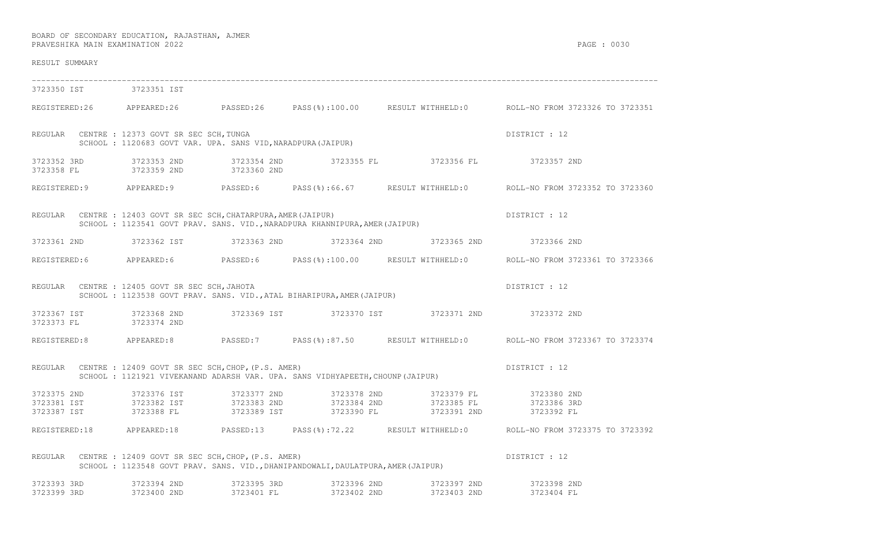| RESULT SUMMARY          |                                                                                                              |            |                                                                                  |                                                                                                                                                                                                                                                                                                                                                |                                                                                                       |
|-------------------------|--------------------------------------------------------------------------------------------------------------|------------|----------------------------------------------------------------------------------|------------------------------------------------------------------------------------------------------------------------------------------------------------------------------------------------------------------------------------------------------------------------------------------------------------------------------------------------|-------------------------------------------------------------------------------------------------------|
| 3723350 IST 3723351 IST |                                                                                                              |            |                                                                                  |                                                                                                                                                                                                                                                                                                                                                |                                                                                                       |
|                         |                                                                                                              |            |                                                                                  |                                                                                                                                                                                                                                                                                                                                                | REGISTERED:26 APPEARED:26 PASSED:26 PASS(%):100.00 RESULT WITHHELD:0 ROLL-NO FROM 3723326 TO 3723351  |
|                         | REGULAR CENTRE : 12373 GOVT SR SEC SCH, TUNGA<br>SCHOOL: 1120683 GOVT VAR. UPA. SANS VID, NARADPURA (JAIPUR) |            |                                                                                  |                                                                                                                                                                                                                                                                                                                                                | DISTRICT : 12                                                                                         |
|                         |                                                                                                              |            |                                                                                  |                                                                                                                                                                                                                                                                                                                                                |                                                                                                       |
|                         |                                                                                                              |            |                                                                                  |                                                                                                                                                                                                                                                                                                                                                | REGISTERED: 9 APPEARED: 9 PASSED: 6 PASS(%): 66.67 RESULT WITHHELD: 0 ROLL-NO FROM 3723352 TO 3723360 |
|                         | REGULAR CENTRE : 12403 GOVT SR SEC SCH, CHATARPURA, AMER (JAIPUR)                                            |            | SCHOOL : 1123541 GOVT PRAV. SANS. VID., NARADPURA KHANNIPURA, AMER (JAIPUR)      |                                                                                                                                                                                                                                                                                                                                                | DISTRICT : 12                                                                                         |
|                         |                                                                                                              |            |                                                                                  | 3723361 2ND 3723362 IST 3723363 2ND 3723364 2ND 3723365 2ND 3723365 2ND 3723366 2ND                                                                                                                                                                                                                                                            |                                                                                                       |
|                         |                                                                                                              |            |                                                                                  |                                                                                                                                                                                                                                                                                                                                                | REGISTERED:6 APPEARED:6 PASSED:6 PASS(%):100.00 RESULT WITHHELD:0 ROLL-NO FROM 3723361 TO 3723366     |
|                         | REGULAR CENTRE : 12405 GOVT SR SEC SCH, JAHOTA                                                               |            | SCHOOL: 1123538 GOVT PRAV. SANS. VID., ATAL BIHARIPURA, AMER (JAIPUR)            |                                                                                                                                                                                                                                                                                                                                                | DISTRICT : 12                                                                                         |
| 3723373 FL              | 3723374 2ND                                                                                                  |            |                                                                                  | 3723367 IST      3723368 2ND      3723369 IST      3723370 IST      3723371 2ND      3723372 2ND                                                                                                                                                                                                                                               |                                                                                                       |
|                         |                                                                                                              |            |                                                                                  |                                                                                                                                                                                                                                                                                                                                                | REGISTERED:8 APPEARED:8 PASSED:7 PASS(%):87.50 RESULT WITHHELD:0 ROLL-NO FROM 3723367 TO 3723374      |
|                         | REGULAR CENTRE : 12409 GOVT SR SEC SCH, CHOP, (P.S. AMER)                                                    |            | SCHOOL : 1121921 VIVEKANAND ADARSH VAR. UPA. SANS VIDHYAPEETH, CHOUNP (JAIPUR)   |                                                                                                                                                                                                                                                                                                                                                | DISTRICT : 12                                                                                         |
|                         |                                                                                                              |            |                                                                                  | $\begin{array}{cccccccc} 3723375 & 2\texttt{ND} & 3723376 & \texttt{IST} & 3723377 & 2\texttt{ND} & 3723378 & 2\texttt{ND} & 3723379 & \texttt{FL} & 3723380 & 2\texttt{ND} \\ 3723381 & \texttt{IST} & 3723382 & \texttt{IST} & 3723383 & 2\texttt{ND} & 3723384 & 2\texttt{ND} & 3723385 & \texttt{FL} & 3723386 & 3\texttt{RD} \end{array}$ |                                                                                                       |
|                         |                                                                                                              |            |                                                                                  | 3723387 IST 3723388 FL 3723389 IST 3723390 FL 3723391 2ND 3723392 FL                                                                                                                                                                                                                                                                           |                                                                                                       |
|                         |                                                                                                              |            |                                                                                  |                                                                                                                                                                                                                                                                                                                                                | REGISTERED:18 APPEARED:18 PASSED:13 PASS(%):72.22 RESULT WITHHELD:0 ROLL-NO FROM 3723375 TO 3723392   |
|                         | REGULAR CENTRE : 12409 GOVT SR SEC SCH, CHOP, (P.S. AMER)                                                    |            | SCHOOL: 1123548 GOVT PRAV. SANS. VID., DHANIPANDOWALI, DAULATPURA, AMER (JAIPUR) |                                                                                                                                                                                                                                                                                                                                                | DISTRICT : 12                                                                                         |
| 3723399 3RD             | 3723400 2ND                                                                                                  | 3723401 FL | 3723402 2ND                                                                      | 3723393 3RD 3723394 2ND 3723395 3RD 3723396 2ND 3723397 2ND 3723398 2ND<br>3723403 2ND                                                                                                                                                                                                                                                         | 3723404 FL                                                                                            |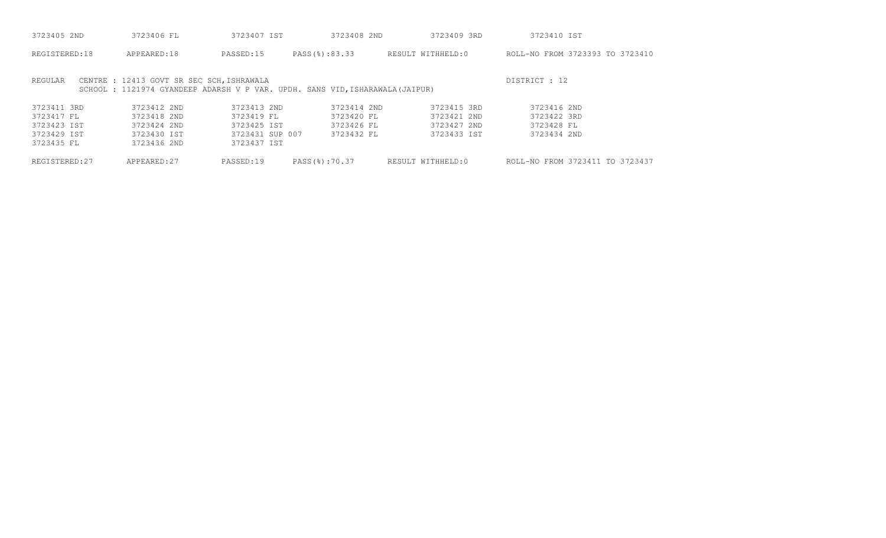| 3723405 2ND                                                           | 3723406 FL                                                                                                                | 3723407 TST                                                                | 3723408 2ND                                           | 3723409 3RD                                              | 3723410 IST                                             |
|-----------------------------------------------------------------------|---------------------------------------------------------------------------------------------------------------------------|----------------------------------------------------------------------------|-------------------------------------------------------|----------------------------------------------------------|---------------------------------------------------------|
| REGISTERED: 18                                                        | APPEARED:18                                                                                                               | PASSED:15                                                                  | PASS(%):83.33                                         | RESULT WITHHELD:0                                        | ROLL-NO FROM 3723393 TO 3723410                         |
| REGULAR                                                               | CENTRE : 12413 GOVT SR SEC SCH, ISHRAWALA<br>SCHOOL: 1121974 GYANDEEP ADARSH V P VAR. UPDH. SANS VID, ISHARAWALA (JAIPUR) |                                                                            |                                                       |                                                          | DISTRICT : 12                                           |
| 3723411 3RD<br>3723417 FL<br>3723423 TST<br>3723429 IST<br>3723435 FL | 3723412 2ND<br>3723418 2ND<br>3723424 2ND<br>3723430 IST<br>3723436 2ND                                                   | 3723413 2ND<br>3723419 FL<br>3723425 TST<br>3723431 SUP 007<br>3723437 IST | 3723414 2ND<br>3723420 FL<br>3723426 FL<br>3723432 FL | 3723415 3RD<br>3723421 2ND<br>3723427 2ND<br>3723433 IST | 3723416 2ND<br>3723422 3RD<br>3723428 FL<br>3723434 2ND |
| REGISTERED: 27                                                        | APPEARED: 27                                                                                                              | PASSED:19                                                                  | PASS(%):70.37                                         | RESULT WITHHELD: 0                                       | ROLL-NO FROM 3723411 TO 3723437                         |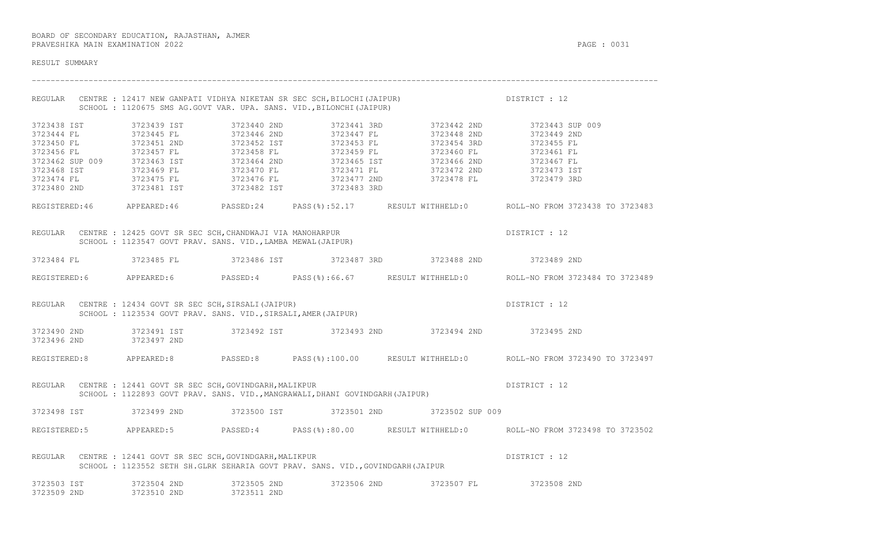RESULT SUMMARY ------------------------------------------------------------------------------------------------------------------------------------

|                         |                                                                                                                            |             | REGULAR CENTRE : 12417 NEW GANPATI VIDHYA NIKETAN SR SEC SCH, BILOCHI (JAIPUR) <b>Example 2018</b> DISTRICT : 12                                                                                                                                                                                          |                                    |                                                                                                     |
|-------------------------|----------------------------------------------------------------------------------------------------------------------------|-------------|-----------------------------------------------------------------------------------------------------------------------------------------------------------------------------------------------------------------------------------------------------------------------------------------------------------|------------------------------------|-----------------------------------------------------------------------------------------------------|
|                         |                                                                                                                            |             | SCHOOL : 1120675 SMS AG.GOVT VAR. UPA. SANS. VID., BILONCHI (JAIPUR)                                                                                                                                                                                                                                      |                                    |                                                                                                     |
|                         |                                                                                                                            |             |                                                                                                                                                                                                                                                                                                           |                                    |                                                                                                     |
| 3723438 IST 3723439 IST |                                                                                                                            | 3723440 2ND | 3723441 3RD 3723442 2ND                                                                                                                                                                                                                                                                                   |                                    | 3723443 SUP 009                                                                                     |
|                         |                                                                                                                            |             |                                                                                                                                                                                                                                                                                                           |                                    |                                                                                                     |
|                         |                                                                                                                            |             |                                                                                                                                                                                                                                                                                                           |                                    |                                                                                                     |
|                         |                                                                                                                            |             |                                                                                                                                                                                                                                                                                                           |                                    |                                                                                                     |
|                         |                                                                                                                            |             |                                                                                                                                                                                                                                                                                                           |                                    |                                                                                                     |
|                         |                                                                                                                            |             |                                                                                                                                                                                                                                                                                                           |                                    |                                                                                                     |
|                         |                                                                                                                            |             |                                                                                                                                                                                                                                                                                                           |                                    |                                                                                                     |
|                         |                                                                                                                            |             | $\begin{array}{ccccccccc} 3723444 & F L & 3723445 & F L & 3723446 & 2ND & 3723447 & F L & 3723442 & 2ND & 3723449 & 3ND & 3723449 & 3ND & 3723449 & 3ND & 3723449 & 3ND & 3723449 & 3ND & 372345 & F L & 3723449 & 3ND & 372345 & F L & 372345 & F L & 372345 & F L & 372345 & F L & 372345 & F L & 3723$ |                                    |                                                                                                     |
|                         |                                                                                                                            |             |                                                                                                                                                                                                                                                                                                           |                                    | REGISTERED:46 APPEARED:46 PASSED:24 PASS(%):52.17 RESULT WITHHELD:0 ROLL-NO FROM 3723438 TO 3723483 |
|                         |                                                                                                                            |             | REGULAR CENTRE : 12425 GOVT SR SEC SCH, CHANDWAJI VIA MANOHARPUR<br>SCHOOL : 1123547 GOVT PRAV. SANS. VID., LAMBA MEWAL(JAIPUR)                                                                                                                                                                           |                                    | DISTRICT : 12                                                                                       |
|                         |                                                                                                                            |             |                                                                                                                                                                                                                                                                                                           |                                    |                                                                                                     |
|                         |                                                                                                                            |             |                                                                                                                                                                                                                                                                                                           |                                    | REGISTERED:6 APPEARED:6 PASSED:4 PASS(%):66.67 RESULT WITHHELD:0 ROLL-NO FROM 3723484 TO 3723489    |
|                         | REGULAR CENTRE : 12434 GOVT SR SEC SCH, SIRSALI (JAIPUR)<br>SCHOOL : 1123534 GOVT PRAV. SANS. VID., SIRSALI, AMER (JAIPUR) |             | MER(JAIPUR)                                                                                                                                                                                                                                                                                               |                                    | DISTRICT : 12                                                                                       |
| 3723496 2ND             | 3723497 2ND                                                                                                                |             | 3723490 2ND 3723491 IST 3723492 IST 3723493 2ND 3723494 2ND 3723494 2ND 3723495 2ND                                                                                                                                                                                                                       |                                    |                                                                                                     |
|                         |                                                                                                                            |             |                                                                                                                                                                                                                                                                                                           |                                    | REGISTERED:8 APPEARED:8 PASSED:8 PASS(%):100.00 RESULT WITHHELD:0 ROLL-NO FROM 3723490 TO 3723497   |
|                         | REGULAR CENTRE : 12441 GOVT SR SEC SCH, GOVINDGARH, MALIKPUR                                                               |             | SCHOOL : 1122893 GOVT PRAV. SANS. VID., MANGRAWALI, DHANI GOVINDGARH (JAIPUR)                                                                                                                                                                                                                             | DISTRICT : 12                      |                                                                                                     |
|                         |                                                                                                                            |             | 3723498 IST 3723499 2ND 3723500 IST 3723501 2ND 3723502 SUP 009                                                                                                                                                                                                                                           |                                    |                                                                                                     |
|                         |                                                                                                                            |             |                                                                                                                                                                                                                                                                                                           |                                    | REGISTERED:5 APPEARED:5 PASSED:4 PASS(%):80.00 RESULT WITHHELD:0 ROLL-NO FROM 3723498 TO 3723502    |
|                         | REGULAR CENTRE : 12441 GOVT SR SEC SCH, GOVINDGARH, MALIKPUR                                                               |             | SCHOOL : 1123552 SETH SH.GLRK SEHARIA GOVT PRAV. SANS. VID., GOVINDGARH (JAIPUR                                                                                                                                                                                                                           |                                    | DISTRICT : 12                                                                                       |
| 3723509 2ND             | 3723503 IST 3723504 2ND 3723505 2ND                                                                                        |             |                                                                                                                                                                                                                                                                                                           | 3723506 2ND 3723507 FL 3723508 2ND |                                                                                                     |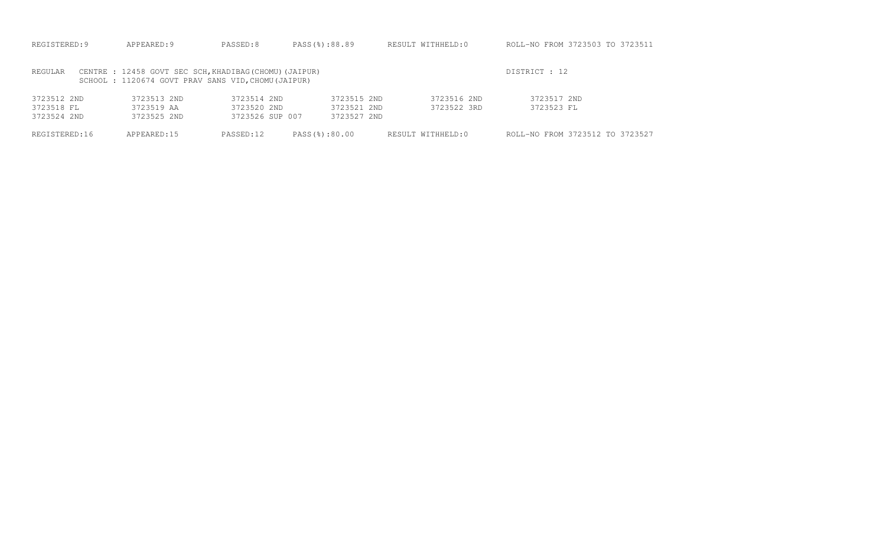| REGISTERED: 9 | APPEARED: 9                                                                                                   | PASSED:8        | PASS(%):88.89 | RESULT WITHHELD:0 | ROLL-NO FROM 3723503 TO 3723511 |
|---------------|---------------------------------------------------------------------------------------------------------------|-----------------|---------------|-------------------|---------------------------------|
| REGULAR       | CENTRE : 12458 GOVT SEC SCH, KHADIBAG (CHOMU) (JAIPUR)<br>SCHOOL : 1120674 GOVT PRAV SANS VID, CHOMU (JAIPUR) |                 |               |                   | DISTRICT : 12                   |
| 3723512 2ND   | 3723513 2ND                                                                                                   | 3723514 2ND     | 3723515 2ND   | 3723516 2ND       | 3723517 2ND                     |
| 3723518 FL    | 3723519 AA                                                                                                    | 3723520 2ND     | 3723521 2ND   | 3723522 3RD       | 3723523 FL                      |
| 3723524 2ND   | 3723525 2ND                                                                                                   | 3723526 SUP 007 | 3723527 2ND   |                   |                                 |
| REGISTERED:16 | APPEARED:15                                                                                                   | PASSED:12       | PASS(%):80.00 | RESULT WITHHELD:0 | ROLL-NO FROM 3723512 TO 3723527 |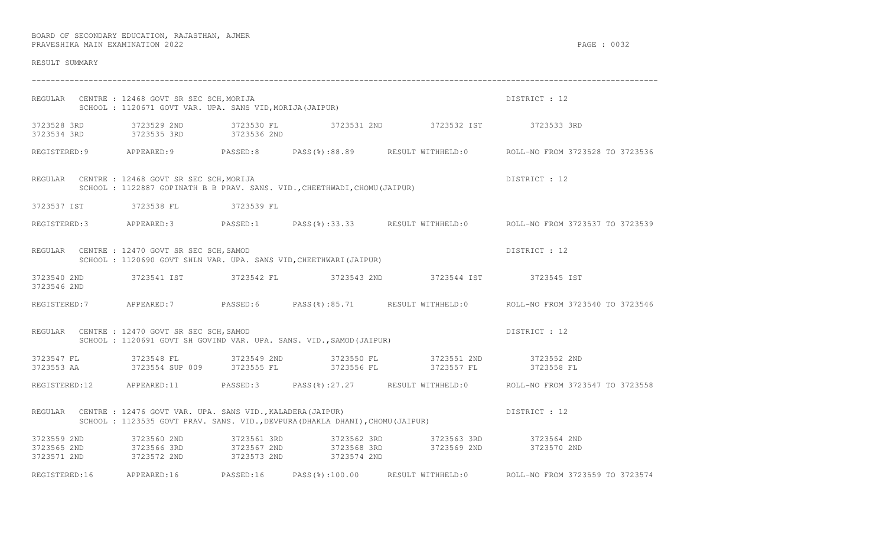| RESULT SUMMARY                      |                                                                                                                                                       |  |                                                                                     |                                                                                                      |
|-------------------------------------|-------------------------------------------------------------------------------------------------------------------------------------------------------|--|-------------------------------------------------------------------------------------|------------------------------------------------------------------------------------------------------|
|                                     | SCHOOL : 12400 GOVI SK SEC SCH, MORIJA<br>SCHOOL : 1120671 GOVT VAR. UPA. SANS VID, MORIJA (JAIPUR)<br>REGULAR CENTRE : 12468 GOVT SR SEC SCH, MORIJA |  |                                                                                     | DISTRICT : 12                                                                                        |
|                                     | 3723534 3RD 3723535 3RD 3723536 2ND                                                                                                                   |  | 3723528 3RD 3723529 2ND 3723530 FL 3723531 2ND 3723532 IST 3723533 3RD              |                                                                                                      |
|                                     |                                                                                                                                                       |  |                                                                                     | REGISTERED: 9 APPEARED: 9 PASSED: 8 PASS(%):88.89 RESULT WITHHELD: 0 ROLL-NO FROM 3723528 TO 3723536 |
|                                     | REGULAR CENTRE : 12468 GOVT SR SEC SCH, MORIJA<br>SCHOOL : 1122887 GOPINATH B B PRAV. SANS. VID., CHEETHWADI, CHOMU (JAIPUR)                          |  |                                                                                     | DISTRICT : 12                                                                                        |
|                                     | 3723537 IST 3723538 FL 3723539 FL                                                                                                                     |  |                                                                                     |                                                                                                      |
|                                     |                                                                                                                                                       |  |                                                                                     | REGISTERED:3 APPEARED:3 PASSED:1 PASS(%):33.33 RESULT WITHHELD:0 ROLL-NO FROM 3723537 TO 3723539     |
|                                     | REGULAR CENTRE : 12470 GOVT SR SEC SCH, SAMOD<br>SCHOOL : 1120690 GOVT SHLN VAR. UPA. SANS VID, CHEETHWARI (JAIPUR)                                   |  |                                                                                     | DISTRICT : 12                                                                                        |
| 3723546 2ND                         |                                                                                                                                                       |  | 3723540 2ND 3723541 IST 3723542 FL 3723543 2ND 3723544 IST 3723545 IST              |                                                                                                      |
|                                     |                                                                                                                                                       |  |                                                                                     | REGISTERED:7 APPEARED:7 PASSED:6 PASS(%):85.71 RESULT WITHHELD:0 ROLL-NO FROM 3723540 TO 3723546     |
|                                     | REGULAR CENTRE : 12470 GOVT SR SEC SCH, SAMOD<br>SCHOOL : 1120691 GOVT SH GOVIND VAR. UPA. SANS. VID., SAMOD (JAIPUR)                                 |  |                                                                                     | DISTRICT : 12                                                                                        |
| 3723547 FL 3723548 FL<br>3723553 AA |                                                                                                                                                       |  |                                                                                     |                                                                                                      |
|                                     |                                                                                                                                                       |  |                                                                                     | REGISTERED:12 APPEARED:11 PASSED:3 PASS(%):27.27 RESULT WITHHELD:0 ROLL-NO FROM 3723547 TO 3723558   |
|                                     | REGULAR CENTRE : 12476 GOVT VAR. UPA. SANS VID., KALADERA (JAIPUR)<br>SCHOOL : 1123535 GOVT PRAV. SANS. VID., DEVPURA (DHAKLA DHANI), CHOMU (JAIPUR)  |  |                                                                                     | DISTRICT : 12                                                                                        |
|                                     |                                                                                                                                                       |  | 3723559 2ND 3723560 2ND 3723561 3RD 3723562 3RD 3723563 3RD 3723564 2ND             |                                                                                                      |
| 3723571 2ND                         | 3723572 2ND 3723573 2ND 3723574 2ND                                                                                                                   |  | 3723565 2ND 3723566 3RD 3723567 2ND 3723568 3RD 3723569 2ND 3723569 2ND 3723570 2ND |                                                                                                      |
| REGISTERED:16                       |                                                                                                                                                       |  |                                                                                     | APPEARED:16 PASSED:16 PASS(%):100.00 RESULT_WITHHELD:0 ROLL-NO_FROM_3723559_TO_3723574               |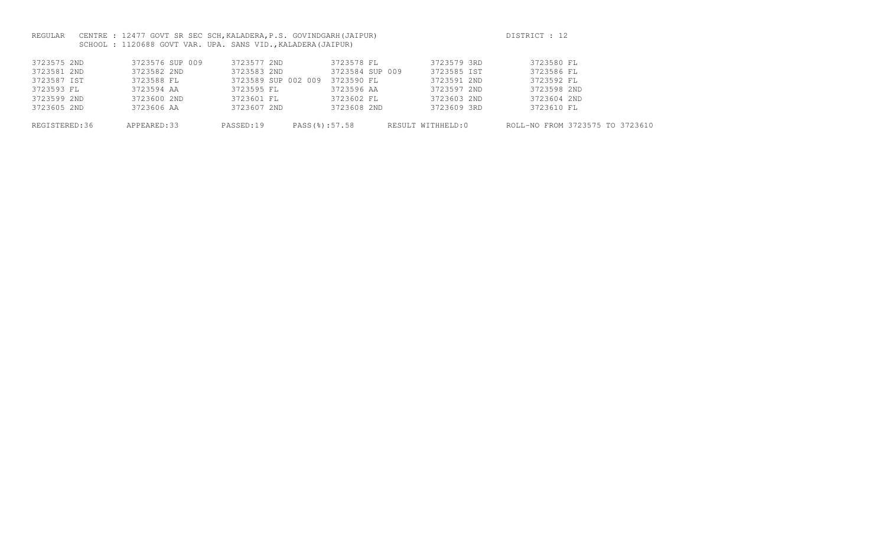## REGULAR CENTRE : 12477 GOVT SR SEC SCH, KALADERA, P.S. GOVINDGARH(JAIPUR) DISTRICT : 12 SCHOOL : 1120688 GOVT VAR. UPA. SANS VID.,KALADERA(JAIPUR)

| REGISTERED: 36 | APPEARED: 33    | PASSED:19           | PASS(%):57.58   | RESULT WITHHELD:0 | ROLL-NO FROM 3723575 TO 3723610 |  |
|----------------|-----------------|---------------------|-----------------|-------------------|---------------------------------|--|
| 3723605 2ND    | 3723606 AA      | 3723607 2ND         | 3723608 2ND     | 3723609 3RD       | 3723610 FL                      |  |
| 3723599 2ND    | 3723600 2ND     | 3723601 FL          | 3723602 FL      | 3723603 2ND       | 3723604 2ND                     |  |
| 3723593 FL     | 3723594 AA      | 3723595 FL          | 3723596 AA      | 3723597 2ND       | 3723598 2ND                     |  |
| 3723587 IST    | 3723588 FL      | 3723589 SUP 002 009 | 3723590 FL      | 3723591 2ND       | 3723592 FL                      |  |
| 3723581 2ND    | 3723582 2ND     | 3723583 2ND         | 3723584 SUP 009 | 3723585 IST       | 3723586 FL                      |  |
| 3723575 2ND    | 3723576 SUP 009 | 3723577 2ND         | 3723578 FL      | 3723579 3RD       | 3723580 FL                      |  |
|                |                 |                     |                 |                   |                                 |  |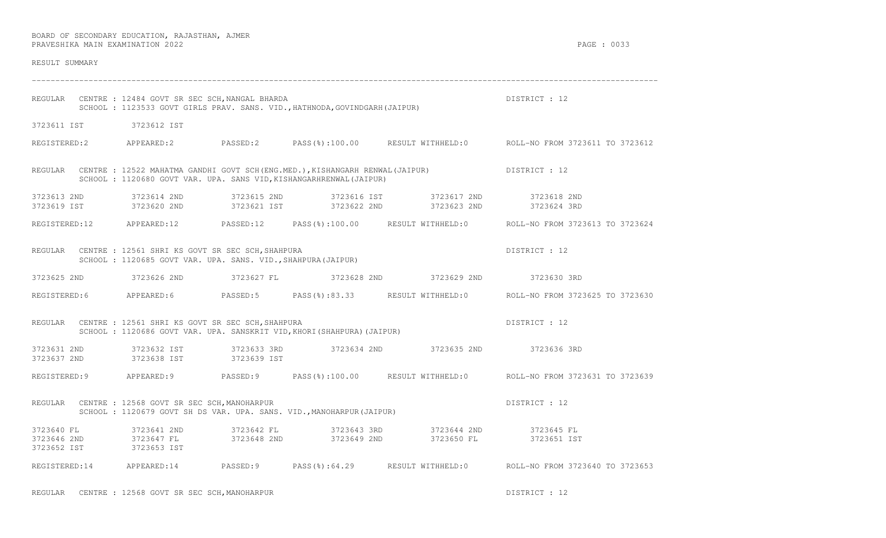| RESULT SUMMARY          |                                                                                                                          |                                                                         |                                                                                                                                                                             |                                                                                                       |
|-------------------------|--------------------------------------------------------------------------------------------------------------------------|-------------------------------------------------------------------------|-----------------------------------------------------------------------------------------------------------------------------------------------------------------------------|-------------------------------------------------------------------------------------------------------|
|                         | REGULAR CENTRE : 12484 GOVT SR SEC SCH, NANGAL BHARDA                                                                    |                                                                         | CENTRE : 12484 GOVT SR SEC SCH, NANGAL BHARDA<br>SCHOOL : 1123533 GOVT GIRLS PRAV. SANS. VID., HATHNODA, GOVINDGARH(JAIPUR)                                                 | DISTRICT : 12                                                                                         |
| 3723611 IST 3723612 IST |                                                                                                                          |                                                                         |                                                                                                                                                                             |                                                                                                       |
|                         |                                                                                                                          |                                                                         |                                                                                                                                                                             | REGISTERED:2 APPEARED:2 PASSED:2 PASS(%):100.00 RESULT WITHHELD:0 ROLL-NO FROM 3723611 TO 3723612     |
|                         |                                                                                                                          | SCHOOL : 1120680 GOVT VAR. UPA. SANS VID, KISHANGARHRENWAL (JAIPUR)     | REGULAR CENTRE : 12522 MAHATMA GANDHI GOVT SCH(ENG.MED.), KISHANGARH RENWAL(JAIPUR) DISTRICT : 12                                                                           |                                                                                                       |
|                         |                                                                                                                          |                                                                         | 3723613 2ND 3723614 2ND 3723615 2ND 3723616 IST 3723617 2ND 3723618 2ND<br>3723619 IST      3723620 2ND      3723621 IST      3723622 2ND      3723623 2ND      3723624 3RD |                                                                                                       |
|                         |                                                                                                                          |                                                                         |                                                                                                                                                                             | REGISTERED:12 APPEARED:12 PASSED:12 PASS(%):100.00 RESULT WITHHELD:0 ROLL-NO FROM 3723613 TO 3723624  |
|                         | REGULAR CENTRE : 12561 SHRI KS GOVT SR SEC SCH, SHAHPURA<br>SCHOOL: 1120685 GOVT VAR. UPA. SANS. VID., SHAHPURA (JAIPUR) |                                                                         |                                                                                                                                                                             | DISTRICT : 12                                                                                         |
|                         |                                                                                                                          |                                                                         | 3723625 2ND 3723626 2ND 3723627 FL 3723628 2ND 3723629 2ND 3723630 3RD                                                                                                      |                                                                                                       |
|                         |                                                                                                                          |                                                                         |                                                                                                                                                                             | REGISTERED:6 APPEARED:6 PASSED:5 PASS(%):83.33 RESULT WITHHELD:0 ROLL-NO FROM 3723625 TO 3723630      |
|                         | REGULAR CENTRE : 12561 SHRI KS GOVT SR SEC SCH, SHAHPURA                                                                 | SCHOOL : 1120686 GOVT VAR. UPA. SANSKRIT VID, KHORI (SHAHPURA) (JAIPUR) |                                                                                                                                                                             | DISTRICT : 12                                                                                         |
|                         | 3723637 2ND 3723638 IST 3723639 IST                                                                                      |                                                                         | 3723631 2ND 3723632 IST 3723633 3RD 3723634 2ND 3723635 2ND 3723636 3RD                                                                                                     |                                                                                                       |
|                         |                                                                                                                          |                                                                         |                                                                                                                                                                             | REGISTERED: 9 APPEARED: 9 PASSED: 9 PASS(%):100.00 RESULT WITHHELD: 0 ROLL-NO FROM 3723631 TO 3723639 |
|                         | REGULAR CENTRE : 12568 GOVT SR SEC SCH, MANOHARPUR                                                                       | SCHOOL : 1120679 GOVT SH DS VAR. UPA. SANS. VID., MANOHARPUR (JAIPUR)   |                                                                                                                                                                             | DISTRICT : 12                                                                                         |
| 3723652 IST 3723653 IST |                                                                                                                          |                                                                         | 3723640 FL 3723641 2ND 3723642 FL 3723643 3RD 3723644 2ND 3723645 FL<br>3723646 2ND 3723647 FL 3723648 2ND 3723649 2ND 3723649 2ND 3723650 FL 3723651 IST                   |                                                                                                       |
|                         |                                                                                                                          |                                                                         |                                                                                                                                                                             | REGISTERED:14 APPEARED:14 PASSED:9 PASS(%):64.29 RESULT WITHHELD:0 ROLL-NO FROM 3723640 TO 3723653    |

REGULAR CENTRE : 12568 GOVT SR SEC SCH, MANOHARPUR DESTRICT OF STRICT ISSUED ASSESSED.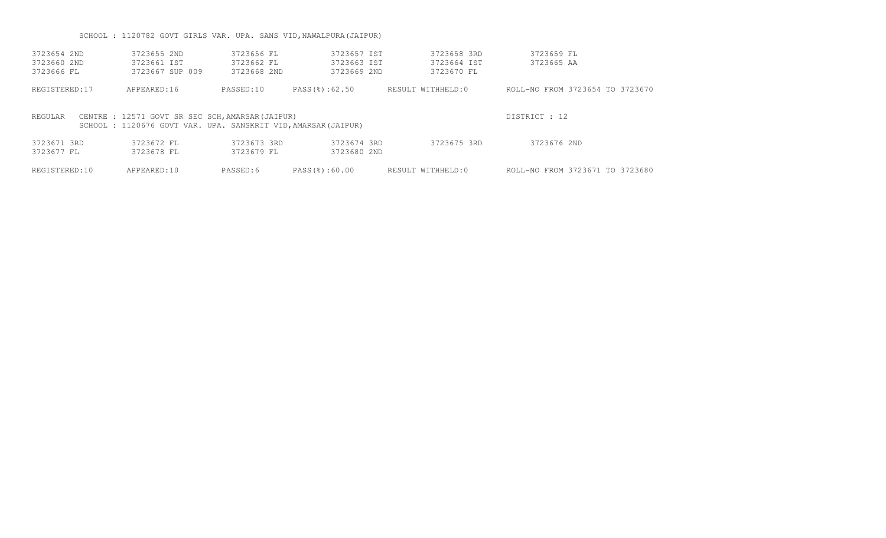# SCHOOL : 1120782 GOVT GIRLS VAR. UPA. SANS VID, NAWALPURA (JAIPUR)

| 3723654 2ND<br>3723660 2ND<br>3723666 FL | 3723655 2ND<br>3723661 IST<br>3723667 SUP 009                                                                     | 3723656 FL<br>3723662 FL<br>3723668 2ND | 3723657 IST<br>3723663 IST<br>3723669 2ND | 3723658 3RD<br>3723664 IST<br>3723670 FL | 3723659 FL<br>3723665 AA        |
|------------------------------------------|-------------------------------------------------------------------------------------------------------------------|-----------------------------------------|-------------------------------------------|------------------------------------------|---------------------------------|
| REGISTERED: 17                           | APPEARED:16                                                                                                       | PASSED:10                               | PASS(%):62.50                             | RESULT WITHHELD:0                        | ROLL-NO FROM 3723654 TO 3723670 |
| REGULAR                                  | CENTRE : 12571 GOVT SR SEC SCH, AMARSAR (JAIPUR)<br>SCHOOL: 1120676 GOVT VAR. UPA. SANSKRIT VID. AMARSAR (JAIPUR) |                                         |                                           |                                          | DISTRICT : 12                   |
| 3723671 3RD<br>3723677 FL                | 3723672 FL<br>3723678 FL                                                                                          | 3723673 3RD<br>3723679 FL               | 3723674 3RD<br>3723680 2ND                | 3723675 3RD                              | 3723676 2ND                     |
| REGISTERED:10                            | APPEARED:10                                                                                                       | PASSED:6                                | PASS(%):60.00                             | RESULT WITHHELD:0                        | ROLL-NO FROM 3723671 TO 3723680 |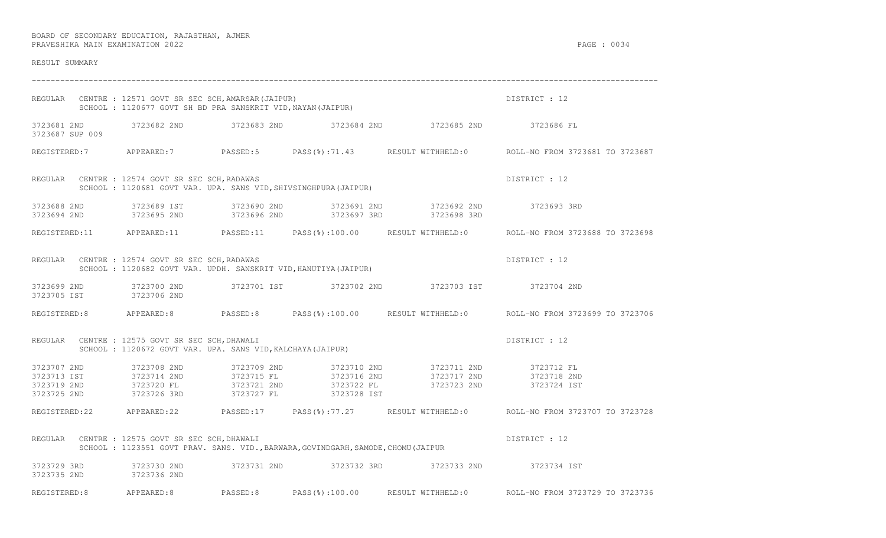| RESULT SUMMARY          |                                                          |          |                                                                                    |                                                                                                                                                    |                                                                                                      |
|-------------------------|----------------------------------------------------------|----------|------------------------------------------------------------------------------------|----------------------------------------------------------------------------------------------------------------------------------------------------|------------------------------------------------------------------------------------------------------|
|                         | REGULAR CENTRE : 12571 GOVT SR SEC SCH, AMARSAR (JAIPUR) |          |                                                                                    | CENTRE : 12571 GOVT SR SEC SCH,AMARSAR(JAIPUR)<br>SCHOOL : 1120677 GOVT SH BD PRA SANSKRIT VID,NAYAN(JAIPUR)                                       | DISTRICT : 12                                                                                        |
| 3723687 SUP 009         |                                                          |          |                                                                                    | 3723681 2ND 3723682 2ND 3723683 2ND 3723684 2ND 3723685 2ND 3723686 FL                                                                             |                                                                                                      |
|                         |                                                          |          |                                                                                    |                                                                                                                                                    | REGISTERED:7 APPEARED:7 PASSED:5 PASS(%):71.43 RESULT WITHHELD:0 ROLL-NO FROM 3723681 TO 3723687     |
|                         | REGULAR CENTRE : 12574 GOVT SR SEC SCH, RADAWAS          |          | SCHOOL : 1120681 GOVT VAR. UPA. SANS VID, SHIVSINGHPURA (JAIPUR)                   |                                                                                                                                                    | DISTRICT : 12                                                                                        |
|                         |                                                          |          |                                                                                    | 3723688 2ND 3723689 IST 3723690 2ND 3723691 2ND 3723692 2ND 3723692 2ND 3723693 3RD<br>3723694 2ND 3723695 2ND 3723696 2ND 3723697 3RD 3723694 2ND |                                                                                                      |
|                         |                                                          |          |                                                                                    |                                                                                                                                                    | REGISTERED:11 APPEARED:11 PASSED:11 PASS(%):100.00 RESULT WITHHELD:0 ROLL-NO FROM 3723688 TO 3723698 |
|                         | REGULAR CENTRE : 12574 GOVT SR SEC SCH, RADAWAS          |          | SCHOOL : 1120682 GOVT VAR. UPDH. SANSKRIT VID, HANUTIYA (JAIPUR)                   |                                                                                                                                                    | DISTRICT : 12                                                                                        |
| 3723705 IST 3723706 2ND |                                                          |          |                                                                                    | 3723699 2ND 3723700 2ND 3723701 IST 3723702 2ND 3723703 IST 3723704 2ND                                                                            |                                                                                                      |
|                         |                                                          |          |                                                                                    |                                                                                                                                                    | REGISTERED:8 APPEARED:8 PASSED:8 PASS(%):100.00 RESULT WITHHELD:0 ROLL-NO FROM 3723699 TO 3723706    |
|                         | REGULAR CENTRE : 12575 GOVT SR SEC SCH, DHAWALI          |          | SCHOOL : 1120672 GOVT VAR. UPA. SANS VID, KALCHAYA (JAIPUR)                        |                                                                                                                                                    | DISTRICT : 12                                                                                        |
|                         |                                                          |          |                                                                                    |                                                                                                                                                    |                                                                                                      |
|                         |                                                          |          |                                                                                    |                                                                                                                                                    | REGISTERED:22 APPEARED:22 PASSED:17 PASS(%):77.27 RESULT WITHHELD:0 ROLL-NO FROM 3723707 TO 3723728  |
|                         | REGULAR CENTRE : 12575 GOVT SR SEC SCH, DHAWALI          |          | SCHOOL : 1123551 GOVT PRAV. SANS. VID., BARWARA, GOVINDGARH, SAMODE, CHOMU (JAIPUR |                                                                                                                                                    | DISTRICT : 12                                                                                        |
| 3723735 2ND             | 3723736 2ND                                              |          |                                                                                    | 3723729 3RD 3723730 2ND 3723731 2ND 3723732 3RD 3723733 2ND 3723734 IST                                                                            |                                                                                                      |
| REGISTERED:8            | APPEARED:8                                               | PASSED:8 | PASS(%):100.00                                                                     | RESULT WITHHELD:0                                                                                                                                  | ROLL-NO FROM 3723729 TO 3723736                                                                      |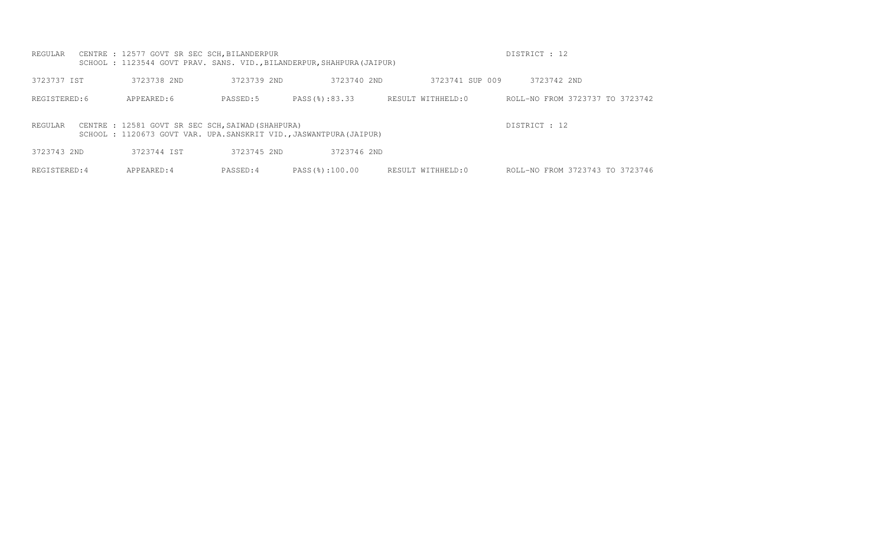| REGULAR       | CENTRE : 12577 GOVT SR SEC SCH, BILANDERPUR       |             | SCHOOL: 1123544 GOVT PRAV. SANS. VID., BILANDERPUR, SHAHPURA (JAIPUR) |                   | DISTRICT : 12                   |
|---------------|---------------------------------------------------|-------------|-----------------------------------------------------------------------|-------------------|---------------------------------|
| 3723737 IST   | 3723738 2ND                                       | 3723739 2ND | 3723740 2ND                                                           | 3723741 SUP 009   | 3723742 2ND                     |
| REGISTERED: 6 | APPEARED: 6                                       | PASSED:5    | PASS(%):83.33                                                         | RESULT WITHHELD:0 | ROLL-NO FROM 3723737 TO 3723742 |
| REGULAR       | CENTRE : 12581 GOVT SR SEC SCH, SAIWAD (SHAHPURA) |             | SCHOOL : 1120673 GOVT VAR. UPA.SANSKRIT VID., JASWANTPURA (JAIPUR)    |                   | DISTRICT: 12                    |
| 3723743 2ND   | 3723744 TST                                       | 3723745 2ND | 3723746 2ND                                                           |                   |                                 |
| REGISTERED: 4 | APPEARED: 4                                       | PASSED:4    | PASS(%):100.00                                                        | RESULT WITHHELD:0 | ROLL-NO FROM 3723743 TO 3723746 |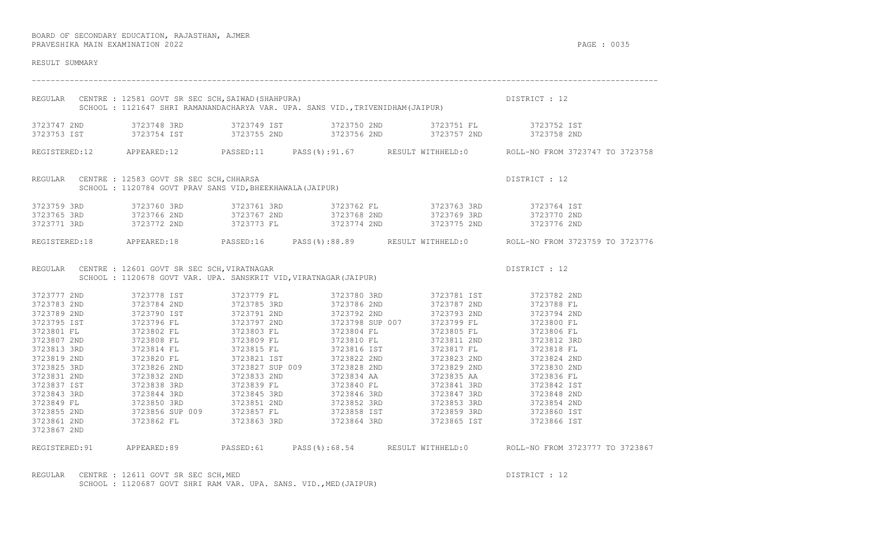| RESULT SUMMARY                                                                                                                                                                                                                             |                                                           |  |                                                                                                                                                                                                                                                                                                                                        |                                                                                                     |
|--------------------------------------------------------------------------------------------------------------------------------------------------------------------------------------------------------------------------------------------|-----------------------------------------------------------|--|----------------------------------------------------------------------------------------------------------------------------------------------------------------------------------------------------------------------------------------------------------------------------------------------------------------------------------------|-----------------------------------------------------------------------------------------------------|
|                                                                                                                                                                                                                                            | REGULAR CENTRE : 12581 GOVT SR SEC SCH, SAIWAD (SHAHPURA) |  | CENTRE : 12581 GOVT SR SEC SCH, SAIWAD(SHAHPURA)<br>SCHOOL : 1121647 SHRI RAMANANDACHARYA VAR. UPA. SANS VID.,TRIVENIDHAM(JAIPUR)                                                                                                                                                                                                      | DISTRICT : 12                                                                                       |
|                                                                                                                                                                                                                                            |                                                           |  | $\begin{array}{cccccccc} 3723747 & 2\texttt{ND} & & 3723748 & 3\texttt{RD} & & 3723759 & 1\texttt{ST} & & 3723750 & 2\texttt{ND} & & 3723751 & \texttt{FL} & & 3723752 & 1\texttt{ST} \\ 3723753 & 1\texttt{ST} & & 3723754 & 1\texttt{ST} & & 3723755 & 2\texttt{ND} & & 3723756 & 2\texttt{ND} & & 3723757 & 2\texttt{ND} & & 37237$ |                                                                                                     |
|                                                                                                                                                                                                                                            |                                                           |  |                                                                                                                                                                                                                                                                                                                                        | REGISTERED:12 APPEARED:12 PASSED:11 PASS(%):91.67 RESULT WITHHELD:0 ROLL-NO FROM 3723747 TO 3723758 |
|                                                                                                                                                                                                                                            | REGULAR CENTRE : 12583 GOVT SR SEC SCH, CHHARSA           |  | CENTRE : 12583 GOVT SR SEC SCH, CHHARSA<br>SCHOOL : 1120784 GOVT PRAV SANS VID, BHEEKHAWALA(JAIPUR)                                                                                                                                                                                                                                    | DISTRICT : 12                                                                                       |
| 3723759 3RD<br>3723765 3RD<br>3723771 3RD                                                                                                                                                                                                  |                                                           |  | 3723760 3RD    3723761 3RD    3723762 FL    3723763 3RD    3723764 IST<br>3723766 2ND                  3723767 2ND                   3723768 2ND                       3723769 3RD                   3723770 2ND<br>3723772 2ND                 3723773 FL                  3723774 2ND                                                |                                                                                                     |
|                                                                                                                                                                                                                                            |                                                           |  |                                                                                                                                                                                                                                                                                                                                        | REGISTERED:18 APPEARED:18 PASSED:16 PASS(%):88.89 RESULT WITHHELD:0 ROLL-NO FROM 3723759 TO 3723776 |
|                                                                                                                                                                                                                                            | REGULAR CENTRE : 12601 GOVT SR SEC SCH, VIRATNAGAR        |  | CENTRE : 12601 GOVT SR SEC SCH,VIRATNAGAR<br>SCHOOL : 1120678 GOVT VAR. UPA. SANSKRIT VID,VIRATNAGAR(JAIPUR)                                                                                                                                                                                                                           | DISTRICT : 12                                                                                       |
| 3723777 2ND<br>3723783 2ND<br>3723789 2ND<br>3723795 IST<br>3723801 FL<br>3723807 2ND<br>3723813 3RD<br>3723819 2ND<br>3723825 3RD<br>3723831 2ND<br>3723837 IST<br>3723843 3RD<br>3723849 FL<br>3723855 2ND<br>3723861 2ND<br>3723867 2ND |                                                           |  | 3723778 IST 3723779 FL 3723780 3RD 3723781 IST 3723782 2ND                                                                                                                                                                                                                                                                             |                                                                                                     |
| REGISTERED: 91                                                                                                                                                                                                                             |                                                           |  |                                                                                                                                                                                                                                                                                                                                        | APPEARED:89 PASSED:61 PASS(%):68.54 RESULT WITHHELD:0 ROLL-NO FROM 3723777 TO 3723867               |

REGULAR CENTRE : 12611 GOVT SR SEC SCH, MED DESTRICT TO A SECOLAR DISTRICT : 12 SCHOOL : 1120687 GOVT SHRI RAM VAR. UPA. SANS. VID., MED (JAIPUR)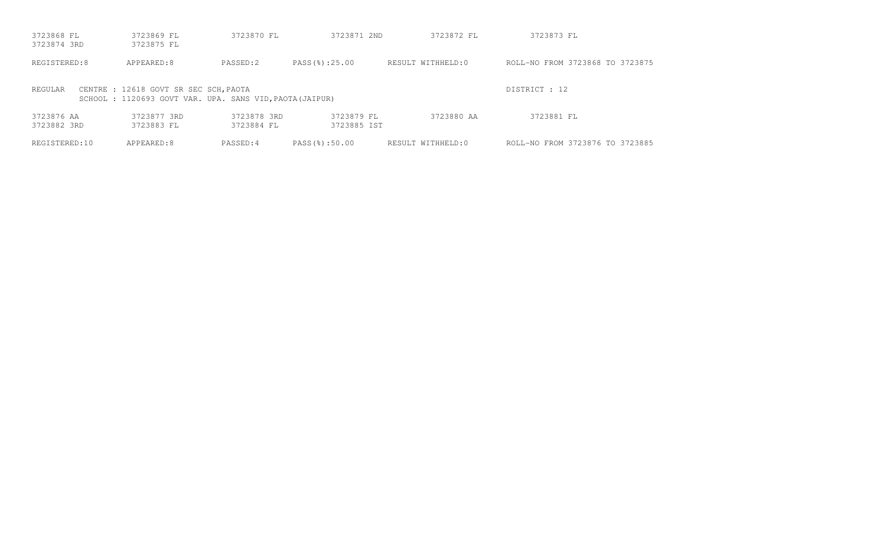| 3723868 FL<br>3723874 3RD | 3723869 FL<br>3723875 FL                                                                         | 3723870 FL                | 3723871 2ND               | 3723872 FL        | 3723873 FL                      |
|---------------------------|--------------------------------------------------------------------------------------------------|---------------------------|---------------------------|-------------------|---------------------------------|
| REGISTERED:8              | APPEARED:8                                                                                       | PASSED:2                  | PASS(%):25.00             | RESULT WITHHELD:0 | ROLL-NO FROM 3723868 TO 3723875 |
| REGULAR                   | CENTRE : 12618 GOVT SR SEC SCH, PAOTA<br>SCHOOL: 1120693 GOVT VAR. UPA. SANS VID, PAOTA (JAIPUR) |                           |                           |                   | DISTRICT : 12                   |
| 3723876 AA<br>3723882 3RD | 3723877 3RD<br>3723883 FL                                                                        | 3723878 3RD<br>3723884 FL | 3723879 FL<br>3723885 IST | 3723880 AA        | 3723881 FL                      |
| REGISTERED:10             | APPEARED:8                                                                                       | PASSED: 4                 | PASS(%):50.00             | RESULT WITHHELD:0 | ROLL-NO FROM 3723876 TO 3723885 |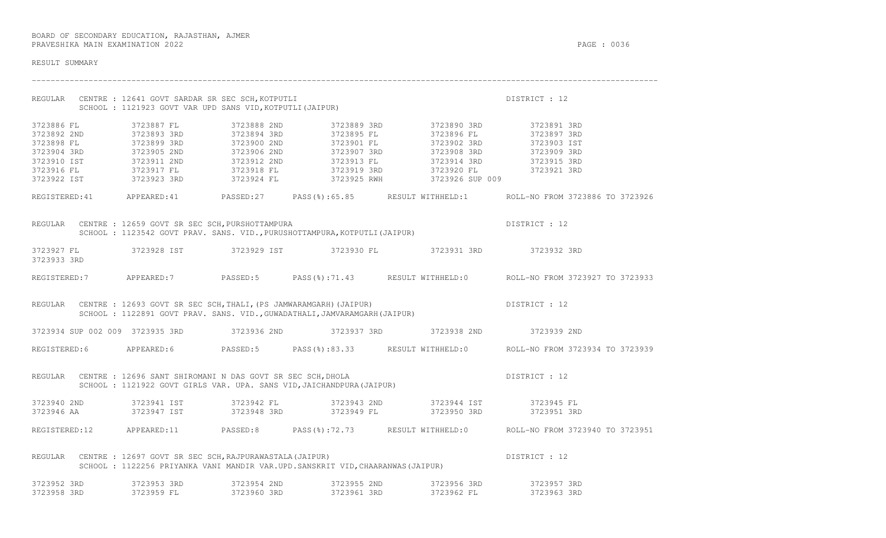3723963 3RD

| RESULT SUMMARY |                                                                    |                                                                                 |                                                                                                                                                                                                                                                                                                                                                        |                                                                                                     |
|----------------|--------------------------------------------------------------------|---------------------------------------------------------------------------------|--------------------------------------------------------------------------------------------------------------------------------------------------------------------------------------------------------------------------------------------------------------------------------------------------------------------------------------------------------|-----------------------------------------------------------------------------------------------------|
|                |                                                                    |                                                                                 | REGULAR CENTRE : 12641 GOVT SARDAR SR SEC SCH, KOTPUTLI<br>SCHOOL : 1121923 GOVT VAR UPD SANS VID, KOTPUTLI (JAIPUR)                                                                                                                                                                                                                                   | DISTRICT : 12                                                                                       |
|                |                                                                    |                                                                                 | $\begin{array}{cccccccc} 3723886 \text{ FL} & 3723887 \text{ FL} & 3723888 \text{ ZND} & 3723889 \text{ SND} & 3723890 \text{ SND} & 3723892 \text{ ZND} & 3723893 \text{ SND} & 3723899 \text{ SND} & 3723899 \text{ SND} & 3723899 \text{ SND} & 3723899 \text{ SND} & 3723899 \text{ SND} & 3723899 \text{ SND} & 3723899 \text{ SND} & 372$        |                                                                                                     |
|                |                                                                    |                                                                                 |                                                                                                                                                                                                                                                                                                                                                        |                                                                                                     |
|                |                                                                    |                                                                                 |                                                                                                                                                                                                                                                                                                                                                        |                                                                                                     |
|                |                                                                    |                                                                                 |                                                                                                                                                                                                                                                                                                                                                        |                                                                                                     |
|                |                                                                    |                                                                                 |                                                                                                                                                                                                                                                                                                                                                        |                                                                                                     |
|                |                                                                    |                                                                                 |                                                                                                                                                                                                                                                                                                                                                        |                                                                                                     |
|                |                                                                    |                                                                                 |                                                                                                                                                                                                                                                                                                                                                        |                                                                                                     |
|                |                                                                    |                                                                                 |                                                                                                                                                                                                                                                                                                                                                        | REGISTERED:41 APPEARED:41 PASSED:27 PASS(%):65.85 RESULT WITHHELD:1 ROLL-NO FROM 3723886 TO 3723926 |
|                | REGULAR CENTRE : 12659 GOVT SR SEC SCH, PURSHOTTAMPURA             |                                                                                 | CENTRE : 12659 GOVT SR SEC SCH, PURSHOTTAMPURA<br>SCHOOL : 1123542 GOVT PRAV. SANS. VID., PURUSHOTTAMPURA, KOTPUTLI(JAIPUR)                                                                                                                                                                                                                            | DISTRICT : 12                                                                                       |
| 3723933 3RD    |                                                                    |                                                                                 | 3723927 FL 3723928 IST 3723929 IST 3723930 FL 3723931 3RD 3723932 3RD                                                                                                                                                                                                                                                                                  |                                                                                                     |
|                |                                                                    |                                                                                 |                                                                                                                                                                                                                                                                                                                                                        | REGISTERED:7 APPEARED:7 PASSED:5 PASS(%):71.43 RESULT WITHHELD:0 ROLL-NO FROM 3723927 TO 3723933    |
|                |                                                                    | SCHOOL: 1122891 GOVT PRAV. SANS. VID., GUWADATHALI, JAMVARAMGARH (JAIPUR)       | REGULAR CENTRE : 12693 GOVT SR SEC SCH, THALI, (PS JAMWARAMGARH) (JAIPUR) THE SECOLAR CENTRE : 12                                                                                                                                                                                                                                                      |                                                                                                     |
|                |                                                                    |                                                                                 | 3723934 SUP 002 009 3723935 3RD 3723936 2ND 3723937 3RD 3723938 2ND 3723939 2ND 3723939 2ND                                                                                                                                                                                                                                                            |                                                                                                     |
|                |                                                                    |                                                                                 |                                                                                                                                                                                                                                                                                                                                                        | REGISTERED:6 APPEARED:6 PASSED:5 PASS(%):83.33 RESULT WITHHELD:0 ROLL-NO FROM 3723934 TO 3723939    |
|                | REGULAR CENTRE : 12696 SANT SHIROMANI N DAS GOVT SR SEC SCH, DHOLA |                                                                                 | CENTRE : 12696 SANT SHIROMANI N DAS GOVT SR SEC SCH,DHOLA<br>SCHOOL : 1121922 GOVT GIRLS VAR. UPA. SANS VID,JAICHANDPURA(JAIPUR)                                                                                                                                                                                                                       |                                                                                                     |
|                |                                                                    |                                                                                 | $\begin{array}{cccccccc} 3723940 & 2\texttt{ND} & & 3723941 & \texttt{IST} & & 3723942 & \texttt{FL} & & 3723943 & 2\texttt{ND} & & 3723944 & \texttt{IST} & & 3723945 & \texttt{FL} \\ 3723946 & \texttt{AA} & & 3723947 & \texttt{IST} & & 3723948 & 3\texttt{RD} & & 3723949 & \texttt{FL} & & 3723950 & 3\texttt{RD} & & 3723951 & 3\texttt{RD} &$ |                                                                                                     |
|                |                                                                    |                                                                                 |                                                                                                                                                                                                                                                                                                                                                        | REGISTERED:12 APPEARED:11 PASSED:8 PASS(%):72.73 RESULT WITHHELD:0 ROLL-NO FROM 3723940 TO 3723951  |
|                | REGULAR CENTRE : 12697 GOVT SR SEC SCH, RAJPURAWASTALA (JAIPUR)    | SCHOOL : 1122256 PRIYANKA VANI MANDIR VAR.UPD.SANSKRIT VID, CHAARANWAS (JAIPUR) |                                                                                                                                                                                                                                                                                                                                                        | DISTRICT : 12                                                                                       |
|                |                                                                    |                                                                                 | 3723952 3RD       3723953 3RD       3723954 2ND       3723955 2ND       3723956 3RD       3723957 3RD                                                                                                                                                                                                                                                  |                                                                                                     |

3723958 3RD 3723959 FL 3723960 3RD 3723961 3RD 3723962 FL 3723963 3RD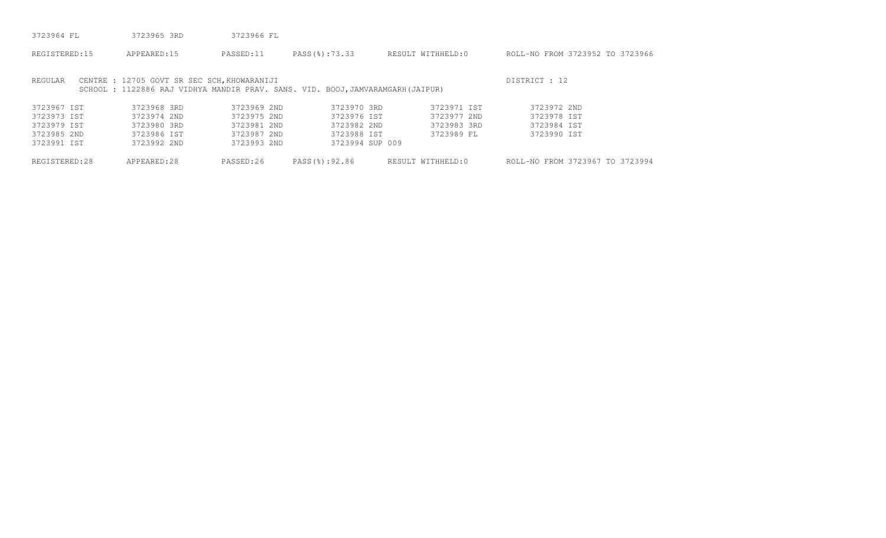3723964 FL 3723965 3RD 3723966 FL

| REGISTERED:15 | APPEARED:15 | PASSED:11 | PASS(%):73.33 | RESULT WITHHELD:0 | ROLL-NO FROM 3723952 TO 3723966 |
|---------------|-------------|-----------|---------------|-------------------|---------------------------------|
|               |             |           |               |                   |                                 |

| REGULAR       | CENTRE : 12705 GOVT SR SEC SCH, KHOWARANIJI |             |                                                                                |                 |                   | DISTRICT : 12                   |  |
|---------------|---------------------------------------------|-------------|--------------------------------------------------------------------------------|-----------------|-------------------|---------------------------------|--|
|               |                                             |             | SCHOOL: 1122886 RAJ VIDHYA MANDIR PRAV. SANS. VID. BOOJ, JAMVARAMGARH (JAIPUR) |                 |                   |                                 |  |
| 3723967 IST   |                                             | 3723968 3RD | 3723969 2ND                                                                    | 3723970 3RD     | 3723971 IST       | 3723972 2ND                     |  |
| 3723973 IST   |                                             | 3723974 2ND | 3723975 2ND                                                                    | 3723976 TST     | 3723977 2ND       | 3723978 TST                     |  |
| 3723979 IST   |                                             | 3723980 3RD | 3723981 2ND                                                                    | 3723982 2ND     | 3723983 3RD       | 3723984 IST                     |  |
| 3723985 2ND   |                                             | 3723986 IST | 3723987 2ND                                                                    | 3723988 IST     | 3723989 FL        | 3723990 IST                     |  |
| 3723991 TST   |                                             | 3723992 2ND | 3723993 2ND                                                                    | 3723994 SUP 009 |                   |                                 |  |
| REGISTERED:28 |                                             | APPEARED:28 | PASSED:26                                                                      | PASS(%):92.86   | RESULT WITHHELD:0 | ROLL-NO FROM 3723967 TO 3723994 |  |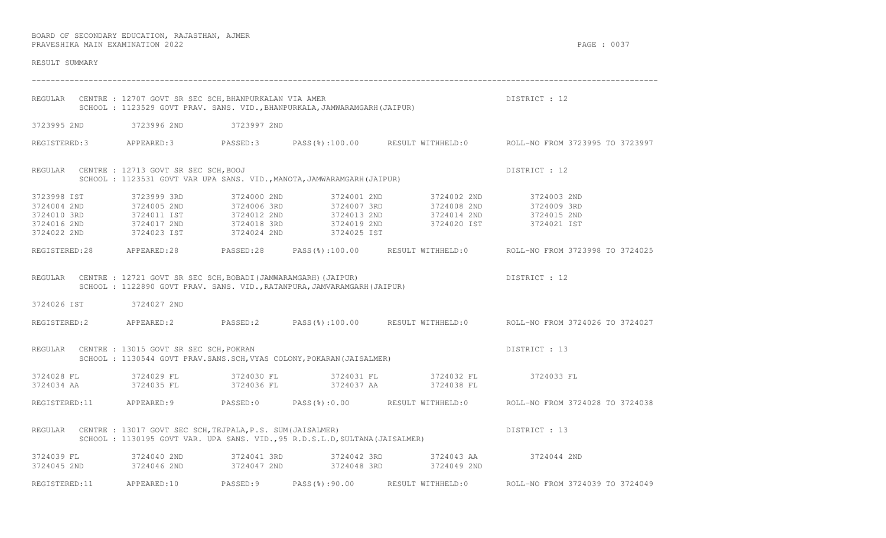| RESULT SUMMARY                                                                                                                                    |                                                                    |           |                                                                              |                                                                                                                                                                                                                                                                                               |                                                                                                      |
|---------------------------------------------------------------------------------------------------------------------------------------------------|--------------------------------------------------------------------|-----------|------------------------------------------------------------------------------|-----------------------------------------------------------------------------------------------------------------------------------------------------------------------------------------------------------------------------------------------------------------------------------------------|------------------------------------------------------------------------------------------------------|
|                                                                                                                                                   | REGULAR CENTRE : 12707 GOVT SR SEC SCH, BHANPURKALAN VIA AMER      |           |                                                                              | CENIKE : 12/0/ GOVT SR SEC SCH, BHANPURKALAN VIA AMER<br>SCHOOL : 1123529 GOVT PRAV. SANS. VID., BHANPURKALA, JAMWARAMGARH (JAIPUR)                                                                                                                                                           | DISTRICT : 12                                                                                        |
|                                                                                                                                                   | 3723995 2ND 3723996 2ND 3723997 2ND                                |           |                                                                              |                                                                                                                                                                                                                                                                                               |                                                                                                      |
|                                                                                                                                                   |                                                                    |           |                                                                              |                                                                                                                                                                                                                                                                                               | REGISTERED:3 APPEARED:3 PASSED:3 PASS(%):100.00 RESULT WITHHELD:0 ROLL-NO FROM 3723995 TO 3723997    |
|                                                                                                                                                   | REGULAR CENTRE : 12713 GOVT SR SEC SCH, BOOJ                       |           | SCHOOL : 1123531 GOVT VAR UPA SANS. VID., MANOTA, JAMWARAMGARH (JAIPUR)      |                                                                                                                                                                                                                                                                                               | DISTRICT : 12                                                                                        |
|                                                                                                                                                   |                                                                    |           |                                                                              | $\begin{array}{cccccccc} 3723998 & 1ST & 3723999 & 3RD & 3724000 & 2ND & 3724001 & 2ND & 3724002 & 2ND & 3724003 & 2ND & 3724004 & 2ND & 3724005 & 2ND & 3724005 & 2ND & 3724006 & 3RD & 3724007 & 3RD & 3724010 & 3RD & 3724016 & 2ND & 3724011 & 1ST & 3724012 & 2ND & 3724016 & 2ND & 372$ |                                                                                                      |
|                                                                                                                                                   |                                                                    |           |                                                                              |                                                                                                                                                                                                                                                                                               | REGISTERED:28 APPEARED:28 PASSED:28 PASS(%):100.00 RESULT WITHHELD:0 ROLL-NO FROM 3723998 TO 3724025 |
| REGULAR CENTRE : 12721 GOVT SR SEC SCH, BOBADI (JAMWARAMGARH) (JAIPUR)<br>SCHOOL: 1122890 GOVT PRAV. SANS. VID., RATANPURA, JAMVARAMGARH (JAIPUR) | DISTRICT : 12                                                      |           |                                                                              |                                                                                                                                                                                                                                                                                               |                                                                                                      |
| 3724026 IST 3724027 2ND                                                                                                                           |                                                                    |           |                                                                              |                                                                                                                                                                                                                                                                                               |                                                                                                      |
|                                                                                                                                                   |                                                                    |           |                                                                              |                                                                                                                                                                                                                                                                                               | REGISTERED:2 APPEARED:2 PASSED:2 PASS(%):100.00 RESULT WITHHELD:0 ROLL-NO FROM 3724026 TO 3724027    |
|                                                                                                                                                   | REGULAR CENTRE : 13015 GOVT SR SEC SCH, POKRAN                     |           | SCHOOL: 1130544 GOVT PRAV. SANS. SCH, VYAS COLONY, POKARAN (JAISALMER)       |                                                                                                                                                                                                                                                                                               | DISTRICT : 13                                                                                        |
| 3724034 AA                                                                                                                                        |                                                                    |           |                                                                              | 3724028 FL 3724029 FL 3724030 FL 3724031 FL 3724031 FL 3724032 FL 3724033 FL<br>3724035 FL 3724036 FL 3724037 AA 3724038 FL                                                                                                                                                                   |                                                                                                      |
|                                                                                                                                                   |                                                                    |           |                                                                              |                                                                                                                                                                                                                                                                                               | REGISTERED:11 APPEARED:9 PASSED:0 PASS(%):0.00 RESULT WITHHELD:0 ROLL-NO FROM 3724028 TO 3724038     |
|                                                                                                                                                   | REGULAR CENTRE : 13017 GOVT SEC SCH, TEJPALA, P.S. SUM (JAISALMER) |           | SCHOOL : 1130195 GOVT VAR. UPA SANS. VID., 95 R.D.S.L.D, SULTANA (JAISALMER) |                                                                                                                                                                                                                                                                                               | DISTRICT : 13                                                                                        |
| 3724045 2ND                                                                                                                                       |                                                                    |           |                                                                              | $3724039 \text{ FL} \qquad \qquad 3724040 \text{ } 2 \text{ND} \qquad \qquad 3724041 \text{ } 3 \text{RD} \qquad \qquad 3724042 \text{ } 3 \text{RD} \qquad \qquad 3724043 \text{ } \text{AA} \qquad \qquad 3724044 \text{ } 2 \text{ND}$<br>3724046 2ND 3724047 2ND 3724048 3RD 3724049 2ND  |                                                                                                      |
| REGISTERED:11                                                                                                                                     | APPEARED:10                                                        | PASSED: 9 | PASS(%):90.00                                                                | RESULT WITHHELD:0                                                                                                                                                                                                                                                                             | ROLL-NO FROM 3724039 TO 3724049                                                                      |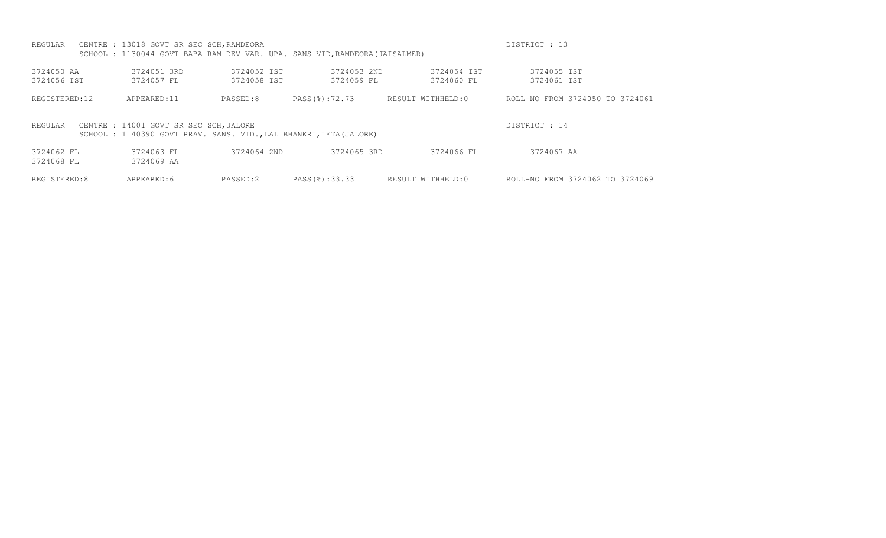| REGULAR                  | CENTRE : 13018 GOVT SR SEC SCH, RAMDEORA                                                                     |             |               |                   | DISTRICT : 13                   |
|--------------------------|--------------------------------------------------------------------------------------------------------------|-------------|---------------|-------------------|---------------------------------|
|                          | SCHOOL: 1130044 GOVT BABA RAM DEV VAR. UPA. SANS VID, RAMDEORA (JAISALMER)                                   |             |               |                   |                                 |
| 3724050 AA               | 3724051 3RD                                                                                                  | 3724052 IST | 3724053 2ND   | 3724054 IST       | 3724055 IST                     |
| 3724056 IST              | 3724057 FL                                                                                                   | 3724058 IST | 3724059 FL    | 3724060 FL        | 3724061 IST                     |
| REGISTERED: 12           | APPEARED:11                                                                                                  | PASSED:8    | PASS(%):72.73 | RESULT WITHHELD:0 | ROLL-NO FROM 3724050 TO 3724061 |
| REGULAR                  | CENTRE : 14001 GOVT SR SEC SCH, JALORE<br>SCHOOL : 1140390 GOVT PRAV. SANS. VID., LAL BHANKRI, LETA (JALORE) |             |               |                   | DISTRICT : 14                   |
| 3724062 FL<br>3724068 FL | 3724063 FL<br>3724069 AA                                                                                     | 3724064 2ND | 3724065 3RD   | 3724066 FL        | 3724067 AA                      |
| REGISTERED:8             | APPEARED:6                                                                                                   | PASSED:2    | PASS(%):33.33 | RESULT WITHHELD:0 | ROLL-NO FROM 3724062 TO 3724069 |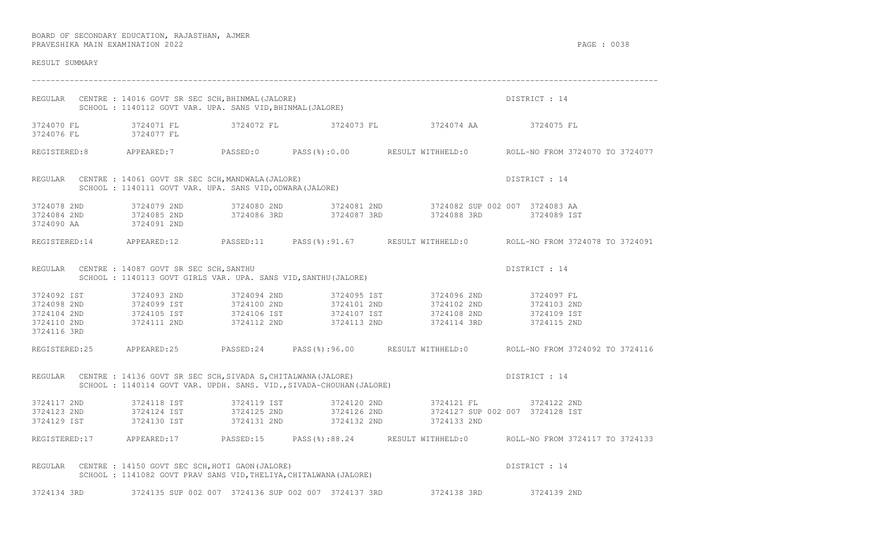| RESULT SUMMARY |                                                           |                                                                   |                                                                                                                                                                                                                                                                                                                                |                                                                                                     |
|----------------|-----------------------------------------------------------|-------------------------------------------------------------------|--------------------------------------------------------------------------------------------------------------------------------------------------------------------------------------------------------------------------------------------------------------------------------------------------------------------------------|-----------------------------------------------------------------------------------------------------|
|                |                                                           |                                                                   | REGULAR CENTRE : 14016 GOVT SR SEC SCH, BHINMAL (JALORE)<br>SCHOOL : 1140112 GOVT VAR. UPA. SANS VID, BHINMAL (JALORE)                                                                                                                                                                                                         | DISTRICT : 14                                                                                       |
|                |                                                           |                                                                   |                                                                                                                                                                                                                                                                                                                                |                                                                                                     |
|                |                                                           |                                                                   |                                                                                                                                                                                                                                                                                                                                | REGISTERED:8 APPEARED:7 PASSED:0 PASS(%):0.00 RESULT WITHHELD:0 ROLL-NO FROM 3724070 TO 3724077     |
|                | REGULAR CENTRE : 14061 GOVT SR SEC SCH, MANDWALA (JALORE) |                                                                   | CENTRE : 14061 GOVT SR SEC SCH, MANDWALA(JALORE)<br>SCHOOL : 1140111 GOVT VAR. UPA. SANS VID, ODWARA(JALORE)                                                                                                                                                                                                                   | DISTRICT : 14                                                                                       |
|                | 3724090 AA 3724091 2ND                                    |                                                                   | $\begin{array}{cccccccc} 3724078 & 2\texttt{ND} & 3724079 & 2\texttt{ND} & 3724080 & 2\texttt{ND} & 3724081 & 2\texttt{ND} & 3724082 & 5\texttt{UP} & 002 & 007 & 3724083 & \texttt{AA} \\ 3724084 & 2\texttt{ND} & 3724085 & 2\texttt{ND} & 3724086 & 3\texttt{RD} & 3724087 & 3\texttt{ND} & 3724088 & 3\texttt{RD} & 37240$ |                                                                                                     |
|                |                                                           |                                                                   |                                                                                                                                                                                                                                                                                                                                | REGISTERED:14 APPEARED:12 PASSED:11 PASS(%):91.67 RESULT WITHHELD:0 ROLL-NO FROM 3724078 TO 3724091 |
|                | REGULAR CENTRE : 14087 GOVT SR SEC SCH, SANTHU            | SCHOOL : 1140113 GOVT GIRLS VAR. UPA. SANS VID, SANTHU (JALORE)   |                                                                                                                                                                                                                                                                                                                                | DISTRICT : 14                                                                                       |
| 3724116 3RD    |                                                           |                                                                   | 3724092 IST 3724093 2ND 3724094 2ND 3724095 IST 3724096 2ND 3724097 FL<br>3724098 2ND 3724099 IST 3724100 2ND 3724101 2ND 3724102 2ND 3724103 2ND<br>3724104 2ND 3724105 IST 3724106 IST 3724107 IST 3724108 2ND 3724109 IST<br>3724110                                                                                        |                                                                                                     |
|                |                                                           |                                                                   |                                                                                                                                                                                                                                                                                                                                | REGISTERED:25 APPEARED:25 PASSED:24 PASS(%):96.00 RESULT WITHHELD:0 ROLL-NO FROM 3724092 TO 3724116 |
|                |                                                           |                                                                   | REGULAR CENTRE : 14136 GOVT SR SEC SCH, SIVADA S, CHITALWANA (JALORE)<br>SCHOOL : 1140114 GOVT VAR. UPDH. SANS. VID., SIVADA-CHOUHAN (JALORE)                                                                                                                                                                                  | DISTRICT : 14                                                                                       |
|                |                                                           |                                                                   | 3724117 2ND 3724118 IST 3724119 IST 3724120 2ND 3724121 FL 3724122 2ND<br>3724123 2ND 3724124 IST 3724125 2ND 3724126 2ND 3724127 SUP 002 007 3724128 IST<br>3724129 IST 3724130 IST 3724131 2ND 3724132 2ND 3724133 2ND                                                                                                       |                                                                                                     |
|                |                                                           |                                                                   |                                                                                                                                                                                                                                                                                                                                | REGISTERED:17 APPEARED:17 PASSED:15 PASS(%):88.24 RESULT WITHHELD:0 ROLL-NO FROM 3724117 TO 3724133 |
|                | REGULAR CENTRE : 14150 GOVT SEC SCH, HOTI GAON (JALORE)   | SCHOOL : 1141082 GOVT PRAV SANS VID, THELIYA, CHITALWANA (JALORE) |                                                                                                                                                                                                                                                                                                                                | DISTRICT : 14                                                                                       |
|                |                                                           |                                                                   | 3724134 3RD 3724135 SUP 002 007 3724136 SUP 002 007 3724137 3RD 3724138 3RD 3724139 2ND                                                                                                                                                                                                                                        |                                                                                                     |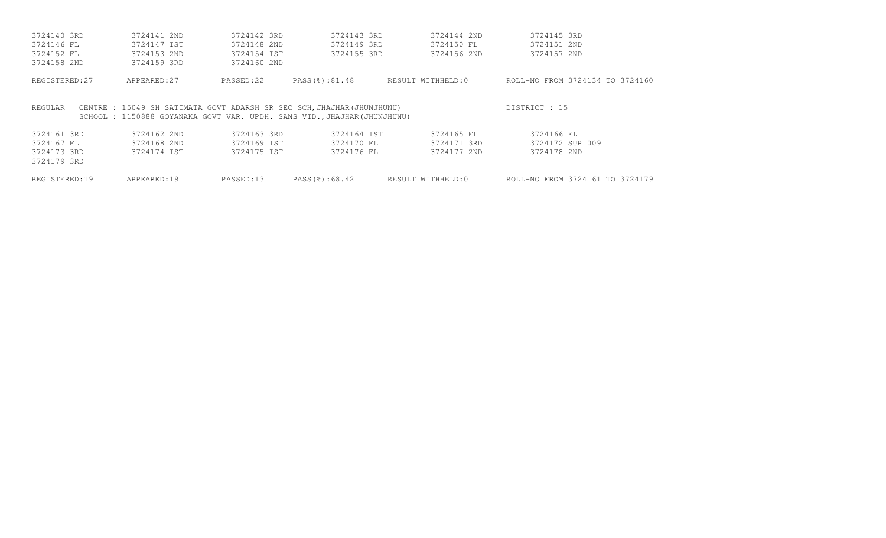| 3724140 3RD   | 3724141 2ND | 3724142 3RD | 3724143 3RD                                                                                                                                      | 3724144 2ND       | 3724145 3RD                     |
|---------------|-------------|-------------|--------------------------------------------------------------------------------------------------------------------------------------------------|-------------------|---------------------------------|
| 3724146 FL    | 3724147 IST | 3724148 2ND | 3724149 3RD                                                                                                                                      | 3724150 FL        | 3724151 2ND                     |
| 3724152 FL    | 3724153 2ND | 3724154 IST | 3724155 3RD                                                                                                                                      | 3724156 2ND       | 3724157 2ND                     |
| 3724158 2ND   | 3724159 3RD | 3724160 2ND |                                                                                                                                                  |                   |                                 |
| REGISTERED:27 | APPEARED:27 | PASSED:22   | PASS(%):81.48                                                                                                                                    | RESULT WITHHELD:0 | ROLL-NO FROM 3724134 TO 3724160 |
| REGULAR       |             |             | CENTRE : 15049 SH SATIMATA GOVT ADARSH SR SEC SCH, JHAJHAR(JHUNJHUNU)<br>SCHOOL: 1150888 GOYANAKA GOVT VAR. UPDH. SANS VID., JHAJHAR (JHUNJHUNU) |                   | DISTRICT : 15                   |
| 3724161 3RD   | 3724162 2ND | 3724163 3RD | 3724164 IST                                                                                                                                      | 3724165 FL        | 3724166 FL                      |
| 3724167 FL    | 3724168 2ND | 3724169 TST | 3724170 FL                                                                                                                                       | 3724171 3RD       | 3724172 SUP 009                 |
| 3724173 3RD   | 3724174 IST | 3724175 IST | 3724176 FL                                                                                                                                       | 3724177 2ND       | 3724178 2ND                     |
| 3724179 3RD   |             |             |                                                                                                                                                  |                   |                                 |
| REGISTERED:19 | APPEARED:19 | PASSED:13   | PASS(%):68.42                                                                                                                                    | RESULT WITHHELD:0 | ROLL-NO FROM 3724161 TO 3724179 |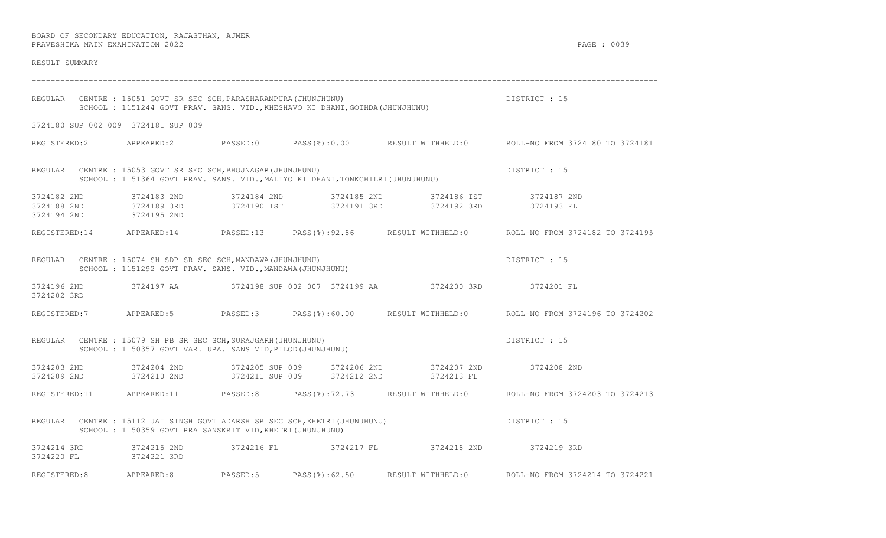| RESULT SUMMARY |                                                                                                                                                     |          |                                                                                                                                                                            |                                                                                                     |
|----------------|-----------------------------------------------------------------------------------------------------------------------------------------------------|----------|----------------------------------------------------------------------------------------------------------------------------------------------------------------------------|-----------------------------------------------------------------------------------------------------|
|                | REGULAR CENTRE : 15051 GOVT SR SEC SCH, PARASHARAMPURA (JHUNJHUNU)<br>SCHOOL : 1151244 GOVT PRAV. SANS. VID., KHESHAVO KI DHANI, GOTHDA (JHUNJHUNU) |          |                                                                                                                                                                            | DISTRICT : 15                                                                                       |
|                | 3724180 SUP 002 009 3724181 SUP 009                                                                                                                 |          |                                                                                                                                                                            |                                                                                                     |
|                |                                                                                                                                                     |          |                                                                                                                                                                            | REGISTERED:2 APPEARED:2 PASSED:0 PASS(%):0.00 RESULT WITHHELD:0 ROLL-NO FROM 3724180 TO 3724181     |
|                | REGULAR CENTRE : 15053 GOVT SR SEC SCH, BHOJNAGAR (JHUNJHUNU)<br>SCHOOL : 1151364 GOVT PRAV. SANS. VID., MALIYO KI DHANI, TONKCHILRI (JHUNJHUNU)    |          |                                                                                                                                                                            | DISTRICT : 15                                                                                       |
| 3724194 2ND    | 3724195 2ND                                                                                                                                         |          | 3724182 2ND 3724183 2ND 3724184 2ND 3724185 2ND 3724186 IST 3724187 2ND<br>3724188 2ND 3724189 3RD 3724190 IST 3724191 3RD 3724192 3RD 3724193 FL                          |                                                                                                     |
|                |                                                                                                                                                     |          |                                                                                                                                                                            | REGISTERED:14 APPEARED:14 PASSED:13 PASS(%):92.86 RESULT WITHHELD:0 ROLL-NO FROM 3724182 TO 3724195 |
|                | REGULAR CENTRE : 15074 SH SDP SR SEC SCH, MANDAWA (JHUNJHUNU)<br>SCHOOL : 1151292 GOVT PRAV. SANS. VID., MANDAWA (JHUNJHUNU)                        |          |                                                                                                                                                                            | DISTRICT : 15                                                                                       |
| 3724202 3RD    |                                                                                                                                                     |          | 3724196 2ND 3724197 AA 3724198 SUP 002 007 3724199 AA 3724200 3RD 3724201 FL                                                                                               |                                                                                                     |
|                |                                                                                                                                                     |          |                                                                                                                                                                            | REGISTERED:7 APPEARED:5 PASSED:3 PASS(%):60.00 RESULT WITHHELD:0 ROLL-NO FROM 3724196 TO 3724202    |
|                | REGULAR CENTRE : 15079 SH PB SR SEC SCH, SURAJGARH (JHUNJHUNU)<br>SCHOOL : 1150357 GOVT VAR. UPA. SANS VID, PILOD (JHUNJHUNU)                       |          |                                                                                                                                                                            | DISTRICT : 15                                                                                       |
|                |                                                                                                                                                     |          | 3724203 2ND 3724204 2ND 3724205 SUP 009 3724206 2ND 3724207 2ND 3724208 2ND<br>3724209 2ND 3724210 2ND 3724211 SUP 009 3724212 2ND 3724213 FL                              |                                                                                                     |
|                |                                                                                                                                                     |          |                                                                                                                                                                            | REGISTERED:11 APPEARED:11 PASSED:8 PASS(%):72.73 RESULT WITHHELD:0 ROLL-NO FROM 3724203 TO 3724213  |
|                | SCHOOL : 1150359 GOVT PRA SANSKRIT VID, KHETRI (JHUNJHUNU)                                                                                          |          | REGULAR CENTRE : 15112 JAI SINGH GOVT ADARSH SR SEC SCH, KHETRI (JHUNJHUNU)                                                                                                | DISTRICT : 15                                                                                       |
| 3724220 FL     | 3724221 3RD                                                                                                                                         |          | $3724214 \text{ } 3RD \text{ } 3724215 \text{ } 2ND \text{ } 3724216 \text{ } FL \text{ } 3724217 \text{ } FL \text{ } 3724218 \text{ } 2ND \text{ } 3724219 \text{ } 3RD$ |                                                                                                     |
| REGISTERED:8   | APPEARED:8                                                                                                                                          | PASSED:5 |                                                                                                                                                                            | PASS(%):62.50 RESULT WITHHELD:0 ROLL-NO FROM 3724214 TO 3724221                                     |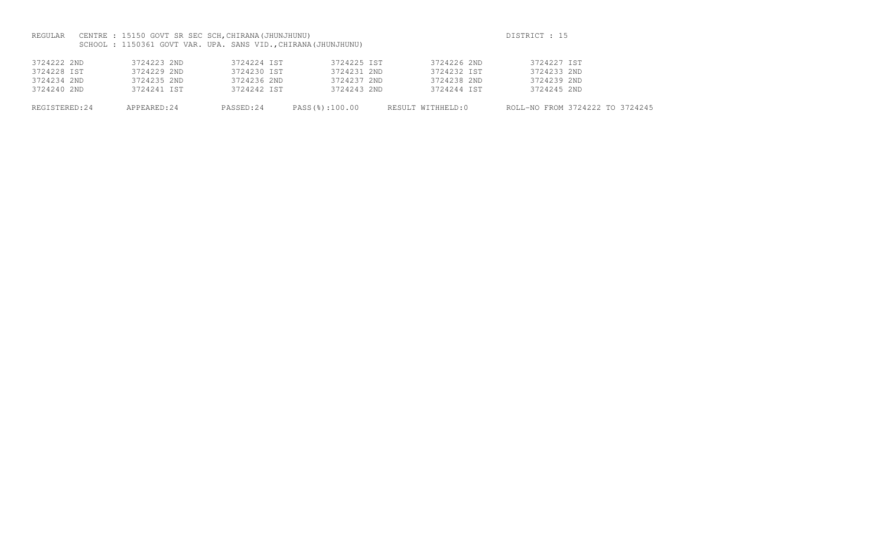| REGULAR       | CENTRE : 15150 GOVT SR SEC SCH, CHIRANA (JHUNJHUNU)           |             |                | DISTRICT : 15     |                                 |  |
|---------------|---------------------------------------------------------------|-------------|----------------|-------------------|---------------------------------|--|
|               | SCHOOL: 1150361 GOVT VAR. UPA. SANS VID., CHIRANA (JHUNJHUNU) |             |                |                   |                                 |  |
| 3724222 2ND   | 3724223 2ND                                                   | 3724224 TST | 3724225 TST    | 3724226 2ND       | 3724227 IST                     |  |
| 3724228 IST   | 3724229 2ND                                                   | 3724230 TST | 3724231 2ND    | 3724232 IST       | 3724233 2ND                     |  |
| 3724234 2ND   | 3724235 2ND                                                   | 3724236 2ND | 3724237 2ND    | 3724238 2ND       | 3724239 2ND                     |  |
| 3724240 2ND   | 3724241 TST                                                   | 3724242 TST | 3724243 2ND    | 3724244 TST       | 3724245 2ND                     |  |
| REGISTERED:24 | APPEARED: 24                                                  | PASSED:24   | PASS(%):100.00 | RESULT WITHHELD:0 | ROLL-NO FROM 3724222 TO 3724245 |  |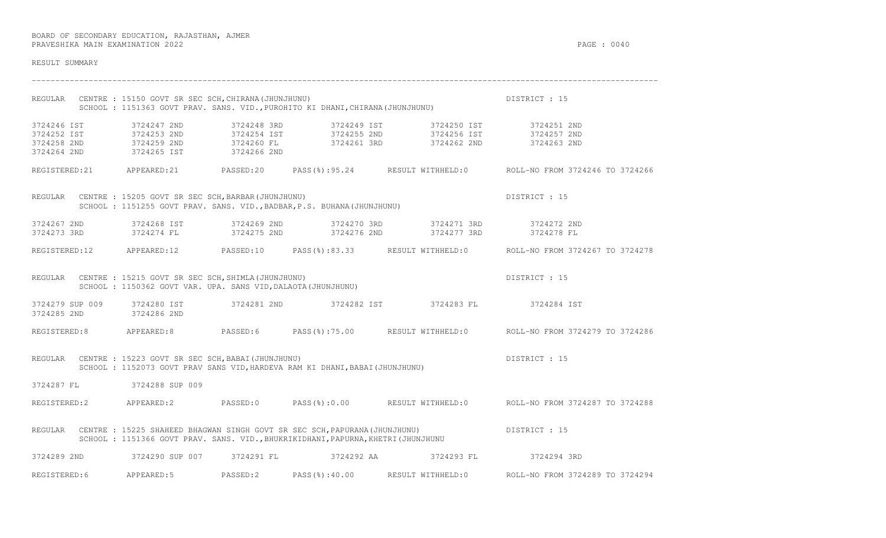## RESULT SUMMARY ------------------------------------------------------------------------------------------------------------------------------------ REGULAR CENTRE : 15150 GOVT SR SEC SCH, CHIRANA (JHUNJHUNU) DISTRICT THE STRICT STATE OF STRICT THE STRICT OF STRICT STATE OF STRICT STATE OF STRICT STATE OF STRICT STATE OF STRICT STATE OF STRICT STATE OF STRICT STATE OF SCHOOL : 1151363 GOVT PRAV. SANS. VID.,PUROHITO KI DHANI,CHIRANA(JHUNJHUNU) 3724246 IST 3724247 2ND 3724248 3RD 3724249 IST 3724250 IST<br>3724252 IST 3724253 2ND 3724254 IST 3724255 2ND 3724256 IST 372 REGISTERED:21 APPEARED:21 PASSED:20 PASS(%):95.24 RESULT WITHHELD:0 ROLL-NO FROM 3724246 TO 3724266 REGULAR CENTRE : 15205 GOVT SR SEC SCH, BARBAR(JHUNJHUNU) DISTRICT THE STRICT : 15 SCHOOL : 1151255 GOVT PRAV. SANS. VID.,BADBAR,P.S. BUHANA(JHUNJHUNU) 3724267 2ND 3724268 IST 3724270 3724271 3724272 3724272<br>3724273 3RD 3724274 FL 3724275 2ND 3724277 37 REGISTERED:12 APPEARED:12 PASSED:10 PASS(%):83.33 RESULT WITHHELD:0 ROLL-NO FROM 3724267 TO 3724278 REGULAR CENTRE : 15215 GOVT SR SEC SCH, SHIMLA(JHUNJHUNU) DISTRICT THE STRICT : 15 SCHOOL : 1150362 GOVT VAR. UPA. SANS VID,DALAOTA(JHUNJHUNU) 3724279 SUP 009 3724280 IST 3724281 2ND 3724282 IST 3724283 FL 3724284 IST 3724285 2ND 3724286 2ND REGISTERED:8 APPEARED:8 PASSED:6 PASS(%):75.00 RESULT WITHHELD:0 ROLL-NO FROM 3724279 TO 3724286 REGULAR CENTRE : 15223 GOVT SR SEC SCH, BABAI(JHUNJHUNU) DISTRICT THE STRICT : 15 SCHOOL : 1152073 GOVT PRAV SANS VID, HARDEVA RAM KI DHANI, BABAI(JHUNJHUNU) 3724287 FL 3724288 SUP 009 REGISTERED:2 APPEARED:2 PASSED:0 PASS(%):0.00 RESULT WITHHELD:0 ROLL-NO FROM 3724287 TO 3724288 REGULAR CENTRE : 15225 SHAHEED BHAGWAN SINGH GOVT SR SEC SCH, PAPURANA (JHUNJHUNU) DISTRICT : 15 SCHOOL : 1151366 GOVT PRAV. SANS. VID., BHUKRIKIDHANI, PAPURNA, KHETRI (JHUNJHUNU 3724289 2ND 3724290 SUP 007 3724291 FL 3724292 AA 3724293 FL 3724294 3RD REGISTERED:6 APPEARED:5 PASSED:2 PASS(%):40.00 RESULT WITHHELD:0 ROLL-NO FROM 3724289 TO 3724294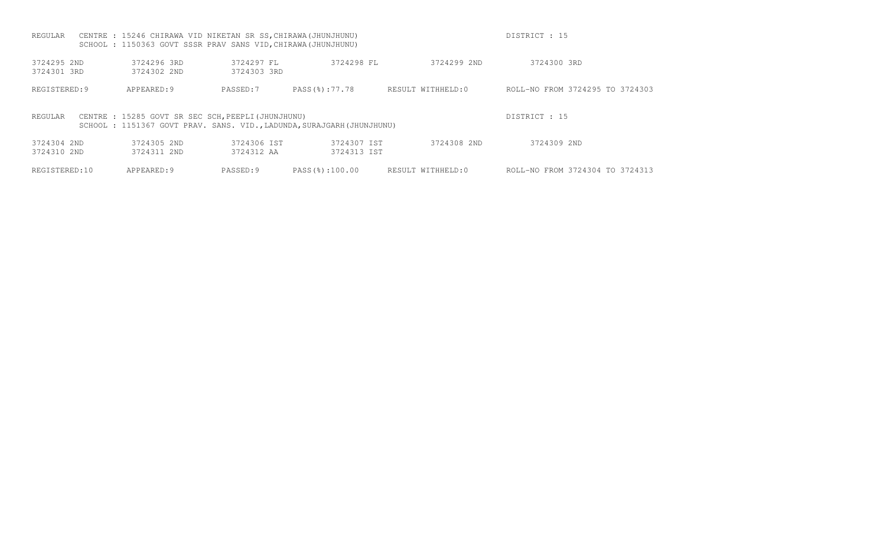| CENTRE : 15246 CHIRAWA VID NIKETAN SR SS, CHIRAWA (JHUNJHUNU)<br>REGULAR<br>SCHOOL: 1150363 GOVT SSSR PRAV SANS VID, CHIRAWA (JHUNJHUNU) |                                                                                                                             |                           |                            |                   | DISTRICT : 15                   |  |
|------------------------------------------------------------------------------------------------------------------------------------------|-----------------------------------------------------------------------------------------------------------------------------|---------------------------|----------------------------|-------------------|---------------------------------|--|
| 3724295 2ND<br>3724301 3RD                                                                                                               | 3724296 3RD<br>3724302 2ND                                                                                                  | 3724297 FL<br>3724303 3RD | 3724298 FL                 | 3724299 2ND       | 3724300 3RD                     |  |
| REGISTERED: 9                                                                                                                            | APPEARED: 9                                                                                                                 | PASSED:7                  | PASS(%):77.78              | RESULT WITHHELD:0 | ROLL-NO FROM 3724295 TO 3724303 |  |
| REGULAR                                                                                                                                  | CENTRE : 15285 GOVT SR SEC SCH, PEEPLI (JHUNJHUNU)<br>SCHOOL: 1151367 GOVT PRAV. SANS. VID., LADUNDA, SURAJGARH (JHUNJHUNU) |                           |                            |                   | DISTRICT : 15                   |  |
| 3724304 2ND<br>3724310 2ND                                                                                                               | 3724305 2ND<br>3724311 2ND                                                                                                  | 3724306 TST<br>3724312 AA | 3724307 TST<br>3724313 TST | 3724308 2ND       | 3724309 2ND                     |  |
| REGISTERED:10                                                                                                                            | APPEARED: 9                                                                                                                 | PASSED: 9                 | PASS(%):100.00             | RESULT WITHHELD:0 | ROLL-NO FROM 3724304 TO 3724313 |  |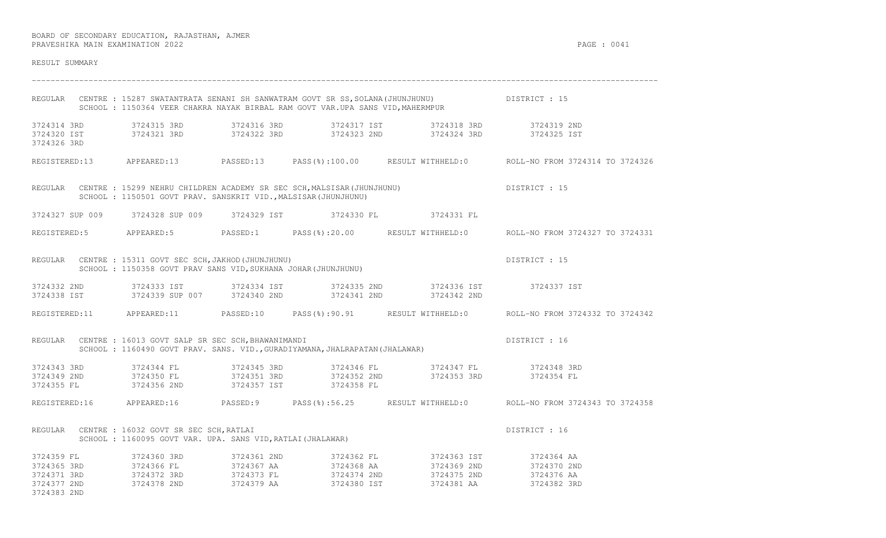| RESULT SUMMARY                                                                                                                                    |                                                                                                                                                                                       |  |                                                                                                                                                                                                                                          |                                                                                                      |
|---------------------------------------------------------------------------------------------------------------------------------------------------|---------------------------------------------------------------------------------------------------------------------------------------------------------------------------------------|--|------------------------------------------------------------------------------------------------------------------------------------------------------------------------------------------------------------------------------------------|------------------------------------------------------------------------------------------------------|
|                                                                                                                                                   | REGULAR CENTRE : 15287 SWATANTRATA SENANI SH SANWATRAM GOVT SR SS, SOLANA (JHUNJHUNU) DISTRICT : 15<br>SCHOOL : 1150364 VEER CHAKRA NAYAK BIRBAL RAM GOVT VAR.UPA SANS VID, MAHERMPUR |  |                                                                                                                                                                                                                                          |                                                                                                      |
| 3724326 3RD                                                                                                                                       |                                                                                                                                                                                       |  | $\begin{array}{cccccccc} 3724314 & 3RD & & 3724315 & 3RD & & 3724316 & 3RD & & 3724317 & 1ST & & 3724318 & 3RD & & 3724319 & 2ND \\ 3724320 & 1ST & & & 3724321 & 3RD & & 3724322 & 3RD & & 3724322 & 3RD & & 3724325 & 1ST \end{array}$ |                                                                                                      |
|                                                                                                                                                   |                                                                                                                                                                                       |  |                                                                                                                                                                                                                                          | REGISTERED:13 APPEARED:13 PASSED:13 PASS(%):100.00 RESULT WITHHELD:0 ROLL-NO FROM 3724314 TO 3724326 |
| REGULAR CENTRE : 15299 NEHRU CHILDREN ACADEMY SR SEC SCH, MALSISAR (JHUNJHUNU)<br>SCHOOL : 1150501 GOVT PRAV. SANSKRIT VID., MALSISAR (JHUNJHUNU) | DISTRICT : 15                                                                                                                                                                         |  |                                                                                                                                                                                                                                          |                                                                                                      |
|                                                                                                                                                   | 3724327 SUP 009 3724328 SUP 009 3724329 IST 3724330 FL 3724331 FL                                                                                                                     |  |                                                                                                                                                                                                                                          |                                                                                                      |
|                                                                                                                                                   |                                                                                                                                                                                       |  |                                                                                                                                                                                                                                          | REGISTERED:5 APPEARED:5 PASSED:1 PASS(%):20.00 RESULT WITHHELD:0 ROLL-NO FROM 3724327 TO 3724331     |
| REGULAR CENTRE : 15311 GOVT SEC SCH, JAKHOD (JHUNJHUNU)<br>SCHOOL : 1150358 GOVT PRAV SANS VID, SUKHANA JOHAR (JHUNJHUNU)                         | DISTRICT : 15                                                                                                                                                                         |  |                                                                                                                                                                                                                                          |                                                                                                      |
|                                                                                                                                                   |                                                                                                                                                                                       |  | 3724332 2ND 3724333 IST 3724334 IST 3724335 2ND 3724336 IST 3724337 IST<br>3724338 IST 3724339 SUP 007 3724340 2ND 3724341 2ND 3724342 2ND                                                                                               |                                                                                                      |
|                                                                                                                                                   |                                                                                                                                                                                       |  |                                                                                                                                                                                                                                          | REGISTERED:11 APPEARED:11 PASSED:10 PASS(%):90.91 RESULT WITHHELD:0 ROLL-NO FROM 3724332 TO 3724342  |
|                                                                                                                                                   | REGULAR CENTRE : 16013 GOVT SALP SR SEC SCH, BHAWANIMANDI<br>SCHOOL : 1160490 GOVT PRAV. SANS. VID., GURADIYAMANA, JHALRAPATAN (JHALAWAR)                                             |  |                                                                                                                                                                                                                                          | DISTRICT : 16                                                                                        |
|                                                                                                                                                   |                                                                                                                                                                                       |  | 3724343 3RD 3724344 FL 3724345 3RD 3724346 FL 3724347 FL 3724348 3RD<br>3724349 2ND 3724350 FL 3724351 3RD 3724352 2ND 3724353 3RD 3724354 FL<br>3724355 FL 3724356 2ND 3724357 IST 3724358 FL                                           |                                                                                                      |
|                                                                                                                                                   |                                                                                                                                                                                       |  |                                                                                                                                                                                                                                          | REGISTERED:16 APPEARED:16 PASSED:9 PASS(%):56.25 RESULT WITHHELD:0 ROLL-NO FROM 3724343 TO 3724358   |
|                                                                                                                                                   | SCHOOL : 1160095 GOVT VAR. UPA. SANS VID, RATLAI (JHALAWAR)<br>REGULAR CENTRE : 16032 GOVT SR SEC SCH, RATLAI                                                                         |  |                                                                                                                                                                                                                                          | DISTRICT : 16                                                                                        |
| 3724383 2ND                                                                                                                                       |                                                                                                                                                                                       |  | 3724359 FL 3724360 3RD 3724361 2ND 3724362 FL 3724363 IST 3724364 AA<br>3724365 3RD 3724366 FL 3724367 AA 3724368 AA 3724369 2ND 3724371 3RD 3724372 3RD 3724372 3RD 3724372 3RD 372437<br>3724371 3RD 3724372 3RD 3724373 FL 372437     |                                                                                                      |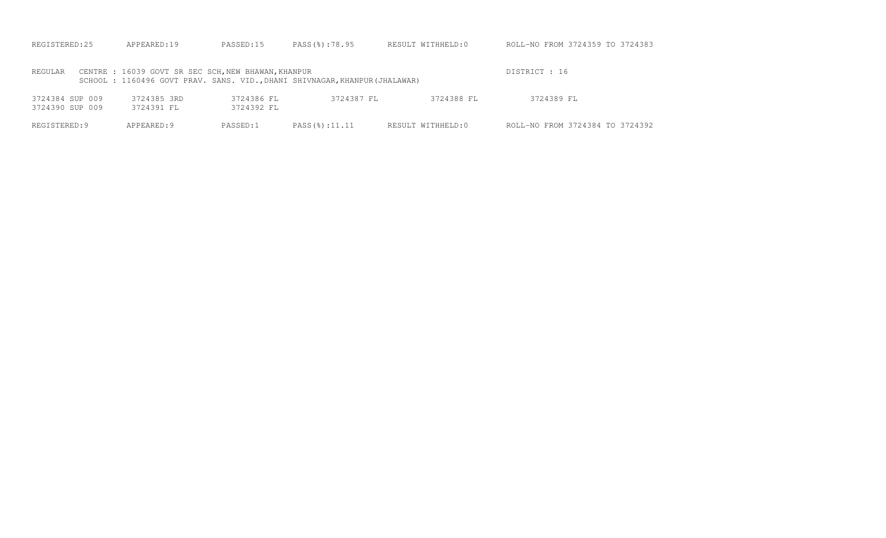| REGISTERED:25                      | APPEARED:19                                         | PASSED:15                | PASS(%):78.95                                                              | RESULT WITHHELD:0 | ROLL-NO FROM 3724359 TO 3724383 |
|------------------------------------|-----------------------------------------------------|--------------------------|----------------------------------------------------------------------------|-------------------|---------------------------------|
| REGULAR                            | CENTRE : 16039 GOVT SR SEC SCH, NEW BHAWAN, KHANPUR |                          | SCHOOL: 1160496 GOVT PRAV. SANS. VID., DHANI SHIVNAGAR, KHANPUR (JHALAWAR) |                   | DISTRICT : 16                   |
| 3724384 SUP 009<br>3724390 SUP 009 | 3724385 3RD<br>3724391 FL                           | 3724386 FL<br>3724392 FL | 3724387 FL                                                                 | 3724388 FL        | 3724389 FL                      |
| REGISTERED: 9                      | APPEARED: 9                                         | PASSED:1                 | PASS(%):11.11                                                              | RESULT WITHHELD:0 | ROLL-NO FROM 3724384 TO 3724392 |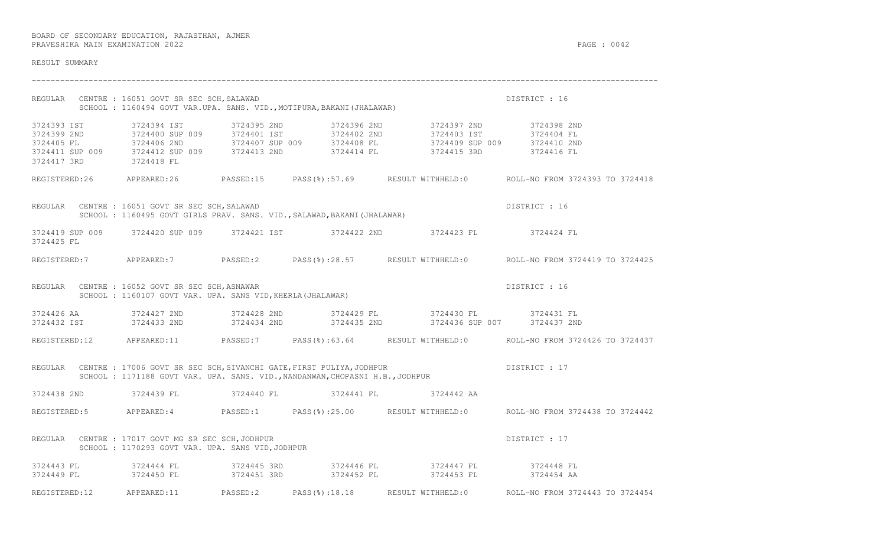# RESULT SUMMARY ------------------------------------------------------------------------------------------------------------------------------------

|                         | REGULAR CENTRE : 16051 GOVT SR SEC SCH, SALAWAD                                                        |          |                                                                                                                                                               | SCHOOL : 1160494 GOVT VAR.UPA. SANS. VID., MOTIPURA, BAKANI (JHALAWAR)                                                                                                                                                                                                           | DISTRICT : 16                                                                                       |
|-------------------------|--------------------------------------------------------------------------------------------------------|----------|---------------------------------------------------------------------------------------------------------------------------------------------------------------|----------------------------------------------------------------------------------------------------------------------------------------------------------------------------------------------------------------------------------------------------------------------------------|-----------------------------------------------------------------------------------------------------|
| 3724393 IST 3724394 IST |                                                                                                        |          |                                                                                                                                                               | 3724395 2ND 3724396 2ND 3724397 2ND 3724398 2ND<br>3724399 2ND 3724400 SUP 009 3724401 IST 3724402 2ND 3724405 FL 3724404 FL 3724406 2ND 3724406 2ND 3724406 2ND 3724407 SUP 009 3724407 SUP 009 3724404 FL 3724404 FL 3724404 FL 3724404 FL 3724410 2ND 3724411 SUP 009 3724412 |                                                                                                     |
|                         |                                                                                                        |          |                                                                                                                                                               |                                                                                                                                                                                                                                                                                  | REGISTERED:26 APPEARED:26 PASSED:15 PASS(%):57.69 RESULT WITHHELD:0 ROLL-NO FROM 3724393 TO 3724418 |
|                         | REGULAR CENTRE : 16051 GOVT SR SEC SCH, SALAWAD                                                        |          | CENTRE : 16051 GOVT SR SEC SCH, SALAWAD<br>SCHOOL : 1160495 GOVT GIRLS PRAV. SANS. VID., SALAWAD, BAKANI(JHALAWAR)                                            |                                                                                                                                                                                                                                                                                  | DISTRICT : 16                                                                                       |
| 3724425 FL              |                                                                                                        |          |                                                                                                                                                               | 3724419 SUP 009 3724420 SUP 009 3724421 IST 3724422 2ND 3724423 FL 3724424 FL                                                                                                                                                                                                    |                                                                                                     |
|                         |                                                                                                        |          |                                                                                                                                                               |                                                                                                                                                                                                                                                                                  | REGISTERED:7 APPEARED:7 PASSED:2 PASS(%):28.57 RESULT WITHHELD:0 ROLL-NO FROM 3724419 TO 3724425    |
|                         | REGULAR CENTRE : 16052 GOVT SR SEC SCH, ASNAWAR                                                        |          | SCHOOL : 16052 GOVT SR SEC SCH, ASNAWAR<br>SCHOOL : 1160107 GOVT VAR. UPA. SANS VID, KHERLA (JHALAWAR)                                                        |                                                                                                                                                                                                                                                                                  | DISTRICT : 16                                                                                       |
|                         |                                                                                                        |          |                                                                                                                                                               | 3724432 IST 3724433 2ND 3724434 2ND 3724435 2ND 3724436 SUP 007 3724437 2ND                                                                                                                                                                                                      |                                                                                                     |
|                         |                                                                                                        |          |                                                                                                                                                               |                                                                                                                                                                                                                                                                                  | REGISTERED:12 APPEARED:11 PASSED:7 PASS(%):63.64 RESULT WITHHELD:0 ROLL-NO FROM 3724426 TO 3724437  |
|                         |                                                                                                        |          | REGULAR CENTRE : 17006 GOVT SR SEC SCH, SIVANCHI GATE, FIRST PULIYA, JODHPUR<br>SCHOOL : 1171188 GOVT VAR. UPA. SANS. VID., NANDANWAN, CHOPASNI H.B., JODHPUR | DISTRICT : 17                                                                                                                                                                                                                                                                    |                                                                                                     |
|                         |                                                                                                        |          |                                                                                                                                                               | 3724438 2ND 3724439 FL 3724440 FL 3724441 FL 3724442 AA                                                                                                                                                                                                                          |                                                                                                     |
|                         |                                                                                                        |          |                                                                                                                                                               |                                                                                                                                                                                                                                                                                  | REGISTERED:5 APPEARED:4 PASSED:1 PASS(%):25.00 RESULT WITHHELD:0 ROLL-NO FROM 3724438 TO 3724442    |
|                         | REGULAR CENTRE : 17017 GOVT MG SR SEC SCH, JODHPUR<br>SCHOOL: 1170293 GOVT VAR. UPA. SANS VID, JODHPUR |          |                                                                                                                                                               |                                                                                                                                                                                                                                                                                  | DISTRICT : 17                                                                                       |
| 3724449 FL              | 3724450 FL                                                                                             |          |                                                                                                                                                               | 3724443 FL 3724444 FL 3724445 3RD 3724446 FL 3724447 FL 3724448 FL<br>3724451 3RD 3724452 FL 3724453 FL                                                                                                                                                                          | 3724454 AA                                                                                          |
| REGISTERED:12           | APPEARED:11                                                                                            | PASSED:2 | PASS(%):18.18                                                                                                                                                 | RESULT WITHHELD:0                                                                                                                                                                                                                                                                | ROLL-NO FROM 3724443 TO 3724454                                                                     |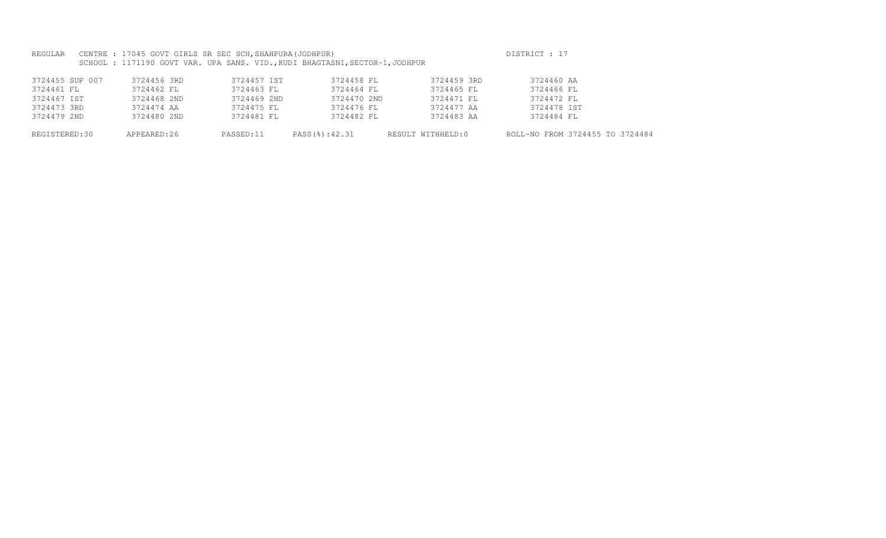REGULAR CENTRE : 17045 GOVT GIRLS SR SEC SCH, SHAHPURA(JODHPUR) DISTRICT : 17 SCHOOL : 1171190 GOVT VAR. UPA SANS. VID.,KUDI BHAGTASNI,SECTOR-1,JODHPUR

| REGISTERED:30   | APPEARED:26 | PASSED:11   | PASS(%):42.31 | RESULT WITHHELD:0 | ROLL-NO FROM 3724455 TO 3724484 |
|-----------------|-------------|-------------|---------------|-------------------|---------------------------------|
| 3724479 2ND     | 3724480 2ND | 3724481 FL  | 3724482 FL    | 3724483 AA        | 3724484 FL                      |
| 3724473 3RD     | 3724474 AA  | 3724475 FL  | 3724476 FL    | 3724477 AA        | 3724478 IST                     |
| 3724467 IST     | 3724468 2ND | 3724469 2ND | 3724470 2ND   | 3724471 FL        | 3724472 FL                      |
| 3724461 FL      | 3724462 FL  | 3724463 FL  | 3724464 FL    | 3724465 FL        | 3724466 FL                      |
| 3724455 SUP 007 | 3724456 3RD | 3724457 IST | 3724458 FL    | 3724459 3RD       | 3724460 AA                      |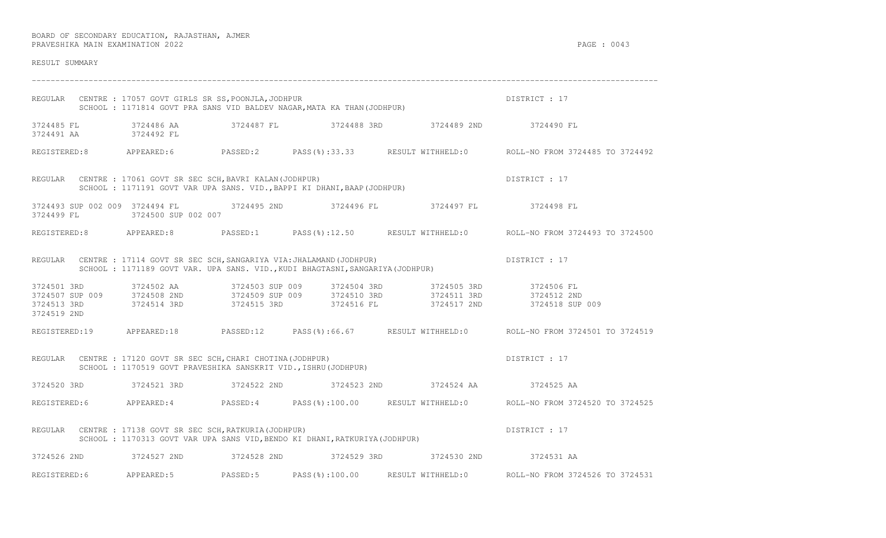| RESULT SUMMARY        |                                                                                                                                                                                               |  |                                                                                                                                                                                                                                                                                                                                                                             |                                                                                                     |
|-----------------------|-----------------------------------------------------------------------------------------------------------------------------------------------------------------------------------------------|--|-----------------------------------------------------------------------------------------------------------------------------------------------------------------------------------------------------------------------------------------------------------------------------------------------------------------------------------------------------------------------------|-----------------------------------------------------------------------------------------------------|
|                       | REGULAR CENTRE : 17057 GOVT GIRLS SR SS, POONJLA, JODHPUR                                                                                                                                     |  | CENTRE : 17057 GOVT GIRLS SR SS,POONJLA,JODHPUR<br>SCHOOL : 1171814 GOVT PRA SANS VID BALDEV NAGAR,MATA KA THAN(JODHPUR)                                                                                                                                                                                                                                                    | DISTRICT : 17                                                                                       |
| 3724491 AA 3724492 FL |                                                                                                                                                                                               |  | 3724485 FL 3724486 AA 3724487 FL 3724488 3RD 3724489 2ND 3724490 FL                                                                                                                                                                                                                                                                                                         |                                                                                                     |
|                       |                                                                                                                                                                                               |  |                                                                                                                                                                                                                                                                                                                                                                             | REGISTERED:8 APPEARED:6 PASSED:2 PASS(%):33.33 RESULT WITHHELD:0 ROLL-NO FROM 3724485 TO 3724492    |
|                       | CENTRE : 17061 GOVT SR SEC SCH,BAVRI KALAN(JODHPUR)<br>SCHOOL : 1171191 GOVT VAR UPA SANS. VID.,BAPPI KI DHANI,BAAP(JODHPUR)<br>REGULAR CENTRE : 17061 GOVT SR SEC SCH, BAVRI KALAN (JODHPUR) |  |                                                                                                                                                                                                                                                                                                                                                                             | DISTRICT : 17                                                                                       |
| 3724499 FL            | 3724500 SUP 002 007                                                                                                                                                                           |  | 3724493 SUP 002 009 3724494 FL 3724495 2ND 3724496 FL 3724497 FL 3724498 FL                                                                                                                                                                                                                                                                                                 |                                                                                                     |
|                       |                                                                                                                                                                                               |  |                                                                                                                                                                                                                                                                                                                                                                             | REGISTERED:8 APPEARED:8 PASSED:1 PASS(%):12.50 RESULT WITHHELD:0 ROLL-NO FROM 372493 TO 3724500     |
|                       | SCHOOL : 1171189 GOVT VAR. UPA SANS. VID., KUDI BHAGTASNI, SANGARIYA (JODHPUR)                                                                                                                |  | REGULAR CENTRE : 17114 GOVT SR SEC SCH, SANGARIYA VIA: JHALAMAND (JODHPUR)                                                                                                                                                                                                                                                                                                  | DISTRICT : 17                                                                                       |
| 3724519 2ND           |                                                                                                                                                                                               |  | 3724501 3RD 3724502 AA 3724503 SUP 009 3724504 3RD 3724505 3RD 3724506 FL<br>$\begin{array}{cccccccc} 3724507 & \text{SUP} & 009 & 3724508 & 2ND & 3724509 & \text{SUP} & 009 & 3724510 & 3RD & 3724511 & 3RD & 3724512 & 2ND & 3724513 & 3ND & 3724517 & 3ND & 3724518 & 3V1 & 3724518 & 3V1 & 3724518 & 3V1 & 3724518 & 3V1 & 3724518 & 3V1 & 3724518 & 3V1 & 3724518 & $ | 3724518 SUP 009                                                                                     |
|                       |                                                                                                                                                                                               |  |                                                                                                                                                                                                                                                                                                                                                                             | REGISTERED:19 APPEARED:18 PASSED:12 PASS(%):66.67 RESULT WITHHELD:0 ROLL-NO FROM 3724501 TO 3724519 |
|                       | REGULAR CENTRE : 17120 GOVT SR SEC SCH, CHARI CHOTINA (JODHPUR)<br>SCHOOL : 1170519 GOVT PRAVESHIKA SANSKRIT VID., ISHRU (JODHPUR)                                                            |  |                                                                                                                                                                                                                                                                                                                                                                             | DISTRICT : 17                                                                                       |
|                       |                                                                                                                                                                                               |  | 3724520 3RD 3724521 3RD 3724522 2ND 3724523 2ND 3724525 AA 3724525 AA                                                                                                                                                                                                                                                                                                       |                                                                                                     |
|                       |                                                                                                                                                                                               |  |                                                                                                                                                                                                                                                                                                                                                                             | REGISTERED:6 APPEARED:4 PASSED:4 PASS(%):100.00 RESULT WITHHELD:0 ROLL-NO FROM 3724520 TO 3724525   |
|                       | REGULAR CENTRE : 17138 GOVT SR SEC SCH, RATKURIA (JODHPUR)<br>SCHOOL : 1170313 GOVT VAR UPA SANS VID, BENDO KI DHANI, RATKURIYA (JODHPUR)                                                     |  |                                                                                                                                                                                                                                                                                                                                                                             | DISTRICT : 17                                                                                       |
|                       |                                                                                                                                                                                               |  | 3724526 2ND 3724527 2ND 3724528 2ND 3724529 3RD 3724530 2ND 3724531 AA                                                                                                                                                                                                                                                                                                      |                                                                                                     |
|                       | REGISTERED: 6 APPEARED: 5                                                                                                                                                                     |  |                                                                                                                                                                                                                                                                                                                                                                             | PASSED:5 PASS(%):100.00 RESULT WITHHELD:0 ROLL-NO FROM 3724526 TO 3724531                           |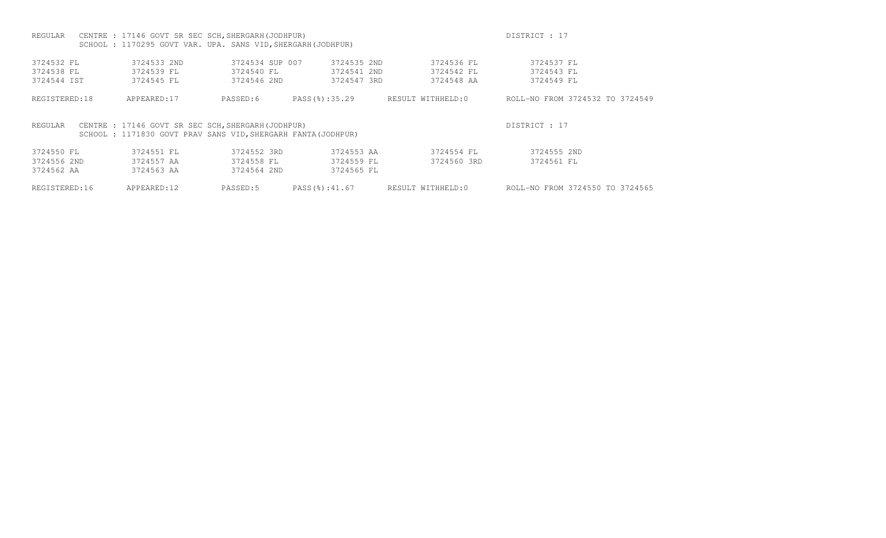| REGULAR        |                                                                                                                     | CENTRE : 17146 GOVT SR SEC SCH, SHERGARH (JODHPUR) |               |                   | DISTRICT : 17                   |
|----------------|---------------------------------------------------------------------------------------------------------------------|----------------------------------------------------|---------------|-------------------|---------------------------------|
|                | SCHOOL: 1170295 GOVT VAR. UPA. SANS VID, SHERGARH (JODHPUR)                                                         |                                                    |               |                   |                                 |
|                |                                                                                                                     |                                                    |               |                   |                                 |
| 3724532 FL     | 3724533 2ND                                                                                                         | 3724534 SUP 007                                    | 3724535 2ND   | 3724536 FL        | 3724537 FL                      |
| 3724538 FL     | 3724539 FL                                                                                                          | 3724540 FL                                         | 3724541 2ND   | 3724542 FL        | 3724543 FL                      |
| 3724544 IST    | 3724545 FL                                                                                                          | 3724546 2ND                                        | 3724547 3RD   | 3724548 AA        | 3724549 FL                      |
| REGISTERED: 18 | APPEARED:17                                                                                                         | PASSED:6                                           | PASS(%):35.29 | RESULT WITHHELD:0 | ROLL-NO FROM 3724532 TO 3724549 |
|                |                                                                                                                     |                                                    |               |                   |                                 |
| REGULAR        | CENTRE : 17146 GOVT SR SEC SCH, SHERGARH (JODHPUR)<br>SCHOOL : 1171830 GOVT PRAV SANS VID, SHERGARH FANTA (JODHPUR) |                                                    |               |                   | DISTRICT : 17                   |
| 3724550 FL     | 3724551 FL                                                                                                          | 3724552 3RD                                        | 3724553 AA    | 3724554 FL        | 3724555 2ND                     |
| 3724556 2ND    | 3724557 AA                                                                                                          | 3724558 FL                                         | 3724559 FL    | 3724560 3RD       | 3724561 FL                      |
| 3724562 AA     | 3724563 AA                                                                                                          | 3724564 2ND                                        | 3724565 FL    |                   |                                 |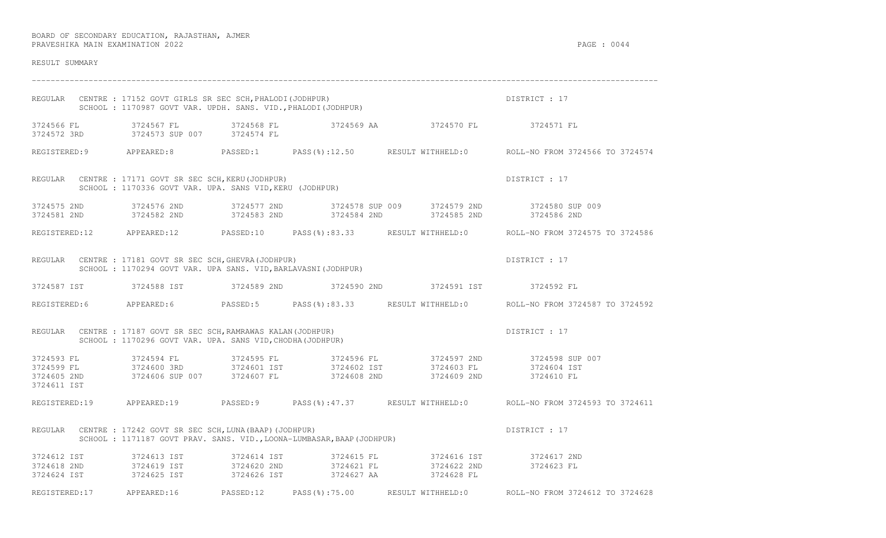| RESULT SUMMARY |                                                                                                                                                                                              |                       |                                                                                                                                   |                                                                                                                                                                                                                    |
|----------------|----------------------------------------------------------------------------------------------------------------------------------------------------------------------------------------------|-----------------------|-----------------------------------------------------------------------------------------------------------------------------------|--------------------------------------------------------------------------------------------------------------------------------------------------------------------------------------------------------------------|
|                |                                                                                                                                                                                              |                       | REGULAR CENTRE : 17152 GOVT GIRLS SR SEC SCH, PHALODI (JODHPUR)<br>SCHOOL : 1170987 GOVT VAR. UPDH. SANS. VID., PHALODI (JODHPUR) | DISTRICT : 17                                                                                                                                                                                                      |
|                |                                                                                                                                                                                              |                       |                                                                                                                                   |                                                                                                                                                                                                                    |
|                |                                                                                                                                                                                              |                       |                                                                                                                                   | REGISTERED: 9 APPEARED: 8 PASSED:1 PASS(%):12.50 RESULT WITHHELD: 0 ROLL-NO FROM 3724566 TO 3724574                                                                                                                |
|                | REGULAR CENTRE : 17171 GOVT SR SEC SCH, KERU (JODHPUR)<br>CENTRE : 17171 GOVT SR SEC SCH, KERU(JODHPUR)<br>SCHOOL : 1170336 GOVT VAR. UPA. SANS VID, KERU (JODHPUR)                          |                       |                                                                                                                                   | DISTRICT : 17                                                                                                                                                                                                      |
|                |                                                                                                                                                                                              |                       |                                                                                                                                   | 3724575 2ND       3724576 2ND       3724577 2ND       3724578 SUP 009    3724579 2ND       3724580 SUP 009<br>3724581 2ND       3724582 2ND       3724583 2ND       3724584 2ND      3724585 2ND       3724586 2ND |
|                |                                                                                                                                                                                              |                       |                                                                                                                                   | REGISTERED:12 APPEARED:12 PASSED:10 PASS(%):83.33 RESULT WITHHELD:0 ROLL-NO FROM 3724575 TO 3724586                                                                                                                |
|                | REGULAR CENTRE : 17181 GOVT SR SEC SCH, GHEVRA (JODHPUR)<br>SCHOOL: 1170294 GOVT VAR. UPA SANS. VID, BARLAVASNI (JODHPUR)                                                                    | <b>SALE (TODHPUR)</b> |                                                                                                                                   | DISTRICT : 17                                                                                                                                                                                                      |
|                |                                                                                                                                                                                              |                       | 3724587 IST 3724588 IST 3724589 2ND 3724590 2ND 3724591 IST 3724592 FL                                                            |                                                                                                                                                                                                                    |
|                |                                                                                                                                                                                              |                       |                                                                                                                                   | REGISTERED:6 APPEARED:6 PASSED:5 PASS(%):83.33 RESULT WITHHELD:0 ROLL-NO FROM 3724587 TO 3724592                                                                                                                   |
|                | REGULAR CENTRE : 17187 GOVT SR SEC SCH, RAMRAWAS KALAN (JODHPUR)<br>SCHOOL : 1170296 GOVT VAR. UPA. SANS VID, CHODHA (JODHPUR)                                                               |                       |                                                                                                                                   | DISTRICT : 17                                                                                                                                                                                                      |
| 3724611 IST    |                                                                                                                                                                                              |                       |                                                                                                                                   |                                                                                                                                                                                                                    |
|                |                                                                                                                                                                                              |                       |                                                                                                                                   | REGISTERED:19 APPEARED:19 PASSED:9 PASS(%):47.37 RESULT WITHHELD:0 ROLL-NO FROM 3724593 TO 3724611                                                                                                                 |
|                | CENTRE : 17242 GOVT SR SEC SCH, LUNA(BAAP)(JODHPUR)<br>SCHOOL : 1171187 GOVT PRAV. SANS. VID., LOONA-LUMBASAR,BAAP(JODHPUR)<br>REGULAR CENTRE : 17242 GOVT SR SEC SCH, LUNA (BAAP) (JODHPUR) |                       |                                                                                                                                   | DISTRICT : 17                                                                                                                                                                                                      |
|                |                                                                                                                                                                                              |                       |                                                                                                                                   |                                                                                                                                                                                                                    |
|                | REGISTERED:17 APPEARED:16                                                                                                                                                                    |                       |                                                                                                                                   | PASSED:12 PASS(%):75.00 RESULT WITHHELD:0 ROLL-NO FROM 3724612 TO 3724628                                                                                                                                          |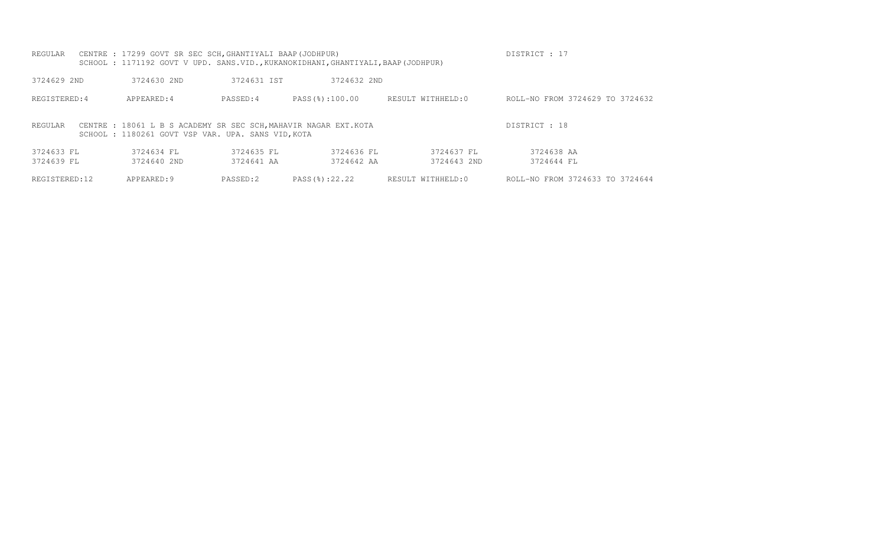| REGULAR       | CENTRE : 17299 GOVT SR SEC SCH, GHANTIYALI BAAP (JODHPUR)<br>SCHOOL: 1171192 GOVT V UPD. SANS.VID., KUKANOKIDHANI, GHANTIYALI, BAAP (JODHPUR) |             |                |                   | DISTRICT : 17                   |
|---------------|-----------------------------------------------------------------------------------------------------------------------------------------------|-------------|----------------|-------------------|---------------------------------|
| 3724629 2ND   | 3724630 2ND                                                                                                                                   | 3724631 IST | 3724632 2ND    |                   |                                 |
| REGISTERED: 4 | APPEARED: 4                                                                                                                                   | PASSED:4    | PASS(%):100.00 | RESULT WITHHELD:0 | ROLL-NO FROM 3724629 TO 3724632 |
| REGULAR       | CENTRE : 18061 L B S ACADEMY SR SEC SCH, MAHAVIR NAGAR EXT. KOTA<br>SCHOOL : 1180261 GOVT VSP VAR. UPA. SANS VID, KOTA                        |             |                |                   | DISTRICT : 18                   |
| 3724633 FL    | 3724634 FL                                                                                                                                    | 3724635 FL  | 3724636 FL     | 3724637 FL        | 3724638 AA                      |
| 3724639 FL    | 3724640 2ND                                                                                                                                   | 3724641 AA  | 3724642 AA     | 3724643 2ND       | 3724644 FL                      |
| REGISTERED:12 | APPEARED: 9                                                                                                                                   | PASSED:2    | PASS(%):22.22  | RESULT WITHHELD:0 | ROLL-NO FROM 3724633 TO 3724644 |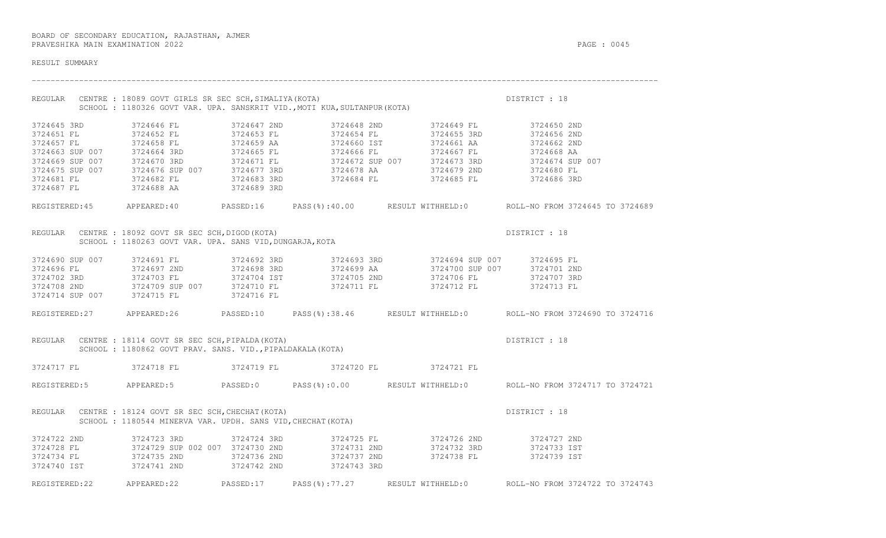## REGULAR CENTRE : 18089 GOVT GIRLS SR SEC SCH, SIMALIYA (KOTA) DESTRICT THE STRICT OF STRICT THE STRICT OF STRICT STRICT THE STRICT OF STRICT STRICT STRICT STRICT STRICT STRICT STRICT STRICT STRICT STRICT STRICT STRICT STRI SCHOOL : 1180326 GOVT VAR. UPA. SANSKRIT VID., MOTI KUA, SULTANPUR(KOTA) 3724645 3RD 3724646 FL 3724647 2ND 3724648 2ND 3724649 FL 3724650 2ND<br>3724651 FL 3724652 FL 3724653 FL 3724654 FL 3724655 3RD 3724656 2ND<br>3724657 FL 3724658 FL 3724659 AA 3724660 IST 3724661 AA 3724662 2ND<br>3724663 SUP 007 3724686 3RD 3724681 FL 3724682 FL 3724683 3RD 3724684 FL 3724685 FL 3724686 3RD 3724687 FL 3724688 AA 3724689 3RD REGISTERED:45 APPEARED:40 PASSED:16 PASS(%):40.00 RESULT WITHHELD:0 ROLL-NO FROM 3724645 TO 3724689 REGULAR CENTRE : 18092 GOVT SR SEC SCH, DIGOD(KOTA) DESTRICT : 18 SCHOOL : 1180263 GOVT VAR. UPA. SANS VID, DUNGARJA, KOTA 3724690 SUP 007 3724691 FL 3724692 3RD 3724693 3RD 3724690 SUP 007 3724695 FL<br>3724696 FL 3724697 2ND 3724698 3RD 37 3724714 SUP 007 3724715 FL 3724716 FL REGISTERED:27 APPEARED:26 PASSED:10 PASS(%):38.46 RESULT WITHHELD:0 ROLL-NO FROM 3724690 TO 3724716 REGULAR CENTRE : 18114 GOVT SR SEC SCH, PIPALDA(KOTA) DISTRICT THE STRICT : 18 SCHOOL : 1180862 GOVT PRAV. SANS. VID.,PIPALDAKALA(KOTA) 3724717 FL 3724718 FL 3724719 FL 3724720 FL 3724721 FL REGISTERED:5 APPEARED:5 PASSED:0 PASS(%):0.00 RESULT WITHHELD:0 ROLL-NO FROM 3724717 TO 3724721 REGULAR CENTRE : 18124 GOVT SR SEC SCH, CHECHAT(KOTA) DISTRICT : 18 SCHOOL : 1180544 MINERVA VAR. UPDH. SANS VID,CHECHAT(KOTA)

| REGISTERED:22 | APPEARED:22         | PASSED:17   | PASS(%):77.27 | RESULT WITHHELD:0 | ROLL-NO FROM 3724722 TO 3724743 |  |
|---------------|---------------------|-------------|---------------|-------------------|---------------------------------|--|
| 3724740 TST   | 3724741 2ND         | 3724742 2ND | 3724743 3RD   |                   |                                 |  |
| 3724734 FL    | 3724735 2ND         | 3724736 2ND | 3724737 2ND   | 3724738 FL        | 3724739 TST                     |  |
| 3724728 FL    | 3724729 SUP 002 007 | 3724730 2ND | 3724731 2ND   | 3724732 3RD       | 3724733 IST                     |  |
| 3724722 2ND   | 3724723 3RD         | 3724724 3RD | 3724725 FL    | 3724726 2ND       | 3724727 2ND                     |  |

RESULT SUMMARY ------------------------------------------------------------------------------------------------------------------------------------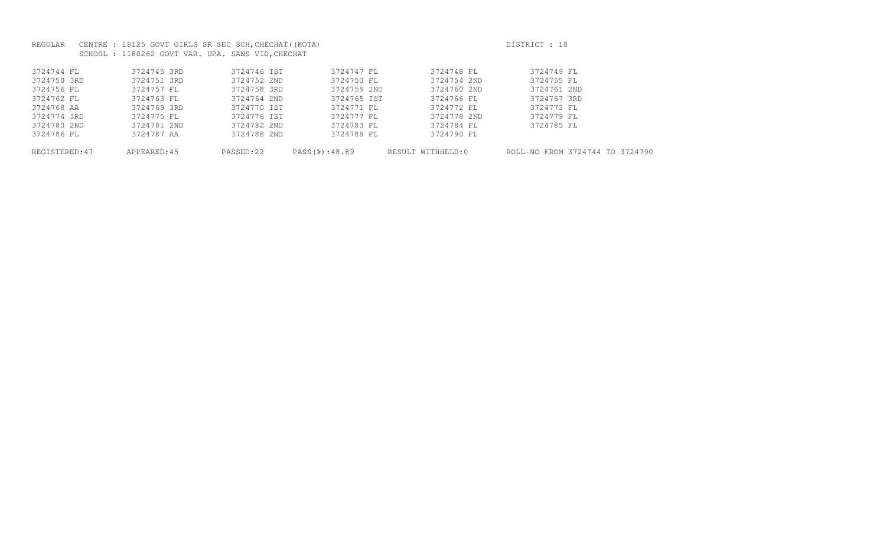REGULAR CENTRE : 18125 GOVT GIRLS SR SEC SCH, CHECHAT ((KOTA) **DESTRICT : 18** DISTRICT : 18 SCHOOL : 1180262 GOVT VAR. UPA. SANS VID,CHECHAT

| REGISTERED:47 | APPEARED: 45 | PASSED:22   | PASS(%):48.89 | RESULT WITHHELD:0 | ROLL-NO FROM 3724744 TO 3724790 |
|---------------|--------------|-------------|---------------|-------------------|---------------------------------|
| 3724786 FL    | 3724787 AA   | 3724788 2ND | 3724789 FL    | 3724790 FL        |                                 |
| 3724780 2ND   | 3724781 2ND  | 3724782 2ND | 3724783 FL    | 3724784 FL        | 3724785 FL                      |
| 3724774 3RD   | 3724775 FL   | 3724776 IST | 3724777 FL    | 3724778 2ND       | 3724779 FL                      |
| 3724768 AA    | 3724769 3RD  | 3724770 IST | 3724771 FL    | 3724772 FL        | 3724773 FL                      |
| 3724762 FL    | 3724763 FL   | 3724764 2ND | 3724765 IST   | 3724766 FL        | 3724767 3RD                     |
| 3724756 FL    | 3724757 FL   | 3724758 3RD | 3724759 2ND   | 3724760 2ND       | 3724761 2ND                     |
| 3724750 3RD   | 3724751 3RD  | 3724752 2ND | 3724753 FL    | 3724754 2ND       | 3724755 FL                      |
| 3724744 FL    | 3724745 3RD  | 3724746 IST | 3724747 FL    | 3724748 FL        | 3724749 FL                      |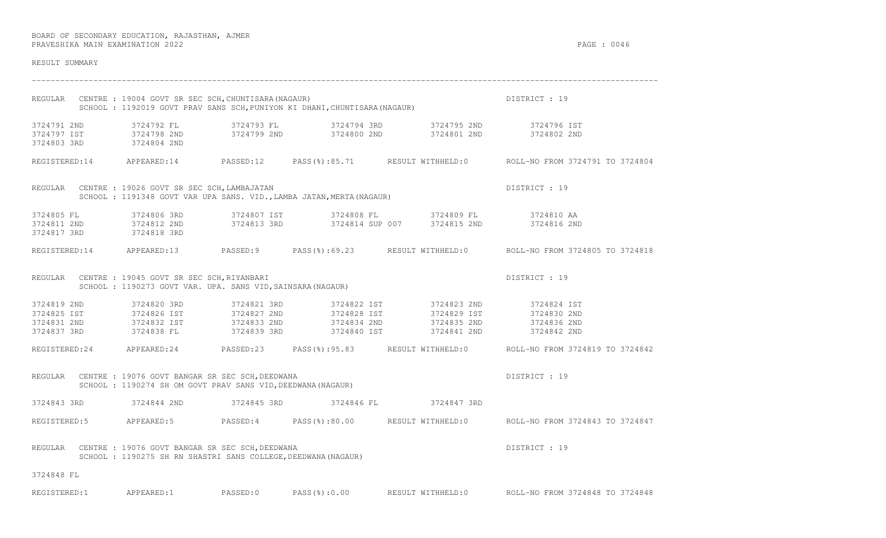| RESULT SUMMARY |                                                                                                                           |                                                                                                                    |                                                                                                                                                                                                                                                                                               |                                                                                                     |
|----------------|---------------------------------------------------------------------------------------------------------------------------|--------------------------------------------------------------------------------------------------------------------|-----------------------------------------------------------------------------------------------------------------------------------------------------------------------------------------------------------------------------------------------------------------------------------------------|-----------------------------------------------------------------------------------------------------|
|                | REGULAR CENTRE : 19004 GOVT SR SEC SCH, CHUNTISARA (NAGAUR)                                                               |                                                                                                                    | CENTRE : 19004 GOVT SR SEC SCH, CHUNTISARA (NAGAUR)<br>SCHOOL : 1192019 GOVT PRAV SANS SCH, PUNIYON KI DHANI, CHUNTISARA (NAGAUR)                                                                                                                                                             | DISTRICT : 19                                                                                       |
|                |                                                                                                                           |                                                                                                                    | 3724791 2ND 3724792 FL 3724793 FL 3724794 3RD 3724795 2ND 3724796 IST<br>3724797 IST 3724798 2ND 3724799 2ND 3724800 2ND 3724801 2ND 3724802 2ND<br>3724803 3RD 3724804 2ND                                                                                                                   |                                                                                                     |
|                |                                                                                                                           |                                                                                                                    |                                                                                                                                                                                                                                                                                               | REGISTERED:14 APPEARED:14 PASSED:12 PASS(%):85.71 RESULT WITHHELD:0 ROLL-NO FROM 3724791 TO 3724804 |
|                | REGULAR CENTRE : 19026 GOVT SR SEC SCH, LAMBAJATAN                                                                        | CENTRE : 19026 GOVT SR SEC SCH, LAMBAJATAN<br>SCHOOL : 1191348 GOVT VAR UPA SANS. VID., LAMBA JATAN, MERTA(NAGAUR) |                                                                                                                                                                                                                                                                                               | DISTRICT : 19                                                                                       |
|                |                                                                                                                           |                                                                                                                    |                                                                                                                                                                                                                                                                                               |                                                                                                     |
|                |                                                                                                                           |                                                                                                                    |                                                                                                                                                                                                                                                                                               | REGISTERED:14 APPEARED:13 PASSED:9 PASS(%):69.23 RESULT WITHHELD:0 ROLL-NO FROM 3724805 TO 3724818  |
|                | REGULAR CENTRE : 19045 GOVT SR SEC SCH, RIYANBARI                                                                         | SCHOOL : 1190273 GOVT VAR. UPA. SANS VID, SAINSARA (NAGAUR)                                                        |                                                                                                                                                                                                                                                                                               | DISTRICT : 19                                                                                       |
|                |                                                                                                                           |                                                                                                                    | $\begin{array}{cccccccc} 3724819 & 2ND & 3724820 & 3RD & 3724821 & 3RD & 3724822 & 1ST & 3724823 & 2ND & 3724824 & 1ST & 3724825 & 1ST & 3724826 & 1ST & 3724827 & 2ND & 3724830 & 2ND & 3724831 & 2ND & 3724832 & 1ST & 3724832 & 1ST & 3724830 & 2ND & 3724831 & 2ND & 3724836 & 2ND & 372$ |                                                                                                     |
|                |                                                                                                                           |                                                                                                                    |                                                                                                                                                                                                                                                                                               | REGISTERED:24 APPEARED:24 PASSED:23 PASS(%):95.83 RESULT WITHHELD:0 ROLL-NO FROM 3724819 TO 3724842 |
|                | REGULAR CENTRE : 19076 GOVT BANGAR SR SEC SCH, DEEDWANA                                                                   |                                                                                                                    |                                                                                                                                                                                                                                                                                               | DISTRICT : 19                                                                                       |
|                |                                                                                                                           |                                                                                                                    | 3724843 3RD 3724844 2ND 3724845 3RD 3724846 FL 3724847 3RD                                                                                                                                                                                                                                    |                                                                                                     |
|                |                                                                                                                           |                                                                                                                    |                                                                                                                                                                                                                                                                                               | REGISTERED:5 APPEARED:5 PASSED:4 PASS(%):80.00 RESULT WITHHELD:0 ROLL-NO FROM 3724843 TO 3724847    |
|                | REGULAR CENTRE : 19076 GOVT BANGAR SR SEC SCH, DEEDWANA<br>SCHOOL : 1190275 SH RN SHASTRI SANS COLLEGE, DEEDWANA (NAGAUR) |                                                                                                                    | WANA (NAGAUR)                                                                                                                                                                                                                                                                                 | DISTRICT : 19                                                                                       |
| 3724848 FL     |                                                                                                                           |                                                                                                                    |                                                                                                                                                                                                                                                                                               |                                                                                                     |

REGISTERED:1 APPEARED:1 PASSED:0 PASS(%):0.00 RESULT WITHHELD:0 ROLL-NO FROM 3724848 TO 3724848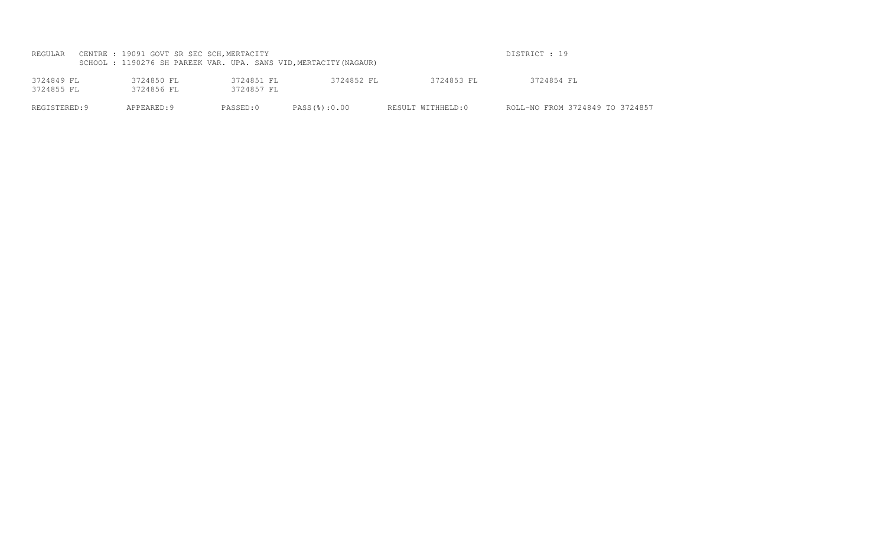| REGULAR                  | CENTRE : 19091 GOVT SR SEC SCH, MERTACITY<br>SCHOOL: 1190276 SH PAREEK VAR. UPA. SANS VID, MERTACITY (NAGAUR) |                          |              |                   | DISTRICT : 19                   |  |  |
|--------------------------|---------------------------------------------------------------------------------------------------------------|--------------------------|--------------|-------------------|---------------------------------|--|--|
| 3724849 FL<br>3724855 FL | 3724850 FL<br>3724856 FL                                                                                      | 3724851 FL<br>3724857 FL | 3724852 FL   | 3724853 FL        | 3724854 FL                      |  |  |
| REGISTERED: 9            | APPEARED: 9                                                                                                   | PASSED:0                 | PASS(%):0.00 | RESULT WITHHELD:0 | ROLL-NO FROM 3724849 TO 3724857 |  |  |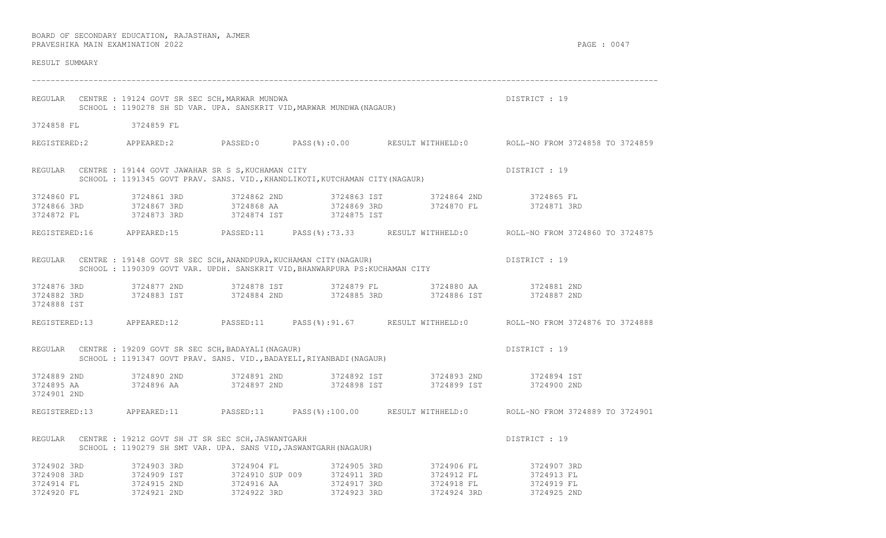| RESULT SUMMARY             |                                                                                                                                                                                        |                           |             |                                                                                      |                                                                                                     |
|----------------------------|----------------------------------------------------------------------------------------------------------------------------------------------------------------------------------------|---------------------------|-------------|--------------------------------------------------------------------------------------|-----------------------------------------------------------------------------------------------------|
|                            | REGULAR CENTRE : 19124 GOVT SR SEC SCH, MARWAR MUNDWA                                                                                                                                  |                           |             | SCHOOL : 1190278 SH SD VAR. UPA. SANSKRIT VID, MARWAR MUNDWA (NAGAUR)                | DISTRICT : 19                                                                                       |
| 3724858 FL 3724859 FL      |                                                                                                                                                                                        |                           |             |                                                                                      |                                                                                                     |
|                            |                                                                                                                                                                                        |                           |             |                                                                                      | REGISTERED:2 APPEARED:2 PASSED:0 PASS(%):0.00 RESULT WITHHELD:0 ROLL-NO FROM 3724858 TO 3724859     |
|                            | REGULAR CENTRE : 19144 GOVT JAWAHAR SR S S, KUCHAMAN CITY<br>SCHOOL: 1191345 GOVT PRAV. SANS. VID., KHANDLIKOTI, KUTCHAMAN CITY (NAGAUR)                                               |                           |             |                                                                                      | DISTRICT : 19                                                                                       |
| 3724866 3RD                | 3724860 FL 3724861 3RD<br>3724867 3RD<br>3724872 FL 3724873 3RD 3724874 IST                                                                                                            | 3724868 AA                | 3724875 IST | 3724862 2ND 3724863 IST 3724864 2ND 3724865 FL<br>3724869 3RD 3724870 FL 3724871 3RD |                                                                                                     |
|                            |                                                                                                                                                                                        |                           |             |                                                                                      | REGISTERED:16 APPEARED:15 PASSED:11 PASS(%):73.33 RESULT WITHHELD:0 ROLL-NO FROM 3724860 TO 3724875 |
|                            | REGULAR CENTRE : 19148 GOVT SR SEC SCH, ANANDPURA, KUCHAMAN CITY (NAGAUR)<br>SCHOOL : 1190309 GOVT VAR. UPDH. SANSKRIT VID, BHANWARPURA PS: KUCHAMAN CITY                              |                           |             |                                                                                      | DISTRICT : 19                                                                                       |
| 3724882 3RD<br>3724888 IST |                                                                                                                                                                                        |                           |             | 3724876 3RD 3724871 2ND 3724878 IST 3724879 FL 3724880 AA 3724881 2ND                |                                                                                                     |
|                            |                                                                                                                                                                                        |                           |             |                                                                                      | REGISTERED:13 APPEARED:12 PASSED:11 PASS(%):91.67 RESULT WITHHELD:0 ROLL-NO FROM 3724876 TO 3724888 |
|                            | REGULAR CENTRE : 19209 GOVT SR SEC SCH, BADAYALI (NAGAUR)<br>CENIRE : 19209 GOVI SK SEC SCH, BADAYALI (NAGAUK)<br>SCHOOL : 1191347 GOVT PRAV. SANS. VID., BADAYELI, RIYANBADI (NAGAUR) |                           |             |                                                                                      | DISTRICT : 19                                                                                       |
| 3724901 2ND                |                                                                                                                                                                                        |                           |             |                                                                                      |                                                                                                     |
|                            | REGISTERED:13 APPEARED:11 PASSED:11                                                                                                                                                    |                           |             |                                                                                      | PASS(%):100.00 RESULT WITHHELD:0 ROLL-NO FROM 3724889 TO 3724901                                    |
|                            | REGULAR CENTRE : 19212 GOVT SH JT SR SEC SCH, JASWANTGARH<br>SCHOOL : 1190279 SH SMT VAR. UPA. SANS VID, JASWANTGARH (NAGAUR)                                                          |                           |             |                                                                                      | DISTRICT : 19                                                                                       |
| 3724902 3RD<br>3724920 FL  | 3724903 3RD<br>3724921 2ND                                                                                                                                                             | 3724904 FL<br>3724922 3RD | 3724923 3RD | 3724905 3RD 3724906 FL 3724907 3RD<br>3724924 3RD                                    | 3724925 2ND                                                                                         |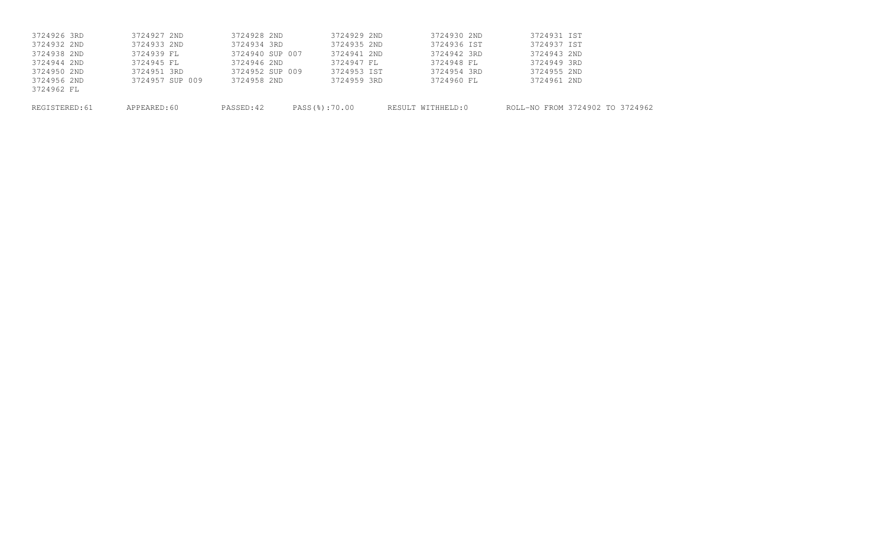| REGISTERED: 61 | APPEARED:60     | PASSED:42       | PASS(%):70.00 | RESULT WITHHELD:0 | ROLL-NO FROM 3724902 TO 3724962 |
|----------------|-----------------|-----------------|---------------|-------------------|---------------------------------|
| 3724962 FL     |                 |                 |               |                   |                                 |
| 3724956 2ND    | 3724957 SUP 009 | 3724958 2ND     | 3724959 3RD   | 3724960 FL        | 3724961 2ND                     |
| 3724950 2ND    | 3724951 3RD     | 3724952 SUP 009 | 3724953 TST   | 3724954 3RD       | 3724955 2ND                     |
| 3724944 2ND    | 3724945 FL      | 3724946 2ND     | 3724947 FL    | 3724948 FL        | 3724949 3RD                     |
| 3724938 2ND    | 3724939 FL      | 3724940 SUP 007 | 3724941 2ND   | 3724942 3RD       | 3724943 2ND                     |
| 3724932 2ND    | 3724933 2ND     | 3724934 3RD     | 3724935 2ND   | 3724936 IST       | 3724937 IST                     |
| 3724926 3RD    | 3724927 2ND     | 3724928 2ND     | 3724929 2ND   | 3724930 2ND       | 3724931 TST                     |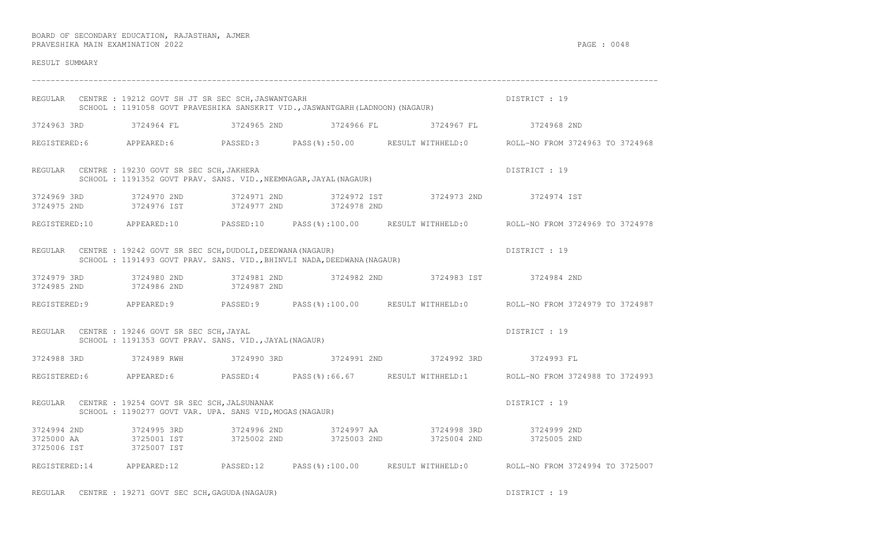| RESULT SUMMARY                                                    |                                                          |                                                                   |                                                                                                                                                                                                              |                                                                                                       |
|-------------------------------------------------------------------|----------------------------------------------------------|-------------------------------------------------------------------|--------------------------------------------------------------------------------------------------------------------------------------------------------------------------------------------------------------|-------------------------------------------------------------------------------------------------------|
| REGULAR CENTRE : 19212 GOVT SH JT SR SEC SCH, JASWANTGARH         |                                                          |                                                                   | CENTRE : 19212 GOVT SH JT SR SEC SCH, JASWANTGARH<br>SCHOOL : 1191058 GOVT PRAVESHIKA SANSKRIT VID., JASWANTGARH(LADNOON)(NAGAUR)                                                                            | DISTRICT : 19                                                                                         |
|                                                                   |                                                          |                                                                   | 3724963 3RD 3724964 FL 3724965 2ND 3724966 FL 3724967 FL 3724967 3724968 2ND                                                                                                                                 |                                                                                                       |
|                                                                   |                                                          |                                                                   |                                                                                                                                                                                                              | REGISTERED:6 APPEARED:6 PASSED:3 PASS(%):50.00 RESULT WITHHELD:0 ROLL-NO FROM 3724963 TO 3724968      |
| REGULAR CENTRE : 19230 GOVT SR SEC SCH, JAKHERA                   |                                                          | SCHOOL : 1191352 GOVT PRAV. SANS. VID., NEEMNAGAR, JAYAL (NAGAUR) |                                                                                                                                                                                                              | DISTRICT : 19                                                                                         |
|                                                                   |                                                          |                                                                   | 3724969 3RD                  3724970 2ND                  3724971 2ND                  3724972 IST                    3724973 2ND                       3724974 IST                              3724975 2ND |                                                                                                       |
|                                                                   |                                                          |                                                                   |                                                                                                                                                                                                              | REGISTERED:10 APPEARED:10 PASSED:10 PASS(%):100.00 RESULT WITHHELD:0 ROLL-NO FROM 3724969 TO 3724978  |
| REGULAR CENTRE : 19242 GOVT SR SEC SCH, DUDOLI, DEEDWANA (NAGAUR) |                                                          |                                                                   | CENTRE : 19242 GOVT SR SEC SCH, DUDOLI, DEEDWANA (NAGAUR)<br>SCHOOL : 1191493 GOVT PRAV. SANS. VID., BHINVLI NADA, DEEDWANA (NAGAUR)                                                                         | DISTRICT : 19                                                                                         |
| 3724985 2ND 3724986 2ND 3724987 2ND                               |                                                          |                                                                   | 3724979 3RD 3724980 2ND 3724981 2ND 3724982 2ND 3724983 IST 3724984 2ND                                                                                                                                      |                                                                                                       |
|                                                                   |                                                          |                                                                   |                                                                                                                                                                                                              | REGISTERED: 9 APPEARED: 9 PASSED: 9 PASS(%):100.00 RESULT WITHHELD: 0 ROLL-NO FROM 3724979 TO 3724987 |
| REGULAR CENTRE : 19246 GOVT SR SEC SCH, JAYAL                     |                                                          | SCHOOL : 1191353 GOVT PRAV. SANS. VID., JAYAL (NAGAUR)            |                                                                                                                                                                                                              | DISTRICT : 19                                                                                         |
|                                                                   |                                                          |                                                                   | 3724988 3RD 3724989 RWH 3724990 3RD 3724991 2ND 3724992 3RD 3724993 FL                                                                                                                                       |                                                                                                       |
|                                                                   |                                                          |                                                                   |                                                                                                                                                                                                              | REGISTERED:6 APPEARED:6 PASSED:4 PASS(%):66.67 RESULT WITHHELD:1 ROLL-NO FROM 3724988 TO 3724993      |
| REGULAR CENTRE : 19254 GOVT SR SEC SCH, JALSUNANAK                | SCHOOL : 1190277 GOVT VAR. UPA. SANS VID, MOGAS (NAGAUR) |                                                                   |                                                                                                                                                                                                              | DISTRICT : 19                                                                                         |
|                                                                   |                                                          |                                                                   | 3724994 2ND 3724995 3RD 3724996 2ND 3724997 AA 3724998 3RD 3724999 2ND                                                                                                                                       |                                                                                                       |
|                                                                   |                                                          |                                                                   |                                                                                                                                                                                                              | REGISTERED:14 APPEARED:12 PASSED:12 PASS(%):100.00 RESULT WITHHELD:0 ROLL-NO FROM 3724994 TO 3725007  |

REGULAR CENTRE : 19271 GOVT SEC SCH, GAGUDA(NAGAUR) DESTRICT THE SECOND REGULAR DISTRICT : 19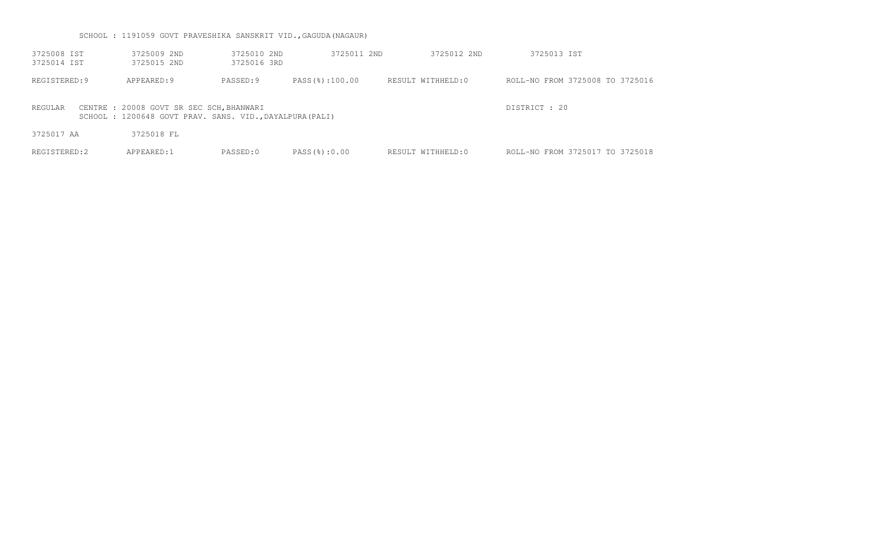## SCHOOL : 1191059 GOVT PRAVESHIKA SANSKRIT VID.,GAGUDA(NAGAUR)

| 3725008 IST<br>3725014 IST | 3725009 2ND<br>3725015 2ND                                                                           | 3725010 2ND<br>3725016 3RD | 3725011 2ND    | 3725012 2ND       | 3725013 IST                     |
|----------------------------|------------------------------------------------------------------------------------------------------|----------------------------|----------------|-------------------|---------------------------------|
| REGISTERED: 9              | APPEARED: 9                                                                                          | PASSED: 9                  | PASS(%):100.00 | RESULT WITHHELD:0 | ROLL-NO FROM 3725008 TO 3725016 |
| REGULAR                    | CENTRE : 20008 GOVT SR SEC SCH, BHANWARI<br>SCHOOL : 1200648 GOVT PRAV. SANS. VID., DAYALPURA (PALI) |                            |                |                   | DISTRICT : 20                   |
| 3725017 AA                 | 3725018 FL                                                                                           |                            |                |                   |                                 |
| REGISTERED:2               | APPEARED:1                                                                                           | PASSED:0                   | PASS(%):0.00   | RESULT WITHHELD:0 | ROLL-NO FROM 3725017 TO 3725018 |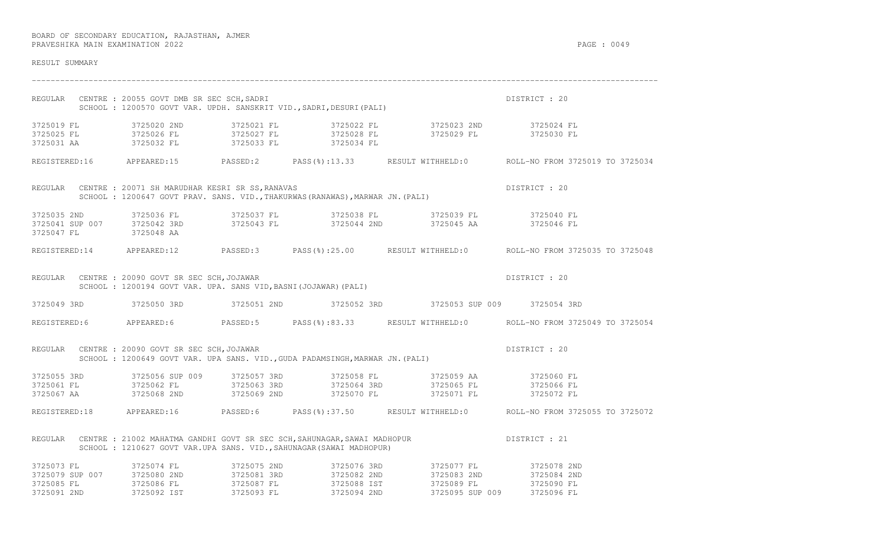| RESULT SUMMARY |                                                                                                                                                                                         |             |                                                                                                                                                                                                                                                                                                                                            |                                                                                                    |
|----------------|-----------------------------------------------------------------------------------------------------------------------------------------------------------------------------------------|-------------|--------------------------------------------------------------------------------------------------------------------------------------------------------------------------------------------------------------------------------------------------------------------------------------------------------------------------------------------|----------------------------------------------------------------------------------------------------|
|                | REGULAR CENTRE : 20055 GOVT DMB SR SEC SCH, SADRI                                                                                                                                       |             | SCHOOL : 1200570 GOVT VAR. UPDH. SANSKRIT VID., SADRI, DESURI (PALI)                                                                                                                                                                                                                                                                       | DISTRICT : 20                                                                                      |
|                |                                                                                                                                                                                         |             | $\begin{array}{cccccccc} 3725019 \text{ FL} & 3725020 & 2 \text{ND} & 3725021 & \text{FL} & 3725022 & \text{FL} & 3725023 & 2 \text{ND} & 3725024 & \text{FL} \\ 3725025 \text{ FL} & 3725026 & \text{FL} & 3725027 & \text{FL} & 3725028 & \text{FL} & 3725029 & \text{FL} & 3725030 & \text{FL} \end{array}$                             |                                                                                                    |
|                | 3725031 AA 3725032 FL 3725033 FL 3725034 FL                                                                                                                                             |             |                                                                                                                                                                                                                                                                                                                                            |                                                                                                    |
|                |                                                                                                                                                                                         |             |                                                                                                                                                                                                                                                                                                                                            | REGISTERED:16 APPEARED:15 PASSED:2 PASS(%):13.33 RESULT WITHHELD:0 ROLL-NO FROM 3725019 TO 3725034 |
|                | CENTRE : 20071 SH MARUDHAR KESRI SR SS,RANAVAS<br>SCHOOL : 1200647 GOVT PRAV. SANS. VID.,THAKURWAS(RANAWAS),MARWAR JN.(PALI)<br>REGULAR CENTRE : 20071 SH MARUDHAR KESRI SR SS, RANAVAS |             |                                                                                                                                                                                                                                                                                                                                            | DISTRICT : 20                                                                                      |
|                |                                                                                                                                                                                         |             | 3725035 2ND                  3725036 FL              3725037 FL              3725038 FL                3725039 FL              3725040 FL<br>3725041 SUP 007      3725042 3RD        3725043 FL          3725044 2ND          372                                                                                                          |                                                                                                    |
|                |                                                                                                                                                                                         |             |                                                                                                                                                                                                                                                                                                                                            | REGISTERED:14 APPEARED:12 PASSED:3 PASS(%):25.00 RESULT WITHHELD:0 ROLL-NO FROM 3725035 TO 3725048 |
|                | REGULAR CENTRE : 20090 GOVT SR SEC SCH, JOJAWAR                                                                                                                                         |             |                                                                                                                                                                                                                                                                                                                                            | DISTRICT : 20                                                                                      |
|                |                                                                                                                                                                                         |             | 3725049 3RD 3725050 3RD 3725051 2ND 3725052 3RD 3725053 SUP 009 3725054 3RD                                                                                                                                                                                                                                                                |                                                                                                    |
|                |                                                                                                                                                                                         |             |                                                                                                                                                                                                                                                                                                                                            | REGISTERED:6 APPEARED:6 PASSED:5 PASS(%):83.33 RESULT WITHHELD:0 ROLL-NO FROM 3725049 TO 3725054   |
|                | REGULAR CENTRE : 20090 GOVT SR SEC SCH, JOJAWAR<br>SCHOOL : 1200649 GOVT VAR. UPA SANS. VID., GUDA PADAMSINGH, MARWAR JN. (PALI)                                                        |             |                                                                                                                                                                                                                                                                                                                                            | DISTRICT : 20                                                                                      |
|                |                                                                                                                                                                                         |             |                                                                                                                                                                                                                                                                                                                                            |                                                                                                    |
|                |                                                                                                                                                                                         |             |                                                                                                                                                                                                                                                                                                                                            |                                                                                                    |
|                |                                                                                                                                                                                         |             |                                                                                                                                                                                                                                                                                                                                            | REGISTERED:18 APPEARED:16 PASSED:6 PASS(%):37.50 RESULT WITHHELD:0 ROLL-NO FROM 3725055 TO 3725072 |
|                | SCHOOL : 1210627 GOVT VAR.UPA SANS. VID., SAHUNAGAR (SAWAI MADHOPUR)                                                                                                                    |             | REGULAR CENTRE : 21002 MAHATMA GANDHI GOVT SR SEC SCH, SAHUNAGAR, SAWAI MADHOPUR DISTRICT : 21                                                                                                                                                                                                                                             |                                                                                                    |
|                |                                                                                                                                                                                         |             | $\begin{array}{cccccccc} 3725073 & \text{FL} & 3725074 & \text{FL} & 3725075 & 2 \text{ND} & 3725075 & 3 \text{RD} & 3725077 & \text{FL} & 3725078 & 2 \text{ND} \\ 3725079 & \text{SUP} & 3725080 & 2 \text{ND} & 3725081 & 3 \text{RD} & 3725082 & 2 \text{ND} & 3725083 & 2 \text{ND} & 3725084 & 2 \text{ND} & 3725085 & \text{FL} & $ |                                                                                                    |
|                |                                                                                                                                                                                         |             |                                                                                                                                                                                                                                                                                                                                            |                                                                                                    |
|                | 3725091 2ND 3725092 IST 3725093 FL                                                                                                                                                      | 3725094 2ND |                                                                                                                                                                                                                                                                                                                                            | 3725095 SUP 009 3725096 FL                                                                         |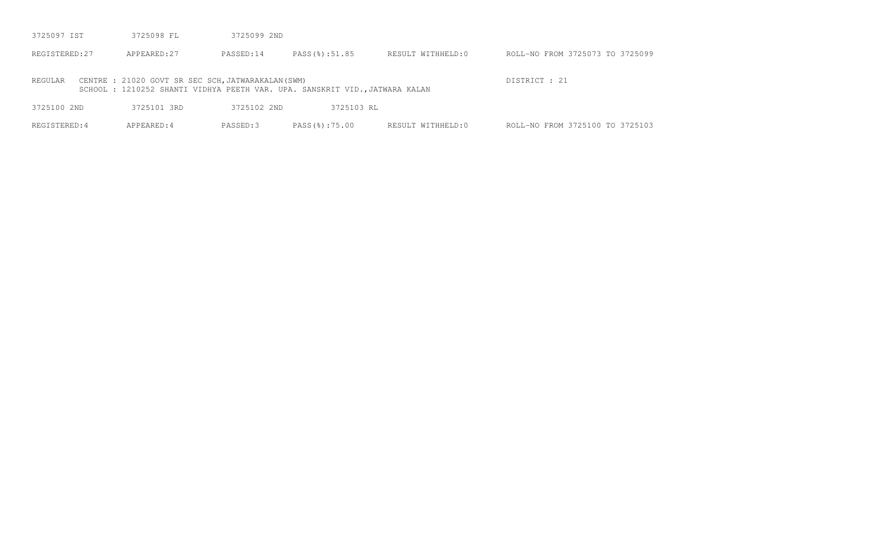| 3725097 IST | 3725098 FL | 3725099 2ND |
|-------------|------------|-------------|
|             |            |             |

| REGISTERED: 27 | APPEARED: 27 | PASSED:14 | PASS(%):51.85 | RESULT WITHHELD:0 | ROLL-NO FROM 3725073 TO 3725099 |
|----------------|--------------|-----------|---------------|-------------------|---------------------------------|
|----------------|--------------|-----------|---------------|-------------------|---------------------------------|

REGULAR CENTRE : 21020 GOVT SR SEC SCH, JATWARAKALAN(SWM) CONSERVATION CONSERVATION CONSTRICT : 21 SCHOOL : 1210252 SHANTI VIDHYA PEETH VAR. UPA. SANSKRIT VID.,JATWARA KALAN

| 3725100 2ND<br>3725101 3RD<br>3725102 2ND<br>3725103 RL |  |
|---------------------------------------------------------|--|
|---------------------------------------------------------|--|

| REGISTERED: 4 | APPEARED: 4 | PASSED:3 | PASS(%):75.00 | RESULT WITHHELD:0 | ROLL-NO FROM 3725100 TO 3725103 |
|---------------|-------------|----------|---------------|-------------------|---------------------------------|
|               |             |          |               |                   |                                 |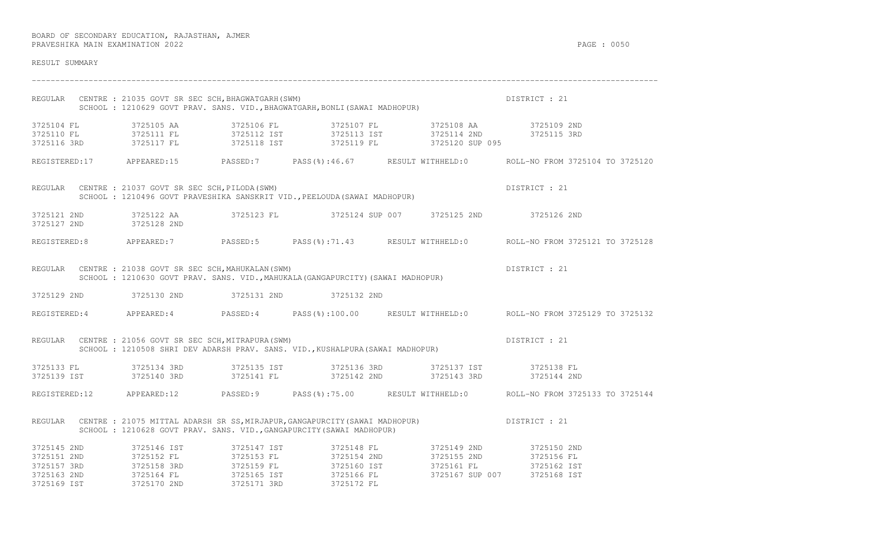| RESULT SUMMARY             |                                                                                                                                                                            |                           |                                                               |                   |                                                                                                      |
|----------------------------|----------------------------------------------------------------------------------------------------------------------------------------------------------------------------|---------------------------|---------------------------------------------------------------|-------------------|------------------------------------------------------------------------------------------------------|
|                            | REGULAR CENTRE : 21035 GOVT SR SEC SCH, BHAGWATGARH (SWM)<br>SCHOOL : 1210629 GOVT PRAV. SANS. VID., BHAGWATGARH, BONLI (SAWAI MADHOPUR)                                   |                           |                                                               |                   | DISTRICT : 21                                                                                        |
| 3725104 FL<br>3725110 FL   | 3725105 AA<br>3725111 FL<br>3725116 3RD 3725117 FL 3725118 IST                                                                                                             |                           | 3725119 FL                                                    | 3725120 SUP 095   |                                                                                                      |
|                            |                                                                                                                                                                            |                           |                                                               |                   | REGISTERED:17 APPEARED:15 PASSED:7 PASS(%):46.67 RESULT WITHHELD:0 ROLL-NO FROM 3725104 TO 3725120   |
|                            | REGULAR CENTRE : 21037 GOVT SR SEC SCH, PILODA (SWM)<br>SCHOOL : 1210496 GOVT PRAVESHIKA SANSKRIT VID., PEELOUDA (SAWAI MADHOPUR)                                          |                           |                                                               |                   | DISTRICT : 21                                                                                        |
| 3725121 2ND<br>3725127 2ND | 3725128 2ND                                                                                                                                                                |                           | 3725122 AA 3725123 FL 3725124 SUP 007 3725125 2ND 3725126 2ND |                   |                                                                                                      |
|                            |                                                                                                                                                                            |                           |                                                               |                   | REGISTERED: 8 APPEARED: 7 PASSED: 5 PASS(%):71.43 RESULT WITHHELD: 0 ROLL-NO FROM 3725121 TO 3725128 |
|                            | REGULAR CENTRE : 21038 GOVT SR SEC SCH, MAHUKALAN (SWM)<br>SCHOOL : 1210630 GOVT PRAV. SANS. VID., MAHUKALA (GANGAPURCITY) (SAWAI MADHOPUR)                                |                           |                                                               |                   | DISTRICT : 21                                                                                        |
|                            | 3725129 2ND 3725130 2ND 3725131 2ND 3725132 2ND                                                                                                                            |                           |                                                               |                   |                                                                                                      |
|                            | REGISTERED: 4 APPEARED: 4 PASSED: 4                                                                                                                                        |                           |                                                               |                   | PASS(%):100.00 RESULT WITHHELD:0 ROLL-NO FROM 3725129 TO 3725132                                     |
|                            | REGULAR CENTRE : 21056 GOVT SR SEC SCH, MITRAPURA (SWM)<br>SCHOOL : 1210508 SHRI DEV ADARSH PRAV. SANS. VID., KUSHALPURA (SAWAI MADHOPUR)                                  |                           |                                                               |                   | DISTRICT : 21                                                                                        |
| 3725133 FL                 | 3725139 IST 3725140 3RD 3725141 FL 3725142 2ND 3725143 3RD                                                                                                                 |                           | 3725134 3RD 3725135 IST 3725136 3RD 3725137 IST 3725138 FL    |                   | 3725144 2ND                                                                                          |
|                            | REGISTERED:12 APPEARED:12 PASSED:9                                                                                                                                         |                           |                                                               |                   | PASS(%):75.00 RESULT WITHHELD:0 ROLL-NO FROM 3725133 TO 3725144                                      |
|                            | REGULAR CENTRE : 21075 MITTAL ADARSH SR SS, MIRJAPUR, GANGAPURCITY (SAWAI MADHOPUR) DISTRICT : 21<br>SCHOOL : 1210628 GOVT PRAV. SANS. VID., GANGAPURCITY (SAWAI MADHOPUR) |                           |                                                               |                   |                                                                                                      |
| 3725145 2ND                | 3725146 IST                                                                                                                                                                | 3725147 IST               | 3725148 FL                                                    | 3725149 2ND       | 3725150 2ND                                                                                          |
| 3725151 2ND                | 3725152 FL                                                                                                                                                                 |                           | 3725153 FL 3725154 2ND                                        |                   | 3725155 2ND 3725156 FL                                                                               |
| 3725157 3RD                | 3725158 3RD                                                                                                                                                                | 3725159 FL<br>3725165 TST | 3725160 IST                                                   |                   | 3725162 IST                                                                                          |
| 3725163 2ND                | 3725164 FL                                                                                                                                                                 | 3725165 IST               | 3725166 FL                                                    | $3725167$ SUP 007 | 3725168 IST                                                                                          |
| 3725169 IST                | 3725170 2ND                                                                                                                                                                | 3725171 3RD               | 3725172 FL                                                    |                   |                                                                                                      |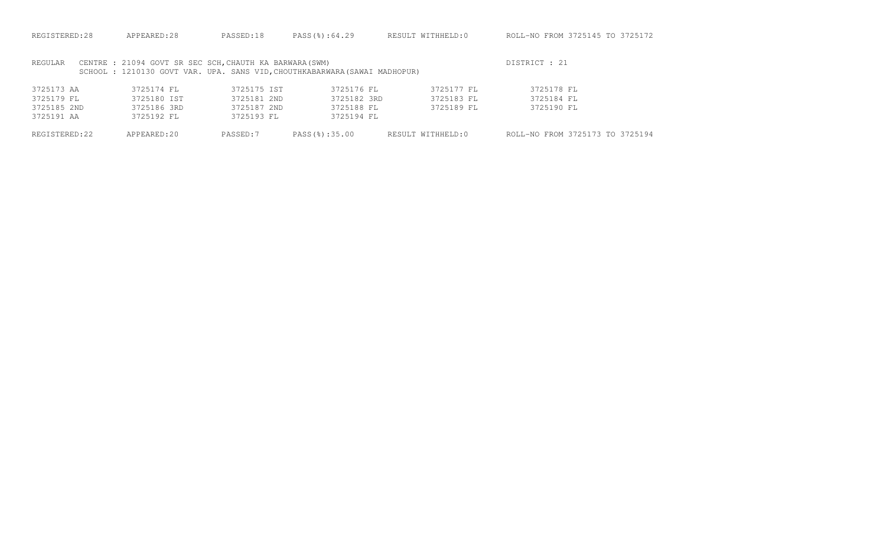| REGULAR       | CENTRE : 21094 GOVT SR SEC SCH, CHAUTH KA BARWARA(SWM)<br>SCHOOL: 1210130 GOVT VAR. UPA. SANS VID, CHOUTHKABARWARA (SAWAI MADHOPUR) |             |               |                   | DISTRICT : 21                   |
|---------------|-------------------------------------------------------------------------------------------------------------------------------------|-------------|---------------|-------------------|---------------------------------|
| 3725173 AA    | 3725174 FL                                                                                                                          | 3725175 IST | 3725176 FL    | 3725177 FL        | 3725178 FL                      |
| 3725179 FL    | 3725180 IST                                                                                                                         | 3725181 2ND | 3725182 3RD   | 3725183 FL        | 3725184 FL                      |
| 3725185 2ND   | 3725186 3RD                                                                                                                         | 3725187 2ND | 3725188 FL    | 3725189 FL        | 3725190 FL                      |
| 3725191 AA    | 3725192 FL                                                                                                                          | 3725193 FL  | 3725194 FL    |                   |                                 |
| REGISTERED:22 | APPEARED:20                                                                                                                         | PASSED:7    | PASS(%):35.00 | RESULT WITHHELD:0 | ROLL-NO FROM 3725173 TO 3725194 |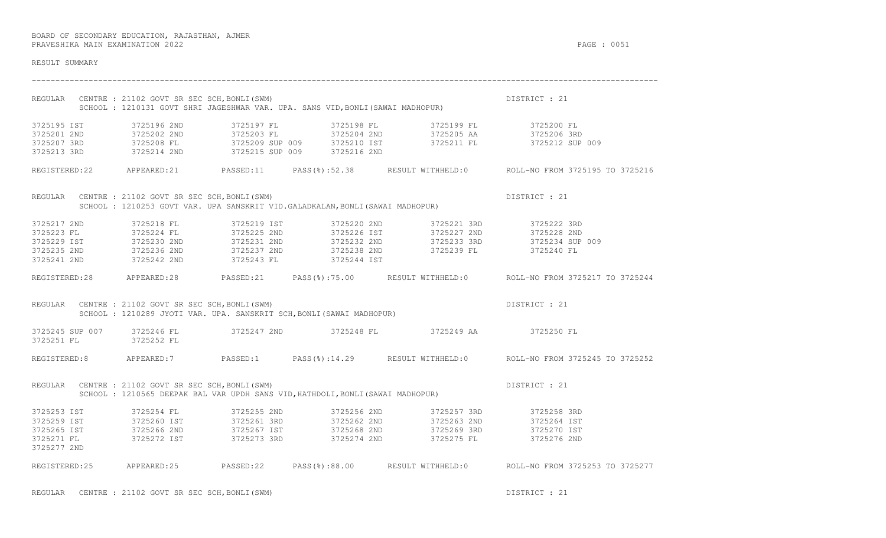| RESULT SUMMARY |                                                     |                                                                                 |                                                                                                                                                                                                                                                                                                                                             |                                                                                                     |
|----------------|-----------------------------------------------------|---------------------------------------------------------------------------------|---------------------------------------------------------------------------------------------------------------------------------------------------------------------------------------------------------------------------------------------------------------------------------------------------------------------------------------------|-----------------------------------------------------------------------------------------------------|
|                | REGULAR CENTRE : 21102 GOVT SR SEC SCH, BONLI (SWM) |                                                                                 | CENTRE : 21102 GOVT SR SEC SCH,BONLI(SWM)<br>SCHOOL : 1210131 GOVT SHRI JAGESHWAR VAR. UPA. SANS VID,BONLI(SAWAI MADHOPUR)                                                                                                                                                                                                                  | DISTRICT : 21                                                                                       |
|                |                                                     |                                                                                 |                                                                                                                                                                                                                                                                                                                                             |                                                                                                     |
|                |                                                     |                                                                                 |                                                                                                                                                                                                                                                                                                                                             |                                                                                                     |
|                |                                                     |                                                                                 |                                                                                                                                                                                                                                                                                                                                             |                                                                                                     |
|                |                                                     |                                                                                 |                                                                                                                                                                                                                                                                                                                                             | REGISTERED:22 APPEARED:21 PASSED:11 PASS(%):52.38 RESULT WITHHELD:0 ROLL-NO FROM 3725195 TO 3725216 |
|                | REGULAR CENTRE : 21102 GOVT SR SEC SCH, BONLI (SWM) |                                                                                 |                                                                                                                                                                                                                                                                                                                                             | DISTRICT : 21                                                                                       |
|                |                                                     | SCHOOL : 1210253 GOVT VAR. UPA SANSKRIT VID.GALADKALAN, BONLI (SAWAI MADHOPUR)  |                                                                                                                                                                                                                                                                                                                                             |                                                                                                     |
|                |                                                     |                                                                                 |                                                                                                                                                                                                                                                                                                                                             |                                                                                                     |
|                |                                                     |                                                                                 |                                                                                                                                                                                                                                                                                                                                             |                                                                                                     |
|                |                                                     |                                                                                 |                                                                                                                                                                                                                                                                                                                                             |                                                                                                     |
|                |                                                     |                                                                                 |                                                                                                                                                                                                                                                                                                                                             |                                                                                                     |
|                |                                                     |                                                                                 | $\begin{array}{cccccccccccc} 3725217 & 2\text{ND} & & 3725218 & \text{FL} & & 3725219 & \text{IST} & & 3725220 & 2\text{ND} & & 3725221 & 3\text{RD} & & 3725222 & 3\text{RD} \\ 3725223 & \text{FL} & & 3725224 & \text{FL} & & 3725225 & 2\text{ND} & & 3725226 & \text{IST} & & 3725227 & 2\text{ND} & & 3725228 & 2\text{ND} \\ 372522$ |                                                                                                     |
|                |                                                     |                                                                                 |                                                                                                                                                                                                                                                                                                                                             | REGISTERED:28 APPEARED:28 PASSED:21 PASS(%):75.00 RESULT WITHHELD:0 ROLL-NO FROM 3725217 TO 3725244 |
|                | REGULAR CENTRE : 21102 GOVT SR SEC SCH, BONLI (SWM) |                                                                                 | CENTRE : 21102 GOVT SR SEC SCH, BONLI(SWM)<br>SCHOOL : 1210289 JYOTI VAR. UPA. SANSKRIT SCH, BONLI(SAWAI MADHOPUR)                                                                                                                                                                                                                          | DISTRICT : 21                                                                                       |
|                | 3725251 FL 3725252 FL                               |                                                                                 | 3725245 SUP 007 3725246 FL 3725247 2ND 3725248 FL 3725249 AA 3725250 FL                                                                                                                                                                                                                                                                     |                                                                                                     |
|                |                                                     |                                                                                 |                                                                                                                                                                                                                                                                                                                                             | REGISTERED:8 APPEARED:7 PASSED:1 PASS(%):14.29 RESULT WITHHELD:0 ROLL-NO FROM 3725245 TO 3725252    |
|                | REGULAR CENTRE : 21102 GOVT SR SEC SCH, BONLI (SWM) | SCHOOL : 1210565 DEEPAK BAL VAR UPDH SANS VID, HATHDOLI, BONLI (SAWAI MADHOPUR) |                                                                                                                                                                                                                                                                                                                                             | DISTRICT : 21                                                                                       |
|                |                                                     |                                                                                 | 3725253 IST 3725254 FL 3725255 2ND 3725256 2ND 3725257 3RD 3725258 3RD                                                                                                                                                                                                                                                                      |                                                                                                     |
|                |                                                     |                                                                                 | 3725259 IST 3725260 IST 3725260 IST 3725261 3RD 3725262 2ND 3725263 2ND 3725264 IST<br>3725265 IST 3725266 2ND 3725267 IST 3725268 2ND 3725269 3RD 3725270 IST<br>3725271 FL 3725272 IST 3725273 3RD 3725274 2ND 3725275 FL 3725276                                                                                                         |                                                                                                     |
|                |                                                     |                                                                                 |                                                                                                                                                                                                                                                                                                                                             |                                                                                                     |
| 3725277 2ND    |                                                     |                                                                                 |                                                                                                                                                                                                                                                                                                                                             |                                                                                                     |
|                |                                                     |                                                                                 |                                                                                                                                                                                                                                                                                                                                             | REGISTERED:25 APPEARED:25 PASSED:22 PASS(%):88.00 RESULT WITHHELD:0 ROLL-NO FROM 3725253 TO 3725277 |

REGULAR CENTRE : 21102 GOVT SR SEC SCH, BONLI(SWM) DISTRICT CHARGES AND REGULAR CENTRECT : 21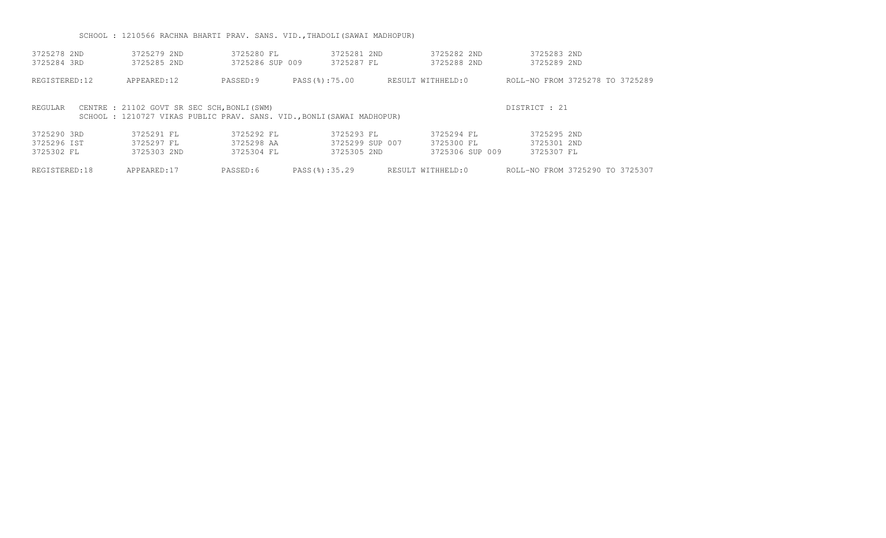## SCHOOL : 1210566 RACHNA BHARTI PRAV. SANS. VID.,THADOLI(SAWAI MADHOPUR)

| 3725278 2ND<br>3725284 3RD | 3725279 2ND<br>3725285 2ND                  | 3725280 FL<br>3725286 SUP 009 | 3725281 2ND<br>3725287 FL                                             | 3725282 2ND<br>3725288 2ND | 3725283 2ND<br>3725289 2ND      |
|----------------------------|---------------------------------------------|-------------------------------|-----------------------------------------------------------------------|----------------------------|---------------------------------|
| REGISTERED:12              | APPEARED:12                                 | PASSED: 9                     | PASS(8):75.00                                                         | RESULT WITHHELD:0          | ROLL-NO FROM 3725278 TO 3725289 |
| REGULAR                    | CENTRE : 21102 GOVT SR SEC SCH, BONLI (SWM) |                               | SCHOOL: 1210727 VIKAS PUBLIC PRAV. SANS. VID., BONLI (SAWAI MADHOPUR) |                            | DISTRICT : 21                   |
| 3725290 3RD                | 3725291 FL                                  | 3725292 FL                    | 3725293 FL                                                            | 3725294 FL                 | 3725295 2ND                     |
| 3725296 IST                | 3725297 FL                                  | 3725298 AA                    | 3725299 SUP 007                                                       | 3725300 FL                 | 3725301 2ND                     |
| 3725302 FL                 | 3725303 2ND                                 | 3725304 FL                    | 3725305 2ND                                                           | 3725306 SUP 009            | 3725307 FL                      |
| REGISTERED: 18             | APPEARED: 17                                | PASSED: 6                     | PASS(%):35.29                                                         | RESULT WITHHELD:0          | ROLL-NO FROM 3725290 TO 3725307 |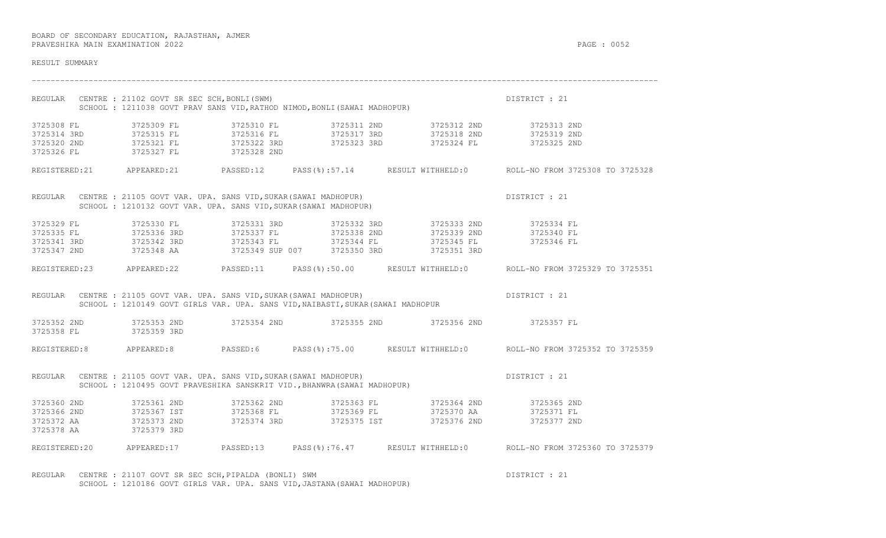# RESULT SUMMARY ------------------------------------------------------------------------------------------------------------------------------------

|                                                                                | REGULAR CENTRE : 21102 GOVT SR SEC SCH, BONLI (SWM)                    | SCHOOL : 1211038 GOVT PRAV SANS VID, RATHOD NIMOD, BONLI (SAWAI MADHOPUR)       |                                                                                                                                                                                                                                                                                  | DISTRICT : 21                                                                                       |
|--------------------------------------------------------------------------------|------------------------------------------------------------------------|---------------------------------------------------------------------------------|----------------------------------------------------------------------------------------------------------------------------------------------------------------------------------------------------------------------------------------------------------------------------------|-----------------------------------------------------------------------------------------------------|
| 3725308 FL                                                                     | 3725309 FL<br>3725326 FL 3725327 FL 3725328 2ND                        |                                                                                 | 3725310 FL 3725311 2ND 3725312 2ND 3725313 2ND<br>3725314 3RD                3725315 FL                3725316 FL                3725317 3RD              3725318 2ND<br>3725320 2ND              3725321 FL              3725322 3RD          3725323 3RD            3725324 FL | 3725319 2ND<br>3725325 2ND                                                                          |
|                                                                                |                                                                        |                                                                                 |                                                                                                                                                                                                                                                                                  | REGISTERED:21 APPEARED:21 PASSED:12 PASS(%):57.14 RESULT WITHHELD:0 ROLL-NO FROM 3725308 TO 3725328 |
|                                                                                |                                                                        | SCHOOL: 1210132 GOVT VAR. UPA. SANS VID, SUKAR (SAWAI MADHOPUR)                 | REGULAR CENTRE : 21105 GOVT VAR. UPA. SANS VID, SUKAR(SAWAI MADHOPUR)                                                                                                                                                                                                            | DISTRICT : 21                                                                                       |
| 3725329 FL                                                                     | 3725330 FL                                                             |                                                                                 | 3725331 3RD 3725332 3RD 3725333 2ND                                                                                                                                                                                                                                              | 3725334 FL                                                                                          |
|                                                                                |                                                                        |                                                                                 |                                                                                                                                                                                                                                                                                  | REGISTERED:23 APPEARED:22 PASSED:11 PASS(%):50.00 RESULT WITHHELD:0 ROLL-NO FROM 3725329 TO 3725351 |
| REGULAR CENTRE : 21105 GOVT VAR. UPA. SANS VID, SUKAR (SAWAI MADHOPUR)         |                                                                        |                                                                                 | DISTRICT : 21                                                                                                                                                                                                                                                                    |                                                                                                     |
|                                                                                |                                                                        | SCHOOL : 1210149 GOVT GIRLS VAR. UPA. SANS VID, NAIBASTI, SUKAR (SAWAI MADHOPUR |                                                                                                                                                                                                                                                                                  |                                                                                                     |
| 3725352 2ND 3725353 2ND<br>3725358 FL 3725359 3RD                              |                                                                        |                                                                                 |                                                                                                                                                                                                                                                                                  |                                                                                                     |
|                                                                                |                                                                        |                                                                                 |                                                                                                                                                                                                                                                                                  | REGISTERED:8 APPEARED:8 PASSED:6 PASS(%):75.00 RESULT WITHHELD:0 ROLL-NO FROM 3725352 TO 3725359    |
|                                                                                | REGULAR CENTRE : 21105 GOVT VAR. UPA. SANS VID, SUKAR (SAWAI MADHOPUR) | SCHOOL : 1210495 GOVT PRAVESHIKA SANSKRIT VID., BHANWRA (SAWAI MADHOPUR)        |                                                                                                                                                                                                                                                                                  | DISTRICT : 21                                                                                       |
| 3725360 2ND<br>3725366 2ND 3725367 IST<br>3725372 AA 3725373 2ND<br>3725378 AA | 3725361 2ND<br>3725379 3RD<br>REGISTERED:20 APPEARED:17 PASSED:13      |                                                                                 | 3725362 2ND 3725363 FL 3725364 2ND<br>3725368 FL                     3725369 FL                   3725370 AA                     3725371 FL<br>3725374 3RD 3725375 IST 3725376 2ND                                                                                               | 3725365 2ND<br>3725377 2ND<br>PASS(%):76.47 RESULT WITHHELD:0 ROLL-NO FROM 3725360 TO 3725379       |

REGULAR CENTRE : 21107 GOVT SR SEC SCH, PIPALDA (BONLI) SWM DISTRICT THE STRICT : 21 SCHOOL : 1210186 GOVT GIRLS VAR. UPA. SANS VID,JASTANA(SAWAI MADHOPUR)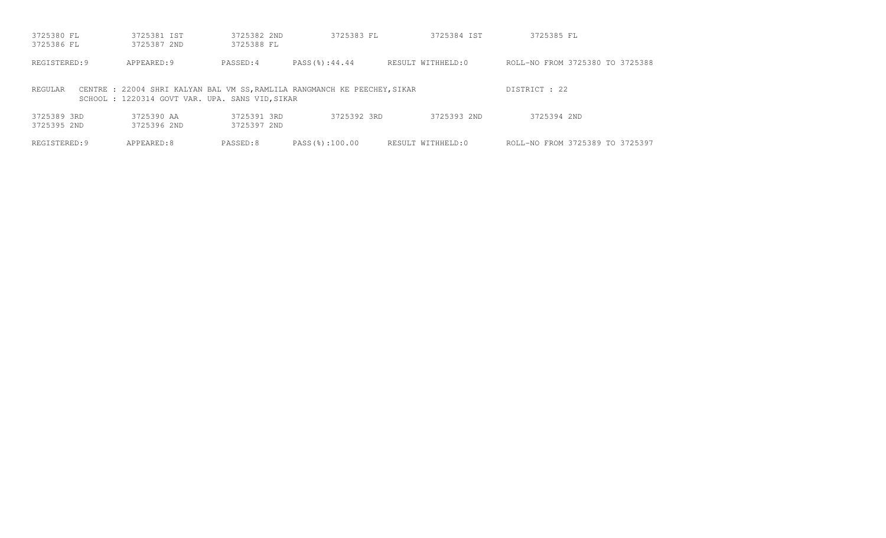| 3725380 FL<br>3725386 FL   | 3725381 IST<br>3725387 2ND                      | 3725382 2ND<br>3725388 FL  | 3725383 FL                                                                | 3725384 IST       | 3725385 FL                      |
|----------------------------|-------------------------------------------------|----------------------------|---------------------------------------------------------------------------|-------------------|---------------------------------|
| REGISTERED: 9              | APPEARED: 9                                     | PASSED:4                   | PASS(%):44.44                                                             | RESULT WITHHELD:0 | ROLL-NO FROM 3725380 TO 3725388 |
| REGULAR                    | SCHOOL : 1220314 GOVT VAR. UPA. SANS VID, SIKAR |                            | CENTRE : 22004 SHRI KALYAN BAL VM SS, RAMLILA RANGMANCH KE PEECHEY, SIKAR |                   | DISTRICT : 22                   |
| 3725389 3RD<br>3725395 2ND | 3725390 AA<br>3725396 2ND                       | 3725391 3RD<br>3725397 2ND | 3725392 3RD                                                               | 3725393 2ND       | 3725394 2ND                     |
| REGISTERED: 9              | APPEARED:8                                      | PASSED:8                   | PASS(%):100.00                                                            | RESULT WITHHELD:0 | ROLL-NO FROM 3725389 TO 3725397 |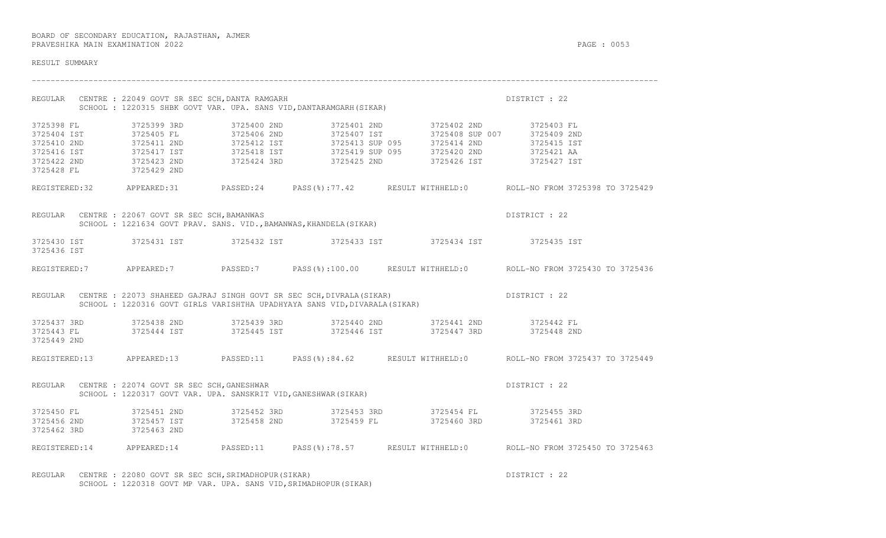| RESULT SUMMARY          |                                                       |                                                                                                             |                                                                                                                                                                                                                                |                                                                                                     |
|-------------------------|-------------------------------------------------------|-------------------------------------------------------------------------------------------------------------|--------------------------------------------------------------------------------------------------------------------------------------------------------------------------------------------------------------------------------|-----------------------------------------------------------------------------------------------------|
|                         | REGULAR CENTRE : 22049 GOVT SR SEC SCH, DANTA RAMGARH |                                                                                                             | CENTRE : 22049 GOVT SR SEC SCH, DANTA RAMGARH<br>SCHOOL : 1220315 SHBK GOVT VAR. UPA. SANS VID, DANTARAMGARH(SIKAR)                                                                                                            | DISTRICT : 22                                                                                       |
|                         |                                                       |                                                                                                             | 3725404 IST 3725399 3RD 3725400 2ND 3725401 2ND 3725402 2ND 3725404 IST 3725405 FL 3725406 2ND 3725407 IST 3725408 SUP 007 3725409 2ND 3725405 FL 3725405 FL 3725405 FL 3725405 FL 3725407 IST 3725409 2ND 3725416 IST 3725417 |                                                                                                     |
|                         |                                                       |                                                                                                             |                                                                                                                                                                                                                                | REGISTERED:32 APPEARED:31 PASSED:24 PASS(%):77.42 RESULT WITHHELD:0 ROLL-NO FROM 3725398 TO 3725429 |
|                         | REGULAR CENTRE : 22067 GOVT SR SEC SCH, BAMANWAS      | SCHOOL : 1221634 GOVT PRAV. SANS. VID., BAMANWAS, KHANDELA (SIKAR)                                          |                                                                                                                                                                                                                                | DISTRICT : 22                                                                                       |
| 3725436 IST             |                                                       |                                                                                                             | 3725430 IST 3725431 IST 3725432 IST 3725433 IST 3725434 IST 3725434 IST 3725435 IST                                                                                                                                            |                                                                                                     |
|                         |                                                       |                                                                                                             |                                                                                                                                                                                                                                | REGISTERED:7 APPEARED:7 PASSED:7 PASS(%):100.00 RESULT WITHHELD:0 ROLL-NO FROM 3725430 TO 3725436   |
|                         |                                                       | SCHOOL : 1220316 GOVT GIRLS VARISHTHA UPADHYAYA SANS VID, DIVARALA (SIKAR)                                  | REGULAR CENTRE : 22073 SHAHEED GAJRAJ SINGH GOVT SR SEC SCH, DIVRALA (SIKAR) DESTRICT : 22                                                                                                                                     |                                                                                                     |
| 3725449 2ND             |                                                       |                                                                                                             | 3725437 3RD 3725438 2ND 3725439 3RD 3725440 2ND 3725441 2ND 3725442 FL<br>3725443 FL 3725444 IST 3725445 IST 3725446 IST 3725447 3RD 3725448 2ND                                                                               |                                                                                                     |
|                         |                                                       |                                                                                                             |                                                                                                                                                                                                                                | REGISTERED:13 APPEARED:13 PASSED:11 PASS(%):84.62 RESULT WITHHELD:0 ROLL-NO FROM 3725437 TO 3725449 |
|                         | REGULAR CENTRE : 22074 GOVT SR SEC SCH, GANESHWAR     | CENTRE : 22074 GOVT SR SEC SCH, GANESHWAR<br>SCHOOL : 1220317 GOVT VAR. UPA. SANSKRIT VID, GANESHWAR(SIKAR) |                                                                                                                                                                                                                                | DISTRICT : 22                                                                                       |
| 3725462 3RD 3725463 2ND |                                                       |                                                                                                             |                                                                                                                                                                                                                                |                                                                                                     |
|                         |                                                       |                                                                                                             |                                                                                                                                                                                                                                | REGISTERED:14 APPEARED:14 PASSED:11 PASS(%):78.57 RESULT WITHHELD:0 ROLL-NO FROM 3725450 TO 3725463 |

REGULAR CENTRE : 22080 GOVT SR SEC SCH, SRIMADHOPUR(SIKAR) CHARLES CHARLES SECULAR DISTRICT : 22 SCHOOL : 1220318 GOVT MP VAR. UPA. SANS VID, SRIMADHOPUR (SIKAR)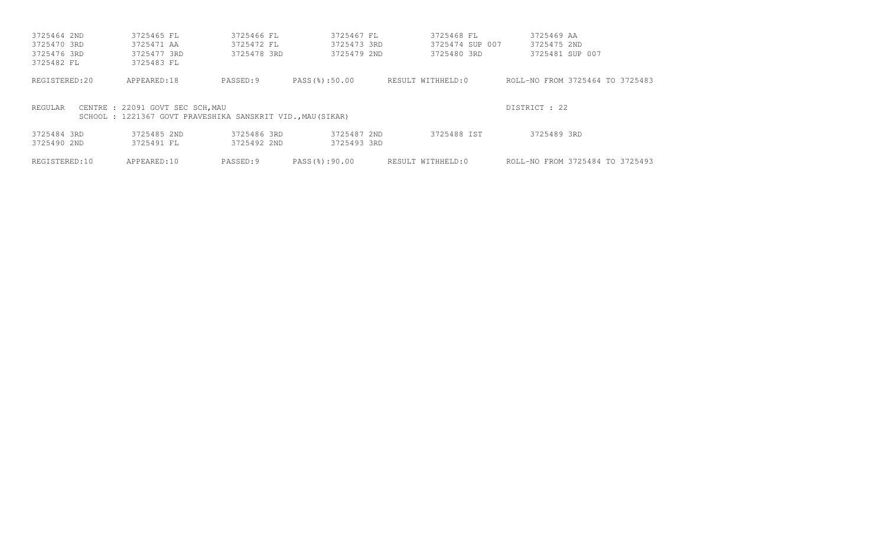| 3725464 2ND   | 3725465 FL                                                                                      | 3725466 FL  | 3725467 FL    | 3725468 FL        | 3725469 AA                      |
|---------------|-------------------------------------------------------------------------------------------------|-------------|---------------|-------------------|---------------------------------|
| 3725470 3RD   | 3725471 AA                                                                                      | 3725472 FL  | 3725473 3RD   | 3725474 SUP 007   | 3725475 2ND                     |
| 3725476 3RD   | 3725477 3RD                                                                                     | 3725478 3RD | 3725479 2ND   | 3725480 3RD       | 3725481 SUP 007                 |
| 3725482 FL    | 3725483 FL                                                                                      |             |               |                   |                                 |
| REGISTERED:20 | APPEARED:18                                                                                     | PASSED: 9   | PASS(%):50.00 | RESULT WITHHELD:0 | ROLL-NO FROM 3725464 TO 3725483 |
| REGULAR       | CENTRE : 22091 GOVT SEC SCH, MAU<br>SCHOOL : 1221367 GOVT PRAVESHIKA SANSKRIT VID., MAU (SIKAR) |             |               |                   | DISTRICT : 22                   |
|               |                                                                                                 |             |               |                   |                                 |
| 3725484 3RD   | 3725485 2ND                                                                                     | 3725486 3RD | 3725487 2ND   | 3725488 IST       | 3725489 3RD                     |
| 3725490 2ND   | 3725491 FL                                                                                      | 3725492 2ND | 3725493 3RD   |                   |                                 |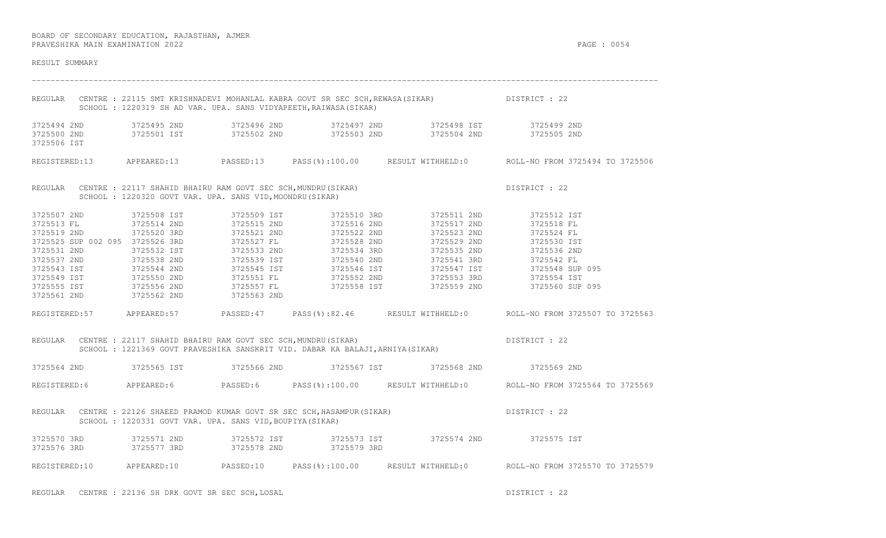| RESULT SUMMARY             |                                                                                                                                    |                                                                                            |  |                                                                  |                                                                                                                                                                                   |                                                                                                                                                                                                                                                                                                                                                                                                                                                |  |  |  |
|----------------------------|------------------------------------------------------------------------------------------------------------------------------------|--------------------------------------------------------------------------------------------|--|------------------------------------------------------------------|-----------------------------------------------------------------------------------------------------------------------------------------------------------------------------------|------------------------------------------------------------------------------------------------------------------------------------------------------------------------------------------------------------------------------------------------------------------------------------------------------------------------------------------------------------------------------------------------------------------------------------------------|--|--|--|
|                            |                                                                                                                                    |                                                                                            |  | SCHOOL: 1220319 SH AD VAR. UPA. SANS VIDYAPEETH, RAIWASA (SIKAR) | REGULAR CENTRE : 22115 SMT KRISHNADEVI MOHANLAL KABRA GOVT SR SEC SCH, REWASA (SIKAR) DISTRICT : 22                                                                               |                                                                                                                                                                                                                                                                                                                                                                                                                                                |  |  |  |
| 3725494 2ND<br>3725506 IST |                                                                                                                                    |                                                                                            |  |                                                                  | 3725495 2ND 3725496 2ND 3725497 2ND 3725498 IST 3725499 2ND<br>3725500 2ND 3725501 IST 3725502 2ND 3725503 2ND 3725504 2ND 3725504 2ND 3725505 2ND                                |                                                                                                                                                                                                                                                                                                                                                                                                                                                |  |  |  |
|                            |                                                                                                                                    |                                                                                            |  |                                                                  |                                                                                                                                                                                   | REGISTERED:13 APPEARED:13 PASSED:13 PASS(%):100.00 RESULT WITHHELD:0 ROLL-NO FROM 3725494 TO 3725506                                                                                                                                                                                                                                                                                                                                           |  |  |  |
|                            | REGULAR CENTRE : 22117 SHAHID BHAIRU RAM GOVT SEC SCH, MUNDRU (SIKAR)<br>SCHOOL : 1220320 GOVT VAR. UPA. SANS VID, MOONDRU (SIKAR) | DISTRICT : 22                                                                              |  |                                                                  |                                                                                                                                                                                   |                                                                                                                                                                                                                                                                                                                                                                                                                                                |  |  |  |
|                            |                                                                                                                                    |                                                                                            |  |                                                                  | REGULAR CENTRE : 22117 SHAHID BHAIRU RAM GOVT SEC SCH, MUNDRU(SIKAR) <b>ERREGULAR CENTRE : 22</b><br>SCHOOL : 1221369 GOVT PRAVESHIKA SANSKRIT VID. DABAR KA BALAJI,ARNIYA(SIKAR) | $\begin{array}{cccccc} 3725507 & 2 \text{ND} & 3725508 & 15 \text{T} & 3725510 & 3 \text{T} & 3725510 & 3 \text{RD} & 3725511 & 2 \text{ND} & 3725513 & \text{FL} \\ 3725513 & \text{FL} & 3725514 & 2 \text{ND} & 3725515 & 2 \text{ND} & 3725516 & 2 \text{ND} & 3725517 & 2 \text{ND} & 3725518 & \text{FL} \\ 3725519 & 2 \text{ND$<br>REGISTERED:57 APPEARED:57 PASSED:47 PASS(%):82.46 RESULT WITHHELD:0 ROLL-NO FROM 3725507 TO 3725563 |  |  |  |
|                            |                                                                                                                                    |                                                                                            |  |                                                                  | 3725564 2ND 3725565 IST 3725566 2ND 3725567 IST 3725568 2ND 3725569 2ND                                                                                                           |                                                                                                                                                                                                                                                                                                                                                                                                                                                |  |  |  |
|                            |                                                                                                                                    |                                                                                            |  |                                                                  |                                                                                                                                                                                   | REGISTERED:6 APPEARED:6 PASSED:6 PASS(%):100.00 RESULT WITHHELD:0 ROLL-NO FROM 3725564 TO 3725569                                                                                                                                                                                                                                                                                                                                              |  |  |  |
|                            | SCHOOL : 1220331 GOVT VAR. UPA. SANS VID, BOUPIYA (SIKAR)                                                                          | REGULAR CENTRE : 22126 SHAEED PRAMOD KUMAR GOVT SR SEC SCH, HASAMPUR (SIKAR) DISTRICT : 22 |  |                                                                  |                                                                                                                                                                                   |                                                                                                                                                                                                                                                                                                                                                                                                                                                |  |  |  |
|                            |                                                                                                                                    |                                                                                            |  | 3725576 3RD 3725577 3RD 3725578 2ND 3725579 3RD                  | 3725570 3RD 3725571 2ND 3725572 IST 3725573 IST 3725574 2ND 3725575 IST                                                                                                           |                                                                                                                                                                                                                                                                                                                                                                                                                                                |  |  |  |
|                            |                                                                                                                                    |                                                                                            |  |                                                                  |                                                                                                                                                                                   | REGISTERED:10 APPEARED:10 PASSED:10 PASS(%):100.00 RESULT WITHHELD:0 ROLL-NO FROM 3725570 TO 3725579                                                                                                                                                                                                                                                                                                                                           |  |  |  |

REGULAR CENTRE : 22136 SH DRK GOVT SR SEC SCH, LOSAL DESTRICT OF STRICT I 22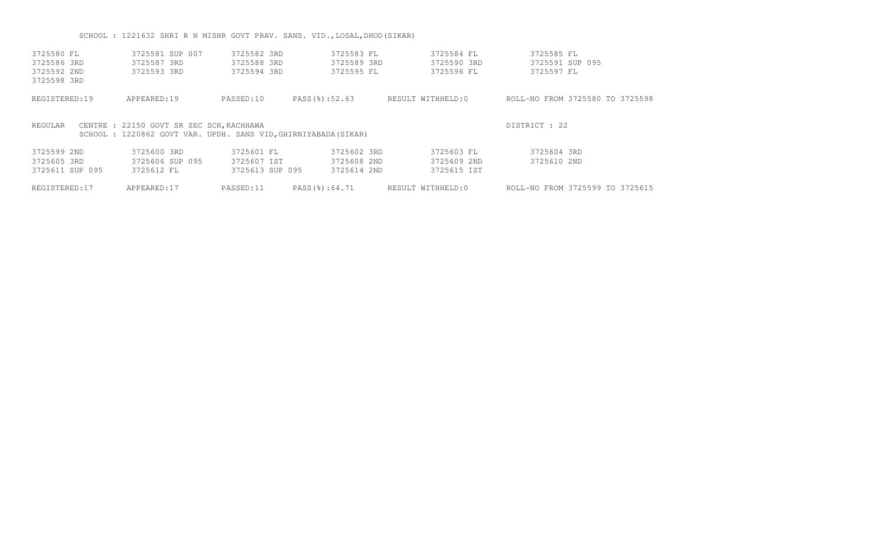## SCHOOL : 1221632 SHRI R N MISHR GOVT PRAV. SANS. VID.,LOSAL,DHOD(SIKAR)

| 3725580 FL      | 3725581 SUP 007                                                 | 3725582 3RD     | 3725583 FL    | 3725584 FL        | 3725585 FL                      |
|-----------------|-----------------------------------------------------------------|-----------------|---------------|-------------------|---------------------------------|
| 3725586 3RD     | 3725587 3RD                                                     | 3725588 3RD     | 3725589 3RD   | 3725590 3RD       | 3725591 SUP 095                 |
| 3725592 2ND     | 3725593 3RD                                                     | 3725594 3RD     | 3725595 FL    | 3725596 FL        | 3725597 FL                      |
| 3725598 3RD     |                                                                 |                 |               |                   |                                 |
| REGISTERED:19   | APPEARED:19                                                     | PASSED:10       | PASS(%):52.63 | RESULT WITHHELD:0 | ROLL-NO FROM 3725580 TO 3725598 |
|                 |                                                                 |                 |               |                   |                                 |
|                 |                                                                 |                 |               |                   |                                 |
| REGULAR         | CENTRE : 22150 GOVT SR SEC SCH, KACHHAWA                        |                 |               |                   | DISTRICT : 22                   |
|                 | SCHOOL : 1220862 GOVT VAR. UPDH. SANS VID, GHIRNIYABADA (SIKAR) |                 |               |                   |                                 |
| 3725599 2ND     | 3725600 3RD                                                     | 3725601 FL      | 3725602 3RD   | 3725603 FL        | 3725604 3RD                     |
| 3725605 3RD     | 3725606 SUP 095                                                 | 3725607 IST     | 3725608 2ND   | 3725609 2ND       | 3725610 2ND                     |
| 3725611 SUP 095 | 3725612 FL                                                      | 3725613 SUP 095 | 3725614 2ND   | 3725615 IST       |                                 |
|                 |                                                                 |                 |               |                   |                                 |
| REGISTERED: 17  | APPEARED:17                                                     | PASSED:11       | PASS(%):64.71 | RESULT WITHHELD:0 | ROLL-NO FROM 3725599 TO 3725615 |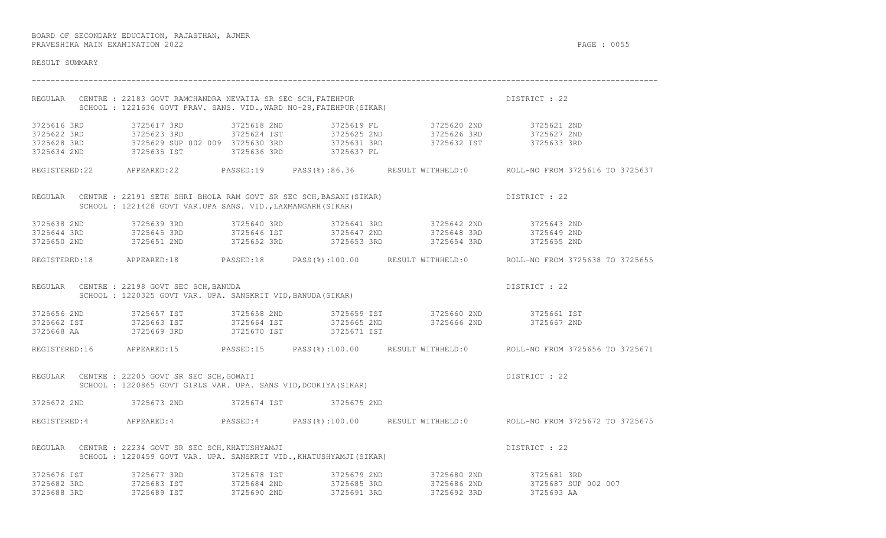| RESULT SUMMARY |                                                                                                                                                          |             |             |                                                                                                                                                                                                                                   |                                                                                                      |
|----------------|----------------------------------------------------------------------------------------------------------------------------------------------------------|-------------|-------------|-----------------------------------------------------------------------------------------------------------------------------------------------------------------------------------------------------------------------------------|------------------------------------------------------------------------------------------------------|
|                |                                                                                                                                                          |             |             | REGULAR CENTRE : 22183 GOVT RAMCHANDRA NEVATIA SR SEC SCH, FATEHPUR<br>SCHOOL : 1221636 GOVT PRAV. SANS. VID., WARD NO-28, FATEHPUR (SIKAR)                                                                                       | DISTRICT : 22                                                                                        |
| 3725616 3RD    | 3725617 3RD                                                                                                                                              |             |             | 3725618 2ND                  3725619 FL                    3725620 2ND                        3725621 2ND<br>3725624 IST              3725625 2ND                3725626 3RD                3725627 2ND                           |                                                                                                      |
|                |                                                                                                                                                          |             |             |                                                                                                                                                                                                                                   |                                                                                                      |
|                |                                                                                                                                                          |             |             |                                                                                                                                                                                                                                   |                                                                                                      |
|                |                                                                                                                                                          |             |             | 3725622 3RD 3725623 3RD 3725629 5723919 2RD 3725625 2ND 3725626 3RD 3725627 2ND<br>3725628 3RD 3725629 SUP 002 009 3725630 3RD 3725631 3RD 3725632 IST 3725633 3RD 3725633 3RD 3725635 IST                                        |                                                                                                      |
|                |                                                                                                                                                          |             |             |                                                                                                                                                                                                                                   | REGISTERED:22 APPEARED:22 PASSED:19 PASS(%):86.36 RESULT WITHHELD:0 ROLL-NO FROM 3725616 TO 3725637  |
|                | SCHOOL : 1221428 GOVT VAR.UPA SANS. VID., LAXMANGARH (SIKAR)                                                                                             |             |             | REGULAR CENTRE : 22191 SETH SHRI BHOLA RAM GOVT SR SEC SCH, BASANI (SIKAR)                                                                                                                                                        | DISTRICT : 22                                                                                        |
|                |                                                                                                                                                          |             |             | 3725638 2ND                3725639 3RD              3725640 3RD            3725641 3RD                3725642 2ND                3725643 2ND<br>3725644 3RD              3725645 3RD            3725646 IST            3725647 2N |                                                                                                      |
|                |                                                                                                                                                          |             |             |                                                                                                                                                                                                                                   |                                                                                                      |
|                |                                                                                                                                                          |             |             | 3725650 2ND 3725651 2ND 3725652 3RD 3725653 3RD 3725654 3RD 3725654 2ND 3725655 2ND                                                                                                                                               |                                                                                                      |
|                |                                                                                                                                                          |             |             |                                                                                                                                                                                                                                   | REGISTERED:18 APPEARED:18 PASSED:18 PASS(%):100.00 RESULT WITHHELD:0 ROLL-NO FROM 3725638 TO 3725655 |
|                | REGULAR CENTRE : 22198 GOVT SEC SCH, BANUDA<br>SCHOOL : 1220325 GOVT VAR. UPA. SANSKRIT VID, BANUDA (SIKAR)                                              |             |             |                                                                                                                                                                                                                                   | DISTRICT : 22                                                                                        |
|                |                                                                                                                                                          |             |             |                                                                                                                                                                                                                                   |                                                                                                      |
|                |                                                                                                                                                          |             |             |                                                                                                                                                                                                                                   |                                                                                                      |
|                |                                                                                                                                                          |             |             |                                                                                                                                                                                                                                   |                                                                                                      |
|                |                                                                                                                                                          |             |             |                                                                                                                                                                                                                                   | REGISTERED:16 APPEARED:15 PASSED:15 PASS(%):100.00 RESULT WITHHELD:0 ROLL-NO FROM 3725656 TO 3725671 |
|                | CENTRE : 22205 GOVT SR SEC SCH,GOWATI<br>SCHOOL : 1220865 GOVT GIRLS VAR. UPA. SANS VID,DOOKIYA(SIKAR)<br>REGULAR CENTRE : 22205 GOVT SR SEC SCH, GOWATI |             |             |                                                                                                                                                                                                                                   | DISTRICT : 22                                                                                        |
|                | 3725672 2ND 3725673 2ND 3725674 IST 3725675 2ND                                                                                                          |             |             |                                                                                                                                                                                                                                   |                                                                                                      |
|                |                                                                                                                                                          |             |             |                                                                                                                                                                                                                                   | REGISTERED:4 APPEARED:4 PASSED:4 PASS(%):100.00 RESULT WITHHELD:0 ROLL-NO FROM 3725672 TO 3725675    |
|                | REGULAR CENTRE : 22234 GOVT SR SEC SCH, KHATUSHYAMJI<br>SCHOOL : 1220459 GOVT VAR. UPA. SANSKRIT VID., KHATUSHYAMJI (SIKAR)                              |             |             |                                                                                                                                                                                                                                   | DISTRICT : 22                                                                                        |
| 3725676 IST    | 3725677 3RD                                                                                                                                              |             |             |                                                                                                                                                                                                                                   |                                                                                                      |
| 3725682 3RD    |                                                                                                                                                          |             |             |                                                                                                                                                                                                                                   |                                                                                                      |
| 3725688 3RD    | 3725689 IST                                                                                                                                              | 3725690 2ND | 3725691 3RD | 3725692 3RD                                                                                                                                                                                                                       | 3725693 AA                                                                                           |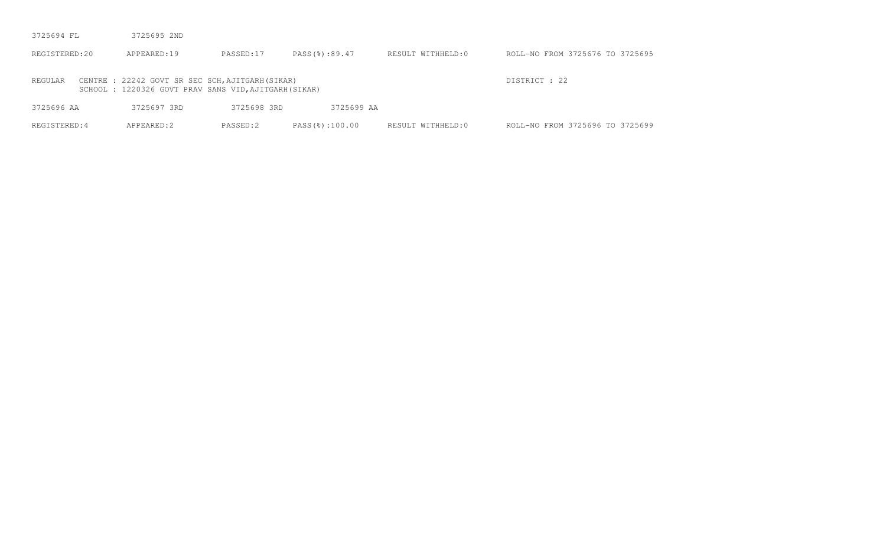3725694 FL 3725695 2ND

| REGISTERED:20 | APPEARED:19 | PASSED:17 | PASS(%):89.47 | RESULT WITHHELD:0 | ROLL-NO FROM 3725676 TO 3725695 |
|---------------|-------------|-----------|---------------|-------------------|---------------------------------|
|               |             |           |               |                   |                                 |
|               |             |           |               |                   |                                 |

REGULAR CENTRE : 22242 GOVT SR SEC SCH, AJITGARH(SIKAR) CHAR CHAR CHAR CENTRICT : 22 SCHOOL : 1220326 GOVT PRAV SANS VID,AJITGARH(SIKAR)

| 3725696 AA<br>3725697 3RD<br>3725698 3RD<br>3725699 AA |  |
|--------------------------------------------------------|--|
|--------------------------------------------------------|--|

| REGISTERED: 4 | APPEARED: 2 | PASSED:2 | PASS(%):100.00 | RESULT WITHHELD:0 | ROLL-NO FROM 3725696 TO 3725699 |
|---------------|-------------|----------|----------------|-------------------|---------------------------------|
|---------------|-------------|----------|----------------|-------------------|---------------------------------|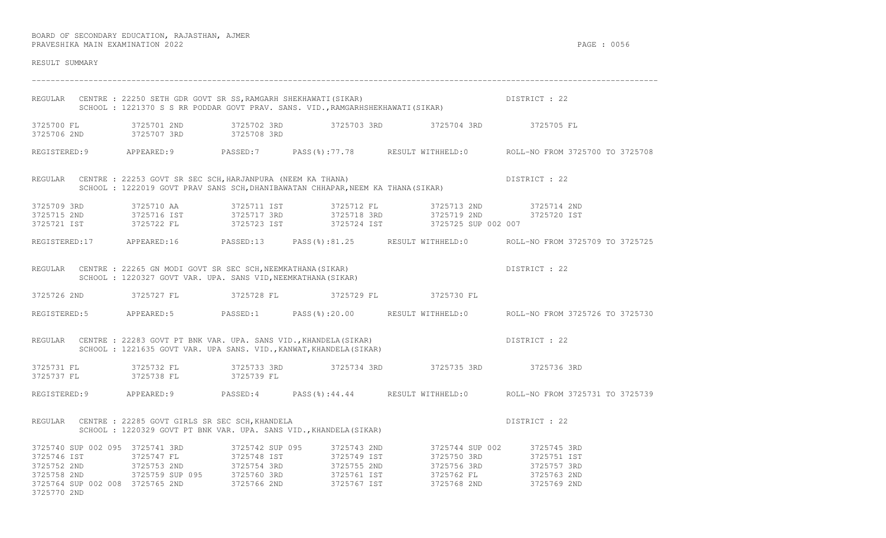| RESULT SUMMARY |                                                                                                                                                        |  |                                                                                                                                                                                                                                                                                                                                                                                                                               |                                                                                                       |
|----------------|--------------------------------------------------------------------------------------------------------------------------------------------------------|--|-------------------------------------------------------------------------------------------------------------------------------------------------------------------------------------------------------------------------------------------------------------------------------------------------------------------------------------------------------------------------------------------------------------------------------|-------------------------------------------------------------------------------------------------------|
|                | SCHOOL : 1221370 S S RR PODDAR GOVT PRAV. SANS. VID., RAMGARHSHEKHAWATI(SIKAR)                                                                         |  | REGULAR CENTRE : 22250 SETH GDR GOVT SR SS, RAMGARH SHEKHAWATI (SIKAR)                                                                                                                                                                                                                                                                                                                                                        | DISTRICT : 22                                                                                         |
| 3725700 FL     | 3725701 2ND<br>3725706 2ND 3725707 3RD 3725708 3RD                                                                                                     |  |                                                                                                                                                                                                                                                                                                                                                                                                                               |                                                                                                       |
|                |                                                                                                                                                        |  |                                                                                                                                                                                                                                                                                                                                                                                                                               | REGISTERED:9 APPEARED:9 PASSED:7 PASS(%):77.78 RESULT WITHHELD:0 ROLL-NO FROM 3725700 TO 3725708      |
|                | REGULAR CENTRE : 22253 GOVT SR SEC SCH, HARJANPURA (NEEM KA THANA)<br>SCHOOL : 1222019 GOVT PRAV SANS SCH, DHANIBAWATAN CHHAPAR, NEEM KA THANA (SIKAR) |  |                                                                                                                                                                                                                                                                                                                                                                                                                               | DISTRICT : 22                                                                                         |
|                |                                                                                                                                                        |  | $\begin{array}{cccccccccccc} 3725709 & 3RD & & 3725710 & \text{AA} & & 3725711 & \text{IST} & & 3725712 & \text{FL} & & 3725713 & 2ND & & 3725714 & 2ND \\ & & & & & 3725716 & \text{IST} & & 3725717 & 3RD & & 3725718 & 3RD & & 3725719 & 2ND & & 3725720 & \text{IST} \end{array}$<br>3725721 IST 3725722 FL 3725723 IST 3725724 IST 3725725 SUP 002 007                                                                   |                                                                                                       |
|                |                                                                                                                                                        |  |                                                                                                                                                                                                                                                                                                                                                                                                                               | REGISTERED:17 APPEARED:16 PASSED:13 PASS(%):81.25 RESULT WITHHELD:0 ROLL-NO FROM 3725709 TO 3725725   |
|                |                                                                                                                                                        |  | REGULAR CENTRE : 22265 GN MODI GOVT SR SEC SCH, NEEMKATHANA (SIKAR)<br>SCHOOL : 1220327 GOVT VAR. UPA. SANS VID, NEEMKATHANA (SIKAR)                                                                                                                                                                                                                                                                                          | DISTRICT : 22                                                                                         |
|                |                                                                                                                                                        |  | 3725726 2ND 3725727 FL 3725728 FL 3725729 FL 3725730 FL                                                                                                                                                                                                                                                                                                                                                                       |                                                                                                       |
|                |                                                                                                                                                        |  |                                                                                                                                                                                                                                                                                                                                                                                                                               | REGISTERED:5 APPEARED:5 PASSED:1 PASS(%):20.00 RESULT WITHHELD:0 ROLL-NO FROM 3725726 TO 3725730      |
|                |                                                                                                                                                        |  | REGULAR CENTRE : 22283 GOVT PT BNK VAR. UPA. SANS VID., KHANDELA (SIKAR)<br>SCHOOL : 1221635 GOVT VAR. UPA SANS. VID., KANWAT, KHANDELA (SIKAR)                                                                                                                                                                                                                                                                               | DISTRICT : 22                                                                                         |
|                | 3725737 FL 3725738 FL 3725739 FL                                                                                                                       |  | 3725731 FL 3725732 FL 3725733 3RD 3725734 3RD 3725735 3RD 3725735 3RD 3725736 3RD                                                                                                                                                                                                                                                                                                                                             |                                                                                                       |
|                |                                                                                                                                                        |  |                                                                                                                                                                                                                                                                                                                                                                                                                               | REGISTERED: 9 APPEARED: 9 PASSED: 4 PASS(%): 44.44 RESULT WITHHELD: 0 ROLL-NO FROM 3725731 TO 3725739 |
|                | SCHOOL : 1220329 GOVT PT BNK VAR. UPA. SANS VID., KHANDELA (SIKAR)<br>REGULAR CENTRE : 22285 GOVT GIRLS SR SEC SCH, KHANDELA                           |  |                                                                                                                                                                                                                                                                                                                                                                                                                               | DISTRICT : 22                                                                                         |
| 3725770 2ND    |                                                                                                                                                        |  | 3725740 SUP 002 095 3725741 3RD 3725742 SUP 095 3725743 2ND 3725744 SUP 002 3725745 3RD<br>$\begin{array}{cccccccc} 3725746 & 15\texttt{T} & 3725747 & \texttt{FL} & 3725754 & 15\texttt{T} & 3725752 & 3\texttt{RD} & 3725751 & 15\texttt{T} \\ 3725752 & 2\texttt{ND} & 3725753 & 2\texttt{ND} & 3725759 & 3\texttt{ND} & 3725759 & 3\texttt{ND} & 3725759 & 3\texttt{ND} & 3725759 & 3\texttt{ND} & 3725759 & 3\texttt{ND$ |                                                                                                       |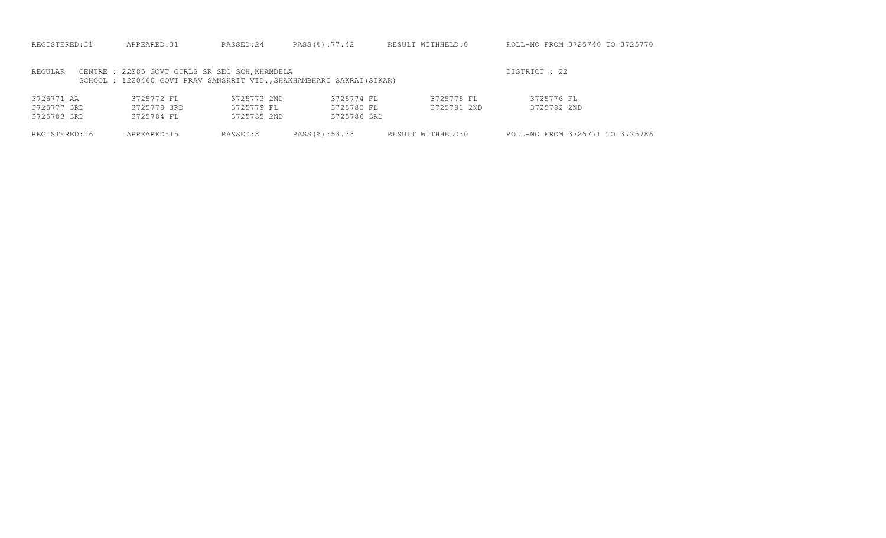| REGISTERED: 31 | APPEARED: 31                                                                                                            | PASSED:24   | PASS(%):77.42 | RESULT WITHHELD:0 | ROLL-NO FROM 3725740 TO 3725770 |
|----------------|-------------------------------------------------------------------------------------------------------------------------|-------------|---------------|-------------------|---------------------------------|
| REGULAR        | CENTRE : 22285 GOVT GIRLS SR SEC SCH, KHANDELA<br>SCHOOL : 1220460 GOVT PRAV SANSKRIT VID., SHAKHAMBHARI SAKRAI (SIKAR) |             |               |                   | DISTRICT : 22                   |
| 3725771 AA     | 3725772 FL                                                                                                              | 3725773 2ND | 3725774 FL    | 3725775 FL        | 3725776 FL                      |
| 3725777 3RD    | 3725778 3RD                                                                                                             | 3725779 FL  | 3725780 FL    | 3725781 2ND       | 3725782 2ND                     |
| 3725783 3RD    | 3725784 FL                                                                                                              | 3725785 2ND | 3725786 3RD   |                   |                                 |
| REGISTERED:16  | APPEARED:15                                                                                                             | PASSED:8    | PASS(%):53.33 | RESULT WITHHELD:0 | ROLL-NO FROM 3725771 TO 3725786 |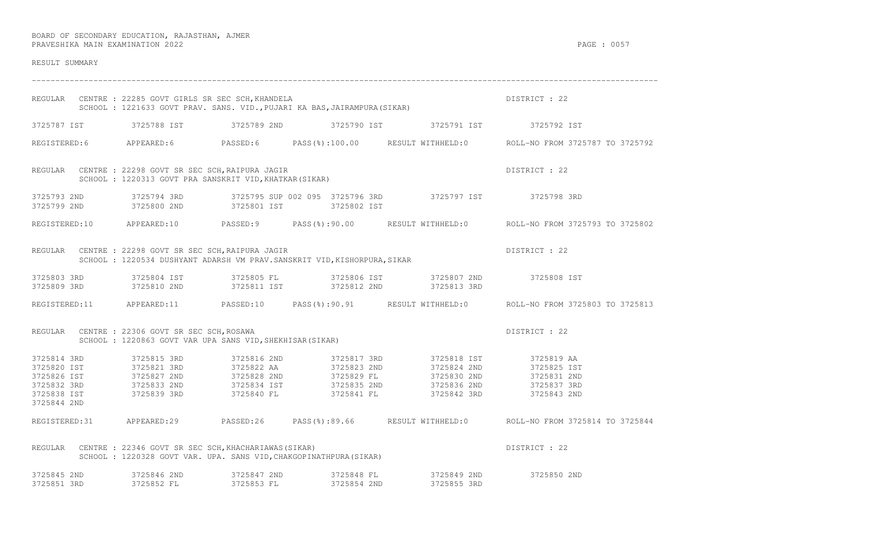| RESULT SUMMARY |                                                                                                                  |            |             |                                                                                                                                                                                                                                                                                                                            |                                                                                                     |
|----------------|------------------------------------------------------------------------------------------------------------------|------------|-------------|----------------------------------------------------------------------------------------------------------------------------------------------------------------------------------------------------------------------------------------------------------------------------------------------------------------------------|-----------------------------------------------------------------------------------------------------|
|                | REGULAR CENTRE : 22285 GOVT GIRLS SR SEC SCH, KHANDELA                                                           |            |             | CENTRE : 22285 GOVT GIRLS SR SEC SCH, KHANDELA<br>SCHOOL : 1221633 GOVT PRAV. SANS. VID., PUJARI KA BAS, JAIRAMPURA(SIKAR)                                                                                                                                                                                                 | DISTRICT : 22                                                                                       |
|                |                                                                                                                  |            |             | $3725787 \quad \text{IST} \qquad \qquad 3725788 \quad \text{IST} \qquad \qquad 3725789 \quad \text{2ND} \qquad \qquad 3725790 \quad \text{IST} \qquad \qquad 3725791 \quad \text{IST} \qquad \qquad 3725792 \quad \text{IST}$                                                                                              |                                                                                                     |
|                |                                                                                                                  |            |             |                                                                                                                                                                                                                                                                                                                            | REGISTERED:6 APPEARED:6 PASSED:6 PASS(%):100.00 RESULT WITHHELD:0 ROLL-NO FROM 3725787 TO 3725792   |
|                | REGULAR CENTRE : 22298 GOVT SR SEC SCH, RAIPURA JAGIR<br>SCHOOL : 1220313 GOVT PRA SANSKRIT VID, KHATKAR (SIKAR) |            |             |                                                                                                                                                                                                                                                                                                                            | DISTRICT : 22                                                                                       |
|                | 3725799 2ND 3725800 2ND 3725801 IST 3725802 IST                                                                  |            |             | 3725793 2ND 3725794 3RD 3725795 SUP 002 095 3725796 3RD 3725797 IST 3725798 3RD                                                                                                                                                                                                                                            |                                                                                                     |
|                |                                                                                                                  |            |             |                                                                                                                                                                                                                                                                                                                            | REGISTERED:10 APPEARED:10 PASSED:9 PASS(%):90.00 RESULT WITHHELD:0 ROLL-NO FROM 3725793 TO 3725802  |
|                | REGULAR CENTRE : 22298 GOVT SR SEC SCH, RAIPURA JAGIR                                                            |            |             | CENTRE : 22298 GOVT SR SEC SCH,RAIPURA JAGIR<br>SCHOOL : 1220534 DUSHYANT ADARSH VM PRAV.SANSKRIT VID,KISHORPURA,SIKAR                                                                                                                                                                                                     | DISTRICT : 22                                                                                       |
|                |                                                                                                                  |            |             | $\begin{array}{cccccccc} 3725803 & 3\text{RD} & 3725804 & \text{IST} & 3725805 & \text{FL} & 3725806 & \text{IST} & 3725807 & 2\text{ND} & 3725808 & \text{IST} \\ 3725809 & 3\text{RD} & 3725810 & 2\text{ND} & 3725811 & \text{IST} & 3725812 & 2\text{ND} & 3725813 & 3\text{RD} & 3725808 & \text{IST} \\ \end{array}$ |                                                                                                     |
|                |                                                                                                                  |            |             |                                                                                                                                                                                                                                                                                                                            | REGISTERED:11 APPEARED:11 PASSED:10 PASS(%):90.91 RESULT WITHHELD:0 ROLL-NO FROM 3725803 TO 3725813 |
|                | REGULAR CENTRE : 22306 GOVT SR SEC SCH, ROSAWA                                                                   |            |             |                                                                                                                                                                                                                                                                                                                            | DISTRICT : 22                                                                                       |
| 3725844 2ND    |                                                                                                                  |            |             | 3725814 3RD 3725815 3RD 3725816 2ND 3725817 3RD 3725818 IST 3725819 AA<br>3725820 IST 3725821 3RD 3725822 AA 3725823 2ND 3725824 2ND 3725825 IST<br>3725826 IST 3725827 2ND 3725828 2ND 3725829 FL 3725830 2ND 3725831 2ND<br>3725838 I                                                                                    |                                                                                                     |
|                |                                                                                                                  |            |             |                                                                                                                                                                                                                                                                                                                            | REGISTERED:31 APPEARED:29 PASSED:26 PASS(%):89.66 RESULT WITHHELD:0 ROLL-NO FROM 3725814 TO 3725844 |
|                | REGULAR CENTRE : 22346 GOVT SR SEC SCH, KHACHARIAWAS (SIKAR)                                                     |            |             | SCHOOL : 22030 GOVI SK SEC SCH, KHACHARIAWAS (SIKAR)<br>SCHOOL : 1220328 GOVT VAR. UPA. SANS VID, CHAKGOPINATHPURA (SIKAR)                                                                                                                                                                                                 | DISTRICT : 22                                                                                       |
| 3725851 3RD    | 3725852 FL                                                                                                       | 3725853 FL | 3725854 2ND | 3725845 2ND 3725846 2ND 3725847 2ND 3725848 FL 3725849 2ND 3725850 2ND<br>3725855 3RD                                                                                                                                                                                                                                      |                                                                                                     |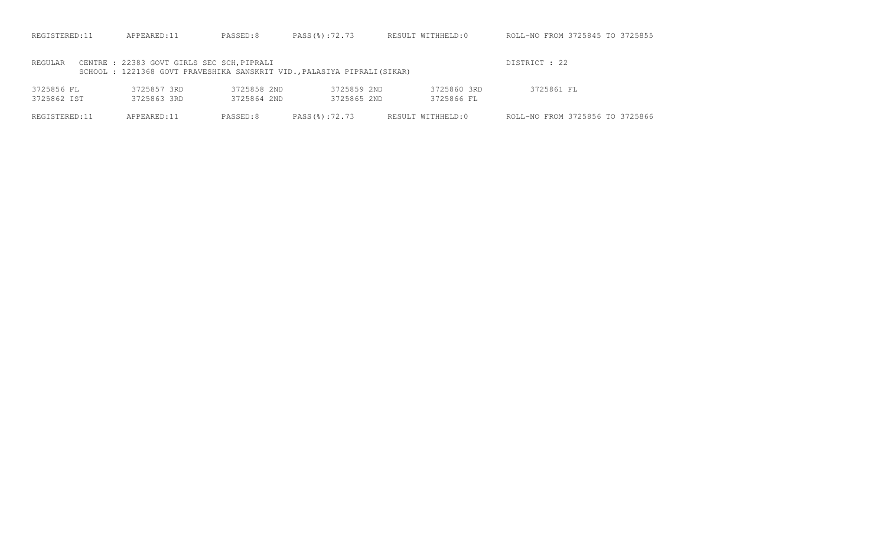| REGISTERED:11             | APPEARED:11                                | PASSED:8                   | PASS(%):72.73                                                            | RESULT WITHHELD:0         | ROLL-NO FROM 3725845 TO 3725855 |
|---------------------------|--------------------------------------------|----------------------------|--------------------------------------------------------------------------|---------------------------|---------------------------------|
| REGULAR                   | CENTRE : 22383 GOVT GIRLS SEC SCH, PIPRALI |                            | SCHOOL : 1221368 GOVT PRAVESHIKA SANSKRIT VID., PALASIYA PIPRALI (SIKAR) |                           | DISTRICT : 22                   |
| 3725856 FL<br>3725862 IST | 3725857 3RD<br>3725863 3RD                 | 3725858 2ND<br>3725864 2ND | 3725859 2ND<br>3725865 2ND                                               | 3725860 3RD<br>3725866 FL | 3725861 FL                      |
| REGISTERED: 11            | APPEARED:11                                | PASSED:8                   | PASS(%):72.73                                                            | RESULT WITHHELD:0         | ROLL-NO FROM 3725856 TO 3725866 |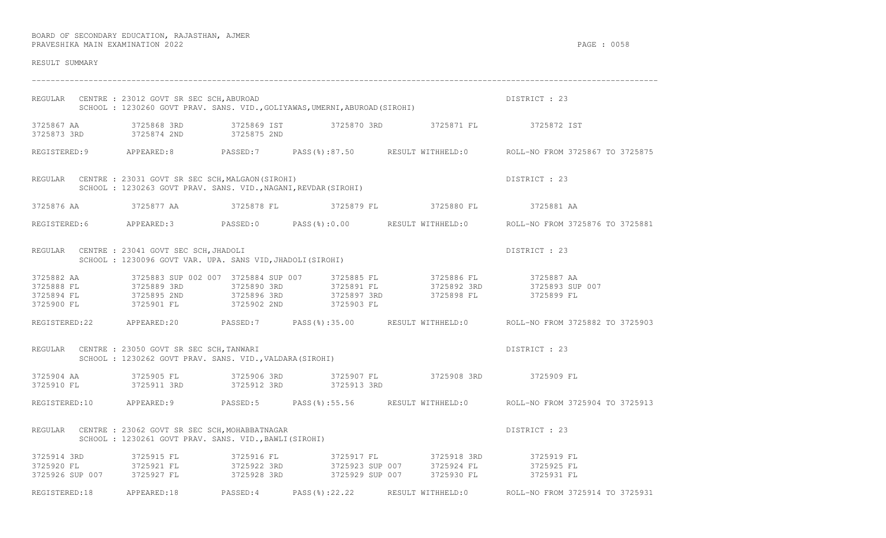| RESULT SUMMARY |                                                          |                                                            |                                                                                                                                                                                                                               |                                                                                                      |
|----------------|----------------------------------------------------------|------------------------------------------------------------|-------------------------------------------------------------------------------------------------------------------------------------------------------------------------------------------------------------------------------|------------------------------------------------------------------------------------------------------|
|                | REGULAR CENTRE : 23012 GOVT SR SEC SCH, ABUROAD          |                                                            | CENTRE : 23012 GOVT SR SEC SCH,ABUROAD<br>SCHOOL : 1230260 GOVT PRAV. SANS. VID.,GOLIYAWAS,UMERNI,ABUROAD(SIROHI)                                                                                                             | DISTRICT : 23                                                                                        |
|                |                                                          |                                                            | 3725867 AA                3725868 3RD            3725869 IST            3725870 3RD            3725871 FL              3725872 IST              3725873 IST                              3725874 2ND                  3725875 |                                                                                                      |
|                |                                                          |                                                            |                                                                                                                                                                                                                               | REGISTERED: 9 APPEARED: 8 PASSED: 7 PASS(%):87.50 RESULT WITHHELD: 0 ROLL-NO FROM 3725867 TO 3725875 |
|                | REGULAR CENTRE : 23031 GOVT SR SEC SCH, MALGAON (SIROHI) |                                                            | CENTRE : 23031 GOVT SR SEC SCH, MALGAON(SIROHI)<br>SCHOOL : 1230263 GOVT PRAV. SANS. VID., NAGANI, REVDAR(SIROHI)                                                                                                             | DISTRICT : 23                                                                                        |
|                |                                                          |                                                            | 3725876 AA 3725877 AA 3725878 FL 3725879 FL 3725880 FL 3725880 AA                                                                                                                                                             |                                                                                                      |
|                |                                                          |                                                            |                                                                                                                                                                                                                               | REGISTERED:6 APPEARED:3 PASSED:0 PASS(%):0.00 RESULT WITHHELD:0 ROLL-NO FROM 3725876 TO 3725881      |
|                | REGULAR CENTRE : 23041 GOVT SEC SCH, JHADOLI             | SCHOOL : 1230096 GOVT VAR. UPA. SANS VID, JHADOLI (SIROHI) |                                                                                                                                                                                                                               | DISTRICT : 23                                                                                        |
|                |                                                          |                                                            |                                                                                                                                                                                                                               |                                                                                                      |
|                |                                                          |                                                            |                                                                                                                                                                                                                               | REGISTERED:22 APPEARED:20 PASSED:7 PASS(%):35.00 RESULT WITHHELD:0 ROLL-NO FROM 3725882 TO 3725903   |
|                | REGULAR CENTRE : 23050 GOVT SR SEC SCH, TANWARI          |                                                            |                                                                                                                                                                                                                               | DISTRICT : 23                                                                                        |
|                |                                                          |                                                            |                                                                                                                                                                                                                               |                                                                                                      |
|                |                                                          |                                                            |                                                                                                                                                                                                                               | REGISTERED:10 APPEARED:9 PASSED:5 PASS(%):55.56 RESULT WITHHELD:0 ROLL-NO FROM 3725904 TO 3725913    |
|                | REGULAR CENTRE : 23062 GOVT SR SEC SCH, MOHABBATNAGAR    |                                                            |                                                                                                                                                                                                                               | DISTRICT : 23                                                                                        |
|                |                                                          |                                                            |                                                                                                                                                                                                                               |                                                                                                      |
| REGISTERED:18  |                                                          | APPEARED:18 PASSED:4 PASS(%):22.22                         |                                                                                                                                                                                                                               | RESULT WITHHELD: 0 ROLL-NO FROM 3725914 TO 3725931                                                   |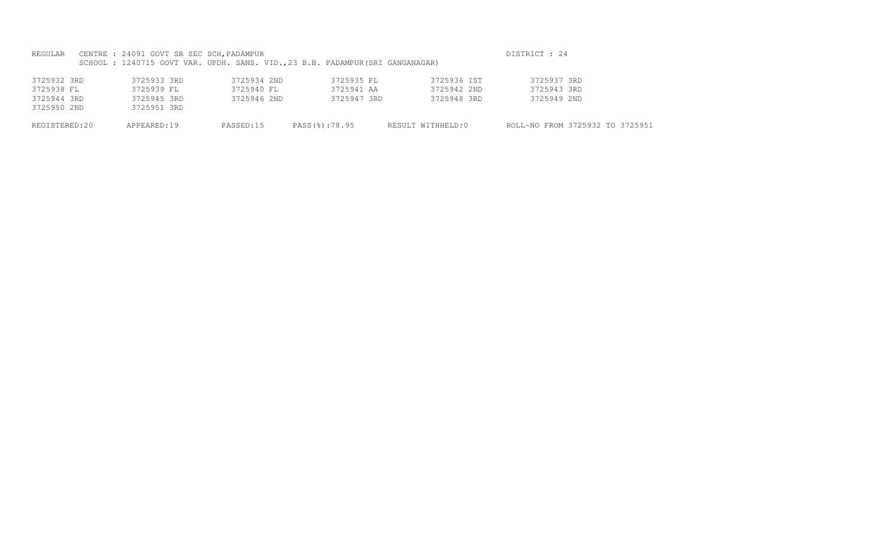| CENTRE : 24091 GOVT SR SEC SCH, PADAMPUR<br>REGULAR |  |                                                                               |             |               | DISTRICT : 24     |                                 |
|-----------------------------------------------------|--|-------------------------------------------------------------------------------|-------------|---------------|-------------------|---------------------------------|
|                                                     |  | SCHOOL: 1240715 GOVT VAR. UPDH. SANS. VID., 23 B.B. PADAMPUR (SRI GANGANAGAR) |             |               |                   |                                 |
| 3725932 3RD                                         |  | 3725933 3RD                                                                   | 3725934 2ND | 3725935 FL    | 3725936 IST       | 3725937 3RD                     |
| 3725938 FL                                          |  | 3725939 FL                                                                    | 3725940 FL  | 3725941 AA    | 3725942 2ND       | 3725943 3RD                     |
| 3725944 3RD                                         |  | 3725945 3RD                                                                   | 3725946 2ND | 3725947 3RD   | 3725948 3RD       | 3725949 2ND                     |
| 3725950 2ND                                         |  | 3725951 3RD                                                                   |             |               |                   |                                 |
| REGISTERED:20                                       |  | APPEARED:19                                                                   | PASSED:15   | PASS(%):78.95 | RESULT WITHHELD:0 | ROLL-NO FROM 3725932 TO 3725951 |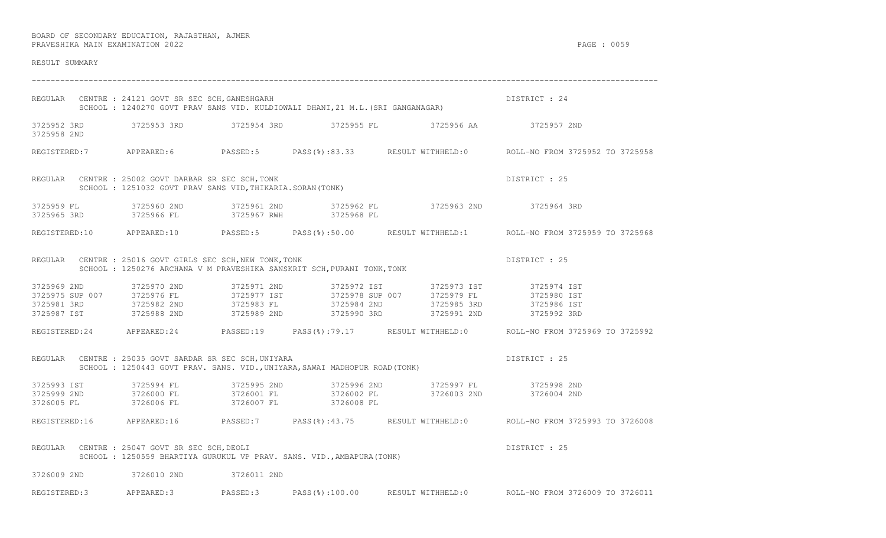| RESULT SUMMARY                                            |                       |                                                                                                        |                                                                                                                                                                                                                                                                                                                               |                                                                                                     |
|-----------------------------------------------------------|-----------------------|--------------------------------------------------------------------------------------------------------|-------------------------------------------------------------------------------------------------------------------------------------------------------------------------------------------------------------------------------------------------------------------------------------------------------------------------------|-----------------------------------------------------------------------------------------------------|
| REGULAR CENTRE : 24121 GOVT SR SEC SCH, GANESHGARH        |                       |                                                                                                        | DISTRICT : 24<br>SCHOOL : 1240270 GOVT PRAV SANS VID. KULDIOWALI DHANI, 21 M.L. (SRI GANGANAGAR)                                                                                                                                                                                                                              |                                                                                                     |
| 3725958 2ND                                               |                       |                                                                                                        | 3725952 3RD 3725953 3RD 3725954 3RD 3725955 FL 3725956 AA 3725957 2ND                                                                                                                                                                                                                                                         |                                                                                                     |
|                                                           |                       |                                                                                                        |                                                                                                                                                                                                                                                                                                                               | REGISTERED:7 APPEARED:6 PASSED:5 PASS(%):83.33 RESULT WITHHELD:0 ROLL-NO FROM 3725952 TO 3725958    |
| REGULAR CENTRE : 25002 GOVT DARBAR SR SEC SCH, TONK       |                       | CENTRE : 25002 GOVT DARBAR SR SEC SCH,TONK<br>SCHOOL : 1251032 GOVT PRAV SANS VID,THIKARIA.SORAN(TONK) |                                                                                                                                                                                                                                                                                                                               | DISTRICT : 25                                                                                       |
|                                                           |                       |                                                                                                        | 3725959 FL                     3725960 2ND                  3725961 2ND                    3725962 FL                          3725963 2ND                          3725964 3RD<br>3725965 3RD                      3725966 FL                                                                                                |                                                                                                     |
|                                                           |                       |                                                                                                        |                                                                                                                                                                                                                                                                                                                               | REGISTERED:10 APPEARED:10 PASSED:5 PASS(%):50.00 RESULT WITHHELD:1 ROLL-NO FROM 3725959 TO 3725968  |
| REGULAR CENTRE : 25016 GOVT GIRLS SEC SCH, NEW TONK, TONK |                       |                                                                                                        | CENTRE : 25016 GOVT GIRLS SEC SCH, NEW TONK, TONK<br>SCHOOL : 1250276 ARCHANA V M PRAVESHIKA SANSKRIT SCH, PURANI TONK, TONK                                                                                                                                                                                                  | DISTRICT : 25                                                                                       |
|                                                           |                       |                                                                                                        | 3725969 2ND 3725970 2ND 3725971 2ND 3725972 IST 3725973 IST 3725973 19<br>3725975 SUP 007 3725976 FL 3725977 IST 3725978 SUP 007 3725979 FL 3725980 IST<br>3725981 3RD 3725982 2ND 3725983 FL 3725989 2ND 3725980 IST 3725980 IST 3725980 IST 3725980 IST 3725986 IST 3725986 IST                                             |                                                                                                     |
|                                                           |                       |                                                                                                        |                                                                                                                                                                                                                                                                                                                               | REGISTERED:24 APPEARED:24 PASSED:19 PASS(%):79.17 RESULT WITHHELD:0 ROLL-NO FROM 3725969 TO 3725992 |
| REGULAR CENTRE : 25035 GOVT SARDAR SR SEC SCH, UNIYARA    |                       | SCHOOL : 1250443 GOVT PRAV. SANS. VID., UNIYARA, SAWAI MADHOPUR ROAD (TONK)                            | DISTRICT : 25                                                                                                                                                                                                                                                                                                                 |                                                                                                     |
|                                                           |                       |                                                                                                        | 3725993 IST      3725994 FL       3725995 2ND       3725996 2ND       3725997 FL       3725998 2ND<br>3725999 2ND                3726000 FL                3726001 FL              3726002 FL                  3726003 2ND                3726004 2ND                            3726006 FL                        3726007 FL |                                                                                                     |
|                                                           |                       |                                                                                                        |                                                                                                                                                                                                                                                                                                                               | REGISTERED:16 APPEARED:16 PASSED:7 PASS(%):43.75 RESULT WITHHELD:0 ROLL-NO FROM 3725993 TO 3726008  |
| REGULAR CENTRE : 25047 GOVT SR SEC SCH, DEOLI             |                       | SCHOOL : 1250559 BHARTIYA GURUKUL VP PRAV. SANS. VID., AMBAPURA (TONK)                                 | AMBADIIDA (TONK)                                                                                                                                                                                                                                                                                                              | DISTRICT : 25                                                                                       |
| 3726009 2ND 3726010 2ND 3726011 2ND                       |                       |                                                                                                        |                                                                                                                                                                                                                                                                                                                               |                                                                                                     |
| REGISTERED: 3                                             | APPEARED: 3 PASSED: 3 |                                                                                                        |                                                                                                                                                                                                                                                                                                                               | PASS(%):100.00 RESULT WITHHELD:0 ROLL-NO FROM 3726009 TO 3726011                                    |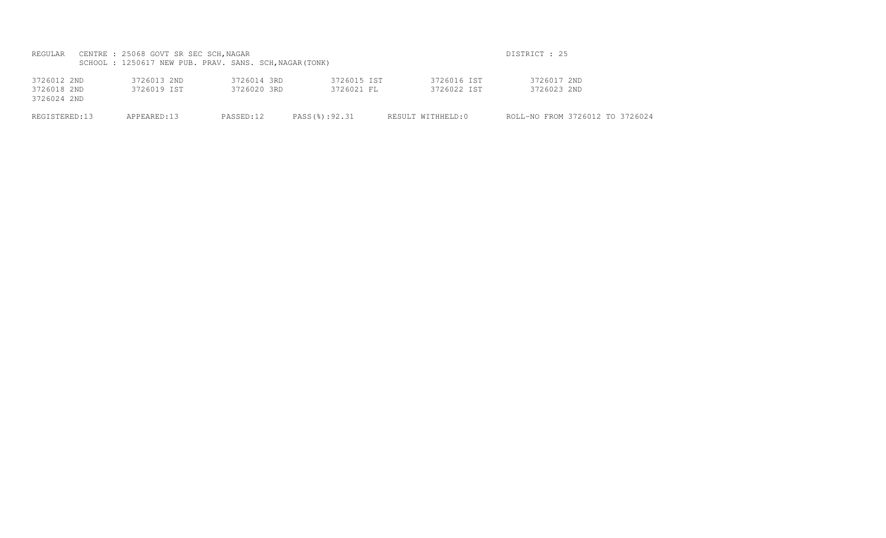| CENTRE : 25068 GOVT SR SEC SCH, NAGAR<br>REGULAR<br>SCHOOL: 1250617 NEW PUB. PRAV. SANS. SCH, NAGAR(TONK) |                            |                            | DISTRICT : 25             |                            |                                 |  |  |
|-----------------------------------------------------------------------------------------------------------|----------------------------|----------------------------|---------------------------|----------------------------|---------------------------------|--|--|
| 3726012 2ND<br>3726018 2ND<br>3726024 2ND                                                                 | 3726013 2ND<br>3726019 IST | 3726014 3RD<br>3726020 3RD | 3726015 TST<br>3726021 FL | 3726016 IST<br>3726022 TST | 3726017 2ND<br>3726023 2ND      |  |  |
| REGISTERED:13                                                                                             | APPEARED:13                | PASSED:12                  | PASS(%):92.31             | RESULT WITHHELD:0          | ROLL-NO FROM 3726012 TO 3726024 |  |  |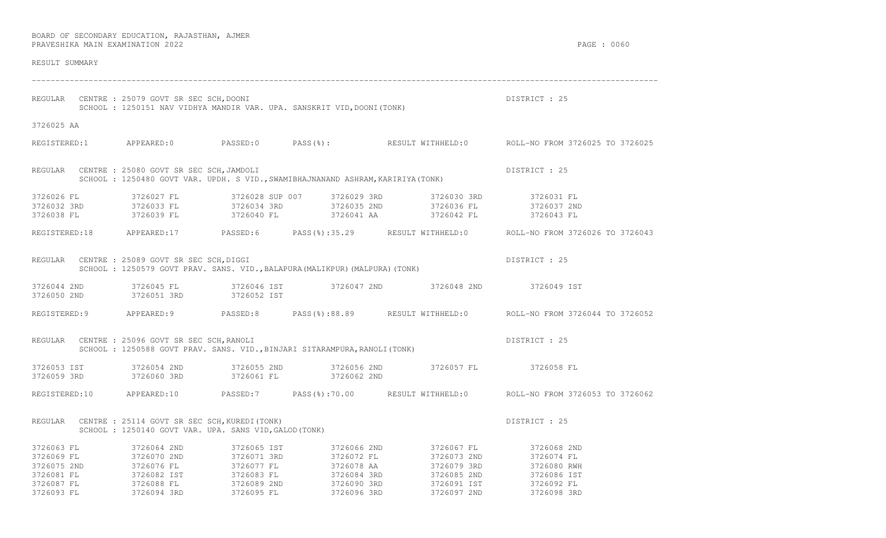| RESULT SUMMARY                                                                                                           |  |                                                                                                                                                                                                                                                                                        |            |             |  |             |                                                                                                                                                                                                                                                                                                                                                                                                                                                |
|--------------------------------------------------------------------------------------------------------------------------|--|----------------------------------------------------------------------------------------------------------------------------------------------------------------------------------------------------------------------------------------------------------------------------------------|------------|-------------|--|-------------|------------------------------------------------------------------------------------------------------------------------------------------------------------------------------------------------------------------------------------------------------------------------------------------------------------------------------------------------------------------------------------------------------------------------------------------------|
| REGULAR CENTRE : 25079 GOVT SR SEC SCH, DOONI<br>SCHOOL : 1250151 NAV VIDHYA MANDIR VAR. UPA. SANSKRIT VID, DOONI (TONK) |  |                                                                                                                                                                                                                                                                                        |            |             |  |             | DISTRICT : 25                                                                                                                                                                                                                                                                                                                                                                                                                                  |
| 3726025 AA                                                                                                               |  |                                                                                                                                                                                                                                                                                        |            |             |  |             |                                                                                                                                                                                                                                                                                                                                                                                                                                                |
|                                                                                                                          |  |                                                                                                                                                                                                                                                                                        |            |             |  |             | REGISTERED:1 APPEARED:0 PASSED:0 PASS(%): RESULT WITHHELD:0 ROLL-NO FROM 3726025 TO 3726025                                                                                                                                                                                                                                                                                                                                                    |
|                                                                                                                          |  | REGULAR CENTRE : 25080 GOVT SR SEC SCH, JAMDOLI<br>SCHOOL: 1250480 GOVT VAR. UPDH. S VID., SWAMIBHAJNANAND ASHRAM, KARIRIYA (TONK)                                                                                                                                                     |            |             |  |             | DISTRICT : 25                                                                                                                                                                                                                                                                                                                                                                                                                                  |
|                                                                                                                          |  | $\begin{array}{cccccccc} 3726026 \text{ FL} & 3726027 \text{ FL} & 3726028 \text{ SUP} & 007 & 3726029 \text{ SRD} & 3726030 \text{ SRD} & 3726031 \text{ FL} \\ 3726032 \text{ SRD} & 3726033 \text{ FL} & 3726033 \text{ FL} & 3726036 \text{ FL} & 3726037 \text{ SND} \end{array}$ |            |             |  |             |                                                                                                                                                                                                                                                                                                                                                                                                                                                |
|                                                                                                                          |  |                                                                                                                                                                                                                                                                                        |            |             |  |             | REGISTERED:18 APPEARED:17 PASSED:6 PASS(%):35.29 RESULT WITHHELD:0 ROLL-NO FROM 3726026 TO 3726043                                                                                                                                                                                                                                                                                                                                             |
|                                                                                                                          |  | REGULAR CENTRE : 25089 GOVT SR SEC SCH, DIGGI<br>SCHOOL : 1250579 GOVT PRAV. SANS. VID., BALAPURA (MALIKPUR) (MALPURA) (TONK)                                                                                                                                                          |            |             |  |             | DISTRICT : 25                                                                                                                                                                                                                                                                                                                                                                                                                                  |
|                                                                                                                          |  | 3726050 2ND 3726051 3RD 3726052 IST                                                                                                                                                                                                                                                    |            |             |  |             | 3726044 2ND 3726045 FL 3726046 IST 3726047 2ND 3726048 2ND 3726049 IST                                                                                                                                                                                                                                                                                                                                                                         |
|                                                                                                                          |  |                                                                                                                                                                                                                                                                                        |            |             |  |             | REGISTERED: 9 APPEARED: 9 PASSED: 8 PASS(%):88.89 RESULT WITHHELD: 0 ROLL-NO FROM 3726044 TO 3726052                                                                                                                                                                                                                                                                                                                                           |
|                                                                                                                          |  | REGULAR CENTRE : 25096 GOVT SR SEC SCH, RANOLI<br>SCHOOL: 1250588 GOVT PRAV. SANS. VID., BINJARI SITARAMPURA, RANOLI (TONK)                                                                                                                                                            |            |             |  |             | DISTRICT : 25                                                                                                                                                                                                                                                                                                                                                                                                                                  |
|                                                                                                                          |  | 3726053 IST 3726054 2ND 3726055 2ND 3726056 2ND 3726057 FL 3726058 FL<br>3726059 3RD 3726060 3RD 3726061 FL 3726062 2ND                                                                                                                                                                |            |             |  |             |                                                                                                                                                                                                                                                                                                                                                                                                                                                |
|                                                                                                                          |  |                                                                                                                                                                                                                                                                                        |            |             |  |             | REGISTERED:10 APPEARED:10 PASSED:7 PASS(%):70.00 RESULT WITHHELD:0 ROLL-NO FROM 3726053 TO 3726062                                                                                                                                                                                                                                                                                                                                             |
|                                                                                                                          |  | REGULAR CENTRE : 25114 GOVT SR SEC SCH, KUREDI (TONK)<br>SCHOOL : 1250140 GOVT VAR. UPA. SANS VID, GALOD (TONK)                                                                                                                                                                        |            |             |  |             | DISTRICT : 25                                                                                                                                                                                                                                                                                                                                                                                                                                  |
| 3726093 FL                                                                                                               |  | 3726094 3RD                                                                                                                                                                                                                                                                            | 3726095 FL | 3726096 3RD |  | 3726097 2ND | $3726063 \text{ FL} \qquad \qquad 3726064 \text{ 2ND} \qquad \qquad 3726065 \text{ IST} \qquad \qquad 3726066 \text{ 2ND} \qquad \qquad 3726067 \text{ FL} \qquad \qquad 3726068 \text{ 2ND}$<br>3726069 FL 3726070 2ND 3726071 3RD 3726072 FL 3726075 2ND 3726076 FL 3726070 2ND 3726077 FL 3726077 FL 3726076 EL 3726076 FL 3726077 FL 3726078 AA 3726075 2ND 3726080 RWH 3726082 IST 3726080 RWH 3726082 IST 3726080 RWH 372<br>3726098 3RD |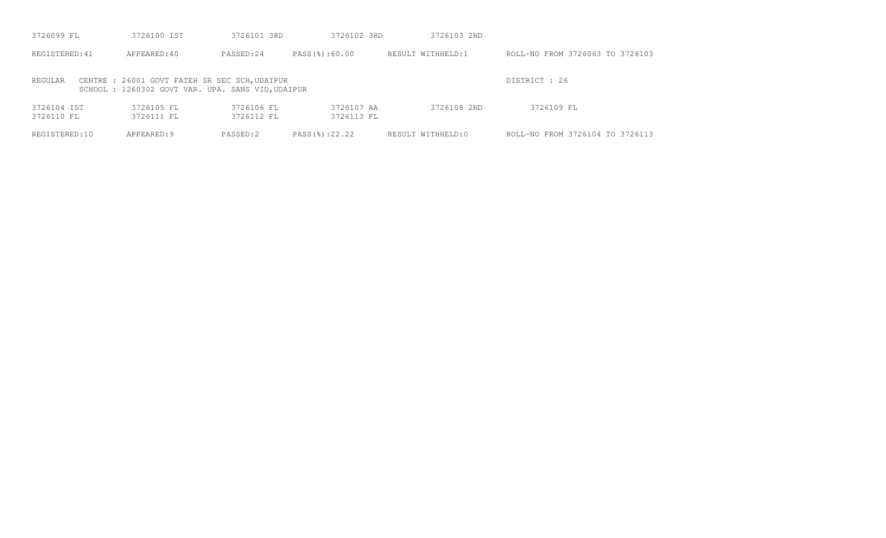| 3726099 FL                | 3726100 IST                                                                                        | 3726101 3RD              | 3726102 3RD              | 3726103 2ND       |                                 |
|---------------------------|----------------------------------------------------------------------------------------------------|--------------------------|--------------------------|-------------------|---------------------------------|
| REGISTERED: 41            | APPEARED: 40                                                                                       | PASSED:24                | PASS(%):60.00            | RESULT WITHHELD:1 | ROLL-NO FROM 3726063 TO 3726103 |
| REGULAR                   | CENTRE : 26001 GOVT FATEH SR SEC SCH, UDAIPUR<br>SCHOOL : 1260302 GOVT VAR. UPA. SANS VID, UDAIPUR |                          |                          |                   | DISTRICT : 26                   |
| 3726104 IST<br>3726110 FL | 3726105 FL<br>3726111 FL                                                                           | 3726106 FL<br>3726112 FL | 3726107 AA<br>3726113 FL | 3726108 2ND       | 3726109 FL                      |
| REGISTERED:10             | APPEARED: 9                                                                                        | PASSED:2                 | PASS(%):22.22            | RESULT WITHHELD:0 | ROLL-NO FROM 3726104 TO 3726113 |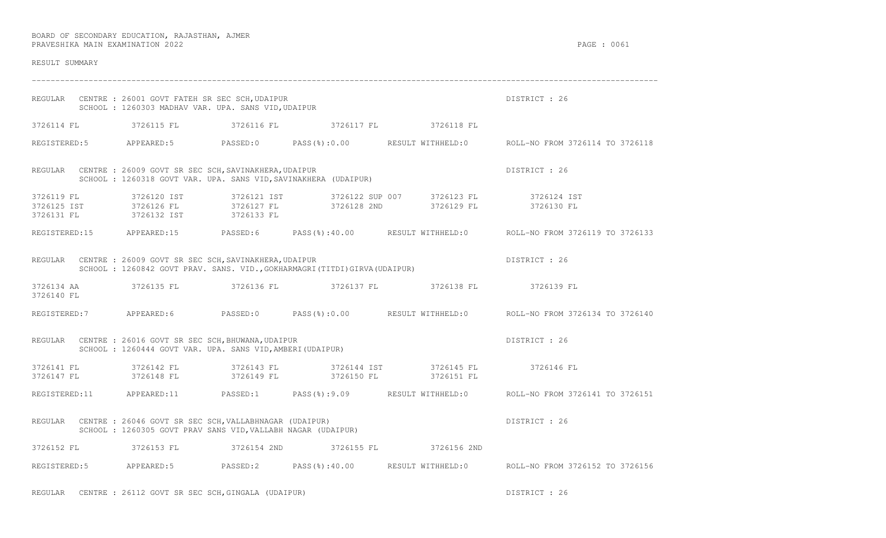| RESULT SUMMARY |                                                                                                                                |                                                                                                                                         |  |                                                                                                    |
|----------------|--------------------------------------------------------------------------------------------------------------------------------|-----------------------------------------------------------------------------------------------------------------------------------------|--|----------------------------------------------------------------------------------------------------|
|                | REGULAR CENTRE : 26001 GOVT FATEH SR SEC SCH, UDAIPUR<br>SCHOOL : 1260303 MADHAV VAR. UPA. SANS VID, UDAIPUR                   |                                                                                                                                         |  | DISTRICT : 26                                                                                      |
|                |                                                                                                                                | 3726114 FL 3726115 FL 3726116 FL 3726117 FL 3726118 FL                                                                                  |  |                                                                                                    |
|                |                                                                                                                                |                                                                                                                                         |  | REGISTERED:5 APPEARED:5 PASSED:0 PASS(%):0.00 RESULT WITHHELD:0 ROLL-NO FROM 3726114 TO 3726118    |
|                | REGULAR CENTRE : 26009 GOVT SR SEC SCH, SAVINAKHERA, UDAIPUR                                                                   | SCHOOL : 1260318 GOVT VAR. UPA. SANS VID, SAVINAKHERA (UDAIPUR)                                                                         |  | DISTRICT : 26                                                                                      |
|                |                                                                                                                                | 3726119 FL 3726120 IST 3726121 IST 3726122 SUP 007 3726123 FL 3726124 IST                                                               |  |                                                                                                    |
|                |                                                                                                                                |                                                                                                                                         |  | REGISTERED:15 APPEARED:15 PASSED:6 PASS(%):40.00 RESULT WITHHELD:0 ROLL-NO FROM 3726119 TO 3726133 |
|                | REGULAR CENTRE : 26009 GOVT SR SEC SCH, SAVINAKHERA, UDAIPUR                                                                   | CENTRE : 26009 GOVT SR SEC SCH, SAVINAKHERA, UDAIPUR<br>SCHOOL : 1260842 GOVT PRAV. SANS. VID., GOKHARMAGRI (TITDI) GIRVA (UDAIPUR)     |  | DISTRICT : 26                                                                                      |
| 3726140 FL     |                                                                                                                                | 3726134 AA 3726135 FL 3726136 FL 3726137 FL 3726137 E 3726139 FL 3726139 FL                                                             |  |                                                                                                    |
|                |                                                                                                                                |                                                                                                                                         |  | REGISTERED:7 APPEARED:6 PASSED:0 PASS(%):0.00 RESULT WITHHELD:0 ROLL-NO FROM 3726134 TO 3726140    |
|                | REGULAR CENTRE : 26016 GOVT SR SEC SCH, BHUWANA, UDAIPUR<br>SCHOOL : 1260444 GOVT VAR. UPA. SANS VID, AMBERI (UDAIPUR)         |                                                                                                                                         |  | DISTRICT : 26                                                                                      |
|                |                                                                                                                                | 3726141 FL 3726142 FL 3726143 FL 3726144 IST 3726145 FL 3726145 FL 3726146 FL<br>3726147 FL 3726148 FL 3726149 FL 3726150 FL 3726151 FL |  |                                                                                                    |
|                |                                                                                                                                |                                                                                                                                         |  | REGISTERED:11 APPEARED:11 PASSED:1 PASS(%):9.09 RESULT WITHHELD:0 ROLL-NO FROM 3726141 TO 3726151  |
|                | REGULAR CENTRE : 26046 GOVT SR SEC SCH, VALLABHNAGAR (UDAIPUR)<br>SCHOOL : 1260305 GOVT PRAV SANS VID, VALLABH NAGAR (UDAIPUR) |                                                                                                                                         |  | DISTRICT : 26                                                                                      |
|                |                                                                                                                                | 3726152 FL 3726153 FL 3726154 2ND 3726155 FL 3726156 2ND                                                                                |  |                                                                                                    |
|                |                                                                                                                                |                                                                                                                                         |  | REGISTERED:5 APPEARED:5 PASSED:2 PASS(%):40.00 RESULT WITHHELD:0 ROLL-NO FROM 3726152 TO 3726156   |

REGULAR CENTRE : 26112 GOVT SR SEC SCH, GINGALA (UDAIPUR) DISTRICT THE STRICT OF STRICT OF STRICT OF STRICT OF STRICT OF STRICT OF STRICT OF STRICT OF STRICT OF STRICT OF STRICT OF STRICT OF STRICT OF STRICT OF STRICT OF S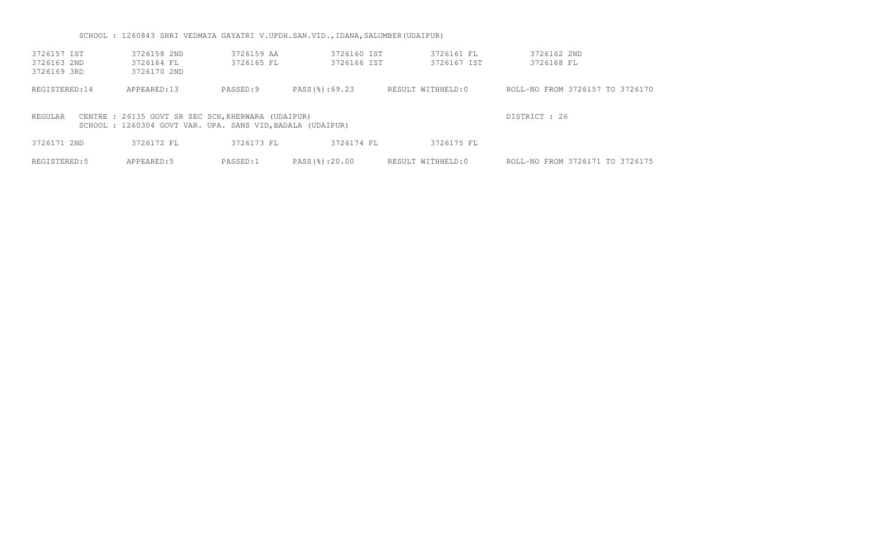| SCHOOL: 1260843 SHRI VEDMATA GAYATRI V.UPDH.SAN.VID., IDANA, SALUMBER (UDAIPUR) |            |               |                   |                                 |
|---------------------------------------------------------------------------------|------------|---------------|-------------------|---------------------------------|
| 3726157 IST<br>3726158 2ND                                                      | 3726159 AA | 3726160 IST   | 3726161 FL        | 3726162 2ND                     |
| 3726164 FL<br>3726163 2ND                                                       | 3726165 FL | 3726166 IST   | 3726167 IST       | 3726168 FL                      |
| 3726169 3RD<br>3726170 2ND                                                      |            |               |                   |                                 |
| APPEARED:13<br>REGISTERED:14                                                    | PASSED: 9  | PASS(%):69.23 | RESULT WITHHELD:0 | ROLL-NO FROM 3726157 TO 3726170 |
|                                                                                 |            |               |                   |                                 |
| CENTRE : 26135 GOVT SR SEC SCH, KHERWARA (UDAIPUR)<br>REGULAR                   |            |               |                   | DISTRICT : 26                   |
| SCHOOL: 1260304 GOVT VAR. UPA. SANS VID, BADALA (UDAIPUR)                       |            |               |                   |                                 |
| 3726172 FL<br>3726171 2ND                                                       | 3726173 FL | 3726174 FL    | 3726175 FL        |                                 |
| REGISTERED: 5<br>APPEARED: 5                                                    | PASSED:1   | PASS(%):20.00 | RESULT WITHHELD:0 | ROLL-NO FROM 3726171 TO 3726175 |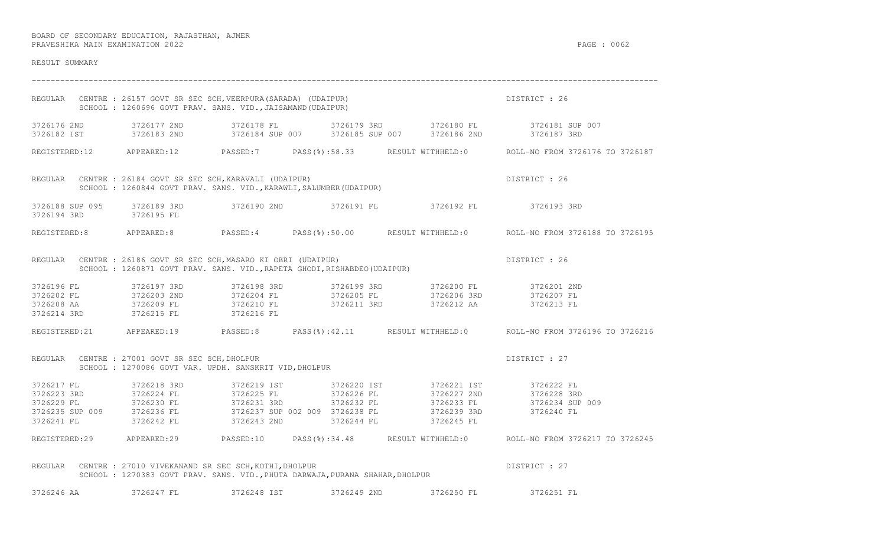| RESULT SUMMARY         |                                                                                                                                                                                                          |             |                                                                                                                                                                                                                  |                                                                                                                                                                                                                                                                                                                                     |
|------------------------|----------------------------------------------------------------------------------------------------------------------------------------------------------------------------------------------------------|-------------|------------------------------------------------------------------------------------------------------------------------------------------------------------------------------------------------------------------|-------------------------------------------------------------------------------------------------------------------------------------------------------------------------------------------------------------------------------------------------------------------------------------------------------------------------------------|
|                        | SCHOOL: 1260696 GOVT PRAV. SANS. VID., JAISAMAND (UDAIPUR)                                                                                                                                               |             | REGULAR CENTRE : 26157 GOVT SR SEC SCH, VEERPURA (SARADA) (UDAIPUR)<br>SCHOOL : 1260696 GOVT PRAV SANS VID JAISAMAND (UDAIPUR)                                                                                   | DISTRICT : 26                                                                                                                                                                                                                                                                                                                       |
|                        |                                                                                                                                                                                                          |             |                                                                                                                                                                                                                  | $\begin{array}{cccccccc} 3726176 & 2\texttt{ND} & 3726177 & 2\texttt{ND} & 3726178 & \texttt{FL} & 3726179 & 3\texttt{RD} & 3726180 & \texttt{FL} & 3726181 & \texttt{SUP} & 007 \\ 3726182 & 1ST & 3726183 & 3726183 & 2\texttt{ND} & 3726184 & \texttt{SUP} & 007 & 3726185 & \texttt{SUP} & 007 & 3726186 & 2\texttt{ND} & 3726$ |
|                        |                                                                                                                                                                                                          |             |                                                                                                                                                                                                                  | REGISTERED:12 APPEARED:12 PASSED:7 PASS(%):58.33 RESULT WITHHELD:0 ROLL-NO FROM 3726176 TO 3726187                                                                                                                                                                                                                                  |
|                        | REGULAR CENTRE : 26184 GOVT SR SEC SCH, KARAVALI (UDAIPUR)                                                                                                                                               |             | CENTRE : 26184 GOVT SR SEC SCH, KARAVALI (UDAIPUR)<br>SCHOOL : 1260844 GOVT PRAV. SANS. VID., KARAWLI, SALUMBER(UDAIPUR)                                                                                         | DISTRICT : 26                                                                                                                                                                                                                                                                                                                       |
| 3726194 3RD 3726195 FL |                                                                                                                                                                                                          |             |                                                                                                                                                                                                                  | 3726188 SUP 095 3726189 3RD 3726190 2ND 3726191 FL 3726192 FL 3726192 FL 3726193 3RD                                                                                                                                                                                                                                                |
|                        |                                                                                                                                                                                                          |             |                                                                                                                                                                                                                  | REGISTERED:8 APPEARED:8 PASSED:4 PASS(%):50.00 RESULT WITHHELD:0 ROLL-NO FROM 3726188 TO 3726195                                                                                                                                                                                                                                    |
|                        | CENIRE : 20180 GOVT SR SEC SCH, MASARO KI OBRI (UDAIPUR)<br>SCHOOL : 1260871 GOVT PRAV. SANS. VID., RAPETA GHODI, RISHABDEO(UDAIPUR)<br>REGULAR CENTRE : 26186 GOVT SR SEC SCH, MASARO KI OBRI (UDAIPUR) |             |                                                                                                                                                                                                                  | DISTRICT : 26                                                                                                                                                                                                                                                                                                                       |
|                        |                                                                                                                                                                                                          |             | 3726202 FL 3726203 2ND 3726204 FL 3726205 FL 3726206 3RD 3726207 FL<br>3726208 AA 3726209 FL 3726210 FL 3726211 3RD 3726212 AA 3726213 FL<br>3726214 3RD 3726215 FL 3726216 FL 3726211 3RD 3726212 AA 3726213 FL | 3726196 FL 3726197 3RD 3726198 3RD 3726199 3RD 3726100 FL 3726201 2ND                                                                                                                                                                                                                                                               |
|                        |                                                                                                                                                                                                          |             |                                                                                                                                                                                                                  | REGISTERED:21 APPEARED:19 PASSED:8 PASS(%):42.11 RESULT WITHHELD:0 ROLL-NO FROM 3726196 TO 3726216                                                                                                                                                                                                                                  |
|                        | SCHOOL : 27001 GOVT SR SEC SCH, DHOLPUR<br>SCHOOL : 1270086 GOVT VAR. UPDH. SANSKRIT VID, DHOLPUR<br>REGULAR CENTRE : 27001 GOVT SR SEC SCH, DHOLPUR                                                     |             |                                                                                                                                                                                                                  | DISTRICT : 27                                                                                                                                                                                                                                                                                                                       |
|                        | 3726241 FL 3726242 FL 3726243 2ND 3726244 FL                                                                                                                                                             |             | 3726217 FL 3726218 3RD 3726219 IST 3726220 IST 3726221 IST 3726222 FL<br>3726245 FL                                                                                                                              | 3726223 3RD<br>3726229 FL 3726224 FL 3726225 FL 3726226 FL 3726227 2ND 3726228 3RD<br>3726229 FL 3726230 FL 3726231 3RD 3726232 FL 3726233 FL 3726234 SUP 009<br>3726235 SUP 009 3726236 FL 3726237 SUP 002 009 3726238 FL 3726239 3RD                                                                                              |
|                        |                                                                                                                                                                                                          |             |                                                                                                                                                                                                                  | REGISTERED:29 APPEARED:29 PASSED:10 PASS(%):34.48 RESULT WITHHELD:0 ROLL-NO FROM 3726217 TO 3726245                                                                                                                                                                                                                                 |
|                        | REGULAR CENTRE : 27010 VIVEKANAND SR SEC SCH, KOTHI, DHOLPUR<br>SCHOOL : 1270383 GOVT PRAV. SANS. VID., PHUTA DARWAJA, PURANA SHAHAR, DHOLPUR                                                            |             |                                                                                                                                                                                                                  | DISTRICT : 27                                                                                                                                                                                                                                                                                                                       |
| 3726246 AA             | 3726247 FL                                                                                                                                                                                               | 3726248 IST | 3726249 2ND                                                                                                                                                                                                      | 3726250 FL 3726251 FL                                                                                                                                                                                                                                                                                                               |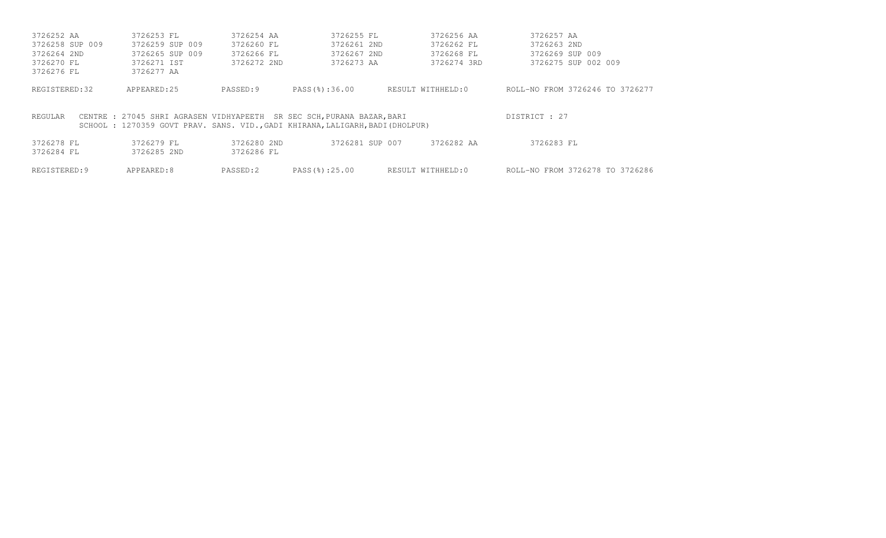| 3726252 AA               | 3726253 FL                                                                                                                                              | 3726254 AA                | 3726255 FL      | 3726256 AA        | 3726257 AA                      |
|--------------------------|---------------------------------------------------------------------------------------------------------------------------------------------------------|---------------------------|-----------------|-------------------|---------------------------------|
| 3726258 SUP 009          | 3726259 SUP 009                                                                                                                                         | 3726260 FL                | 3726261 2ND     | 3726262 FL        | 3726263 2ND                     |
| 3726264 2ND              | 3726265 SUP 009                                                                                                                                         | 3726266 FL                | 3726267 2ND     | 3726268 FL        | 3726269 SUP 009                 |
| 3726270 FL               | 3726271 IST                                                                                                                                             | 3726272 2ND               | 3726273 AA      | 3726274 3RD       | 3726275 SUP 002 009             |
| 3726276 FL               | 3726277 AA                                                                                                                                              |                           |                 |                   |                                 |
| REGISTERED:32            | APPEARED: 25                                                                                                                                            | PASSED: 9                 | PASS(8):36.00   | RESULT WITHHELD:0 | ROLL-NO FROM 3726246 TO 3726277 |
| REGULAR                  | CENTRE : 27045 SHRI AGRASEN VIDHYAPEETH SR SEC SCH, PURANA BAZAR, BARI<br>SCHOOL: 1270359 GOVT PRAV. SANS. VID., GADI KHIRANA, LALIGARH, BADI (DHOLPUR) |                           |                 |                   | DISTRICT : 27                   |
| 3726278 FL<br>3726284 FL | 3726279 FL<br>3726285 2ND                                                                                                                               | 3726280 2ND<br>3726286 FL | 3726281 SUP 007 | 3726282 AA        | 3726283 FL                      |
| REGISTERED: 9            | APPEARED:8                                                                                                                                              | PASSED:2                  | PASS(%):25.00   | RESULT WITHHELD:0 | ROLL-NO FROM 3726278 TO 3726286 |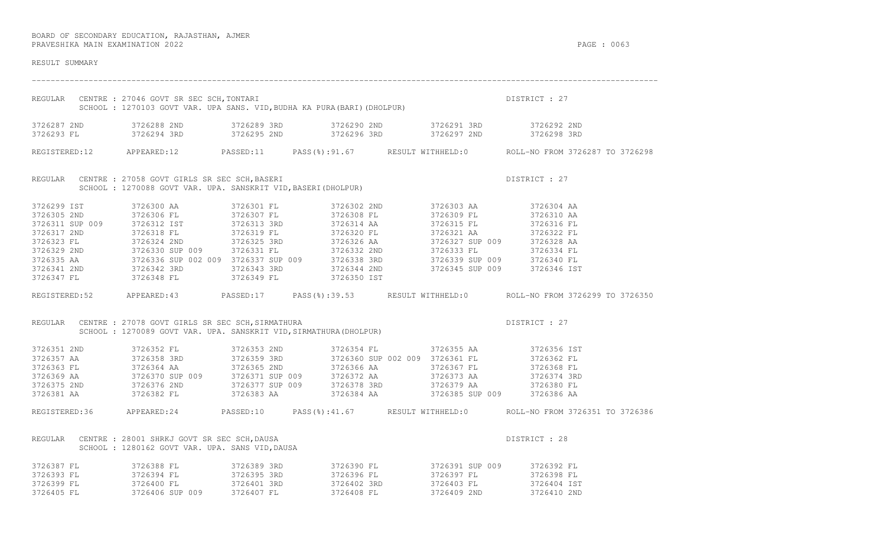| RESULT SUMMARY |                                                                                                                                                                    |  |                                                                                                                                                                                                                                                                                                                                          |                                                                                                     |
|----------------|--------------------------------------------------------------------------------------------------------------------------------------------------------------------|--|------------------------------------------------------------------------------------------------------------------------------------------------------------------------------------------------------------------------------------------------------------------------------------------------------------------------------------------|-----------------------------------------------------------------------------------------------------|
|                | CENTRE : 27046 GOVT SR SEC SCH,TONTARI<br>SCHOOL : 1270103 GOVT VAR. UPA SANS. VID,BUDHA KA PURA(BARI)(DHOLPUR)<br>REGULAR CENTRE : 27046 GOVT SR SEC SCH, TONTARI |  |                                                                                                                                                                                                                                                                                                                                          | DISTRICT : 27                                                                                       |
|                |                                                                                                                                                                    |  |                                                                                                                                                                                                                                                                                                                                          |                                                                                                     |
|                |                                                                                                                                                                    |  | $\begin{array}{cccccccc} 3726287 & 2\texttt{ND} & & 3726288 & 2\texttt{ND} & & 3726289 & 3\texttt{RD} & & 3726290 & 2\texttt{ND} & & 3726291 & 3\texttt{RD} & & 3726292 & 2\texttt{ND} & & 3726297 & 3\texttt{ND} & & 3726298 & 3\texttt{RD} & & & 3726297 & 3\texttt{ND} & & & 3726298 & 3\texttt{ND} & & & 3726298 & 3\texttt{ND} & &$ |                                                                                                     |
|                |                                                                                                                                                                    |  |                                                                                                                                                                                                                                                                                                                                          | REGISTERED:12 APPEARED:12 PASSED:11 PASS(%):91.67 RESULT WITHHELD:0 ROLL-NO FROM 3726287 TO 3726298 |
|                | REGULAR CENTRE : 27058 GOVT GIRLS SR SEC SCH, BASERI<br>SCHOOL : 1270088 GOVT VAR. UPA. SANSKRIT VID, BASERI (DHOLPUR)                                             |  |                                                                                                                                                                                                                                                                                                                                          | DISTRICT : 27                                                                                       |
|                | SCHOOL: 1270088 GOVT VAR. UPA. SANSKRIT VID, BASERI (DHOLPUR)                                                                                                      |  |                                                                                                                                                                                                                                                                                                                                          |                                                                                                     |
|                |                                                                                                                                                                    |  |                                                                                                                                                                                                                                                                                                                                          |                                                                                                     |
|                |                                                                                                                                                                    |  |                                                                                                                                                                                                                                                                                                                                          |                                                                                                     |
|                |                                                                                                                                                                    |  |                                                                                                                                                                                                                                                                                                                                          |                                                                                                     |
|                |                                                                                                                                                                    |  |                                                                                                                                                                                                                                                                                                                                          |                                                                                                     |
|                |                                                                                                                                                                    |  |                                                                                                                                                                                                                                                                                                                                          |                                                                                                     |
|                |                                                                                                                                                                    |  |                                                                                                                                                                                                                                                                                                                                          |                                                                                                     |
|                |                                                                                                                                                                    |  |                                                                                                                                                                                                                                                                                                                                          |                                                                                                     |
|                |                                                                                                                                                                    |  |                                                                                                                                                                                                                                                                                                                                          |                                                                                                     |
|                |                                                                                                                                                                    |  |                                                                                                                                                                                                                                                                                                                                          |                                                                                                     |
|                |                                                                                                                                                                    |  |                                                                                                                                                                                                                                                                                                                                          | REGISTERED:52 APPEARED:43 PASSED:17 PASS(%):39.53 RESULT WITHHELD:0 ROLL-NO FROM 3726299 TO 3726350 |
|                | REGULAR CENTRE : 27078 GOVT GIRLS SR SEC SCH, SIRMATHURA                                                                                                           |  | CENTRE : 27078 GOVT GIRLS SR SEC SCH,SIRMATHURA<br>SCHOOL : 1270089 GOVT VAR. UPA. SANSKRIT VID,SIRMATHURA(DHOLPUR)                                                                                                                                                                                                                      |                                                                                                     |
|                |                                                                                                                                                                    |  |                                                                                                                                                                                                                                                                                                                                          |                                                                                                     |
| 3726351 2ND    |                                                                                                                                                                    |  |                                                                                                                                                                                                                                                                                                                                          |                                                                                                     |
|                |                                                                                                                                                                    |  |                                                                                                                                                                                                                                                                                                                                          |                                                                                                     |
|                |                                                                                                                                                                    |  |                                                                                                                                                                                                                                                                                                                                          |                                                                                                     |
|                |                                                                                                                                                                    |  |                                                                                                                                                                                                                                                                                                                                          |                                                                                                     |
|                |                                                                                                                                                                    |  |                                                                                                                                                                                                                                                                                                                                          |                                                                                                     |
|                |                                                                                                                                                                    |  | 3726357 AA 3726358 3RD 3726359 3RD 3726359 AB 3726360 SUP 002 009 3726351 FL 3726362 FL<br>3726363 FL 3726368 AA 3726359 3RD 3726366 AA 3726366 AA 3726367 FL 3726368 FL<br>3726369 AA 3726370 SUP 009 3726371 SUP 009 3726372 AA 37                                                                                                     |                                                                                                     |
|                |                                                                                                                                                                    |  |                                                                                                                                                                                                                                                                                                                                          | REGISTERED:36 APPEARED:24 PASSED:10 PASS(%):41.67 RESULT WITHHELD:0 ROLL-NO FROM 3726351 TO 3726386 |
|                | CENTRE : 28001 SHRKJ GOVT SR SEC SCH, DAUSA<br>SCHOOL : 1280162 GOVT VAR. UPA. SANS VID, DAUSA<br>REGULAR CENTRE : 28001 SHRKJ GOVT SR SEC SCH, DAUSA              |  |                                                                                                                                                                                                                                                                                                                                          | DISTRICT : 28                                                                                       |
|                |                                                                                                                                                                    |  |                                                                                                                                                                                                                                                                                                                                          |                                                                                                     |
|                |                                                                                                                                                                    |  |                                                                                                                                                                                                                                                                                                                                          |                                                                                                     |
|                |                                                                                                                                                                    |  |                                                                                                                                                                                                                                                                                                                                          | 3726404 IST                                                                                         |
|                |                                                                                                                                                                    |  |                                                                                                                                                                                                                                                                                                                                          |                                                                                                     |
|                |                                                                                                                                                                    |  |                                                                                                                                                                                                                                                                                                                                          |                                                                                                     |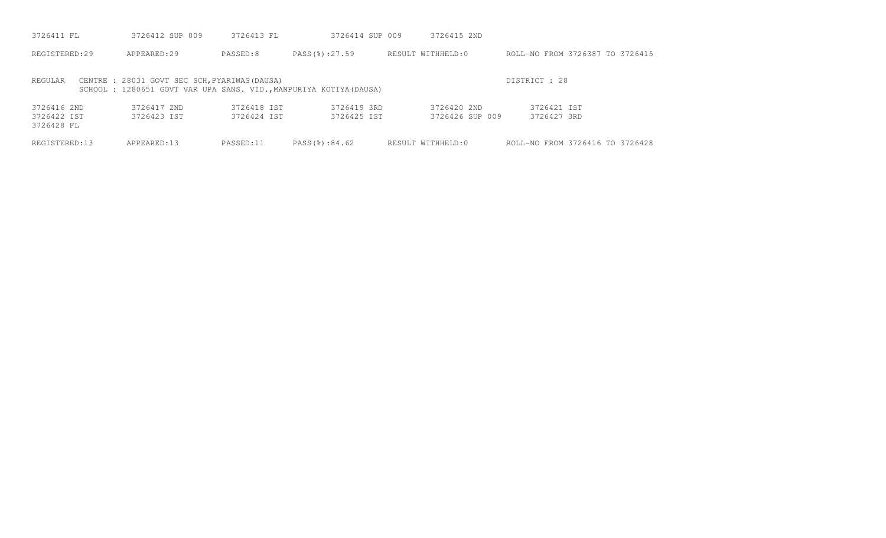| 3726411 FL                | 3726412 SUP 009                               | 3726413 FL  | 3726414 SUP 009                                                    | 3726415 2ND       |                                 |
|---------------------------|-----------------------------------------------|-------------|--------------------------------------------------------------------|-------------------|---------------------------------|
| REGISTERED:29             | APPEARED:29                                   | PASSED:8    | PASS(%):27.59                                                      | RESULT WITHHELD:0 | ROLL-NO FROM 3726387 TO 3726415 |
| REGULAR                   | CENTRE : 28031 GOVT SEC SCH, PYARIWAS (DAUSA) |             | SCHOOL : 1280651 GOVT VAR UPA SANS. VID., MANPURIYA KOTIYA (DAUSA) |                   | DISTRICT : 28                   |
| 3726416 2ND               | 3726417 2ND                                   | 3726418 TST | 3726419 3RD                                                        | 3726420 2ND       | 3726421 TST                     |
| 3726422 TST<br>3726428 FL | 3726423 TST                                   | 3726424 TST | 3726425 TST                                                        | 3726426 SUP 009   | 3726427 3RD                     |
| REGISTERED: 13            | APPEARED:13                                   | PASSED:11   | PASS(%):84.62                                                      | RESULT WITHHELD:0 | ROLL-NO FROM 3726416 TO 3726428 |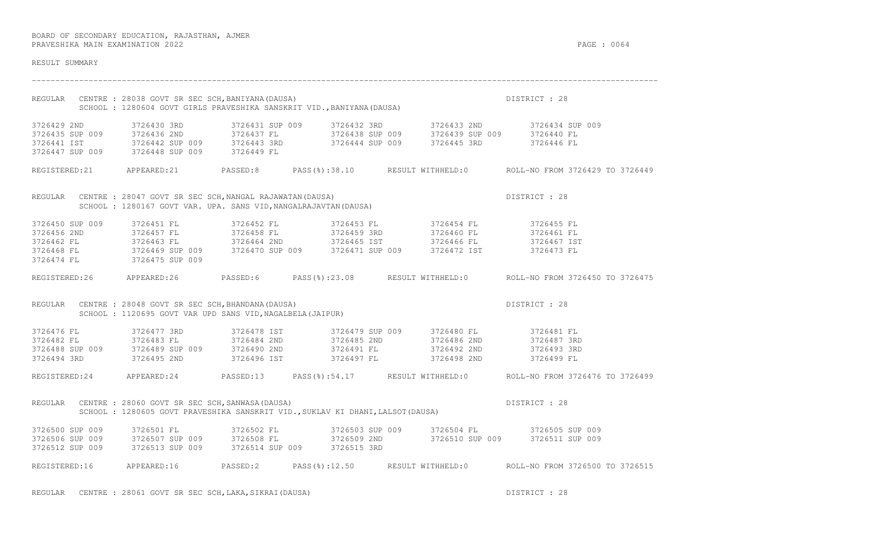| RESULT SUMMARY |                                                                                                                                                                                                                                                                                                                                                                                                     |  |  |                                                                                                                                                                                                                                                                                                                                                 |
|----------------|-----------------------------------------------------------------------------------------------------------------------------------------------------------------------------------------------------------------------------------------------------------------------------------------------------------------------------------------------------------------------------------------------------|--|--|-------------------------------------------------------------------------------------------------------------------------------------------------------------------------------------------------------------------------------------------------------------------------------------------------------------------------------------------------|
|                | CENTRE : 28038 GOVT SR SEC SCH, BANIYANA(DAUSA)<br>SCHOOL : 1280604 GOVT GIRLS PRAVESHIKA SANSKRIT VID., BANIYANA(DAUSA)<br>REGULAR CENTRE : 28038 GOVT SR SEC SCH, BANIYANA (DAUSA)                                                                                                                                                                                                                |  |  | DISTRICT : 28                                                                                                                                                                                                                                                                                                                                   |
|                |                                                                                                                                                                                                                                                                                                                                                                                                     |  |  | $\begin{array}{cccccccc} 3726429 & \text{2ND} & 3726430 & \text{3RD} & 3726431 & \text{SUP} & 009 & 3726432 & \text{3RD} & 3726433 & \text{2ND} & 3726434 & \text{SUP} & 009 \\ 3726435 & \text{SUP} & 009 & 3726436 & \text{2ND} & 3726437 & \text{FL} & 3726438 & \text{SUP} & 009 & 3726439 & \text{SUP} & 009 & 3726440 & \text{FL} \\ 3$   |
|                |                                                                                                                                                                                                                                                                                                                                                                                                     |  |  | REGISTERED:21 APPEARED:21 PASSED:8 PASS(%):38.10 RESULT WITHHELD:0 ROLL-NO FROM 3726429 TO 3726449                                                                                                                                                                                                                                              |
|                | REGULAR CENTRE : 28047 GOVT SR SEC SCH, NANGAL RAJAWATAN (DAUSA)<br>SCHOOL : 1280167 GOVT VAR. UPA. SANS VID, NANGALRAJAVTAN (DAUSA)                                                                                                                                                                                                                                                                |  |  | DISTRICT : 28                                                                                                                                                                                                                                                                                                                                   |
|                | $\begin{array}{cccccccc} 3726450 \text{ SUP} & 009 & 3726451 \text{ FL} & 3726452 \text{ FL} & 3726453 \text{ FL} & 3726456 \text{ FL} & 3726455 \text{ FL} & 3726456 \text{ FL} & 3726457 \text{ FL} & 3726461 \text{ FL} & 3726462 \text{ FL} & 3726463 \text{ FL} & 3726463 \text{ FL} & 3726463 \text{ FL} & 3726464 \text{ CL} & 3726462 \text{$                                               |  |  |                                                                                                                                                                                                                                                                                                                                                 |
|                |                                                                                                                                                                                                                                                                                                                                                                                                     |  |  | REGISTERED:26 APPEARED:26 PASSED:6 PASS(%):23.08 RESULT WITHHELD:0 ROLL-NO FROM 3726450 TO 3726475                                                                                                                                                                                                                                              |
|                | $\ldots$ . $\ldots$ . $\ldots$ $\ldots$ $\ldots$ $\ldots$ $\ldots$ $\ldots$ $\ldots$ $\ldots$ $\ldots$ $\ldots$ $\ldots$ $\ldots$ $\ldots$ $\ldots$ $\ldots$ $\ldots$ $\ldots$ $\ldots$ $\ldots$ $\ldots$ $\ldots$ $\ldots$ $\ldots$ $\ldots$ $\ldots$ $\ldots$ $\ldots$ $\ldots$ $\ldots$ $\ldots$ $\ldots$ $\ldots$ $\ldots$ $\ldots$<br>REGULAR CENTRE : 28048 GOVT SR SEC SCH, BHANDANA (DAUSA) |  |  | DISTRICT : 28                                                                                                                                                                                                                                                                                                                                   |
|                | 3726476 FL 3726477 3RD 3726478 IST 3726479 SUP 009 3726480 FL 3726481 FL                                                                                                                                                                                                                                                                                                                            |  |  |                                                                                                                                                                                                                                                                                                                                                 |
|                |                                                                                                                                                                                                                                                                                                                                                                                                     |  |  | REGISTERED:24 APPEARED:24 PASSED:13 PASS(%):54.17 RESULT WITHHELD:0 ROLL-NO FROM 3726476 TO 3726499                                                                                                                                                                                                                                             |
| REGULAR        | CENTRE : 28060 GOVT SR SEC SCH, SANWASA (DAUSA)<br>SCHOOL : 1280605 GOVT PRAVESHIKA SANSKRIT VID., SUKLAV KI DHANI, LALSOT (DAUSA)                                                                                                                                                                                                                                                                  |  |  | DISTRICT : 28                                                                                                                                                                                                                                                                                                                                   |
|                | 3726512 SUP 009 3726513 SUP 009 3726514 SUP 009 3726515 3RD                                                                                                                                                                                                                                                                                                                                         |  |  | $\begin{array}{cccccccc} 3726500 & \text{SUP} & 009 & 3726501 & \text{FL} & 3726502 & \text{FL} & 3726503 & \text{SUP} & 009 & 3726504 & \text{FL} & 3726505 & \text{SUP} & 009 \\ 3726506 & \text{SUP} & 009 & 3726507 & \text{SUP} & 009 & 3726508 & \text{FL} & 3726509 & \text{ZND} & 3726510 & \text{SUP} & 009 & 3726511 & \text{SUP} & $ |
|                |                                                                                                                                                                                                                                                                                                                                                                                                     |  |  | REGISTERED:16 APPEARED:16 PASSED:2 PASS(%):12.50 RESULT WITHHELD:0 ROLL-NO FROM 3726500 TO 3726515                                                                                                                                                                                                                                              |

REGULAR CENTRE : 28061 GOVT SR SEC SCH, LAKA, SIKRAI(DAUSA) DESTRICT THE STRICT : 28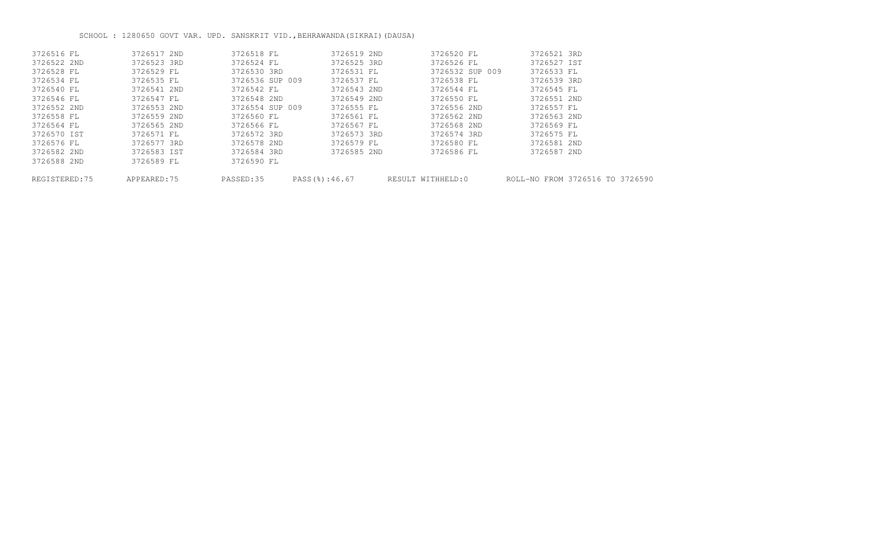SCHOOL : 1280650 GOVT VAR. UPD. SANSKRIT VID., BEHRAWANDA(SIKRAI)(DAUSA)

| REGISTERED:75 | APPEARED:75 | PASSED:35       | PASS(%):46.67 | RESULT WITHHELD:0 | ROLL-NO FROM 3726516 TO 3726590 |
|---------------|-------------|-----------------|---------------|-------------------|---------------------------------|
| 3726588 2ND   | 3726589 FL  | 3726590 FL      |               |                   |                                 |
| 3726582 2ND   | 3726583 IST | 3726584 3RD     | 3726585 2ND   | 3726586 FL        | 3726587 2ND                     |
| 3726576 FL    | 3726577 3RD | 3726578 2ND     | 3726579 FL    | 3726580 FL        | 3726581 2ND                     |
| 3726570 IST   | 3726571 FL  | 3726572 3RD     | 3726573 3RD   | 3726574 3RD       | 3726575 FL                      |
| 3726564 FL    | 3726565 2ND | 3726566 FL      | 3726567 FL    | 3726568 2ND       | 3726569 FL                      |
| 3726558 FL    | 3726559 2ND | 3726560 FL      | 3726561 FL    | 3726562 2ND       | 3726563 2ND                     |
| 3726552 2ND   | 3726553 2ND | 3726554 SUP 009 | 3726555 FL    | 3726556 2ND       | 3726557 FL                      |
| 3726546 FL    | 3726547 FL  | 3726548 2ND     | 3726549 2ND   | 3726550 FL        | 3726551 2ND                     |
| 3726540 FL    | 3726541 2ND | 3726542 FL      | 3726543 2ND   | 3726544 FL        | 3726545 FL                      |
| 3726534 FL    | 3726535 FL  | 3726536 SUP 009 | 3726537 FL    | 3726538 FL        | 3726539 3RD                     |
| 3726528 FL    | 3726529 FL  | 3726530 3RD     | 3726531 FL    | 3726532 SUP 009   | 3726533 FL                      |
| 3726522 2ND   | 3726523 3RD | 3726524 FL      | 3726525 3RD   | 3726526 FL        | 3726527 TST                     |
| 3726516 FL    | 3726517 2ND | 3726518 FL      | 3726519 2ND   | 3726520 FL        | 3726521 3RD                     |
|               |             |                 |               |                   |                                 |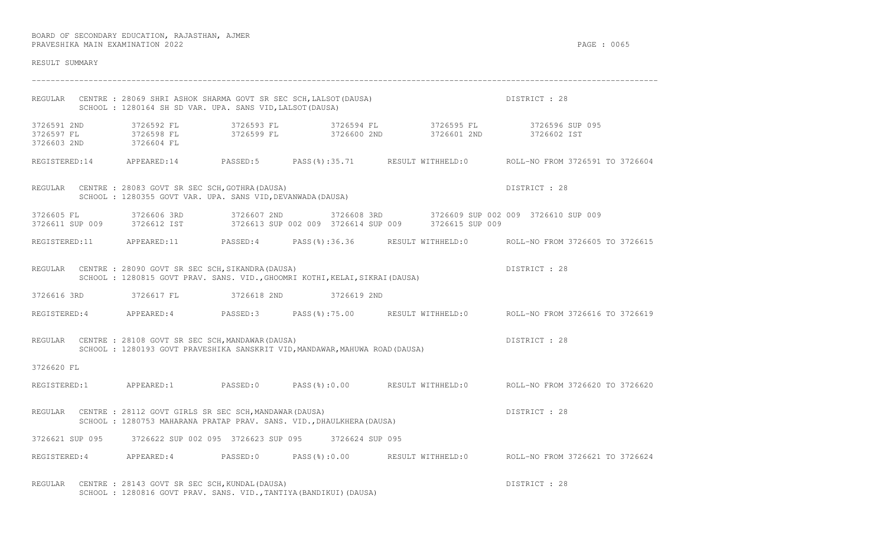| RESULT SUMMARY                                      |                                                                                                                       |                                                                              |                                                                          |                                                                                                                                                                                                                                                                                                                                                        |
|-----------------------------------------------------|-----------------------------------------------------------------------------------------------------------------------|------------------------------------------------------------------------------|--------------------------------------------------------------------------|--------------------------------------------------------------------------------------------------------------------------------------------------------------------------------------------------------------------------------------------------------------------------------------------------------------------------------------------------------|
|                                                     | SCHOOL : 1280164 SH SD VAR. UPA. SANS VID, LALSOT (DAUSA)                                                             |                                                                              | REGULAR CENTRE : 28069 SHRI ASHOK SHARMA GOVT SR SEC SCH, LALSOT (DAUSA) | DISTRICT : 28                                                                                                                                                                                                                                                                                                                                          |
| 3726591 2ND<br>3726597 FL<br>3726603 2ND 3726604 FL |                                                                                                                       |                                                                              |                                                                          | 3726592 FL                    3726593 FL                   3726594 FL                            3726595 FL                     3726596 SUP 095<br>3726598 FL                   3726599 FL                    3726600 2ND                                                                                                                              |
|                                                     |                                                                                                                       |                                                                              |                                                                          | REGISTERED:14 APPEARED:14 PASSED:5 PASS(%):35.71 RESULT WITHHELD:0 ROLL-NO FROM 3726591 TO 3726604                                                                                                                                                                                                                                                     |
|                                                     | REGULAR CENTRE : 28083 GOVT SR SEC SCH, GOTHRA (DAUSA)<br>SCHOOL : 1280355 GOVT VAR. UPA. SANS VID, DEVANWADA (DAUSA) |                                                                              |                                                                          | DISTRICT : 28                                                                                                                                                                                                                                                                                                                                          |
|                                                     |                                                                                                                       |                                                                              |                                                                          | $\begin{array}{cccccccc} 3726605 \text{ FL} & 3726606 \text{ 3RD} & 3726607 \text{ 2ND} & 3726608 \text{ 3RD} & 3726609 \text{ SUP} \text{ 002 009} & 3726610 \text{ SUP} \text{ 009} \\ 3726611 \text{ SUP} \text{ 009} & 3726612 \text{ IST} & 3726613 \text{ SUP} \text{ 002 009} & 3726614 \text{ SUP} \text{ 009} & 3726615 \text{ SUP} \text{ 0$ |
|                                                     |                                                                                                                       |                                                                              |                                                                          | REGISTERED:11 APPEARED:11 PASSED:4 PASS(%):36.36 RESULT WITHHELD:0 ROLL-NO FROM 3726605 TO 3726615                                                                                                                                                                                                                                                     |
|                                                     | REGULAR CENTRE : 28090 GOVT SR SEC SCH, SIKANDRA (DAUSA)                                                              | SCHOOL : 1280815 GOVT PRAV. SANS. VID., GHOOMRI KOTHI, KELAI, SIKRAI (DAUSA) |                                                                          | DISTRICT : 28                                                                                                                                                                                                                                                                                                                                          |
|                                                     |                                                                                                                       | 3726616 3RD 3726617 FL 3726618 2ND 3726619 2ND                               |                                                                          |                                                                                                                                                                                                                                                                                                                                                        |
|                                                     |                                                                                                                       |                                                                              |                                                                          | REGISTERED:4 APPEARED:4 PASSED:3 PASS(%):75.00 RESULT_WITHHELD:0 ROLL-NO_FROM_3726616_TO_3726619                                                                                                                                                                                                                                                       |
|                                                     | REGULAR CENTRE : 28108 GOVT SR SEC SCH, MANDAWAR (DAUSA)                                                              | SCHOOL : 1280193 GOVT PRAVESHIKA SANSKRIT VID, MANDAWAR, MAHUWA ROAD (DAUSA) |                                                                          | DISTRICT : 28                                                                                                                                                                                                                                                                                                                                          |
| 3726620 FL                                          |                                                                                                                       |                                                                              |                                                                          |                                                                                                                                                                                                                                                                                                                                                        |
|                                                     |                                                                                                                       |                                                                              |                                                                          | REGISTERED:1 APPEARED:1 PASSED:0 PASS(%):0.00 RESULT WITHHELD:0 ROLL-NO FROM 3726620 TO 3726620                                                                                                                                                                                                                                                        |
|                                                     | REGULAR CENTRE : 28112 GOVT GIRLS SR SEC SCH, MANDAWAR (DAUSA)                                                        | SCHOOL: 1280753 MAHARANA PRATAP PRAV. SANS. VID., DHAULKHERA (DAUSA)         |                                                                          | DISTRICT : 28                                                                                                                                                                                                                                                                                                                                          |
|                                                     |                                                                                                                       | 3726621 SUP 095 3726622 SUP 002 095 3726623 SUP 095 3726624 SUP 095          |                                                                          |                                                                                                                                                                                                                                                                                                                                                        |
|                                                     |                                                                                                                       |                                                                              |                                                                          | REGISTERED:4 APPEARED:4 PASSED:0 PASS(%):0.00 RESULT WITHHELD:0 ROLL-NO FROM 3726621 TO 3726624                                                                                                                                                                                                                                                        |
|                                                     | REGULAR CENTRE : 28143 GOVT SR SEC SCH, KUNDAL (DAUSA)                                                                |                                                                              |                                                                          | DISTRICT : 28                                                                                                                                                                                                                                                                                                                                          |

SCHOOL : 1280816 GOVT PRAV. SANS. VID.,TANTIYA(BANDIKUI)(DAUSA)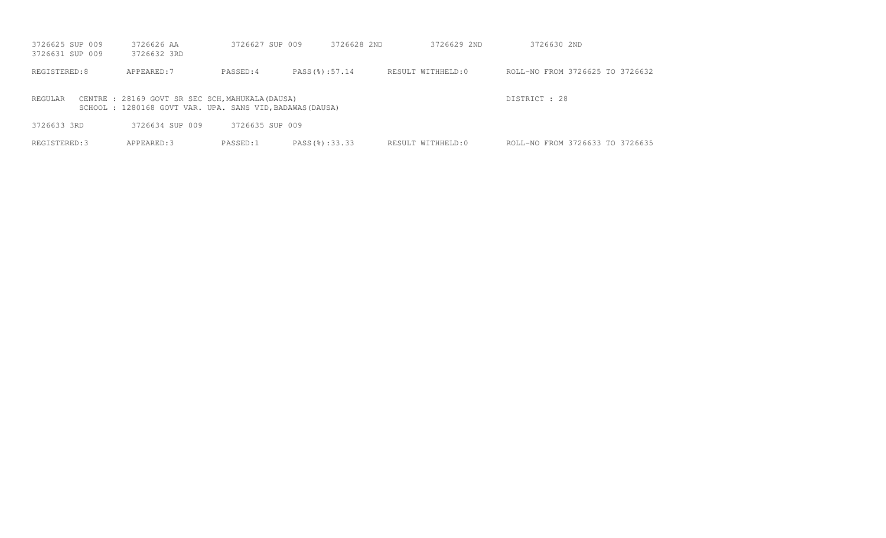| 3726625 SUP 009<br>3726631 SUP 009 | 3726626 AA<br>3726632 3RD                                                                                     | 3726627 SUP 009 |               | 3726628 2ND | 3726629 2ND       | 3726630 2ND                     |
|------------------------------------|---------------------------------------------------------------------------------------------------------------|-----------------|---------------|-------------|-------------------|---------------------------------|
| REGISTERED:8                       | APPEARED: 7                                                                                                   | PASSED:4        | PASS(%):57.14 |             | RESULT WITHHELD:0 | ROLL-NO FROM 3726625 TO 3726632 |
| REGULAR                            | CENTRE : 28169 GOVT SR SEC SCH, MAHUKALA (DAUSA)<br>SCHOOL : 1280168 GOVT VAR. UPA. SANS VID, BADAWAS (DAUSA) |                 |               |             |                   | DISTRICT : 28                   |
| 3726633 3RD                        | 3726634 SUP 009                                                                                               | 3726635 SUP 009 |               |             |                   |                                 |
| REGISTERED: 3                      | APPEARED: 3                                                                                                   | PASSED:1        | PASS(%):33.33 |             | RESULT WITHHELD:0 | ROLL-NO FROM 3726633 TO 3726635 |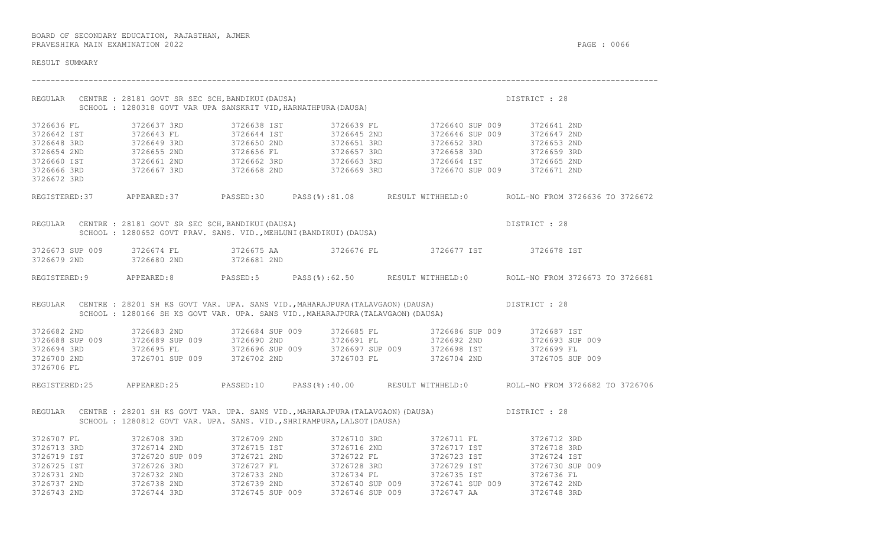| RESULT SUMMARY |                                                                                                                                                                                    |  |                                                                                                                                                                                                                                                                                                                                               |                                                                                                     |
|----------------|------------------------------------------------------------------------------------------------------------------------------------------------------------------------------------|--|-----------------------------------------------------------------------------------------------------------------------------------------------------------------------------------------------------------------------------------------------------------------------------------------------------------------------------------------------|-----------------------------------------------------------------------------------------------------|
|                | REGULAR CENTRE : 28181 GOVT SR SEC SCH, BANDIKUI (DAUSA)                                                                                                                           |  | SCHOOL : 20101 GOVI SK SEU SUH, BANDIKUI (DAUSA)<br>SCHOOL : 1280318 GOVT VAR UPA SANSKRIT VID, HARNATHPURA (DAUSA)                                                                                                                                                                                                                           | DISTRICT : 28                                                                                       |
|                |                                                                                                                                                                                    |  |                                                                                                                                                                                                                                                                                                                                               |                                                                                                     |
| 3726636 FL     |                                                                                                                                                                                    |  |                                                                                                                                                                                                                                                                                                                                               |                                                                                                     |
| 3726642 IST    |                                                                                                                                                                                    |  |                                                                                                                                                                                                                                                                                                                                               |                                                                                                     |
|                |                                                                                                                                                                                    |  | 3726648<br>3726649<br>3726649<br>3726655<br>3726655<br>3726655<br>3726655<br>3726655<br>3726666<br>3726666<br>3726666<br>3726666<br>3726666<br>3726655<br>3726655<br>3726655<br>3726655<br>3726659<br>3726659<br>3726659<br>3726659<br>3726659<br>3726659<br>3726659<br>372665                                                                |                                                                                                     |
|                |                                                                                                                                                                                    |  |                                                                                                                                                                                                                                                                                                                                               |                                                                                                     |
|                |                                                                                                                                                                                    |  |                                                                                                                                                                                                                                                                                                                                               |                                                                                                     |
|                |                                                                                                                                                                                    |  |                                                                                                                                                                                                                                                                                                                                               |                                                                                                     |
| 3726672 3RD    |                                                                                                                                                                                    |  |                                                                                                                                                                                                                                                                                                                                               |                                                                                                     |
|                |                                                                                                                                                                                    |  |                                                                                                                                                                                                                                                                                                                                               | REGISTERED:37 APPEARED:37 PASSED:30 PASS(%):81.08 RESULT WITHHELD:0 ROLL-NO FROM 3726636 TO 3726672 |
|                | CENIKE : Z8181 GOVT SR SEC SCH, BANDIKUI (DAUSA)<br>SCHOOL : 1280652 GOVT PRAV. SANS. VID., MEHLUNI (BANDIKUI) (DAUSA)<br>REGULAR CENTRE : 28181 GOVT SR SEC SCH, BANDIKUI (DAUSA) |  |                                                                                                                                                                                                                                                                                                                                               | DISTRICT : 28                                                                                       |
|                |                                                                                                                                                                                    |  | 3726673 SUP 009 3726674 FL 3726675 AA 3726676 FL 3726677 IST 3726678 IST                                                                                                                                                                                                                                                                      |                                                                                                     |
| 3726679 2ND    | 3726680 2ND 3726681 2ND                                                                                                                                                            |  |                                                                                                                                                                                                                                                                                                                                               |                                                                                                     |
|                |                                                                                                                                                                                    |  |                                                                                                                                                                                                                                                                                                                                               | REGISTERED:9 APPEARED:8 PASSED:5 PASS(%):62.50 RESULT WITHHELD:0 ROLL-NO FROM 3726673 TO 3726681    |
|                | SCHOOL: 1280166 SH KS GOVT VAR. UPA. SANS VID., MAHARAJPURA (TALAVGAON) (DAUSA)                                                                                                    |  | REGULAR CENTRE : 28201 SH KS GOVT VAR. UPA. SANS VID., MAHARAJPURA (TALAVGAON) (DAUSA) DISTRICT : 28                                                                                                                                                                                                                                          |                                                                                                     |
| 3726682 2ND    | 3726683 2ND                                                                                                                                                                        |  | 3726684 SUP 009 3726685 FL 3726686 SUP 009 3726687 IST                                                                                                                                                                                                                                                                                        |                                                                                                     |
|                |                                                                                                                                                                                    |  |                                                                                                                                                                                                                                                                                                                                               |                                                                                                     |
|                |                                                                                                                                                                                    |  |                                                                                                                                                                                                                                                                                                                                               |                                                                                                     |
| 3726706 FL     |                                                                                                                                                                                    |  | $\begin{array}{cccccccc} 3726688 & \text{SUP} & 009 & 3726689 & \text{SUP} & 3726690 & \text{2ND} & 3726691 & \text{FL} & 3726692 & \text{2ND} & 3726693 & \text{SUP} & 3726695 & \text{FL} & 3726694 & \text{3ND} & 3726695 & \text{FL} & 3726696 & \text{SD} & 3726695 & \text{FL} & 3726697 & \text{SD} & 3726697 & \text{SD} & 3726698 &$ |                                                                                                     |
|                |                                                                                                                                                                                    |  |                                                                                                                                                                                                                                                                                                                                               | REGISTERED:25 APPEARED:25 PASSED:10 PASS(%):40.00 RESULT WITHHELD:0 ROLL-NO FROM 3726682 TO 3726706 |
|                | SCHOOL : 1280812 GOVT VAR. UPA. SANS. VID., SHRIRAMPURA, LALSOT (DAUSA)                                                                                                            |  | REGULAR CENTRE : 28201 SH KS GOVT VAR. UPA. SANS VID., MAHARAJPURA (TALAVGAON) (DAUSA) DISTRICT : 28                                                                                                                                                                                                                                          |                                                                                                     |
| 3726707 FL     | 3726708 3RD                                                                                                                                                                        |  |                                                                                                                                                                                                                                                                                                                                               |                                                                                                     |
| 3726713 3RD    | 3726714 2ND                                                                                                                                                                        |  | 3726709 2ND                   3726710 3RD                    3726711 FL                         3726712 3RD<br>3726715 IST                   3726716 2ND                    3726717 IST                         3726718 3RD                                                                                                                   |                                                                                                     |
|                |                                                                                                                                                                                    |  | $\begin{array}{cccccccc} 3726719 & 15T & 3726720 & 50P & 009 & 3726721 & 2ND & 3726722 & FL & 3726723 & 15T & 3726724 & 15T \\ 3726725 & 15T & 3726726 & 3RD & 3726727 & FL & 3726728 & 3RD & 3726729 & 15T & 3726730 & 50P & 009 \\ 3726731 & 2ND & 3726732 & 2ND & 3726733 & 2ND & 372$                                                     |                                                                                                     |
|                |                                                                                                                                                                                    |  |                                                                                                                                                                                                                                                                                                                                               |                                                                                                     |
|                |                                                                                                                                                                                    |  |                                                                                                                                                                                                                                                                                                                                               |                                                                                                     |
|                |                                                                                                                                                                                    |  |                                                                                                                                                                                                                                                                                                                                               |                                                                                                     |
| 3726743 2ND    |                                                                                                                                                                                    |  | 3726744 3RD                  3726745 SUP 009         3726746 SUP 009         3726747 AA                      3726748 3RD                                                                                                                                                                                                                      |                                                                                                     |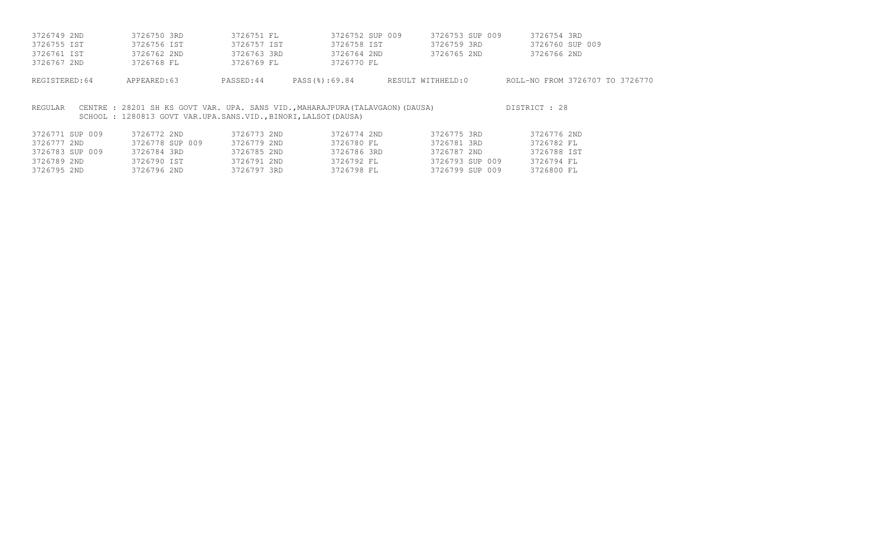| 3726749 2ND     | 3726750 3RD                                                                                                                                       | 3726751 FL  | 3726752 SUP 009 | 3726753 SUP 009   | 3726754 3RD                     |
|-----------------|---------------------------------------------------------------------------------------------------------------------------------------------------|-------------|-----------------|-------------------|---------------------------------|
| 3726755 IST     | 3726756 IST                                                                                                                                       | 3726757 IST | 3726758 IST     | 3726759 3RD       | 3726760 SUP 009                 |
| 3726761 TST     | 3726762 2ND                                                                                                                                       | 3726763 3RD | 3726764 2ND     | 3726765 2ND       | 3726766 2ND                     |
| 3726767 2ND     | 3726768 FL                                                                                                                                        | 3726769 FL  | 3726770 FL      |                   |                                 |
| REGISTERED: 64  | APPEARED:63                                                                                                                                       | PASSED:44   | PASS(%):69.84   | RESULT WITHHELD:0 | ROLL-NO FROM 3726707 TO 3726770 |
| REGULAR         | CENTRE : 28201 SH KS GOVT VAR. UPA. SANS VID., MAHARAJPURA (TALAVGAON) (DAUSA)<br>SCHOOL : 1280813 GOVT VAR.UPA.SANS.VID., BINORI, LALSOT (DAUSA) |             |                 |                   | DISTRICT : 28                   |
| 3726771 SUP 009 | 3726772 2ND                                                                                                                                       | 3726773 2ND | 3726774 2ND     | 3726775 3RD       | 3726776 2ND                     |
| 3726777 2ND     | 3726778 SUP 009                                                                                                                                   | 3726779 2ND | 3726780 FL      | 3726781 3RD       | 3726782 FL                      |
| 3726783 SUP 009 | 3726784 3RD                                                                                                                                       | 3726785 2ND | 3726786 3RD     | 3726787 2ND       | 3726788 IST                     |
| 3726789 2ND     | 3726790 IST                                                                                                                                       | 3726791 2ND | 3726792 FL      | 3726793 SUP 009   | 3726794 FL                      |
| 3726795 2ND     | 3726796 2ND                                                                                                                                       | 3726797 3RD | 3726798 FL      | 3726799 SUP 009   | 3726800 FL                      |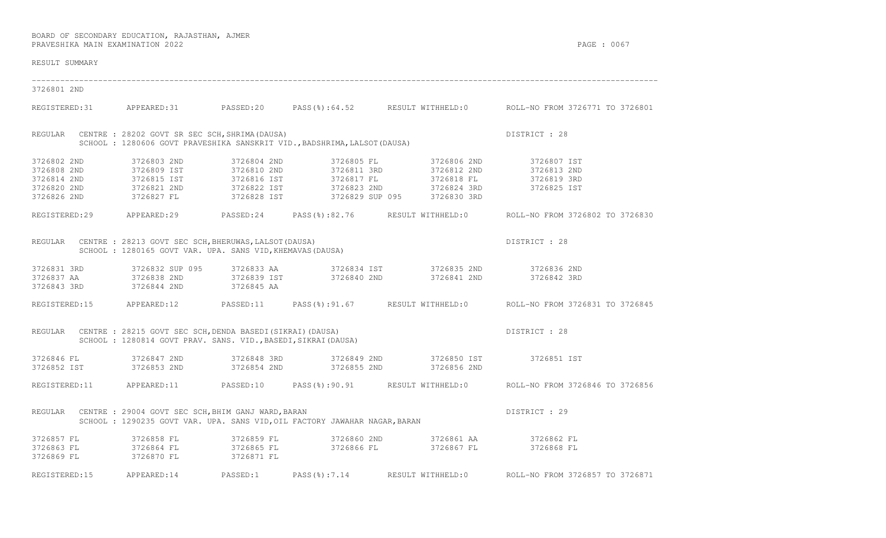RESULT SUMMARY ------------------------------------------------------------------------------------------------------------------------------------ 3726801 2ND REGISTERED:31 APPEARED:31 PASSED:20 PASS(%):64.52 RESULT WITHHELD:0 ROLL-NO FROM 3726771 TO 3726801 REGULAR CENTRE : 28202 GOVT SR SEC SCH, SHRIMA(DAUSA) DESTRICT THE STRICT SAMPLE OF STRICT SAMPLE OF STRICT SAMPLE OF STRICT SAMPLE OF STRICT SAMPLE OF STRICT SAMPLE OF STRICT SAMPLE OF STRICT SAMPLE OF STRICT SAMPLE OF ST SCHOOL : 1280606 GOVT PRAVESHIKA SANSKRIT VID., BADSHRIMA, LALSOT (DAUSA) 3726802 2ND 3726803 2ND 3726804 2ND 3726805 FL 3726806 2ND 3726807 IST<br>3726808 2ND 3726809 IST 3726810 2ND 3726811 3RD 372681 REGISTERED:29 APPEARED:29 PASSED:24 PASS(%):82.76 RESULT WITHHELD:0 ROLL-NO FROM 3726802 TO 3726830 REGULAR CENTRE : 28213 GOVT SEC SCH, BHERUWAS, LALSOT(DAUSA) DESTRICT THE STRICT : 28 SCHOOL : 1280165 GOVT VAR. UPA. SANS VID,KHEMAVAS(DAUSA) 3726831 3RD 3726832 SUP 095 3726833 AA 3726834 IST 3726836 3726836 2ND 3726836 2ND<br>3726837 AA 3726838 2ND 3726839 IST 3726843 3RD 3726844 2ND 3726845 AA REGISTERED:15 APPEARED:12 PASSED:11 PASS(%):91.67 RESULT WITHHELD:0 ROLL-NO FROM 3726831 TO 3726845 REGULAR CENTRE : 28215 GOVT SEC SCH, DENDA BASEDI(SIKRAI)(DAUSA) DESTRICT THE SUSTRICT : 28 SCHOOL : 1280814 GOVT PRAV. SANS. VID.,BASEDI,SIKRAI(DAUSA) 3726846 FL 3726847 2ND 3726848 3RD 3726849 2ND 3726850 IST 3726851 IST 3726852 IST 3726853 2ND 3726854 2ND 3726855 2ND 3726856 2ND REGISTERED:11 APPEARED:11 PASSED:10 PASS(%):90.91 RESULT WITHHELD:0 ROLL-NO FROM 3726846 TO 3726856 REGULAR CENTRE : 29004 GOVT SEC SCH, BHIM GANJ WARD, BARAN DESTRICT THE SECTION OF STRICT TO 29 SCHOOL : 1290235 GOVT VAR. UPA. SANS VID,OIL FACTORY JAWAHAR NAGAR,BARAN

3726857 FL 3726858 FL 3726859 FL 3726860 2ND 3726861 AA 3726862 FL 3726863 FL 3726864 FL 3726865 FL 3726866 FL 3726867 FL 3726868 FL 3726869 FL 3726870 FL 3726871 FL REGISTERED:15 APPEARED:14 PASSED:1 PASS(%):7.14 RESULT WITHHELD:0 ROLL-NO FROM 3726857 TO 3726871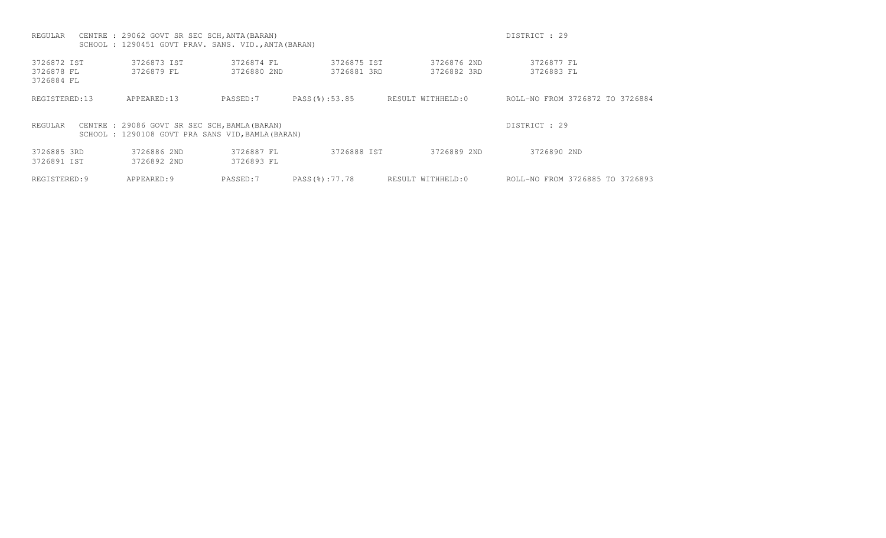| REGULAR                                 | CENTRE : 29062 GOVT SR SEC SCH, ANTA (BARAN)<br>SCHOOL : 1290451 GOVT PRAV. SANS. VID., ANTA (BARAN) |                           |                            |                            | DISTRICT : 29                   |
|-----------------------------------------|------------------------------------------------------------------------------------------------------|---------------------------|----------------------------|----------------------------|---------------------------------|
| 3726872 TST<br>3726878 FL<br>3726884 FL | 3726873 TST<br>3726879 FL                                                                            | 3726874 FL<br>3726880 2ND | 3726875 IST<br>3726881 3RD | 3726876 2ND<br>3726882 3RD | 3726877 FL<br>3726883 FL        |
| REGISTERED:13                           | APPEARED:13                                                                                          | PASSED: 7                 | PASS(%):53.85              | RESULT WITHHELD:0          | ROLL-NO FROM 3726872 TO 3726884 |
| REGULAR                                 | CENTRE : 29086 GOVT SR SEC SCH, BAMLA (BARAN)<br>SCHOOL : 1290108 GOVT PRA SANS VID, BAMLA (BARAN)   |                           |                            |                            | DISTRICT : 29                   |
| 3726885 3RD<br>3726891 IST              | 3726886 2ND<br>3726892 2ND                                                                           | 3726887 FL<br>3726893 FL  | 3726888 IST                | 3726889 2ND                | 3726890 2ND                     |
| REGISTERED: 9                           | APPEARED: 9                                                                                          | PASSED: 7                 | PASS(%):77.78              | RESULT WITHHELD:0          | ROLL-NO FROM 3726885 TO 3726893 |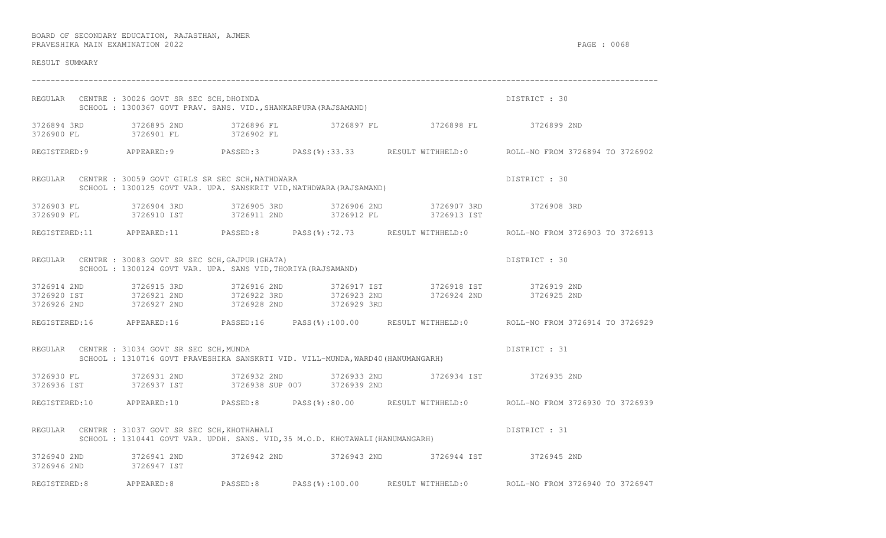| RESULT SUMMARY                        |                                                                                                                                     |            |                |                                                                                                                                                                   |                                                                                                       |
|---------------------------------------|-------------------------------------------------------------------------------------------------------------------------------------|------------|----------------|-------------------------------------------------------------------------------------------------------------------------------------------------------------------|-------------------------------------------------------------------------------------------------------|
|                                       | REGULAR CENTRE : 30026 GOVT SR SEC SCH, DHOINDA                                                                                     |            |                | SCHOOL : JOUZO GOVI SK SEC SCH, DHOINDA<br>SCHOOL : 1300367 GOVT PRAV. SANS. VID., SHANKARPURA (RAJSAMAND)                                                        | DISTRICT : 30                                                                                         |
| 3726894 3RD 3726895 2ND<br>3726900 FL | 3726901 FL                                                                                                                          | 3726902 FL |                | 3726896 FL 3726897 FL 3726898 FL 3726899 2ND                                                                                                                      |                                                                                                       |
|                                       |                                                                                                                                     |            |                |                                                                                                                                                                   | REGISTERED: 9 APPEARED: 9 PASSED: 3 PASS(%): 33.33 RESULT WITHHELD: 0 ROLL-NO FROM 3726894 TO 3726902 |
|                                       | REGULAR CENTRE : 30059 GOVT GIRLS SR SEC SCH, NATHDWARA                                                                             |            |                | CENIKE : 30059 GOVT GIRLS SR SEC SCH, NATHDWARA<br>SCHOOL : 1300125 GOVT VAR. UPA. SANSKRIT VID, NATHDWARA(RAJSAMAND)                                             | DISTRICT : 30                                                                                         |
|                                       |                                                                                                                                     |            |                | 3726903 FL       3726904 3RD       3726905 3RD       3726906 2ND       3726907 3RD       3726908 3RD<br>3726909 FL 3726910 IST 3726911 2ND 3726912 FL 3726913 IST |                                                                                                       |
|                                       |                                                                                                                                     |            |                |                                                                                                                                                                   | REGISTERED:11 APPEARED:11 PASSED:8 PASS(%):72.73 RESULT WITHHELD:0 ROLL-NO FROM 3726903 TO 3726913    |
|                                       | REGULAR CENTRE : 30083 GOVT SR SEC SCH, GAJPUR (GHATA)<br>SCHOOL : 1300124 GOVT VAR. UPA. SANS VID, THORIYA (RAJSAMAND)             |            |                |                                                                                                                                                                   | DISTRICT : 30                                                                                         |
|                                       |                                                                                                                                     |            |                | 3726914 2ND 3726915 3RD 3726916 2ND 3726917 IST 3726918 IST 3726919 2ND                                                                                           |                                                                                                       |
|                                       |                                                                                                                                     |            |                |                                                                                                                                                                   | REGISTERED:16 APPEARED:16 PASSED:16 PASS(%):100.00 RESULT WITHHELD:0 ROLL-NO FROM 3726914 TO 3726929  |
|                                       | REGULAR CENTRE : 31034 GOVT SR SEC SCH, MUNDA<br>SCHOOL : 1310716 GOVT PRAVESHIKA SANSKRTI VID. VILL-MUNDA, WARD40 (HANUMANGARH)    |            |                |                                                                                                                                                                   | DISTRICT : 31                                                                                         |
|                                       |                                                                                                                                     |            |                |                                                                                                                                                                   |                                                                                                       |
|                                       |                                                                                                                                     |            |                |                                                                                                                                                                   | REGISTERED:10 APPEARED:10 PASSED:8 PASS(%):80.00 RESULT WITHHELD:0 ROLL-NO FROM 3726930 TO 3726939    |
|                                       | REGULAR CENTRE : 31037 GOVT SR SEC SCH, KHOTHAWALI<br>SCHOOL : 1310441 GOVT VAR. UPDH. SANS. VID, 35 M.O.D. KHOTAWALI (HANUMANGARH) |            |                |                                                                                                                                                                   | DISTRICT : 31                                                                                         |
| 3726946 2ND                           | 3726947 IST                                                                                                                         |            |                | 3726940 2ND 3726941 2ND 3726942 2ND 3726943 2ND 3726944 IST 3726945 2ND                                                                                           |                                                                                                       |
| REGISTERED:8                          | APPEARED:8                                                                                                                          | PASSED:8   | PASS(%):100.00 | RESULT WITHHELD:0                                                                                                                                                 | ROLL-NO FROM 3726940 TO 3726947                                                                       |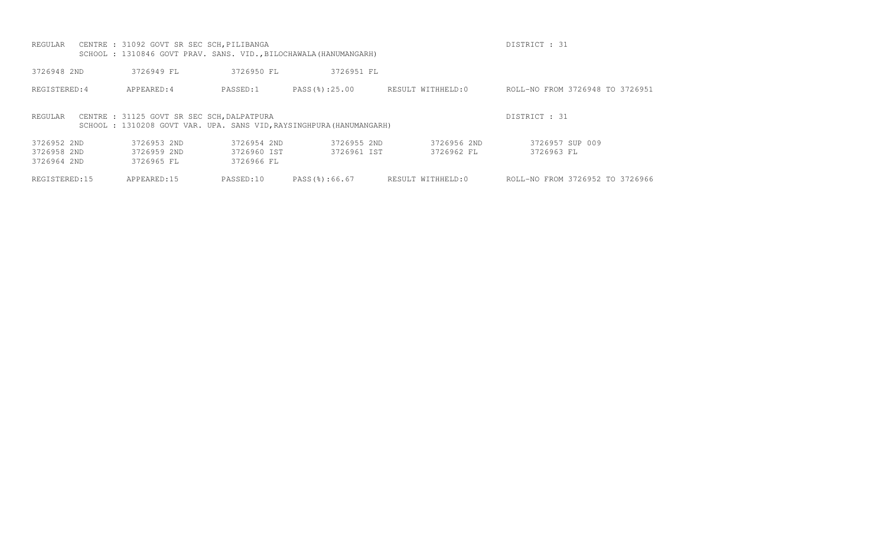| CENTRE : 31092 GOVT SR SEC SCH, PILIBANGA<br>REGULAR<br>SCHOOL : 1310846 GOVT PRAV. SANS. VID., BILOCHAWALA (HANUMANGARH) | DISTRICT : 31                                                                                                     |                                          |                            |                           |                                 |
|---------------------------------------------------------------------------------------------------------------------------|-------------------------------------------------------------------------------------------------------------------|------------------------------------------|----------------------------|---------------------------|---------------------------------|
| 3726948 2ND                                                                                                               | 3726949 FL                                                                                                        | 3726950 FL                               | 3726951 FL                 |                           |                                 |
| REGISTERED: 4                                                                                                             | APPEARED: 4                                                                                                       | PASSED:1                                 | PASS(8):25.00              | RESULT WITHHELD:0         | ROLL-NO FROM 3726948 TO 3726951 |
| REGULAR                                                                                                                   | CENTRE : 31125 GOVT SR SEC SCH, DALPATPURA<br>SCHOOL: 1310208 GOVT VAR. UPA. SANS VID, RAYSINGHPURA (HANUMANGARH) |                                          |                            |                           | DISTRICT : 31                   |
| 3726952 2ND<br>3726958 2ND<br>3726964 2ND                                                                                 | 3726953 2ND<br>3726959 2ND<br>3726965 FL                                                                          | 3726954 2ND<br>3726960 IST<br>3726966 FL | 3726955 2ND<br>3726961 IST | 3726956 2ND<br>3726962 FL | 3726957 SUP 009<br>3726963 FL   |
| REGISTERED: 15                                                                                                            | APPEARED:15                                                                                                       | PASSED:10                                | PASS $(%):66.67$           | RESULT WITHHELD:0         | ROLL-NO FROM 3726952 TO 3726966 |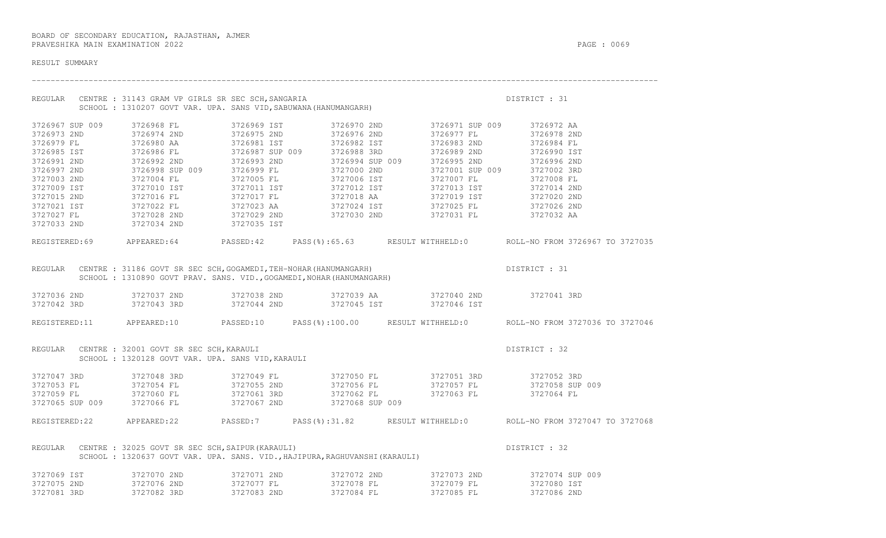| RESULT SUMMARY  |                                                                                                                                         |             |            |                                                                                                                                                                                                                                                             |                                                                                                      |
|-----------------|-----------------------------------------------------------------------------------------------------------------------------------------|-------------|------------|-------------------------------------------------------------------------------------------------------------------------------------------------------------------------------------------------------------------------------------------------------------|------------------------------------------------------------------------------------------------------|
|                 |                                                                                                                                         |             |            | REGULAR CENTRE : 31143 GRAM VP GIRLS SR SEC SCH, SANGARIA<br>SCHOOL : 1310207 GOVT VAR. UPA. SANS VID, SABUWANA (HANUMANGARH)                                                                                                                               | DISTRICT : 31                                                                                        |
|                 |                                                                                                                                         |             |            |                                                                                                                                                                                                                                                             |                                                                                                      |
| 3726967 SUP 009 | 3726968 FL                                                                                                                              | 3726969 IST |            |                                                                                                                                                                                                                                                             | 3726972 AA                                                                                           |
| 3726973 2ND     | 3726974 2ND                                                                                                                             | 3726975 2ND |            | 3726970 2ND 3726971 SUP 009<br>3726976 2ND 3726977 FL                                                                                                                                                                                                       | 3726978 2ND                                                                                          |
|                 |                                                                                                                                         |             |            |                                                                                                                                                                                                                                                             |                                                                                                      |
|                 |                                                                                                                                         |             |            |                                                                                                                                                                                                                                                             |                                                                                                      |
|                 |                                                                                                                                         |             |            |                                                                                                                                                                                                                                                             |                                                                                                      |
|                 |                                                                                                                                         |             |            |                                                                                                                                                                                                                                                             |                                                                                                      |
|                 |                                                                                                                                         |             |            |                                                                                                                                                                                                                                                             |                                                                                                      |
|                 |                                                                                                                                         |             |            |                                                                                                                                                                                                                                                             |                                                                                                      |
|                 |                                                                                                                                         |             |            |                                                                                                                                                                                                                                                             |                                                                                                      |
|                 |                                                                                                                                         |             |            |                                                                                                                                                                                                                                                             |                                                                                                      |
|                 |                                                                                                                                         |             |            |                                                                                                                                                                                                                                                             |                                                                                                      |
|                 |                                                                                                                                         |             |            |                                                                                                                                                                                                                                                             |                                                                                                      |
|                 |                                                                                                                                         |             |            |                                                                                                                                                                                                                                                             | REGISTERED:69 APPEARED:64 PASSED:42 PASS(%):65.63 RESULT WITHHELD:0 ROLL-NO FROM 3726967 TO 3727035  |
|                 |                                                                                                                                         |             |            | REGULAR CENTRE : 31186 GOVT SR SEC SCH, GOGAMEDI, TEH-NOHAR (HANUMANGARH)<br>SCHOOL : 1310890 GOVT PRAV. SANS. VID., GOGAMEDI, NOHAR (HANUMANGARH)<br>3727036 2ND 3727037 2ND 3727038 2ND 3727039 AA 3727039 AC 3727040 2ND 3727041 3RD                     | DISTRICT : 31                                                                                        |
|                 |                                                                                                                                         |             |            |                                                                                                                                                                                                                                                             |                                                                                                      |
|                 |                                                                                                                                         |             |            |                                                                                                                                                                                                                                                             | REGISTERED:11 APPEARED:10 PASSED:10 PASS(%):100.00 RESULT WITHHELD:0 ROLL-NO FROM 3727036 TO 3727046 |
| REGULAR         | SCHOOL : J2001 GOVI SR SEC SCH, KARAULI<br>SCHOOL : 1320128 GOVI VAR. UPA. SANS VID, KARAULI<br>CENTRE : 32001 GOVT SR SEC SCH, KARAULI |             |            |                                                                                                                                                                                                                                                             | DISTRICT : 32                                                                                        |
|                 |                                                                                                                                         |             |            |                                                                                                                                                                                                                                                             |                                                                                                      |
|                 |                                                                                                                                         |             |            | $\begin{array}{cccccccc} 3727047 & 3RD & 3727048 & 3RD & 3727049 & FL & 3727050 & FL & 3727051 & 3RD & 3727052 & 3RD \\ 3727053 & FL & 3727054 & FL & 3727055 & 2ND & 3727056 & FL & 3727057 & FL & 3727058 & SUP & 009 \end{array}$                        |                                                                                                      |
|                 |                                                                                                                                         |             |            |                                                                                                                                                                                                                                                             |                                                                                                      |
|                 |                                                                                                                                         |             |            | 3727059 FL 3727060 FL 3727061 3RD 3727062 FL 3727063 FL 3727063 FL 3727064 FL<br>3727065 SUP 009 3727066 FL 3727067 2ND 3727068 SUP 009                                                                                                                     |                                                                                                      |
|                 |                                                                                                                                         |             |            |                                                                                                                                                                                                                                                             | REGISTERED:22 APPEARED:22 PASSED:7 PASS(%):31.82 RESULT WITHHELD:0 ROLL-NO FROM 3727047 TO 3727068   |
| REGULAR         | CENTRE : 32025 GOVT SR SEC SCH, SAIPUR (KARAULI)<br>SCHOOL : 1320637 GOVT VAR. UPA. SANS. VID., HAJIPURA, RAGHUVANSHI (KARAULI)         |             |            |                                                                                                                                                                                                                                                             | DISTRICT : 32                                                                                        |
| 3727069 IST     | 3727070 2ND                                                                                                                             |             |            |                                                                                                                                                                                                                                                             |                                                                                                      |
| 3727075 2ND     | 3727076 2ND                                                                                                                             |             | 3727078 FL | $\begin{array}{cccccccc} 3727071 & 2\texttt{ND} & & 3727072 & 2\texttt{ND} & & 3727073 & 2\texttt{ND} & & 3727074 & \texttt{SUP} & 009 \\ 3727077 & \texttt{FL} & & 3727078 & \texttt{FL} & & 3727079 & \texttt{FL} & & 3727080 & \texttt{IST} \end{array}$ |                                                                                                      |
| 3727081 3RD     | 3727082 3RD                                                                                                                             | 3727083 2ND | 3727084 FL | 3727085 FL                                                                                                                                                                                                                                                  | 3727086 2ND                                                                                          |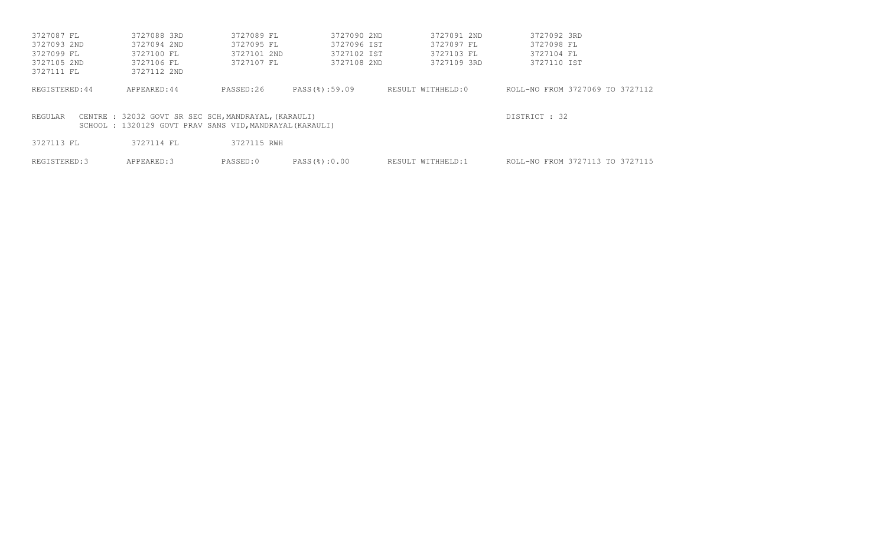| 3727087 FL     | 3727088 3RD                                                                                                      | 3727089 FL  | 3727090 2ND   | 3727091 2ND       | 3727092 3RD                     |
|----------------|------------------------------------------------------------------------------------------------------------------|-------------|---------------|-------------------|---------------------------------|
| 3727093 2ND    | 3727094 2ND                                                                                                      | 3727095 FL  | 3727096 IST   | 3727097 FL        | 3727098 FL                      |
| 3727099 FL     | 3727100 FL                                                                                                       | 3727101 2ND | 3727102 TST   | 3727103 FL        | 3727104 FL                      |
| 3727105 2ND    | 3727106 FL                                                                                                       | 3727107 FL  | 3727108 2ND   | 3727109 3RD       | 3727110 IST                     |
| 3727111 FL     | 3727112 2ND                                                                                                      |             |               |                   |                                 |
| REGISTERED: 44 | APPEARED: 44                                                                                                     | PASSED:26   | PASS(%):59.09 | RESULT WITHHELD:0 | ROLL-NO FROM 3727069 TO 3727112 |
| REGULAR        | CENTRE : 32032 GOVT SR SEC SCH, MANDRAYAL, (KARAULI)<br>SCHOOL : 1320129 GOVT PRAV SANS VID, MANDRAYAL (KARAULI) |             |               |                   | DISTRICT : 32                   |
| 3727113 FL     | 3727114 FL                                                                                                       | 3727115 RWH |               |                   |                                 |
| REGISTERED: 3  | APPEARED: 3                                                                                                      | PASSED:0    | PASS(%):0.00  | RESULT WITHHELD:1 | ROLL-NO FROM 3727113 TO 3727115 |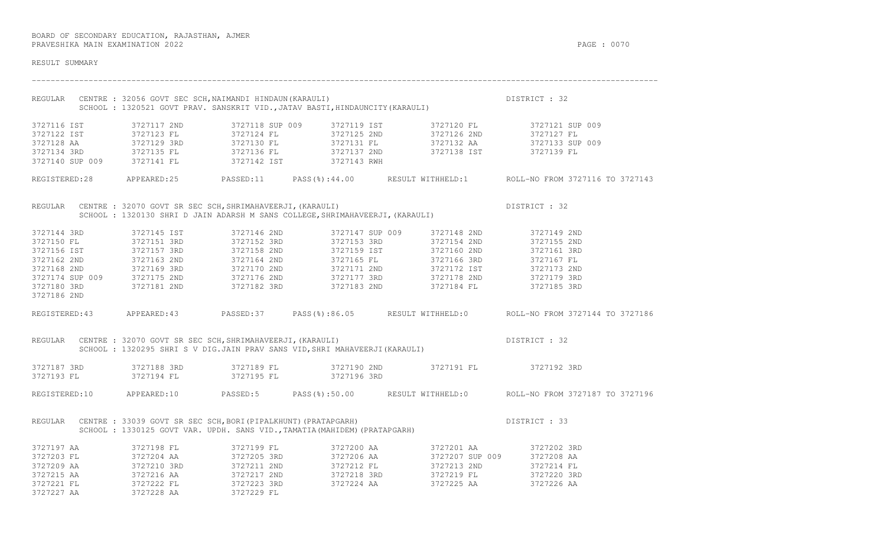| RESULT SUMMARY |                                                                             |  |                                                                                                                                                                                                                                                                                                                                                      |                                                                                                     |
|----------------|-----------------------------------------------------------------------------|--|------------------------------------------------------------------------------------------------------------------------------------------------------------------------------------------------------------------------------------------------------------------------------------------------------------------------------------------------------|-----------------------------------------------------------------------------------------------------|
|                |                                                                             |  | REGULAR CENTRE : 32056 GOVT SEC SCH, NAIMANDI HINDAUN (KARAULI)<br>SCHOOL : 1320521 GOVT PRAV. SANSKRIT VID., JATAV BASTI, HINDAUNCITY (KARAULI)                                                                                                                                                                                                     |                                                                                                     |
|                |                                                                             |  |                                                                                                                                                                                                                                                                                                                                                      |                                                                                                     |
|                |                                                                             |  |                                                                                                                                                                                                                                                                                                                                                      |                                                                                                     |
|                |                                                                             |  |                                                                                                                                                                                                                                                                                                                                                      |                                                                                                     |
|                |                                                                             |  |                                                                                                                                                                                                                                                                                                                                                      |                                                                                                     |
|                |                                                                             |  | $\begin{array}{cccccccc} 3727116 & 1ST & 3727117 & 2ND & 3727118 & 5UP & 009 & 3727119 & 1ST & 3727120 & FL & 3727121 & 5UP & 009 \\ 3727122 & 1ST & 3727123 & FL & 3727124 & FL & 3727125 & 2ND & 3727126 & 2ND & 3727127 & FL & 3727123 & 5UP & 009 \\ 3727128 & AA & 3727129 & 3RD & 3727130 & FL & $                                             |                                                                                                     |
|                |                                                                             |  |                                                                                                                                                                                                                                                                                                                                                      | REGISTERED:28 APPEARED:25 PASSED:11 PASS(%):44.00 RESULT WITHHELD:1 ROLL-NO FROM 3727116 TO 3727143 |
|                |                                                                             |  | REGULAR CENTRE : 32070 GOVT SR SEC SCH, SHRIMAHAVEERJI, (KARAULI)<br>SCHOOL : 1320130 SHRI D JAIN ADARSH M SANS COLLEGE, SHRIMAHAVEERJI, (KARAULI)                                                                                                                                                                                                   |                                                                                                     |
|                |                                                                             |  |                                                                                                                                                                                                                                                                                                                                                      |                                                                                                     |
|                |                                                                             |  |                                                                                                                                                                                                                                                                                                                                                      |                                                                                                     |
|                |                                                                             |  |                                                                                                                                                                                                                                                                                                                                                      |                                                                                                     |
|                |                                                                             |  |                                                                                                                                                                                                                                                                                                                                                      |                                                                                                     |
|                |                                                                             |  |                                                                                                                                                                                                                                                                                                                                                      |                                                                                                     |
|                |                                                                             |  |                                                                                                                                                                                                                                                                                                                                                      |                                                                                                     |
|                |                                                                             |  |                                                                                                                                                                                                                                                                                                                                                      |                                                                                                     |
|                |                                                                             |  |                                                                                                                                                                                                                                                                                                                                                      |                                                                                                     |
|                |                                                                             |  | $\begin{array}{cccccc} 3727144 & 3\text{RD} & 3727145 & 1\text{ST} & 3727146 & 2\text{ND} & 3727147 & 5\text{UP} & 009 & 3727148 & 2\text{ND} & 3727159 & 1\text{ND} & 3727155 & 2\text{ND} \\ 3727150 & \text{FL} & 3727151 & 3\text{RD} & 3727152 & 3\text{RD} & 3727153 & 3\text{RD} & 3727154 & 2\text{ND} & 3727$                               |                                                                                                     |
|                |                                                                             |  |                                                                                                                                                                                                                                                                                                                                                      | REGISTERED:43 APPEARED:43 PASSED:37 PASS(%):86.05 RESULT WITHHELD:0 ROLL-NO FROM 3727144 TO 3727186 |
|                | SCHOOL : 1320295 SHRI S V DIG.JAIN PRAV SANS VID, SHRI MAHAVEERJI (KARAULI) |  | REGULAR CENTRE : 32070 GOVT SR SEC SCH, SHRIMAHAVEERJI, (KARAULI) (2001)                                                                                                                                                                                                                                                                             |                                                                                                     |
|                |                                                                             |  | 3727187 3RD 3727188 3RD 3727189 FL 3727190 2ND 3727191 FL 3727192 3RD                                                                                                                                                                                                                                                                                |                                                                                                     |
|                | 3727193 FL 3727194 FL 3727195 FL 3727196 3RD                                |  |                                                                                                                                                                                                                                                                                                                                                      |                                                                                                     |
|                |                                                                             |  |                                                                                                                                                                                                                                                                                                                                                      | REGISTERED:10 APPEARED:10 PASSED:5 PASS(%):50.00 RESULT WITHHELD:0 ROLL-NO FROM 3727187 TO 3727196  |
|                |                                                                             |  | REGULAR CENTRE : 33039 GOVT SR SEC SCH, BORI (PIPALKHUNT) (PRATAPGARH) (PRATAPGARH) DISTRICT : 33<br>SCHOOL : 1330125 GOVT VAR. UPDH. SANS VID., TAMATIA (MAHIDEM) (PRATAPGARH)                                                                                                                                                                      |                                                                                                     |
|                |                                                                             |  |                                                                                                                                                                                                                                                                                                                                                      |                                                                                                     |
|                |                                                                             |  |                                                                                                                                                                                                                                                                                                                                                      |                                                                                                     |
|                |                                                                             |  |                                                                                                                                                                                                                                                                                                                                                      |                                                                                                     |
|                |                                                                             |  |                                                                                                                                                                                                                                                                                                                                                      |                                                                                                     |
|                |                                                                             |  |                                                                                                                                                                                                                                                                                                                                                      |                                                                                                     |
|                |                                                                             |  | $\begin{array}{cccccccc} 3727197 & \text{AA} & & 3727198 & \text{FL} & & 3727200 & \text{AA} & & 3727201 & \text{AA} & & 3727202 & 3 \text{RD} \\ 3727203 & \text{FL} & & 3727204 & \text{AA} & & 3727205 & 3 \text{RD} & & 3727206 & \text{AA} & & 3727207 & \text{SUP} & 009 & & 3727208 & \text{AA} \\ 3727209 & \text{AA} & & 3727210 & 3 \text$ |                                                                                                     |
|                |                                                                             |  |                                                                                                                                                                                                                                                                                                                                                      |                                                                                                     |